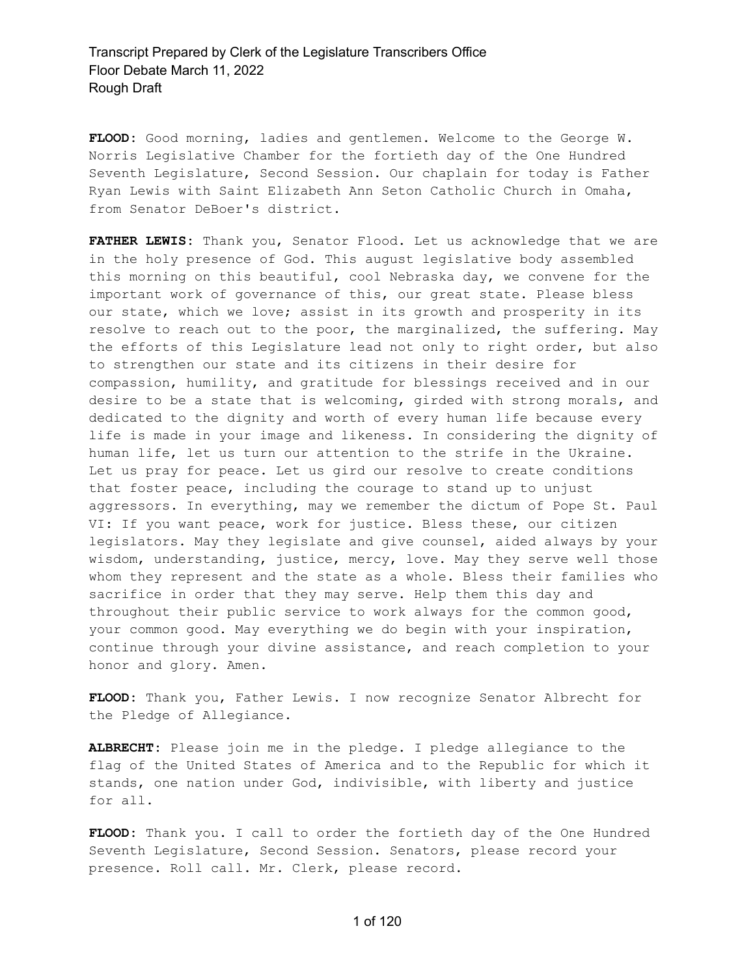**FLOOD:** Good morning, ladies and gentlemen. Welcome to the George W. Norris Legislative Chamber for the fortieth day of the One Hundred Seventh Legislature, Second Session. Our chaplain for today is Father Ryan Lewis with Saint Elizabeth Ann Seton Catholic Church in Omaha, from Senator DeBoer's district.

**FATHER LEWIS:** Thank you, Senator Flood. Let us acknowledge that we are in the holy presence of God. This august legislative body assembled this morning on this beautiful, cool Nebraska day, we convene for the important work of governance of this, our great state. Please bless our state, which we love; assist in its growth and prosperity in its resolve to reach out to the poor, the marginalized, the suffering. May the efforts of this Legislature lead not only to right order, but also to strengthen our state and its citizens in their desire for compassion, humility, and gratitude for blessings received and in our desire to be a state that is welcoming, girded with strong morals, and dedicated to the dignity and worth of every human life because every life is made in your image and likeness. In considering the dignity of human life, let us turn our attention to the strife in the Ukraine. Let us pray for peace. Let us gird our resolve to create conditions that foster peace, including the courage to stand up to unjust aggressors. In everything, may we remember the dictum of Pope St. Paul VI: If you want peace, work for justice. Bless these, our citizen legislators. May they legislate and give counsel, aided always by your wisdom, understanding, justice, mercy, love. May they serve well those whom they represent and the state as a whole. Bless their families who sacrifice in order that they may serve. Help them this day and throughout their public service to work always for the common good, your common good. May everything we do begin with your inspiration, continue through your divine assistance, and reach completion to your honor and glory. Amen.

**FLOOD:** Thank you, Father Lewis. I now recognize Senator Albrecht for the Pledge of Allegiance.

**ALBRECHT:** Please join me in the pledge. I pledge allegiance to the flag of the United States of America and to the Republic for which it stands, one nation under God, indivisible, with liberty and justice for all.

**FLOOD:** Thank you. I call to order the fortieth day of the One Hundred Seventh Legislature, Second Session. Senators, please record your presence. Roll call. Mr. Clerk, please record.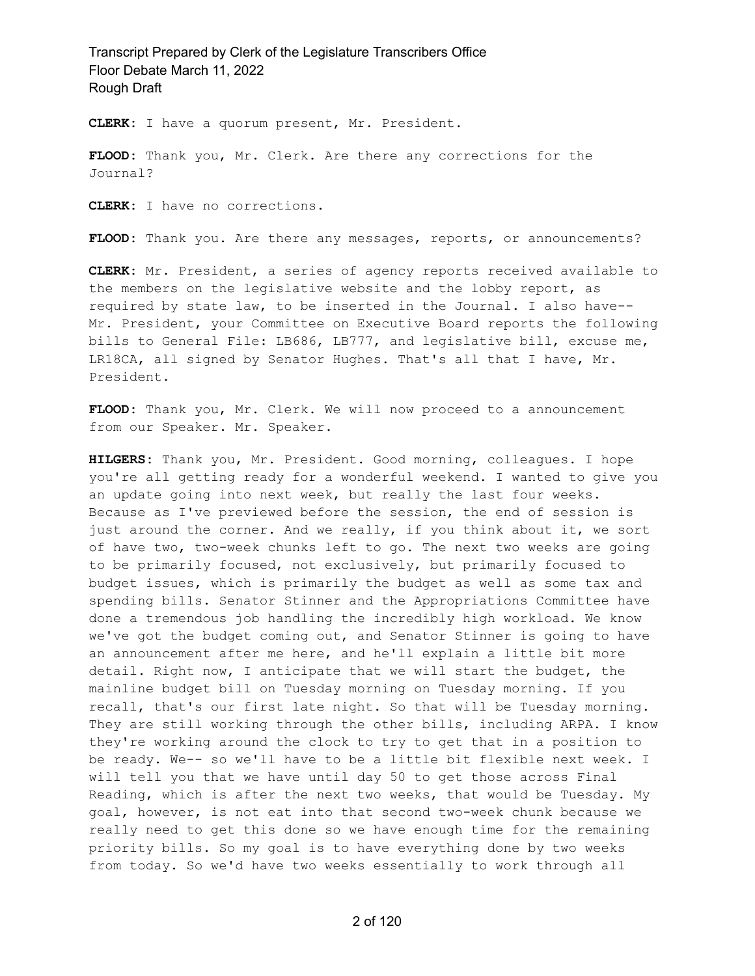**CLERK:** I have a quorum present, Mr. President.

**FLOOD:** Thank you, Mr. Clerk. Are there any corrections for the Journal?

**CLERK:** I have no corrections.

**FLOOD:** Thank you. Are there any messages, reports, or announcements?

**CLERK:** Mr. President, a series of agency reports received available to the members on the legislative website and the lobby report, as required by state law, to be inserted in the Journal. I also have-- Mr. President, your Committee on Executive Board reports the following bills to General File: LB686, LB777, and legislative bill, excuse me, LR18CA, all signed by Senator Hughes. That's all that I have, Mr. President.

**FLOOD:** Thank you, Mr. Clerk. We will now proceed to a announcement from our Speaker. Mr. Speaker.

**HILGERS:** Thank you, Mr. President. Good morning, colleagues. I hope you're all getting ready for a wonderful weekend. I wanted to give you an update going into next week, but really the last four weeks. Because as I've previewed before the session, the end of session is just around the corner. And we really, if you think about it, we sort of have two, two-week chunks left to go. The next two weeks are going to be primarily focused, not exclusively, but primarily focused to budget issues, which is primarily the budget as well as some tax and spending bills. Senator Stinner and the Appropriations Committee have done a tremendous job handling the incredibly high workload. We know we've got the budget coming out, and Senator Stinner is going to have an announcement after me here, and he'll explain a little bit more detail. Right now, I anticipate that we will start the budget, the mainline budget bill on Tuesday morning on Tuesday morning. If you recall, that's our first late night. So that will be Tuesday morning. They are still working through the other bills, including ARPA. I know they're working around the clock to try to get that in a position to be ready. We-- so we'll have to be a little bit flexible next week. I will tell you that we have until day 50 to get those across Final Reading, which is after the next two weeks, that would be Tuesday. My goal, however, is not eat into that second two-week chunk because we really need to get this done so we have enough time for the remaining priority bills. So my goal is to have everything done by two weeks from today. So we'd have two weeks essentially to work through all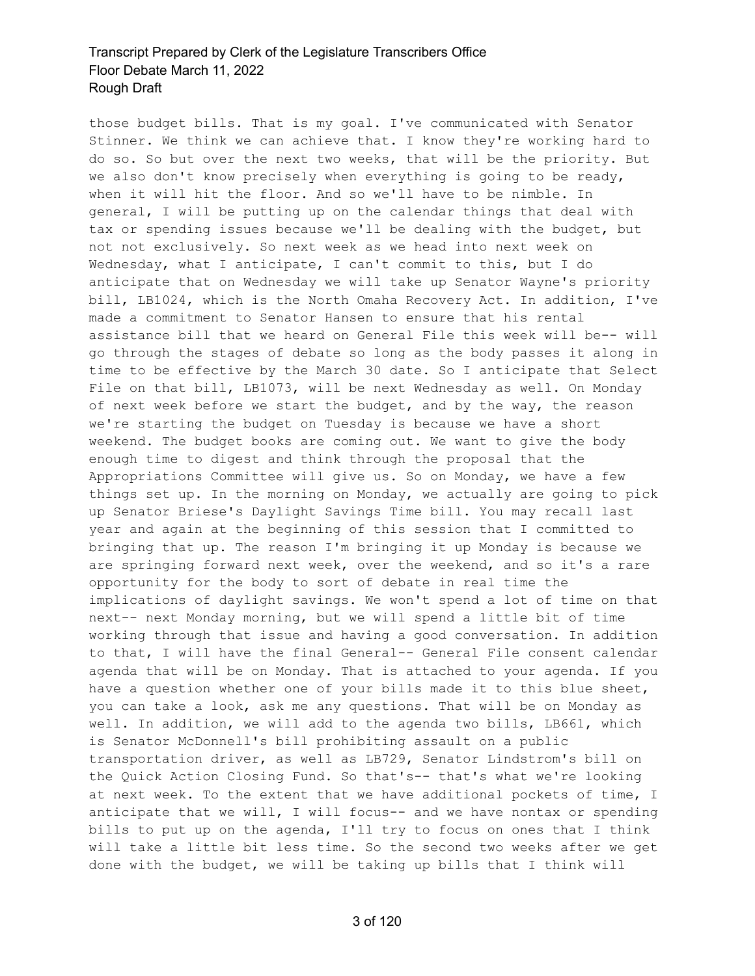those budget bills. That is my goal. I've communicated with Senator Stinner. We think we can achieve that. I know they're working hard to do so. So but over the next two weeks, that will be the priority. But we also don't know precisely when everything is going to be ready, when it will hit the floor. And so we'll have to be nimble. In general, I will be putting up on the calendar things that deal with tax or spending issues because we'll be dealing with the budget, but not not exclusively. So next week as we head into next week on Wednesday, what I anticipate, I can't commit to this, but I do anticipate that on Wednesday we will take up Senator Wayne's priority bill, LB1024, which is the North Omaha Recovery Act. In addition, I've made a commitment to Senator Hansen to ensure that his rental assistance bill that we heard on General File this week will be-- will go through the stages of debate so long as the body passes it along in time to be effective by the March 30 date. So I anticipate that Select File on that bill, LB1073, will be next Wednesday as well. On Monday of next week before we start the budget, and by the way, the reason we're starting the budget on Tuesday is because we have a short weekend. The budget books are coming out. We want to give the body enough time to digest and think through the proposal that the Appropriations Committee will give us. So on Monday, we have a few things set up. In the morning on Monday, we actually are going to pick up Senator Briese's Daylight Savings Time bill. You may recall last year and again at the beginning of this session that I committed to bringing that up. The reason I'm bringing it up Monday is because we are springing forward next week, over the weekend, and so it's a rare opportunity for the body to sort of debate in real time the implications of daylight savings. We won't spend a lot of time on that next-- next Monday morning, but we will spend a little bit of time working through that issue and having a good conversation. In addition to that, I will have the final General-- General File consent calendar agenda that will be on Monday. That is attached to your agenda. If you have a question whether one of your bills made it to this blue sheet, you can take a look, ask me any questions. That will be on Monday as well. In addition, we will add to the agenda two bills, LB661, which is Senator McDonnell's bill prohibiting assault on a public transportation driver, as well as LB729, Senator Lindstrom's bill on the Quick Action Closing Fund. So that's-- that's what we're looking at next week. To the extent that we have additional pockets of time, I anticipate that we will, I will focus-- and we have nontax or spending bills to put up on the agenda, I'll try to focus on ones that I think will take a little bit less time. So the second two weeks after we get done with the budget, we will be taking up bills that I think will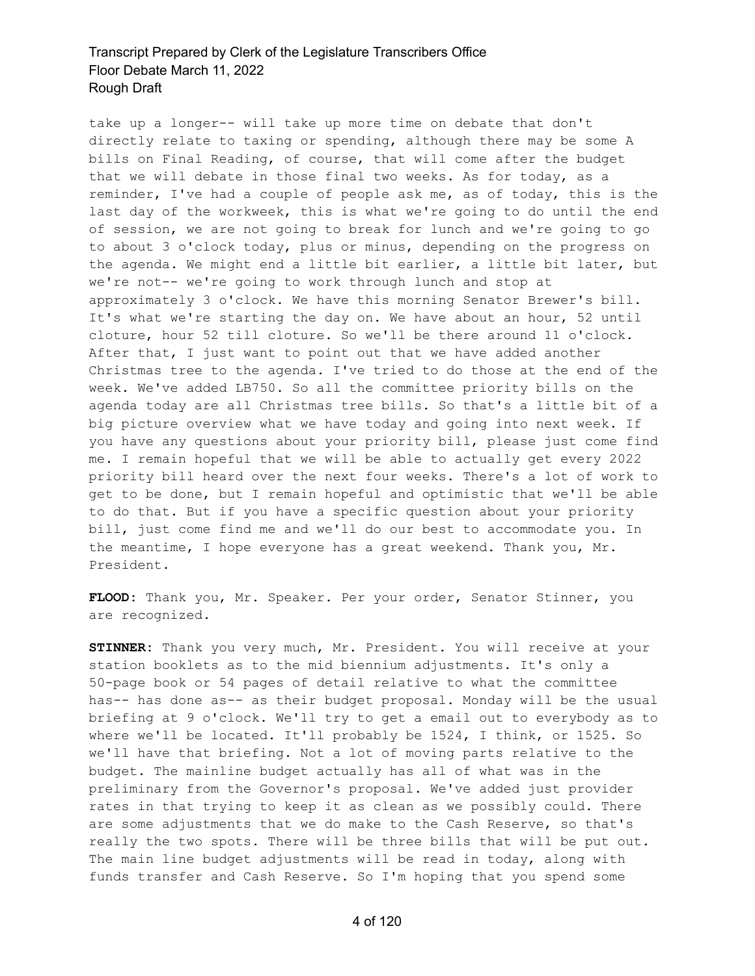take up a longer-- will take up more time on debate that don't directly relate to taxing or spending, although there may be some A bills on Final Reading, of course, that will come after the budget that we will debate in those final two weeks. As for today, as a reminder, I've had a couple of people ask me, as of today, this is the last day of the workweek, this is what we're going to do until the end of session, we are not going to break for lunch and we're going to go to about 3 o'clock today, plus or minus, depending on the progress on the agenda. We might end a little bit earlier, a little bit later, but we're not-- we're going to work through lunch and stop at approximately 3 o'clock. We have this morning Senator Brewer's bill. It's what we're starting the day on. We have about an hour, 52 until cloture, hour 52 till cloture. So we'll be there around 11 o'clock. After that, I just want to point out that we have added another Christmas tree to the agenda. I've tried to do those at the end of the week. We've added LB750. So all the committee priority bills on the agenda today are all Christmas tree bills. So that's a little bit of a big picture overview what we have today and going into next week. If you have any questions about your priority bill, please just come find me. I remain hopeful that we will be able to actually get every 2022 priority bill heard over the next four weeks. There's a lot of work to get to be done, but I remain hopeful and optimistic that we'll be able to do that. But if you have a specific question about your priority bill, just come find me and we'll do our best to accommodate you. In the meantime, I hope everyone has a great weekend. Thank you, Mr. President.

**FLOOD:** Thank you, Mr. Speaker. Per your order, Senator Stinner, you are recognized.

**STINNER:** Thank you very much, Mr. President. You will receive at your station booklets as to the mid biennium adjustments. It's only a 50-page book or 54 pages of detail relative to what the committee has-- has done as-- as their budget proposal. Monday will be the usual briefing at 9 o'clock. We'll try to get a email out to everybody as to where we'll be located. It'll probably be 1524, I think, or 1525. So we'll have that briefing. Not a lot of moving parts relative to the budget. The mainline budget actually has all of what was in the preliminary from the Governor's proposal. We've added just provider rates in that trying to keep it as clean as we possibly could. There are some adjustments that we do make to the Cash Reserve, so that's really the two spots. There will be three bills that will be put out. The main line budget adjustments will be read in today, along with funds transfer and Cash Reserve. So I'm hoping that you spend some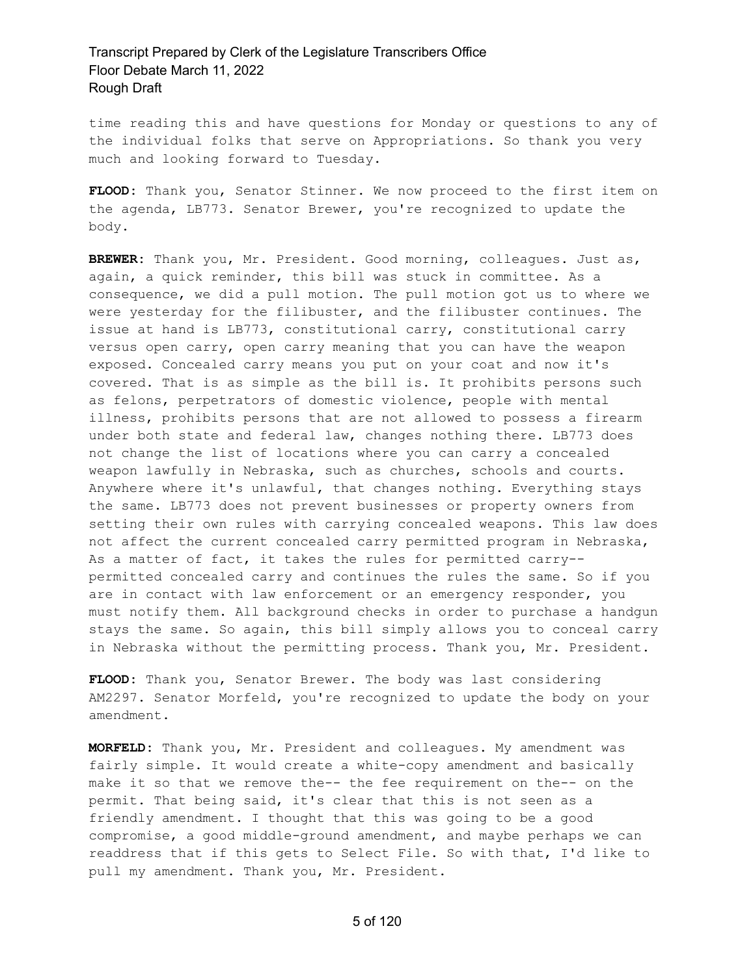time reading this and have questions for Monday or questions to any of the individual folks that serve on Appropriations. So thank you very much and looking forward to Tuesday.

**FLOOD:** Thank you, Senator Stinner. We now proceed to the first item on the agenda, LB773. Senator Brewer, you're recognized to update the body.

**BREWER:** Thank you, Mr. President. Good morning, colleagues. Just as, again, a quick reminder, this bill was stuck in committee. As a consequence, we did a pull motion. The pull motion got us to where we were yesterday for the filibuster, and the filibuster continues. The issue at hand is LB773, constitutional carry, constitutional carry versus open carry, open carry meaning that you can have the weapon exposed. Concealed carry means you put on your coat and now it's covered. That is as simple as the bill is. It prohibits persons such as felons, perpetrators of domestic violence, people with mental illness, prohibits persons that are not allowed to possess a firearm under both state and federal law, changes nothing there. LB773 does not change the list of locations where you can carry a concealed weapon lawfully in Nebraska, such as churches, schools and courts. Anywhere where it's unlawful, that changes nothing. Everything stays the same. LB773 does not prevent businesses or property owners from setting their own rules with carrying concealed weapons. This law does not affect the current concealed carry permitted program in Nebraska, As a matter of fact, it takes the rules for permitted carry- permitted concealed carry and continues the rules the same. So if you are in contact with law enforcement or an emergency responder, you must notify them. All background checks in order to purchase a handgun stays the same. So again, this bill simply allows you to conceal carry in Nebraska without the permitting process. Thank you, Mr. President.

**FLOOD:** Thank you, Senator Brewer. The body was last considering AM2297. Senator Morfeld, you're recognized to update the body on your amendment.

**MORFELD:** Thank you, Mr. President and colleagues. My amendment was fairly simple. It would create a white-copy amendment and basically make it so that we remove the-- the fee requirement on the-- on the permit. That being said, it's clear that this is not seen as a friendly amendment. I thought that this was going to be a good compromise, a good middle-ground amendment, and maybe perhaps we can readdress that if this gets to Select File. So with that, I'd like to pull my amendment. Thank you, Mr. President.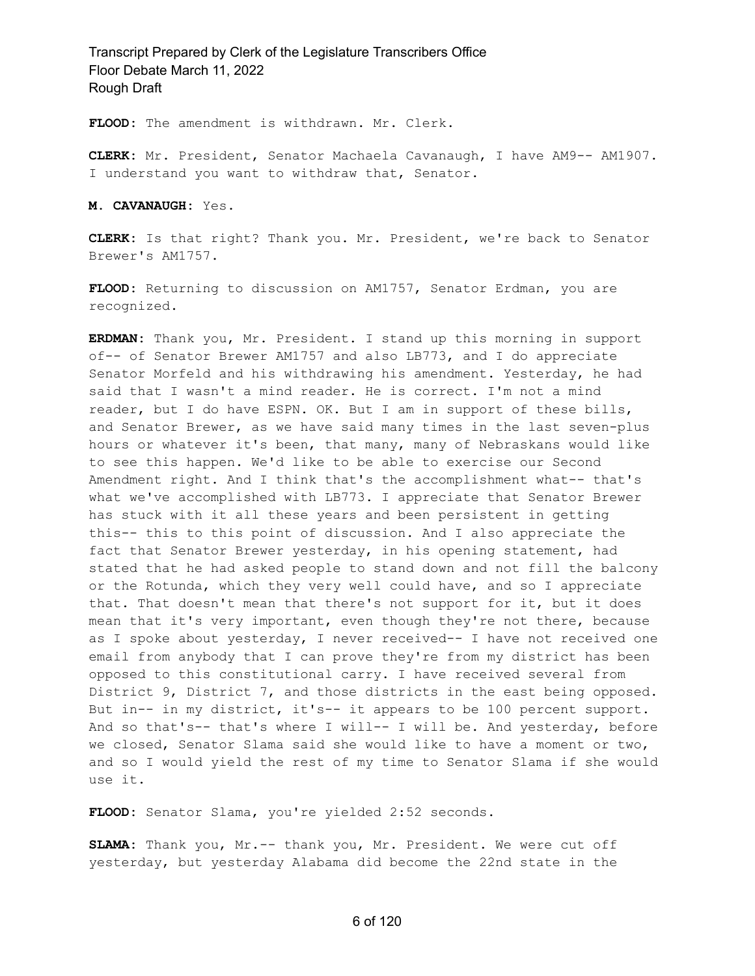**FLOOD:** The amendment is withdrawn. Mr. Clerk.

**CLERK:** Mr. President, Senator Machaela Cavanaugh, I have AM9-- AM1907. I understand you want to withdraw that, Senator.

**M. CAVANAUGH:** Yes.

**CLERK:** Is that right? Thank you. Mr. President, we're back to Senator Brewer's AM1757.

**FLOOD:** Returning to discussion on AM1757, Senator Erdman, you are recognized.

**ERDMAN:** Thank you, Mr. President. I stand up this morning in support of-- of Senator Brewer AM1757 and also LB773, and I do appreciate Senator Morfeld and his withdrawing his amendment. Yesterday, he had said that I wasn't a mind reader. He is correct. I'm not a mind reader, but I do have ESPN. OK. But I am in support of these bills, and Senator Brewer, as we have said many times in the last seven-plus hours or whatever it's been, that many, many of Nebraskans would like to see this happen. We'd like to be able to exercise our Second Amendment right. And I think that's the accomplishment what-- that's what we've accomplished with LB773. I appreciate that Senator Brewer has stuck with it all these years and been persistent in getting this-- this to this point of discussion. And I also appreciate the fact that Senator Brewer yesterday, in his opening statement, had stated that he had asked people to stand down and not fill the balcony or the Rotunda, which they very well could have, and so I appreciate that. That doesn't mean that there's not support for it, but it does mean that it's very important, even though they're not there, because as I spoke about yesterday, I never received-- I have not received one email from anybody that I can prove they're from my district has been opposed to this constitutional carry. I have received several from District 9, District 7, and those districts in the east being opposed. But in-- in my district, it's-- it appears to be 100 percent support. And so that's-- that's where I will-- I will be. And yesterday, before we closed, Senator Slama said she would like to have a moment or two, and so I would yield the rest of my time to Senator Slama if she would use it.

**FLOOD:** Senator Slama, you're yielded 2:52 seconds.

**SLAMA:** Thank you, Mr.-- thank you, Mr. President. We were cut off yesterday, but yesterday Alabama did become the 22nd state in the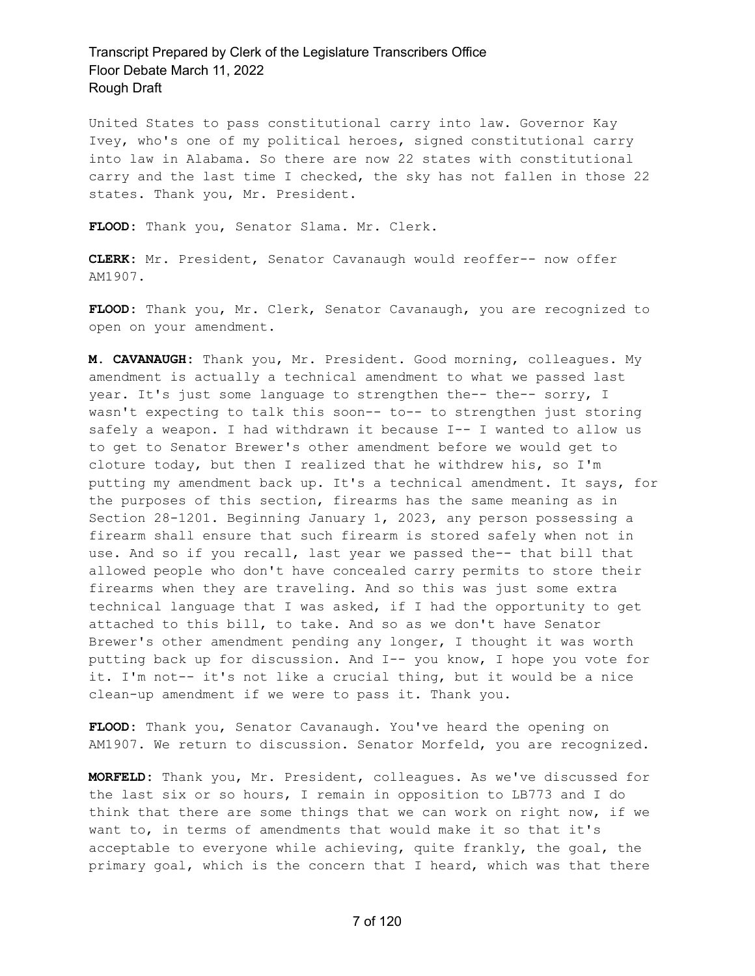United States to pass constitutional carry into law. Governor Kay Ivey, who's one of my political heroes, signed constitutional carry into law in Alabama. So there are now 22 states with constitutional carry and the last time I checked, the sky has not fallen in those 22 states. Thank you, Mr. President.

**FLOOD:** Thank you, Senator Slama. Mr. Clerk.

**CLERK:** Mr. President, Senator Cavanaugh would reoffer-- now offer AM1907.

**FLOOD:** Thank you, Mr. Clerk, Senator Cavanaugh, you are recognized to open on your amendment.

**M. CAVANAUGH:** Thank you, Mr. President. Good morning, colleagues. My amendment is actually a technical amendment to what we passed last year. It's just some language to strengthen the-- the-- sorry, I wasn't expecting to talk this soon-- to-- to strengthen just storing safely a weapon. I had withdrawn it because I-- I wanted to allow us to get to Senator Brewer's other amendment before we would get to cloture today, but then I realized that he withdrew his, so I'm putting my amendment back up. It's a technical amendment. It says, for the purposes of this section, firearms has the same meaning as in Section 28-1201. Beginning January 1, 2023, any person possessing a firearm shall ensure that such firearm is stored safely when not in use. And so if you recall, last year we passed the-- that bill that allowed people who don't have concealed carry permits to store their firearms when they are traveling. And so this was just some extra technical language that I was asked, if I had the opportunity to get attached to this bill, to take. And so as we don't have Senator Brewer's other amendment pending any longer, I thought it was worth putting back up for discussion. And I-- you know, I hope you vote for it. I'm not-- it's not like a crucial thing, but it would be a nice clean-up amendment if we were to pass it. Thank you.

**FLOOD:** Thank you, Senator Cavanaugh. You've heard the opening on AM1907. We return to discussion. Senator Morfeld, you are recognized.

**MORFELD:** Thank you, Mr. President, colleagues. As we've discussed for the last six or so hours, I remain in opposition to LB773 and I do think that there are some things that we can work on right now, if we want to, in terms of amendments that would make it so that it's acceptable to everyone while achieving, quite frankly, the goal, the primary goal, which is the concern that I heard, which was that there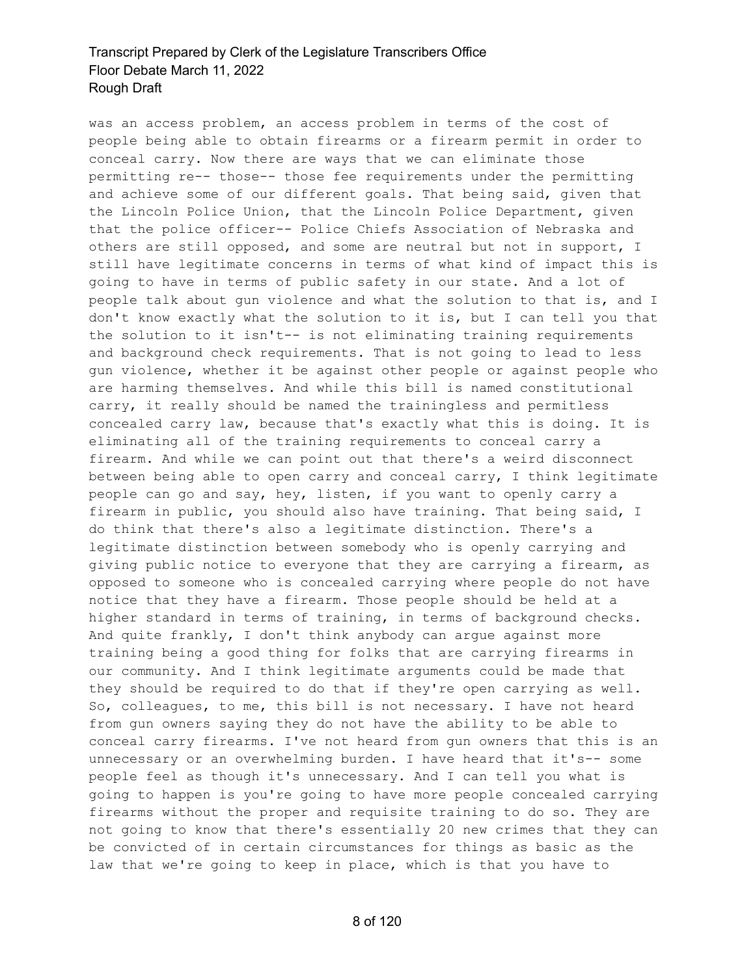was an access problem, an access problem in terms of the cost of people being able to obtain firearms or a firearm permit in order to conceal carry. Now there are ways that we can eliminate those permitting re-- those-- those fee requirements under the permitting and achieve some of our different goals. That being said, given that the Lincoln Police Union, that the Lincoln Police Department, given that the police officer-- Police Chiefs Association of Nebraska and others are still opposed, and some are neutral but not in support, I still have legitimate concerns in terms of what kind of impact this is going to have in terms of public safety in our state. And a lot of people talk about gun violence and what the solution to that is, and I don't know exactly what the solution to it is, but I can tell you that the solution to it isn't-- is not eliminating training requirements and background check requirements. That is not going to lead to less gun violence, whether it be against other people or against people who are harming themselves. And while this bill is named constitutional carry, it really should be named the trainingless and permitless concealed carry law, because that's exactly what this is doing. It is eliminating all of the training requirements to conceal carry a firearm. And while we can point out that there's a weird disconnect between being able to open carry and conceal carry, I think legitimate people can go and say, hey, listen, if you want to openly carry a firearm in public, you should also have training. That being said, I do think that there's also a legitimate distinction. There's a legitimate distinction between somebody who is openly carrying and giving public notice to everyone that they are carrying a firearm, as opposed to someone who is concealed carrying where people do not have notice that they have a firearm. Those people should be held at a higher standard in terms of training, in terms of background checks. And quite frankly, I don't think anybody can argue against more training being a good thing for folks that are carrying firearms in our community. And I think legitimate arguments could be made that they should be required to do that if they're open carrying as well. So, colleagues, to me, this bill is not necessary. I have not heard from gun owners saying they do not have the ability to be able to conceal carry firearms. I've not heard from gun owners that this is an unnecessary or an overwhelming burden. I have heard that it's-- some people feel as though it's unnecessary. And I can tell you what is going to happen is you're going to have more people concealed carrying firearms without the proper and requisite training to do so. They are not going to know that there's essentially 20 new crimes that they can be convicted of in certain circumstances for things as basic as the law that we're going to keep in place, which is that you have to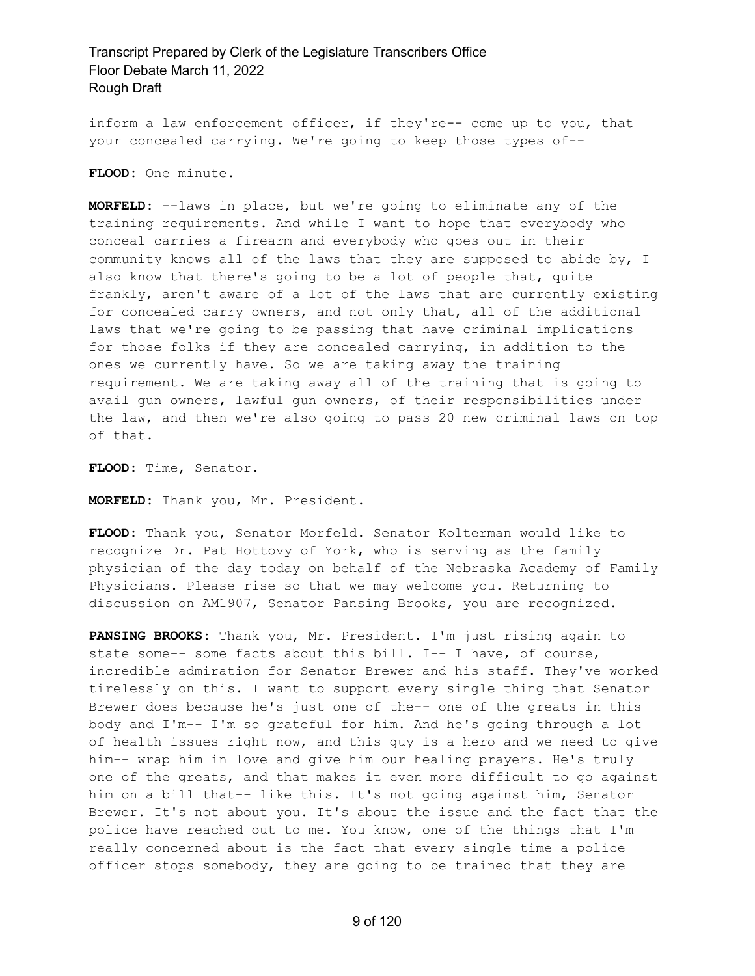inform a law enforcement officer, if they're-- come up to you, that your concealed carrying. We're going to keep those types of--

**FLOOD:** One minute.

**MORFELD:** --laws in place, but we're going to eliminate any of the training requirements. And while I want to hope that everybody who conceal carries a firearm and everybody who goes out in their community knows all of the laws that they are supposed to abide by, I also know that there's going to be a lot of people that, quite frankly, aren't aware of a lot of the laws that are currently existing for concealed carry owners, and not only that, all of the additional laws that we're going to be passing that have criminal implications for those folks if they are concealed carrying, in addition to the ones we currently have. So we are taking away the training requirement. We are taking away all of the training that is going to avail gun owners, lawful gun owners, of their responsibilities under the law, and then we're also going to pass 20 new criminal laws on top of that.

**FLOOD:** Time, Senator.

**MORFELD:** Thank you, Mr. President.

**FLOOD:** Thank you, Senator Morfeld. Senator Kolterman would like to recognize Dr. Pat Hottovy of York, who is serving as the family physician of the day today on behalf of the Nebraska Academy of Family Physicians. Please rise so that we may welcome you. Returning to discussion on AM1907, Senator Pansing Brooks, you are recognized.

**PANSING BROOKS:** Thank you, Mr. President. I'm just rising again to state some-- some facts about this bill. I-- I have, of course, incredible admiration for Senator Brewer and his staff. They've worked tirelessly on this. I want to support every single thing that Senator Brewer does because he's just one of the-- one of the greats in this body and I'm-- I'm so grateful for him. And he's going through a lot of health issues right now, and this guy is a hero and we need to give him-- wrap him in love and give him our healing prayers. He's truly one of the greats, and that makes it even more difficult to go against him on a bill that-- like this. It's not going against him, Senator Brewer. It's not about you. It's about the issue and the fact that the police have reached out to me. You know, one of the things that I'm really concerned about is the fact that every single time a police officer stops somebody, they are going to be trained that they are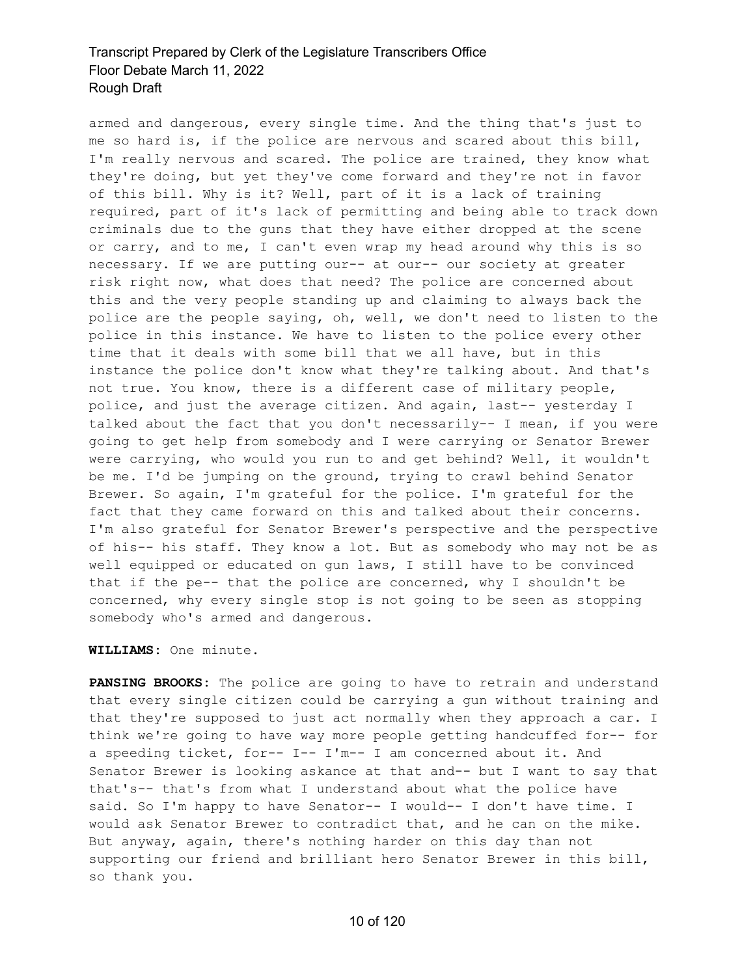armed and dangerous, every single time. And the thing that's just to me so hard is, if the police are nervous and scared about this bill, I'm really nervous and scared. The police are trained, they know what they're doing, but yet they've come forward and they're not in favor of this bill. Why is it? Well, part of it is a lack of training required, part of it's lack of permitting and being able to track down criminals due to the guns that they have either dropped at the scene or carry, and to me, I can't even wrap my head around why this is so necessary. If we are putting our-- at our-- our society at greater risk right now, what does that need? The police are concerned about this and the very people standing up and claiming to always back the police are the people saying, oh, well, we don't need to listen to the police in this instance. We have to listen to the police every other time that it deals with some bill that we all have, but in this instance the police don't know what they're talking about. And that's not true. You know, there is a different case of military people, police, and just the average citizen. And again, last-- yesterday I talked about the fact that you don't necessarily-- I mean, if you were going to get help from somebody and I were carrying or Senator Brewer were carrying, who would you run to and get behind? Well, it wouldn't be me. I'd be jumping on the ground, trying to crawl behind Senator Brewer. So again, I'm grateful for the police. I'm grateful for the fact that they came forward on this and talked about their concerns. I'm also grateful for Senator Brewer's perspective and the perspective of his-- his staff. They know a lot. But as somebody who may not be as well equipped or educated on gun laws, I still have to be convinced that if the pe-- that the police are concerned, why I shouldn't be concerned, why every single stop is not going to be seen as stopping somebody who's armed and dangerous.

#### **WILLIAMS:** One minute.

**PANSING BROOKS:** The police are going to have to retrain and understand that every single citizen could be carrying a gun without training and that they're supposed to just act normally when they approach a car. I think we're going to have way more people getting handcuffed for-- for a speeding ticket, for-- I-- I'm-- I am concerned about it. And Senator Brewer is looking askance at that and-- but I want to say that that's-- that's from what I understand about what the police have said. So I'm happy to have Senator-- I would-- I don't have time. I would ask Senator Brewer to contradict that, and he can on the mike. But anyway, again, there's nothing harder on this day than not supporting our friend and brilliant hero Senator Brewer in this bill, so thank you.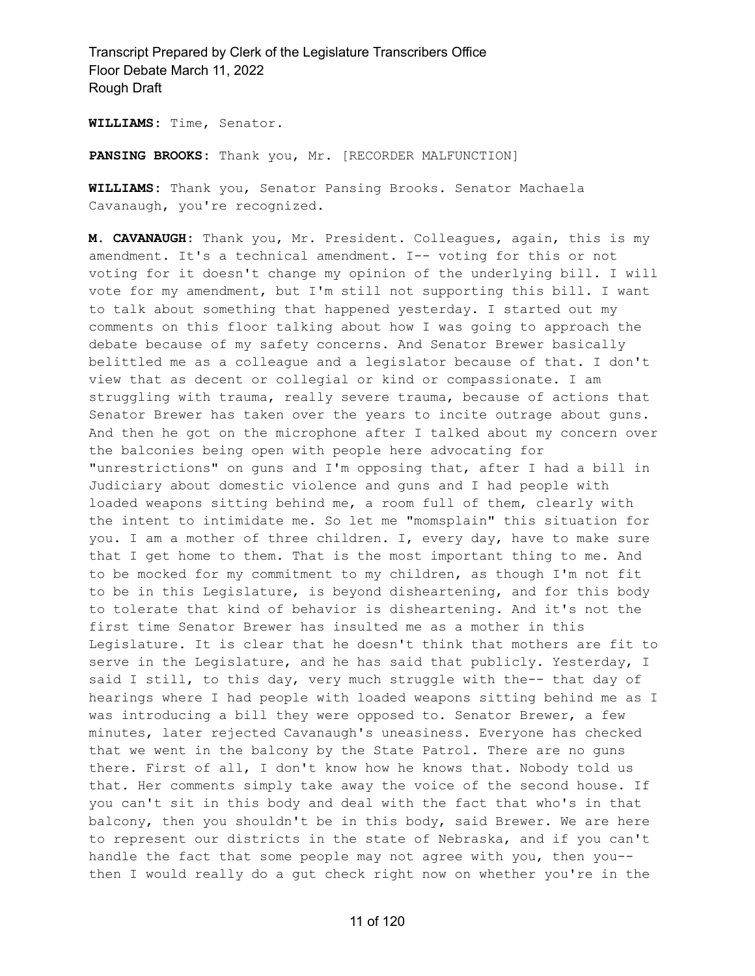**WILLIAMS:** Time, Senator.

**PANSING BROOKS:** Thank you, Mr. [RECORDER MALFUNCTION]

**WILLIAMS:** Thank you, Senator Pansing Brooks. Senator Machaela Cavanaugh, you're recognized.

**M. CAVANAUGH:** Thank you, Mr. President. Colleagues, again, this is my amendment. It's a technical amendment. I-- voting for this or not voting for it doesn't change my opinion of the underlying bill. I will vote for my amendment, but I'm still not supporting this bill. I want to talk about something that happened yesterday. I started out my comments on this floor talking about how I was going to approach the debate because of my safety concerns. And Senator Brewer basically belittled me as a colleague and a legislator because of that. I don't view that as decent or collegial or kind or compassionate. I am struggling with trauma, really severe trauma, because of actions that Senator Brewer has taken over the years to incite outrage about guns. And then he got on the microphone after I talked about my concern over the balconies being open with people here advocating for "unrestrictions" on guns and I'm opposing that, after I had a bill in Judiciary about domestic violence and guns and I had people with loaded weapons sitting behind me, a room full of them, clearly with the intent to intimidate me. So let me "momsplain" this situation for you. I am a mother of three children. I, every day, have to make sure that I get home to them. That is the most important thing to me. And to be mocked for my commitment to my children, as though I'm not fit to be in this Legislature, is beyond disheartening, and for this body to tolerate that kind of behavior is disheartening. And it's not the first time Senator Brewer has insulted me as a mother in this Legislature. It is clear that he doesn't think that mothers are fit to serve in the Legislature, and he has said that publicly. Yesterday, I said I still, to this day, very much struggle with the-- that day of hearings where I had people with loaded weapons sitting behind me as I was introducing a bill they were opposed to. Senator Brewer, a few minutes, later rejected Cavanaugh's uneasiness. Everyone has checked that we went in the balcony by the State Patrol. There are no guns there. First of all, I don't know how he knows that. Nobody told us that. Her comments simply take away the voice of the second house. If you can't sit in this body and deal with the fact that who's in that balcony, then you shouldn't be in this body, said Brewer. We are here to represent our districts in the state of Nebraska, and if you can't handle the fact that some people may not agree with you, then you- then I would really do a gut check right now on whether you're in the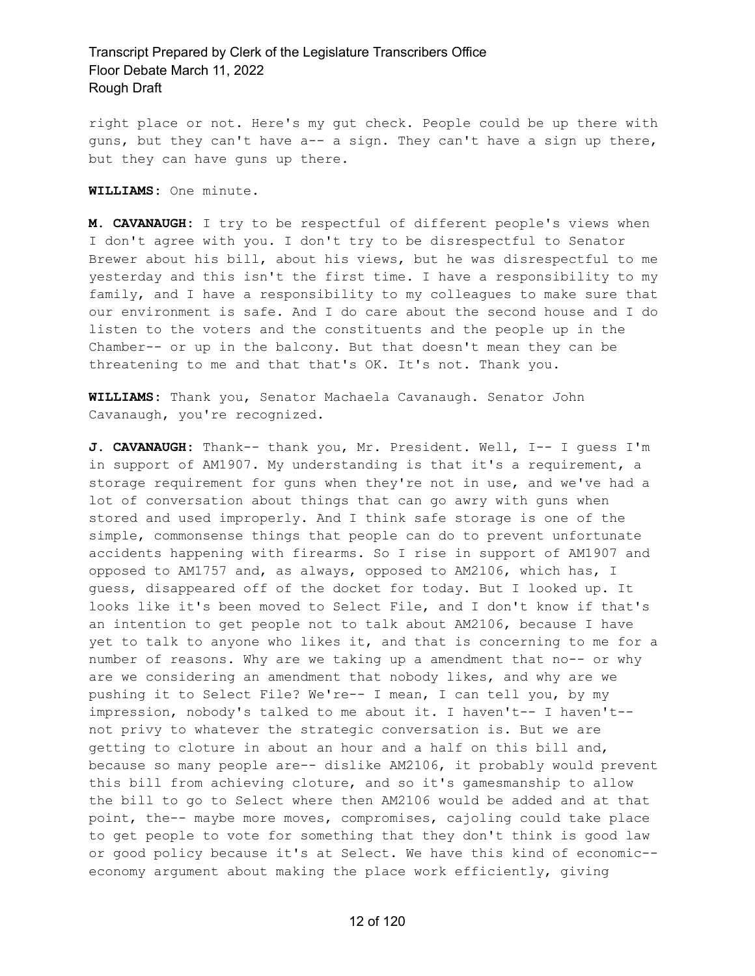right place or not. Here's my gut check. People could be up there with guns, but they can't have a-- a sign. They can't have a sign up there, but they can have guns up there.

**WILLIAMS:** One minute.

**M. CAVANAUGH:** I try to be respectful of different people's views when I don't agree with you. I don't try to be disrespectful to Senator Brewer about his bill, about his views, but he was disrespectful to me yesterday and this isn't the first time. I have a responsibility to my family, and I have a responsibility to my colleagues to make sure that our environment is safe. And I do care about the second house and I do listen to the voters and the constituents and the people up in the Chamber-- or up in the balcony. But that doesn't mean they can be threatening to me and that that's OK. It's not. Thank you.

**WILLIAMS:** Thank you, Senator Machaela Cavanaugh. Senator John Cavanaugh, you're recognized.

**J. CAVANAUGH:** Thank-- thank you, Mr. President. Well, I-- I guess I'm in support of AM1907. My understanding is that it's a requirement, a storage requirement for guns when they're not in use, and we've had a lot of conversation about things that can go awry with guns when stored and used improperly. And I think safe storage is one of the simple, commonsense things that people can do to prevent unfortunate accidents happening with firearms. So I rise in support of AM1907 and opposed to AM1757 and, as always, opposed to AM2106, which has, I guess, disappeared off of the docket for today. But I looked up. It looks like it's been moved to Select File, and I don't know if that's an intention to get people not to talk about AM2106, because I have yet to talk to anyone who likes it, and that is concerning to me for a number of reasons. Why are we taking up a amendment that no-- or why are we considering an amendment that nobody likes, and why are we pushing it to Select File? We're-- I mean, I can tell you, by my impression, nobody's talked to me about it. I haven't-- I haven't- not privy to whatever the strategic conversation is. But we are getting to cloture in about an hour and a half on this bill and, because so many people are-- dislike AM2106, it probably would prevent this bill from achieving cloture, and so it's gamesmanship to allow the bill to go to Select where then AM2106 would be added and at that point, the-- maybe more moves, compromises, cajoling could take place to get people to vote for something that they don't think is good law or good policy because it's at Select. We have this kind of economic- economy argument about making the place work efficiently, giving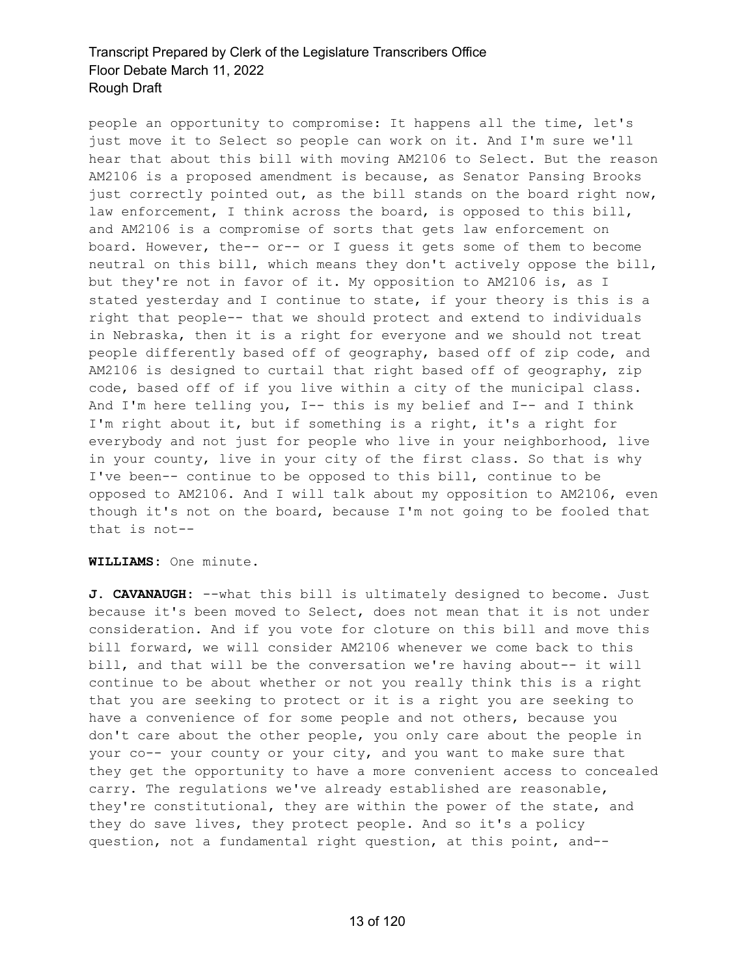people an opportunity to compromise: It happens all the time, let's just move it to Select so people can work on it. And I'm sure we'll hear that about this bill with moving AM2106 to Select. But the reason AM2106 is a proposed amendment is because, as Senator Pansing Brooks just correctly pointed out, as the bill stands on the board right now, law enforcement, I think across the board, is opposed to this bill, and AM2106 is a compromise of sorts that gets law enforcement on board. However, the-- or-- or I guess it gets some of them to become neutral on this bill, which means they don't actively oppose the bill, but they're not in favor of it. My opposition to AM2106 is, as I stated yesterday and I continue to state, if your theory is this is a right that people-- that we should protect and extend to individuals in Nebraska, then it is a right for everyone and we should not treat people differently based off of geography, based off of zip code, and AM2106 is designed to curtail that right based off of geography, zip code, based off of if you live within a city of the municipal class. And I'm here telling you, I-- this is my belief and I-- and I think I'm right about it, but if something is a right, it's a right for everybody and not just for people who live in your neighborhood, live in your county, live in your city of the first class. So that is why I've been-- continue to be opposed to this bill, continue to be opposed to AM2106. And I will talk about my opposition to AM2106, even though it's not on the board, because I'm not going to be fooled that that is not--

**WILLIAMS:** One minute.

**J. CAVANAUGH:** --what this bill is ultimately designed to become. Just because it's been moved to Select, does not mean that it is not under consideration. And if you vote for cloture on this bill and move this bill forward, we will consider AM2106 whenever we come back to this bill, and that will be the conversation we're having about-- it will continue to be about whether or not you really think this is a right that you are seeking to protect or it is a right you are seeking to have a convenience of for some people and not others, because you don't care about the other people, you only care about the people in your co-- your county or your city, and you want to make sure that they get the opportunity to have a more convenient access to concealed carry. The regulations we've already established are reasonable, they're constitutional, they are within the power of the state, and they do save lives, they protect people. And so it's a policy question, not a fundamental right question, at this point, and--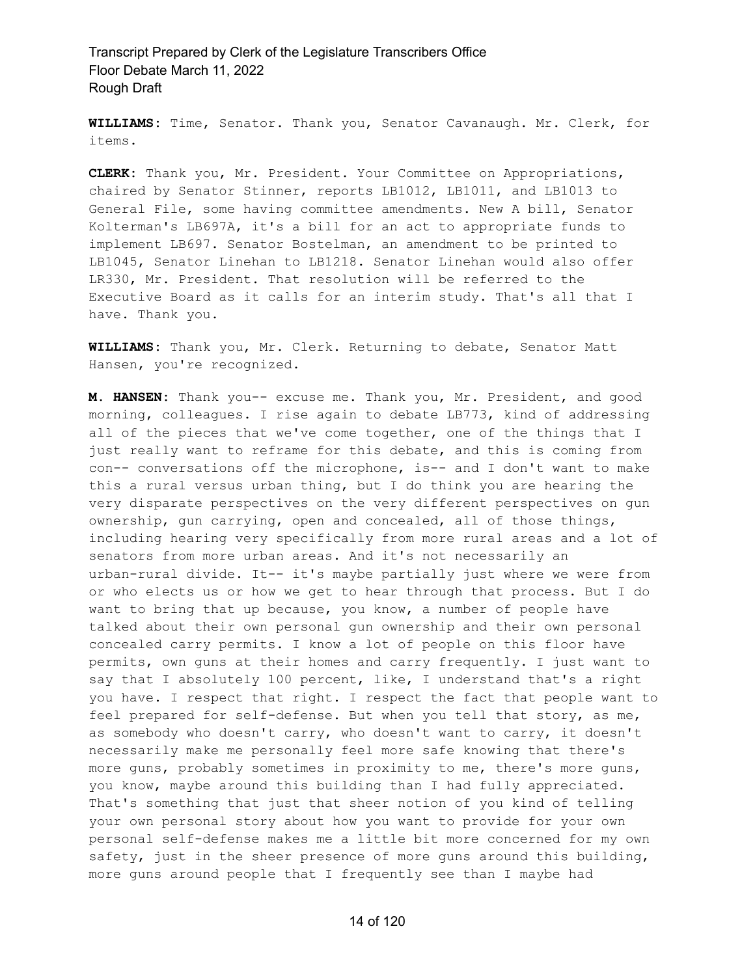**WILLIAMS:** Time, Senator. Thank you, Senator Cavanaugh. Mr. Clerk, for items.

**CLERK:** Thank you, Mr. President. Your Committee on Appropriations, chaired by Senator Stinner, reports LB1012, LB1011, and LB1013 to General File, some having committee amendments. New A bill, Senator Kolterman's LB697A, it's a bill for an act to appropriate funds to implement LB697. Senator Bostelman, an amendment to be printed to LB1045, Senator Linehan to LB1218. Senator Linehan would also offer LR330, Mr. President. That resolution will be referred to the Executive Board as it calls for an interim study. That's all that I have. Thank you.

**WILLIAMS:** Thank you, Mr. Clerk. Returning to debate, Senator Matt Hansen, you're recognized.

**M. HANSEN:** Thank you-- excuse me. Thank you, Mr. President, and good morning, colleagues. I rise again to debate LB773, kind of addressing all of the pieces that we've come together, one of the things that I just really want to reframe for this debate, and this is coming from con-- conversations off the microphone, is-- and I don't want to make this a rural versus urban thing, but I do think you are hearing the very disparate perspectives on the very different perspectives on gun ownership, gun carrying, open and concealed, all of those things, including hearing very specifically from more rural areas and a lot of senators from more urban areas. And it's not necessarily an urban-rural divide. It-- it's maybe partially just where we were from or who elects us or how we get to hear through that process. But I do want to bring that up because, you know, a number of people have talked about their own personal gun ownership and their own personal concealed carry permits. I know a lot of people on this floor have permits, own guns at their homes and carry frequently. I just want to say that I absolutely 100 percent, like, I understand that's a right you have. I respect that right. I respect the fact that people want to feel prepared for self-defense. But when you tell that story, as me, as somebody who doesn't carry, who doesn't want to carry, it doesn't necessarily make me personally feel more safe knowing that there's more guns, probably sometimes in proximity to me, there's more guns, you know, maybe around this building than I had fully appreciated. That's something that just that sheer notion of you kind of telling your own personal story about how you want to provide for your own personal self-defense makes me a little bit more concerned for my own safety, just in the sheer presence of more guns around this building, more guns around people that I frequently see than I maybe had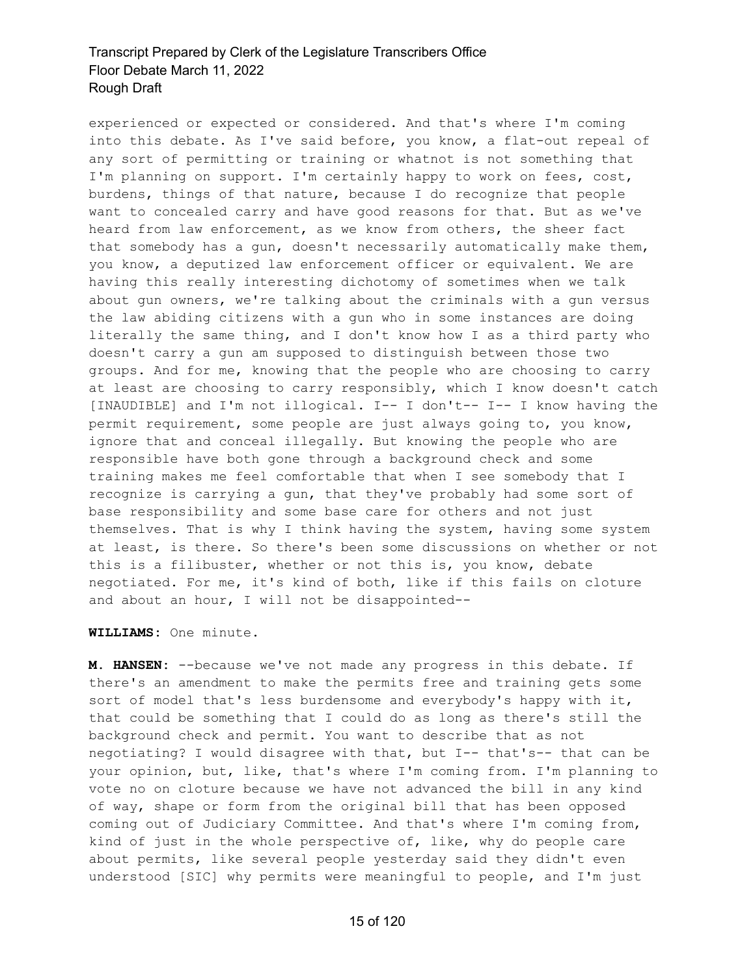experienced or expected or considered. And that's where I'm coming into this debate. As I've said before, you know, a flat-out repeal of any sort of permitting or training or whatnot is not something that I'm planning on support. I'm certainly happy to work on fees, cost, burdens, things of that nature, because I do recognize that people want to concealed carry and have good reasons for that. But as we've heard from law enforcement, as we know from others, the sheer fact that somebody has a gun, doesn't necessarily automatically make them, you know, a deputized law enforcement officer or equivalent. We are having this really interesting dichotomy of sometimes when we talk about gun owners, we're talking about the criminals with a gun versus the law abiding citizens with a gun who in some instances are doing literally the same thing, and I don't know how I as a third party who doesn't carry a gun am supposed to distinguish between those two groups. And for me, knowing that the people who are choosing to carry at least are choosing to carry responsibly, which I know doesn't catch [INAUDIBLE] and I'm not illogical. I-- I don't-- I-- I know having the permit requirement, some people are just always going to, you know, ignore that and conceal illegally. But knowing the people who are responsible have both gone through a background check and some training makes me feel comfortable that when I see somebody that I recognize is carrying a gun, that they've probably had some sort of base responsibility and some base care for others and not just themselves. That is why I think having the system, having some system at least, is there. So there's been some discussions on whether or not this is a filibuster, whether or not this is, you know, debate negotiated. For me, it's kind of both, like if this fails on cloture and about an hour, I will not be disappointed--

#### **WILLIAMS:** One minute.

**M. HANSEN:** --because we've not made any progress in this debate. If there's an amendment to make the permits free and training gets some sort of model that's less burdensome and everybody's happy with it, that could be something that I could do as long as there's still the background check and permit. You want to describe that as not negotiating? I would disagree with that, but I-- that's-- that can be your opinion, but, like, that's where I'm coming from. I'm planning to vote no on cloture because we have not advanced the bill in any kind of way, shape or form from the original bill that has been opposed coming out of Judiciary Committee. And that's where I'm coming from, kind of just in the whole perspective of, like, why do people care about permits, like several people yesterday said they didn't even understood [SIC] why permits were meaningful to people, and I'm just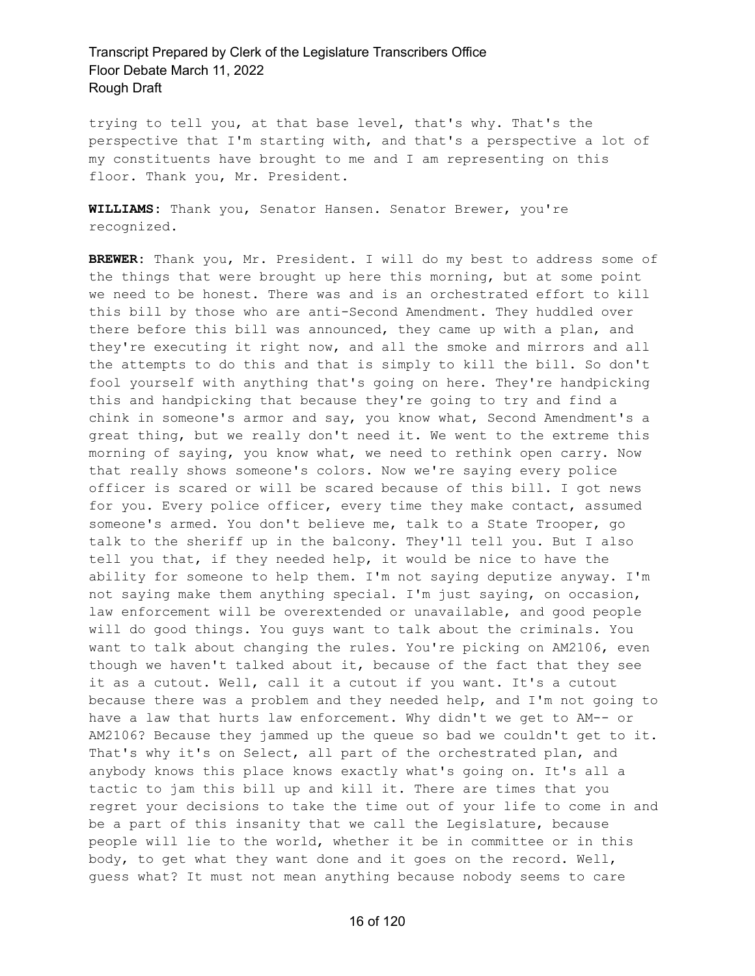trying to tell you, at that base level, that's why. That's the perspective that I'm starting with, and that's a perspective a lot of my constituents have brought to me and I am representing on this floor. Thank you, Mr. President.

**WILLIAMS:** Thank you, Senator Hansen. Senator Brewer, you're recognized.

**BREWER:** Thank you, Mr. President. I will do my best to address some of the things that were brought up here this morning, but at some point we need to be honest. There was and is an orchestrated effort to kill this bill by those who are anti-Second Amendment. They huddled over there before this bill was announced, they came up with a plan, and they're executing it right now, and all the smoke and mirrors and all the attempts to do this and that is simply to kill the bill. So don't fool yourself with anything that's going on here. They're handpicking this and handpicking that because they're going to try and find a chink in someone's armor and say, you know what, Second Amendment's a great thing, but we really don't need it. We went to the extreme this morning of saying, you know what, we need to rethink open carry. Now that really shows someone's colors. Now we're saying every police officer is scared or will be scared because of this bill. I got news for you. Every police officer, every time they make contact, assumed someone's armed. You don't believe me, talk to a State Trooper, go talk to the sheriff up in the balcony. They'll tell you. But I also tell you that, if they needed help, it would be nice to have the ability for someone to help them. I'm not saying deputize anyway. I'm not saying make them anything special. I'm just saying, on occasion, law enforcement will be overextended or unavailable, and good people will do good things. You guys want to talk about the criminals. You want to talk about changing the rules. You're picking on AM2106, even though we haven't talked about it, because of the fact that they see it as a cutout. Well, call it a cutout if you want. It's a cutout because there was a problem and they needed help, and I'm not going to have a law that hurts law enforcement. Why didn't we get to AM-- or AM2106? Because they jammed up the queue so bad we couldn't get to it. That's why it's on Select, all part of the orchestrated plan, and anybody knows this place knows exactly what's going on. It's all a tactic to jam this bill up and kill it. There are times that you regret your decisions to take the time out of your life to come in and be a part of this insanity that we call the Legislature, because people will lie to the world, whether it be in committee or in this body, to get what they want done and it goes on the record. Well, guess what? It must not mean anything because nobody seems to care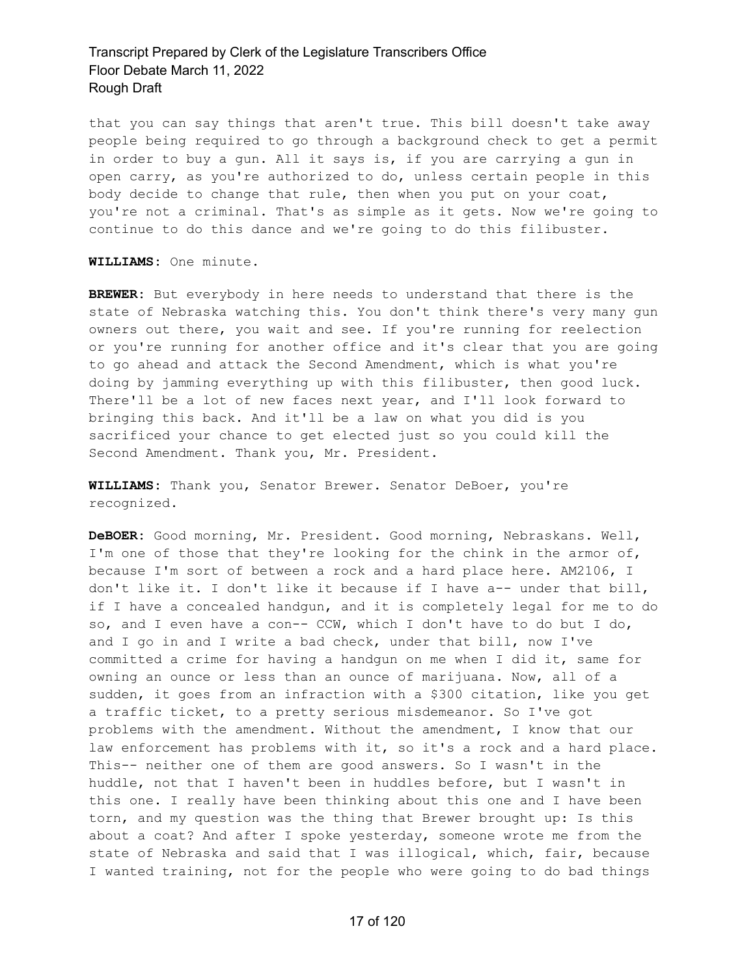that you can say things that aren't true. This bill doesn't take away people being required to go through a background check to get a permit in order to buy a gun. All it says is, if you are carrying a gun in open carry, as you're authorized to do, unless certain people in this body decide to change that rule, then when you put on your coat, you're not a criminal. That's as simple as it gets. Now we're going to continue to do this dance and we're going to do this filibuster.

**WILLIAMS:** One minute.

**BREWER:** But everybody in here needs to understand that there is the state of Nebraska watching this. You don't think there's very many gun owners out there, you wait and see. If you're running for reelection or you're running for another office and it's clear that you are going to go ahead and attack the Second Amendment, which is what you're doing by jamming everything up with this filibuster, then good luck. There'll be a lot of new faces next year, and I'll look forward to bringing this back. And it'll be a law on what you did is you sacrificed your chance to get elected just so you could kill the Second Amendment. Thank you, Mr. President.

**WILLIAMS:** Thank you, Senator Brewer. Senator DeBoer, you're recognized.

**DeBOER:** Good morning, Mr. President. Good morning, Nebraskans. Well, I'm one of those that they're looking for the chink in the armor of, because I'm sort of between a rock and a hard place here. AM2106, I don't like it. I don't like it because if I have a-- under that bill, if I have a concealed handgun, and it is completely legal for me to do so, and I even have a con-- CCW, which I don't have to do but I do, and I go in and I write a bad check, under that bill, now I've committed a crime for having a handgun on me when I did it, same for owning an ounce or less than an ounce of marijuana. Now, all of a sudden, it goes from an infraction with a \$300 citation, like you get a traffic ticket, to a pretty serious misdemeanor. So I've got problems with the amendment. Without the amendment, I know that our law enforcement has problems with it, so it's a rock and a hard place. This-- neither one of them are good answers. So I wasn't in the huddle, not that I haven't been in huddles before, but I wasn't in this one. I really have been thinking about this one and I have been torn, and my question was the thing that Brewer brought up: Is this about a coat? And after I spoke yesterday, someone wrote me from the state of Nebraska and said that I was illogical, which, fair, because I wanted training, not for the people who were going to do bad things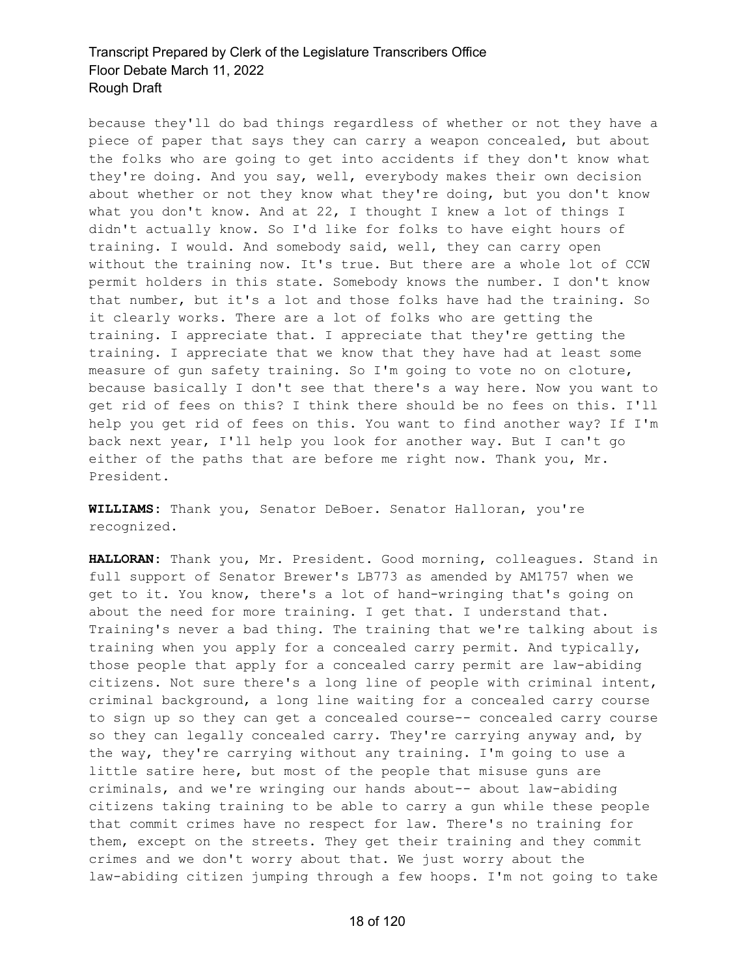because they'll do bad things regardless of whether or not they have a piece of paper that says they can carry a weapon concealed, but about the folks who are going to get into accidents if they don't know what they're doing. And you say, well, everybody makes their own decision about whether or not they know what they're doing, but you don't know what you don't know. And at 22, I thought I knew a lot of things I didn't actually know. So I'd like for folks to have eight hours of training. I would. And somebody said, well, they can carry open without the training now. It's true. But there are a whole lot of CCW permit holders in this state. Somebody knows the number. I don't know that number, but it's a lot and those folks have had the training. So it clearly works. There are a lot of folks who are getting the training. I appreciate that. I appreciate that they're getting the training. I appreciate that we know that they have had at least some measure of gun safety training. So I'm going to vote no on cloture, because basically I don't see that there's a way here. Now you want to get rid of fees on this? I think there should be no fees on this. I'll help you get rid of fees on this. You want to find another way? If I'm back next year, I'll help you look for another way. But I can't go either of the paths that are before me right now. Thank you, Mr. President.

**WILLIAMS:** Thank you, Senator DeBoer. Senator Halloran, you're recognized.

**HALLORAN:** Thank you, Mr. President. Good morning, colleagues. Stand in full support of Senator Brewer's LB773 as amended by AM1757 when we get to it. You know, there's a lot of hand-wringing that's going on about the need for more training. I get that. I understand that. Training's never a bad thing. The training that we're talking about is training when you apply for a concealed carry permit. And typically, those people that apply for a concealed carry permit are law-abiding citizens. Not sure there's a long line of people with criminal intent, criminal background, a long line waiting for a concealed carry course to sign up so they can get a concealed course-- concealed carry course so they can legally concealed carry. They're carrying anyway and, by the way, they're carrying without any training. I'm going to use a little satire here, but most of the people that misuse guns are criminals, and we're wringing our hands about-- about law-abiding citizens taking training to be able to carry a gun while these people that commit crimes have no respect for law. There's no training for them, except on the streets. They get their training and they commit crimes and we don't worry about that. We just worry about the law-abiding citizen jumping through a few hoops. I'm not going to take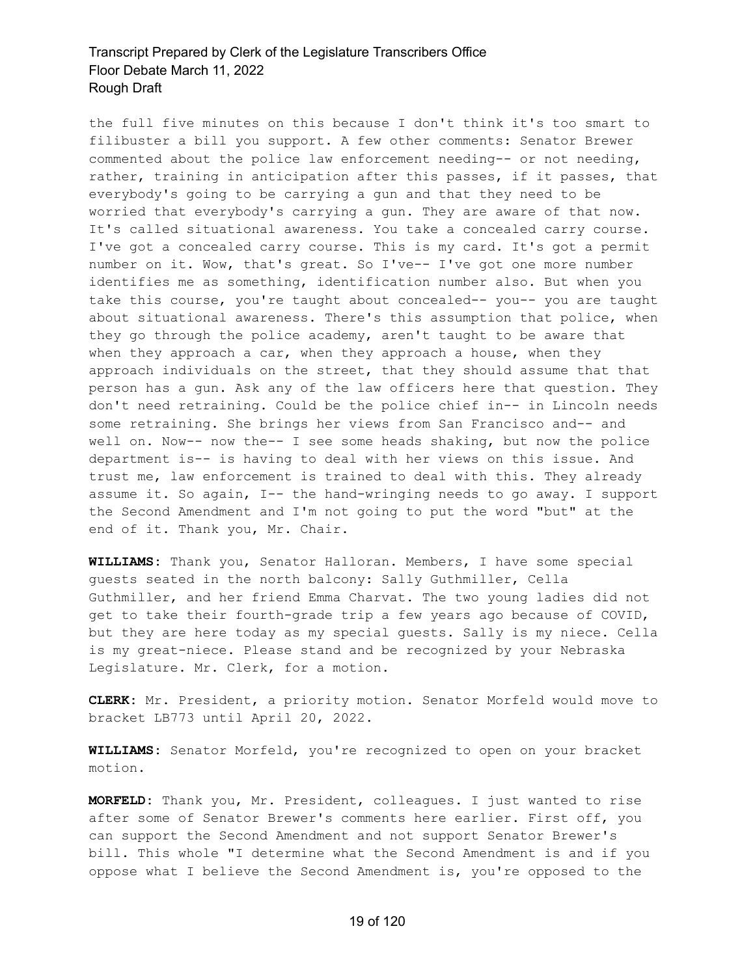the full five minutes on this because I don't think it's too smart to filibuster a bill you support. A few other comments: Senator Brewer commented about the police law enforcement needing-- or not needing, rather, training in anticipation after this passes, if it passes, that everybody's going to be carrying a gun and that they need to be worried that everybody's carrying a gun. They are aware of that now. It's called situational awareness. You take a concealed carry course. I've got a concealed carry course. This is my card. It's got a permit number on it. Wow, that's great. So I've-- I've got one more number identifies me as something, identification number also. But when you take this course, you're taught about concealed-- you-- you are taught about situational awareness. There's this assumption that police, when they go through the police academy, aren't taught to be aware that when they approach a car, when they approach a house, when they approach individuals on the street, that they should assume that that person has a gun. Ask any of the law officers here that question. They don't need retraining. Could be the police chief in-- in Lincoln needs some retraining. She brings her views from San Francisco and-- and well on. Now-- now the-- I see some heads shaking, but now the police department is-- is having to deal with her views on this issue. And trust me, law enforcement is trained to deal with this. They already assume it. So again, I-- the hand-wringing needs to go away. I support the Second Amendment and I'm not going to put the word "but" at the end of it. Thank you, Mr. Chair.

**WILLIAMS:** Thank you, Senator Halloran. Members, I have some special guests seated in the north balcony: Sally Guthmiller, Cella Guthmiller, and her friend Emma Charvat. The two young ladies did not get to take their fourth-grade trip a few years ago because of COVID, but they are here today as my special guests. Sally is my niece. Cella is my great-niece. Please stand and be recognized by your Nebraska Legislature. Mr. Clerk, for a motion.

**CLERK:** Mr. President, a priority motion. Senator Morfeld would move to bracket LB773 until April 20, 2022.

**WILLIAMS:** Senator Morfeld, you're recognized to open on your bracket motion.

**MORFELD:** Thank you, Mr. President, colleagues. I just wanted to rise after some of Senator Brewer's comments here earlier. First off, you can support the Second Amendment and not support Senator Brewer's bill. This whole "I determine what the Second Amendment is and if you oppose what I believe the Second Amendment is, you're opposed to the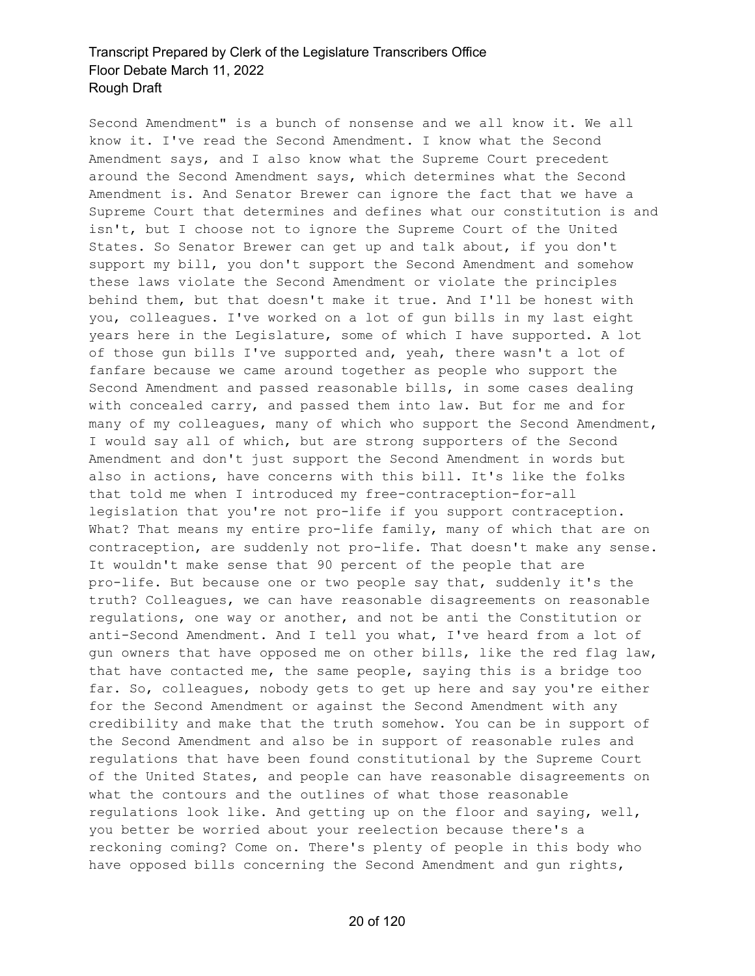Second Amendment" is a bunch of nonsense and we all know it. We all know it. I've read the Second Amendment. I know what the Second Amendment says, and I also know what the Supreme Court precedent around the Second Amendment says, which determines what the Second Amendment is. And Senator Brewer can ignore the fact that we have a Supreme Court that determines and defines what our constitution is and isn't, but I choose not to ignore the Supreme Court of the United States. So Senator Brewer can get up and talk about, if you don't support my bill, you don't support the Second Amendment and somehow these laws violate the Second Amendment or violate the principles behind them, but that doesn't make it true. And I'll be honest with you, colleagues. I've worked on a lot of gun bills in my last eight years here in the Legislature, some of which I have supported. A lot of those gun bills I've supported and, yeah, there wasn't a lot of fanfare because we came around together as people who support the Second Amendment and passed reasonable bills, in some cases dealing with concealed carry, and passed them into law. But for me and for many of my colleagues, many of which who support the Second Amendment, I would say all of which, but are strong supporters of the Second Amendment and don't just support the Second Amendment in words but also in actions, have concerns with this bill. It's like the folks that told me when I introduced my free-contraception-for-all legislation that you're not pro-life if you support contraception. What? That means my entire pro-life family, many of which that are on contraception, are suddenly not pro-life. That doesn't make any sense. It wouldn't make sense that 90 percent of the people that are pro-life. But because one or two people say that, suddenly it's the truth? Colleagues, we can have reasonable disagreements on reasonable regulations, one way or another, and not be anti the Constitution or anti-Second Amendment. And I tell you what, I've heard from a lot of gun owners that have opposed me on other bills, like the red flag law, that have contacted me, the same people, saying this is a bridge too far. So, colleagues, nobody gets to get up here and say you're either for the Second Amendment or against the Second Amendment with any credibility and make that the truth somehow. You can be in support of the Second Amendment and also be in support of reasonable rules and regulations that have been found constitutional by the Supreme Court of the United States, and people can have reasonable disagreements on what the contours and the outlines of what those reasonable regulations look like. And getting up on the floor and saying, well, you better be worried about your reelection because there's a reckoning coming? Come on. There's plenty of people in this body who have opposed bills concerning the Second Amendment and gun rights,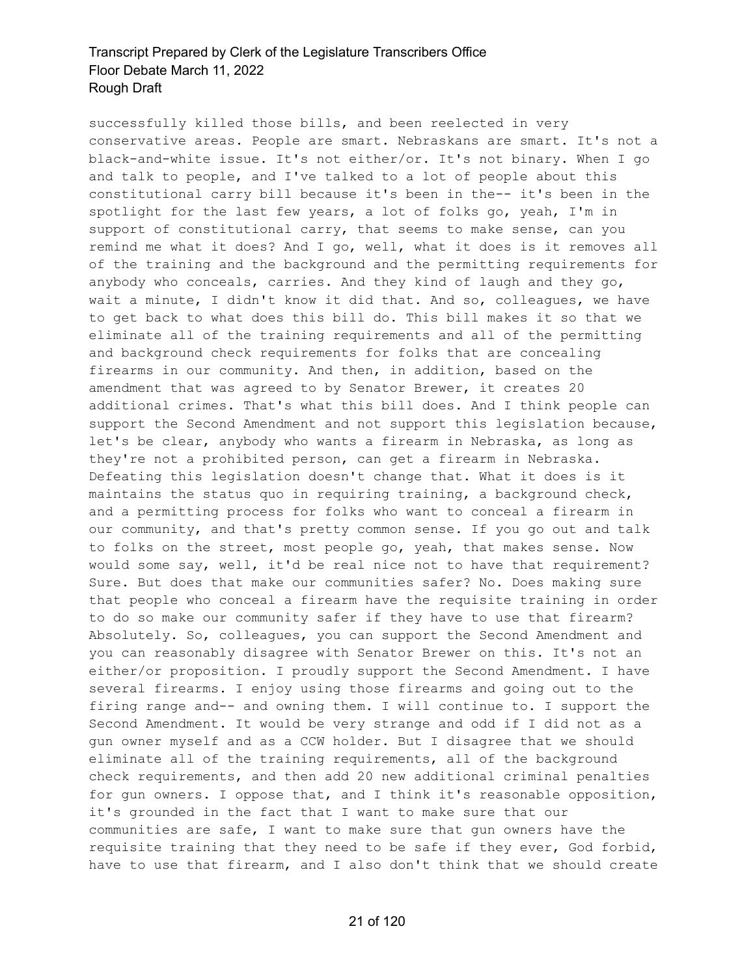successfully killed those bills, and been reelected in very conservative areas. People are smart. Nebraskans are smart. It's not a black-and-white issue. It's not either/or. It's not binary. When I go and talk to people, and I've talked to a lot of people about this constitutional carry bill because it's been in the-- it's been in the spotlight for the last few years, a lot of folks go, yeah, I'm in support of constitutional carry, that seems to make sense, can you remind me what it does? And I go, well, what it does is it removes all of the training and the background and the permitting requirements for anybody who conceals, carries. And they kind of laugh and they go, wait a minute, I didn't know it did that. And so, colleagues, we have to get back to what does this bill do. This bill makes it so that we eliminate all of the training requirements and all of the permitting and background check requirements for folks that are concealing firearms in our community. And then, in addition, based on the amendment that was agreed to by Senator Brewer, it creates 20 additional crimes. That's what this bill does. And I think people can support the Second Amendment and not support this legislation because, let's be clear, anybody who wants a firearm in Nebraska, as long as they're not a prohibited person, can get a firearm in Nebraska. Defeating this legislation doesn't change that. What it does is it maintains the status quo in requiring training, a background check, and a permitting process for folks who want to conceal a firearm in our community, and that's pretty common sense. If you go out and talk to folks on the street, most people go, yeah, that makes sense. Now would some say, well, it'd be real nice not to have that requirement? Sure. But does that make our communities safer? No. Does making sure that people who conceal a firearm have the requisite training in order to do so make our community safer if they have to use that firearm? Absolutely. So, colleagues, you can support the Second Amendment and you can reasonably disagree with Senator Brewer on this. It's not an either/or proposition. I proudly support the Second Amendment. I have several firearms. I enjoy using those firearms and going out to the firing range and-- and owning them. I will continue to. I support the Second Amendment. It would be very strange and odd if I did not as a gun owner myself and as a CCW holder. But I disagree that we should eliminate all of the training requirements, all of the background check requirements, and then add 20 new additional criminal penalties for gun owners. I oppose that, and I think it's reasonable opposition, it's grounded in the fact that I want to make sure that our communities are safe, I want to make sure that gun owners have the requisite training that they need to be safe if they ever, God forbid, have to use that firearm, and I also don't think that we should create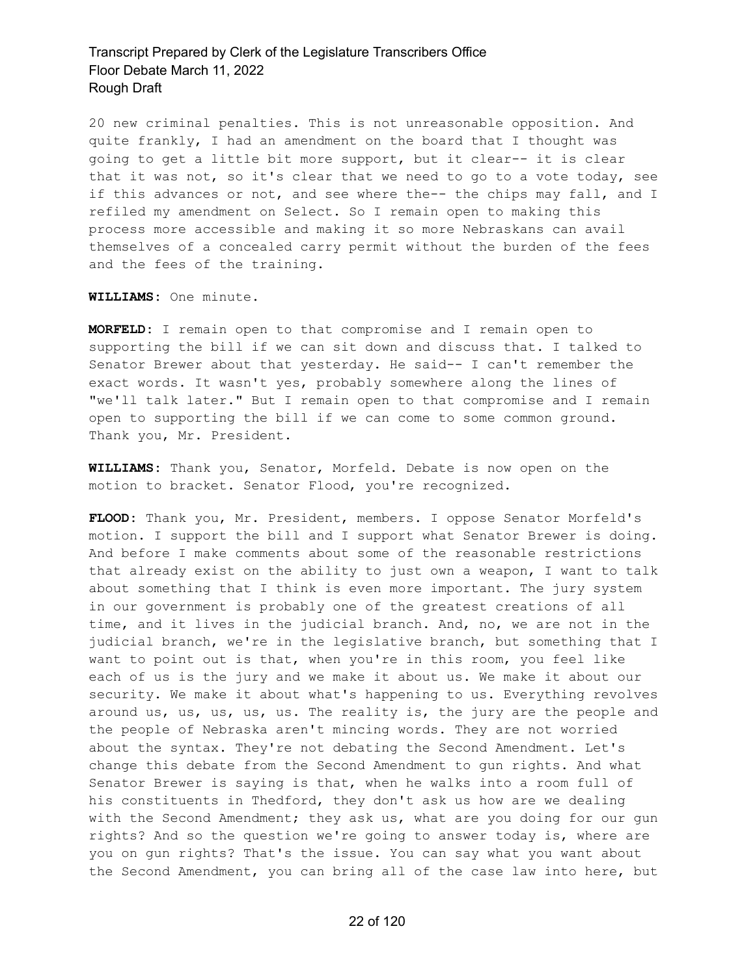20 new criminal penalties. This is not unreasonable opposition. And quite frankly, I had an amendment on the board that I thought was going to get a little bit more support, but it clear-- it is clear that it was not, so it's clear that we need to go to a vote today, see if this advances or not, and see where the-- the chips may fall, and I refiled my amendment on Select. So I remain open to making this process more accessible and making it so more Nebraskans can avail themselves of a concealed carry permit without the burden of the fees and the fees of the training.

**WILLIAMS:** One minute.

**MORFELD:** I remain open to that compromise and I remain open to supporting the bill if we can sit down and discuss that. I talked to Senator Brewer about that yesterday. He said-- I can't remember the exact words. It wasn't yes, probably somewhere along the lines of "we'll talk later." But I remain open to that compromise and I remain open to supporting the bill if we can come to some common ground. Thank you, Mr. President.

**WILLIAMS:** Thank you, Senator, Morfeld. Debate is now open on the motion to bracket. Senator Flood, you're recognized.

**FLOOD:** Thank you, Mr. President, members. I oppose Senator Morfeld's motion. I support the bill and I support what Senator Brewer is doing. And before I make comments about some of the reasonable restrictions that already exist on the ability to just own a weapon, I want to talk about something that I think is even more important. The jury system in our government is probably one of the greatest creations of all time, and it lives in the judicial branch. And, no, we are not in the judicial branch, we're in the legislative branch, but something that I want to point out is that, when you're in this room, you feel like each of us is the jury and we make it about us. We make it about our security. We make it about what's happening to us. Everything revolves around us, us, us, us, us. The reality is, the jury are the people and the people of Nebraska aren't mincing words. They are not worried about the syntax. They're not debating the Second Amendment. Let's change this debate from the Second Amendment to gun rights. And what Senator Brewer is saying is that, when he walks into a room full of his constituents in Thedford, they don't ask us how are we dealing with the Second Amendment; they ask us, what are you doing for our gun rights? And so the question we're going to answer today is, where are you on gun rights? That's the issue. You can say what you want about the Second Amendment, you can bring all of the case law into here, but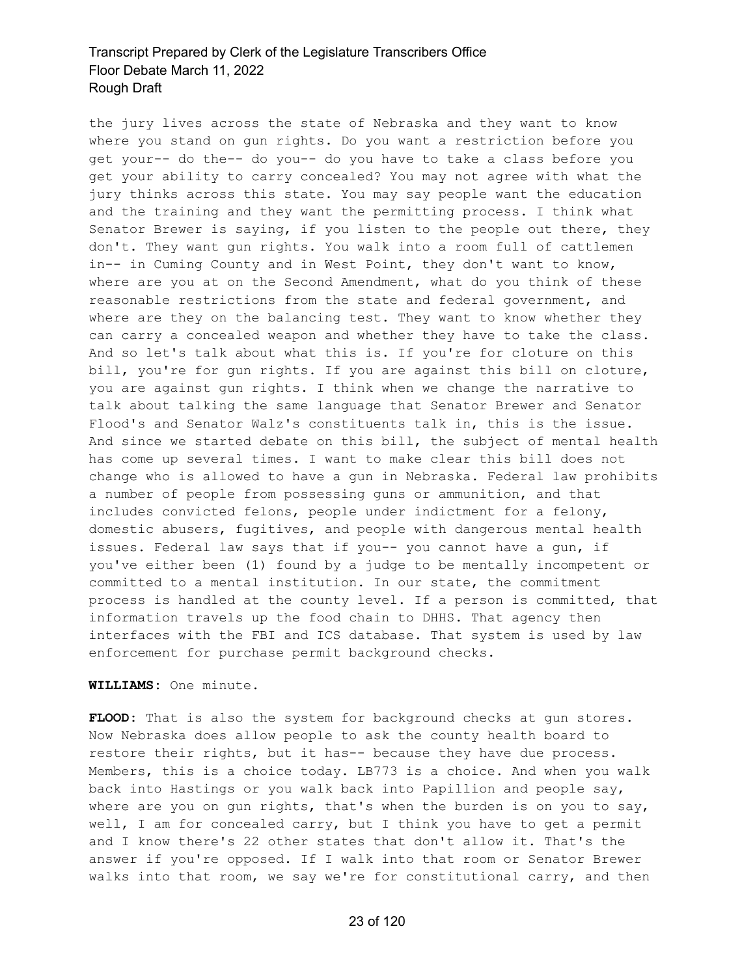the jury lives across the state of Nebraska and they want to know where you stand on gun rights. Do you want a restriction before you get your-- do the-- do you-- do you have to take a class before you get your ability to carry concealed? You may not agree with what the jury thinks across this state. You may say people want the education and the training and they want the permitting process. I think what Senator Brewer is saying, if you listen to the people out there, they don't. They want gun rights. You walk into a room full of cattlemen in-- in Cuming County and in West Point, they don't want to know, where are you at on the Second Amendment, what do you think of these reasonable restrictions from the state and federal government, and where are they on the balancing test. They want to know whether they can carry a concealed weapon and whether they have to take the class. And so let's talk about what this is. If you're for cloture on this bill, you're for gun rights. If you are against this bill on cloture, you are against gun rights. I think when we change the narrative to talk about talking the same language that Senator Brewer and Senator Flood's and Senator Walz's constituents talk in, this is the issue. And since we started debate on this bill, the subject of mental health has come up several times. I want to make clear this bill does not change who is allowed to have a gun in Nebraska. Federal law prohibits a number of people from possessing guns or ammunition, and that includes convicted felons, people under indictment for a felony, domestic abusers, fugitives, and people with dangerous mental health issues. Federal law says that if you-- you cannot have a gun, if you've either been (1) found by a judge to be mentally incompetent or committed to a mental institution. In our state, the commitment process is handled at the county level. If a person is committed, that information travels up the food chain to DHHS. That agency then interfaces with the FBI and ICS database. That system is used by law enforcement for purchase permit background checks.

#### **WILLIAMS:** One minute.

**FLOOD:** That is also the system for background checks at gun stores. Now Nebraska does allow people to ask the county health board to restore their rights, but it has-- because they have due process. Members, this is a choice today. LB773 is a choice. And when you walk back into Hastings or you walk back into Papillion and people say, where are you on gun rights, that's when the burden is on you to say, well, I am for concealed carry, but I think you have to get a permit and I know there's 22 other states that don't allow it. That's the answer if you're opposed. If I walk into that room or Senator Brewer walks into that room, we say we're for constitutional carry, and then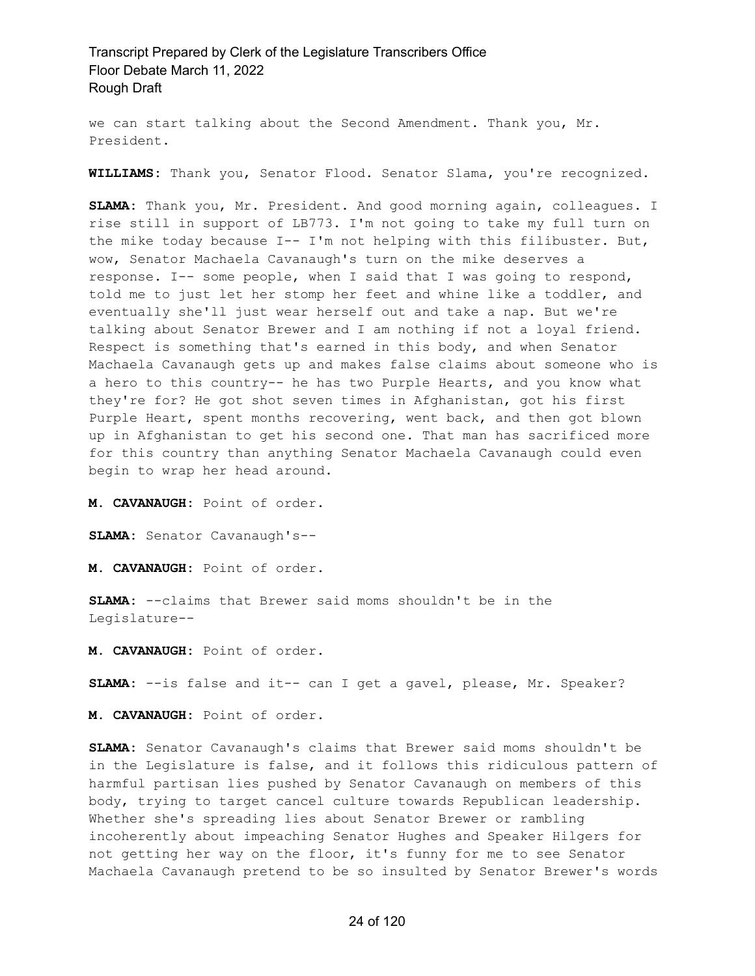we can start talking about the Second Amendment. Thank you, Mr. President.

**WILLIAMS:** Thank you, Senator Flood. Senator Slama, you're recognized.

**SLAMA:** Thank you, Mr. President. And good morning again, colleagues. I rise still in support of LB773. I'm not going to take my full turn on the mike today because I-- I'm not helping with this filibuster. But, wow, Senator Machaela Cavanaugh's turn on the mike deserves a response. I-- some people, when I said that I was going to respond, told me to just let her stomp her feet and whine like a toddler, and eventually she'll just wear herself out and take a nap. But we're talking about Senator Brewer and I am nothing if not a loyal friend. Respect is something that's earned in this body, and when Senator Machaela Cavanaugh gets up and makes false claims about someone who is a hero to this country-- he has two Purple Hearts, and you know what they're for? He got shot seven times in Afghanistan, got his first Purple Heart, spent months recovering, went back, and then got blown up in Afghanistan to get his second one. That man has sacrificed more for this country than anything Senator Machaela Cavanaugh could even begin to wrap her head around.

**M. CAVANAUGH:** Point of order.

**SLAMA:** Senator Cavanaugh's--

**M. CAVANAUGH:** Point of order.

**SLAMA:** --claims that Brewer said moms shouldn't be in the Legislature--

**M. CAVANAUGH:** Point of order.

**SLAMA:** --is false and it-- can I get a gavel, please, Mr. Speaker?

**M. CAVANAUGH:** Point of order.

**SLAMA:** Senator Cavanaugh's claims that Brewer said moms shouldn't be in the Legislature is false, and it follows this ridiculous pattern of harmful partisan lies pushed by Senator Cavanaugh on members of this body, trying to target cancel culture towards Republican leadership. Whether she's spreading lies about Senator Brewer or rambling incoherently about impeaching Senator Hughes and Speaker Hilgers for not getting her way on the floor, it's funny for me to see Senator Machaela Cavanaugh pretend to be so insulted by Senator Brewer's words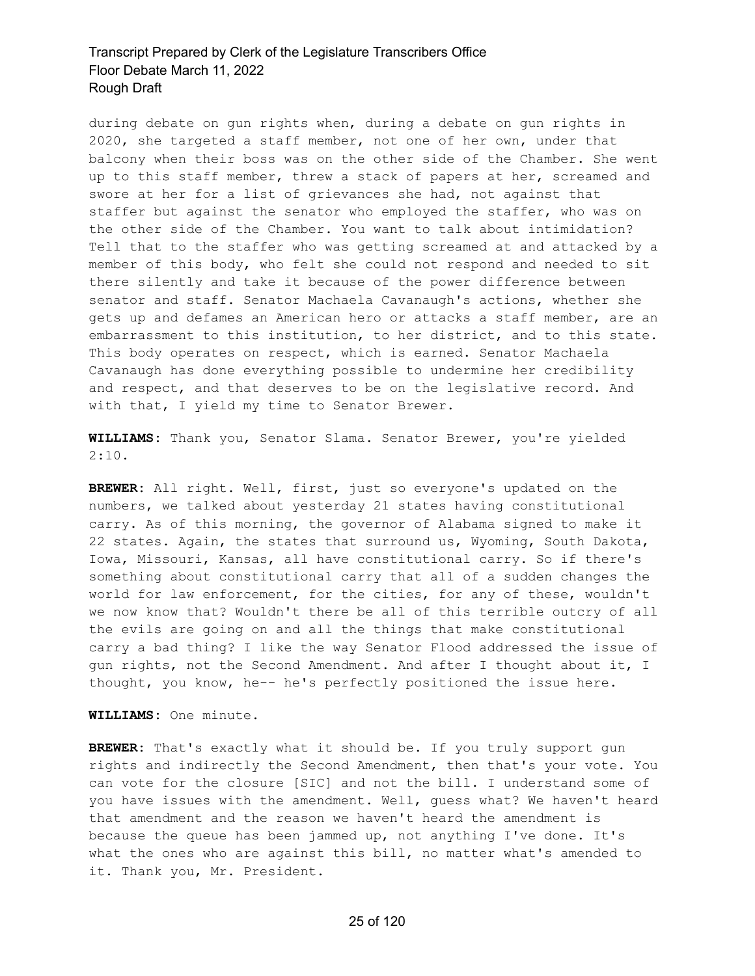during debate on gun rights when, during a debate on gun rights in 2020, she targeted a staff member, not one of her own, under that balcony when their boss was on the other side of the Chamber. She went up to this staff member, threw a stack of papers at her, screamed and swore at her for a list of grievances she had, not against that staffer but against the senator who employed the staffer, who was on the other side of the Chamber. You want to talk about intimidation? Tell that to the staffer who was getting screamed at and attacked by a member of this body, who felt she could not respond and needed to sit there silently and take it because of the power difference between senator and staff. Senator Machaela Cavanaugh's actions, whether she gets up and defames an American hero or attacks a staff member, are an embarrassment to this institution, to her district, and to this state. This body operates on respect, which is earned. Senator Machaela Cavanaugh has done everything possible to undermine her credibility and respect, and that deserves to be on the legislative record. And with that, I yield my time to Senator Brewer.

**WILLIAMS:** Thank you, Senator Slama. Senator Brewer, you're yielded 2:10.

**BREWER:** All right. Well, first, just so everyone's updated on the numbers, we talked about yesterday 21 states having constitutional carry. As of this morning, the governor of Alabama signed to make it 22 states. Again, the states that surround us, Wyoming, South Dakota, Iowa, Missouri, Kansas, all have constitutional carry. So if there's something about constitutional carry that all of a sudden changes the world for law enforcement, for the cities, for any of these, wouldn't we now know that? Wouldn't there be all of this terrible outcry of all the evils are going on and all the things that make constitutional carry a bad thing? I like the way Senator Flood addressed the issue of gun rights, not the Second Amendment. And after I thought about it, I thought, you know, he-- he's perfectly positioned the issue here.

**WILLIAMS:** One minute.

**BREWER:** That's exactly what it should be. If you truly support gun rights and indirectly the Second Amendment, then that's your vote. You can vote for the closure [SIC] and not the bill. I understand some of you have issues with the amendment. Well, guess what? We haven't heard that amendment and the reason we haven't heard the amendment is because the queue has been jammed up, not anything I've done. It's what the ones who are against this bill, no matter what's amended to it. Thank you, Mr. President.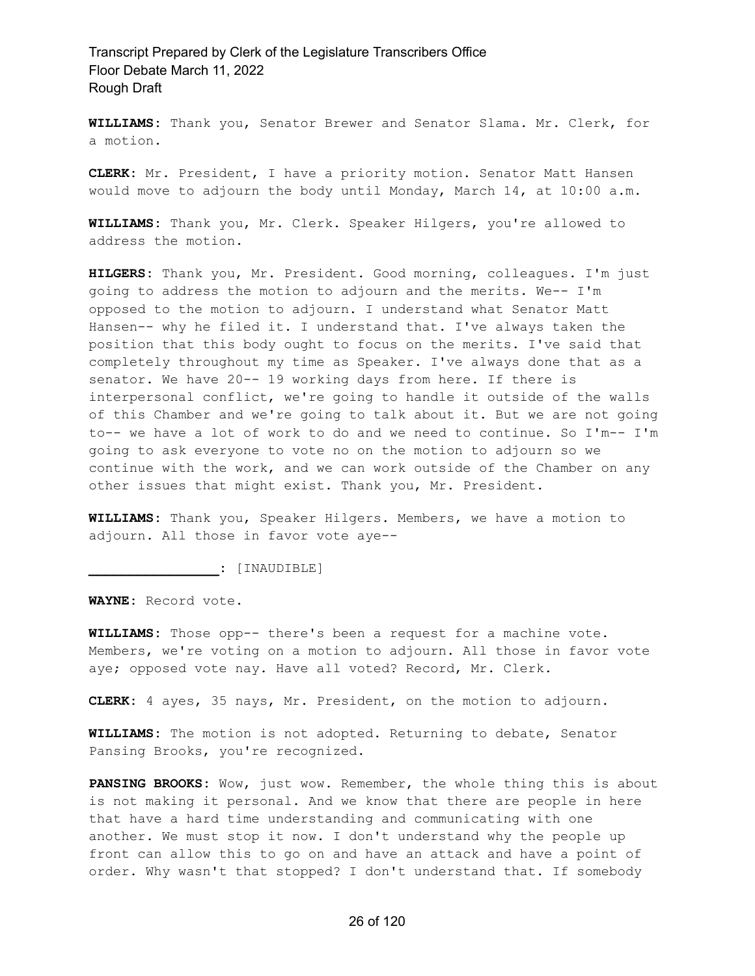**WILLIAMS:** Thank you, Senator Brewer and Senator Slama. Mr. Clerk, for a motion.

**CLERK:** Mr. President, I have a priority motion. Senator Matt Hansen would move to adjourn the body until Monday, March 14, at 10:00 a.m.

**WILLIAMS:** Thank you, Mr. Clerk. Speaker Hilgers, you're allowed to address the motion.

**HILGERS:** Thank you, Mr. President. Good morning, colleagues. I'm just going to address the motion to adjourn and the merits. We-- I'm opposed to the motion to adjourn. I understand what Senator Matt Hansen-- why he filed it. I understand that. I've always taken the position that this body ought to focus on the merits. I've said that completely throughout my time as Speaker. I've always done that as a senator. We have 20-- 19 working days from here. If there is interpersonal conflict, we're going to handle it outside of the walls of this Chamber and we're going to talk about it. But we are not going to-- we have a lot of work to do and we need to continue. So I'm-- I'm going to ask everyone to vote no on the motion to adjourn so we continue with the work, and we can work outside of the Chamber on any other issues that might exist. Thank you, Mr. President.

**WILLIAMS:** Thank you, Speaker Hilgers. Members, we have a motion to adjourn. All those in favor vote aye--

**\_\_\_\_\_\_\_\_\_\_\_\_\_\_\_\_:** [INAUDIBLE]

**WAYNE:** Record vote.

**WILLIAMS:** Those opp-- there's been a request for a machine vote. Members, we're voting on a motion to adjourn. All those in favor vote aye; opposed vote nay. Have all voted? Record, Mr. Clerk.

**CLERK:** 4 ayes, 35 nays, Mr. President, on the motion to adjourn.

**WILLIAMS:** The motion is not adopted. Returning to debate, Senator Pansing Brooks, you're recognized.

**PANSING BROOKS:** Wow, just wow. Remember, the whole thing this is about is not making it personal. And we know that there are people in here that have a hard time understanding and communicating with one another. We must stop it now. I don't understand why the people up front can allow this to go on and have an attack and have a point of order. Why wasn't that stopped? I don't understand that. If somebody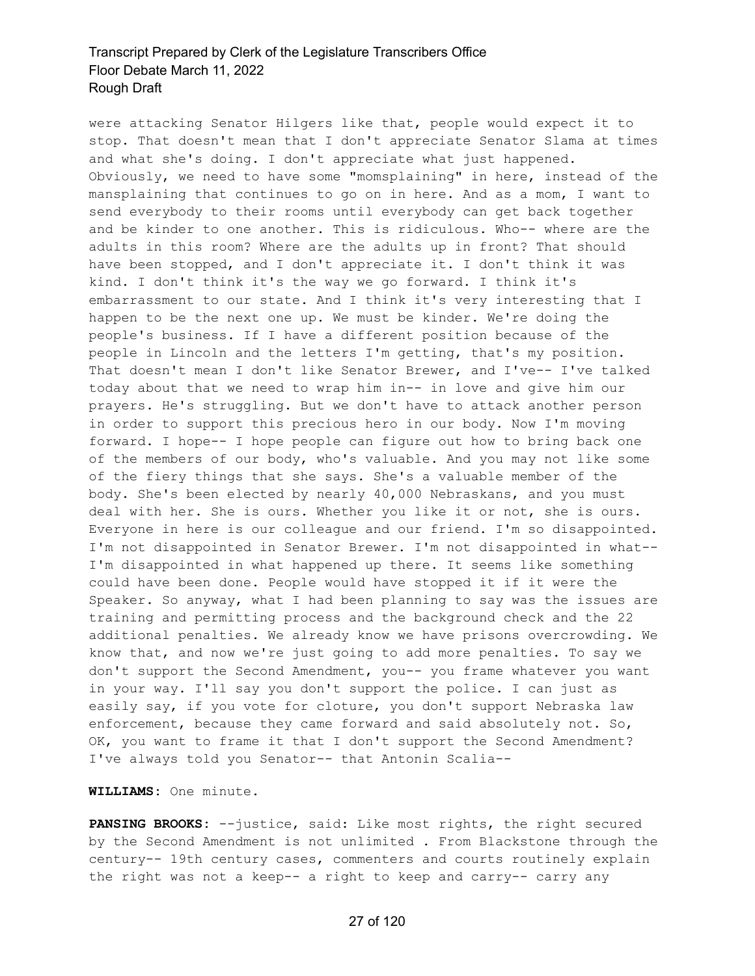were attacking Senator Hilgers like that, people would expect it to stop. That doesn't mean that I don't appreciate Senator Slama at times and what she's doing. I don't appreciate what just happened. Obviously, we need to have some "momsplaining" in here, instead of the mansplaining that continues to go on in here. And as a mom, I want to send everybody to their rooms until everybody can get back together and be kinder to one another. This is ridiculous. Who-- where are the adults in this room? Where are the adults up in front? That should have been stopped, and I don't appreciate it. I don't think it was kind. I don't think it's the way we go forward. I think it's embarrassment to our state. And I think it's very interesting that I happen to be the next one up. We must be kinder. We're doing the people's business. If I have a different position because of the people in Lincoln and the letters I'm getting, that's my position. That doesn't mean I don't like Senator Brewer, and I've-- I've talked today about that we need to wrap him in-- in love and give him our prayers. He's struggling. But we don't have to attack another person in order to support this precious hero in our body. Now I'm moving forward. I hope-- I hope people can figure out how to bring back one of the members of our body, who's valuable. And you may not like some of the fiery things that she says. She's a valuable member of the body. She's been elected by nearly 40,000 Nebraskans, and you must deal with her. She is ours. Whether you like it or not, she is ours. Everyone in here is our colleague and our friend. I'm so disappointed. I'm not disappointed in Senator Brewer. I'm not disappointed in what-- I'm disappointed in what happened up there. It seems like something could have been done. People would have stopped it if it were the Speaker. So anyway, what I had been planning to say was the issues are training and permitting process and the background check and the 22 additional penalties. We already know we have prisons overcrowding. We know that, and now we're just going to add more penalties. To say we don't support the Second Amendment, you-- you frame whatever you want in your way. I'll say you don't support the police. I can just as easily say, if you vote for cloture, you don't support Nebraska law enforcement, because they came forward and said absolutely not. So, OK, you want to frame it that I don't support the Second Amendment? I've always told you Senator-- that Antonin Scalia--

**WILLIAMS:** One minute.

**PANSING BROOKS:** --justice, said: Like most rights, the right secured by the Second Amendment is not unlimited . From Blackstone through the century-- 19th century cases, commenters and courts routinely explain the right was not a keep-- a right to keep and carry-- carry any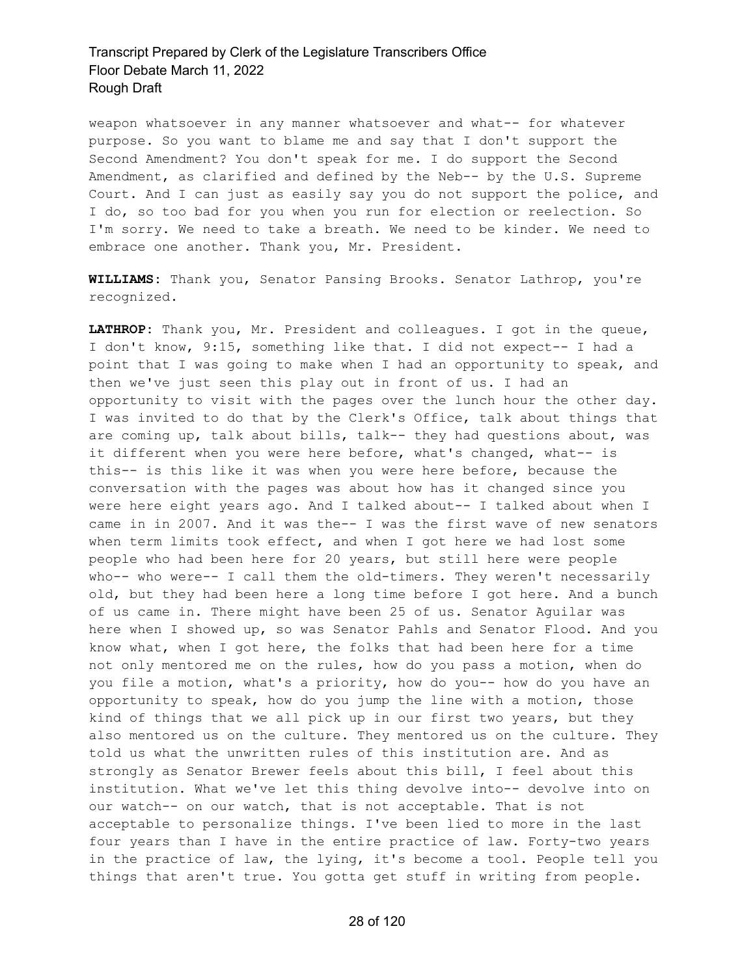weapon whatsoever in any manner whatsoever and what-- for whatever purpose. So you want to blame me and say that I don't support the Second Amendment? You don't speak for me. I do support the Second Amendment, as clarified and defined by the Neb-- by the U.S. Supreme Court. And I can just as easily say you do not support the police, and I do, so too bad for you when you run for election or reelection. So I'm sorry. We need to take a breath. We need to be kinder. We need to embrace one another. Thank you, Mr. President.

**WILLIAMS:** Thank you, Senator Pansing Brooks. Senator Lathrop, you're recognized.

**LATHROP:** Thank you, Mr. President and colleagues. I got in the queue, I don't know, 9:15, something like that. I did not expect-- I had a point that I was going to make when I had an opportunity to speak, and then we've just seen this play out in front of us. I had an opportunity to visit with the pages over the lunch hour the other day. I was invited to do that by the Clerk's Office, talk about things that are coming up, talk about bills, talk-- they had questions about, was it different when you were here before, what's changed, what-- is this-- is this like it was when you were here before, because the conversation with the pages was about how has it changed since you were here eight years ago. And I talked about-- I talked about when I came in in 2007. And it was the-- I was the first wave of new senators when term limits took effect, and when I got here we had lost some people who had been here for 20 years, but still here were people who-- who were-- I call them the old-timers. They weren't necessarily old, but they had been here a long time before I got here. And a bunch of us came in. There might have been 25 of us. Senator Aguilar was here when I showed up, so was Senator Pahls and Senator Flood. And you know what, when I got here, the folks that had been here for a time not only mentored me on the rules, how do you pass a motion, when do you file a motion, what's a priority, how do you-- how do you have an opportunity to speak, how do you jump the line with a motion, those kind of things that we all pick up in our first two years, but they also mentored us on the culture. They mentored us on the culture. They told us what the unwritten rules of this institution are. And as strongly as Senator Brewer feels about this bill, I feel about this institution. What we've let this thing devolve into-- devolve into on our watch-- on our watch, that is not acceptable. That is not acceptable to personalize things. I've been lied to more in the last four years than I have in the entire practice of law. Forty-two years in the practice of law, the lying, it's become a tool. People tell you things that aren't true. You gotta get stuff in writing from people.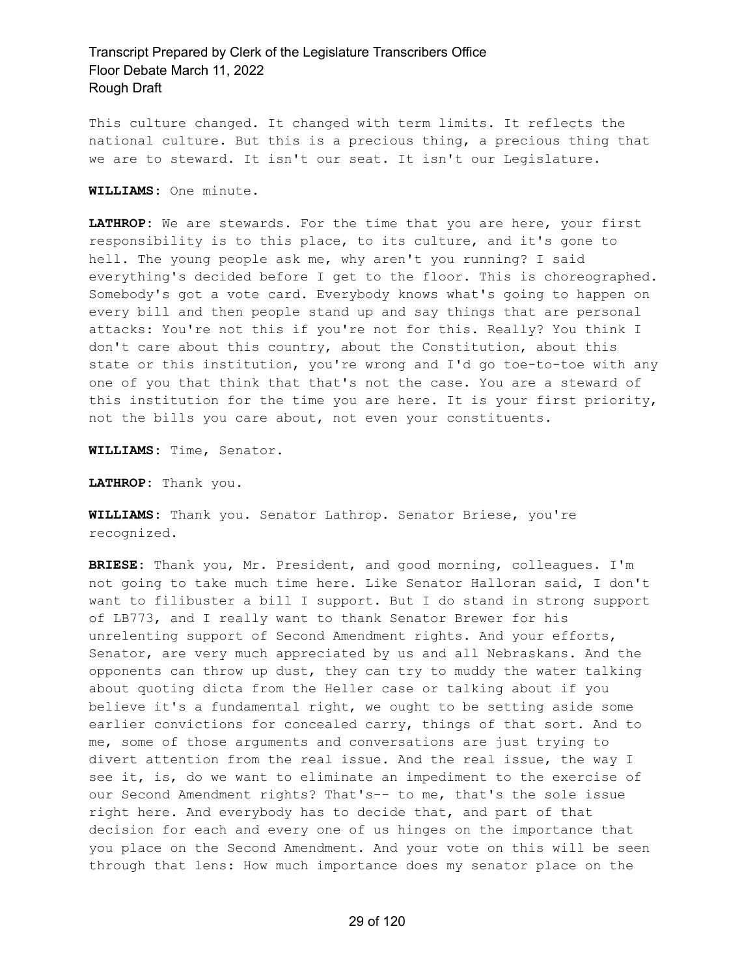This culture changed. It changed with term limits. It reflects the national culture. But this is a precious thing, a precious thing that we are to steward. It isn't our seat. It isn't our Legislature.

**WILLIAMS:** One minute.

**LATHROP:** We are stewards. For the time that you are here, your first responsibility is to this place, to its culture, and it's gone to hell. The young people ask me, why aren't you running? I said everything's decided before I get to the floor. This is choreographed. Somebody's got a vote card. Everybody knows what's going to happen on every bill and then people stand up and say things that are personal attacks: You're not this if you're not for this. Really? You think I don't care about this country, about the Constitution, about this state or this institution, you're wrong and I'd go toe-to-toe with any one of you that think that that's not the case. You are a steward of this institution for the time you are here. It is your first priority, not the bills you care about, not even your constituents.

**WILLIAMS:** Time, Senator.

**LATHROP:** Thank you.

**WILLIAMS:** Thank you. Senator Lathrop. Senator Briese, you're recognized.

**BRIESE:** Thank you, Mr. President, and good morning, colleagues. I'm not going to take much time here. Like Senator Halloran said, I don't want to filibuster a bill I support. But I do stand in strong support of LB773, and I really want to thank Senator Brewer for his unrelenting support of Second Amendment rights. And your efforts, Senator, are very much appreciated by us and all Nebraskans. And the opponents can throw up dust, they can try to muddy the water talking about quoting dicta from the Heller case or talking about if you believe it's a fundamental right, we ought to be setting aside some earlier convictions for concealed carry, things of that sort. And to me, some of those arguments and conversations are just trying to divert attention from the real issue. And the real issue, the way I see it, is, do we want to eliminate an impediment to the exercise of our Second Amendment rights? That's-- to me, that's the sole issue right here. And everybody has to decide that, and part of that decision for each and every one of us hinges on the importance that you place on the Second Amendment. And your vote on this will be seen through that lens: How much importance does my senator place on the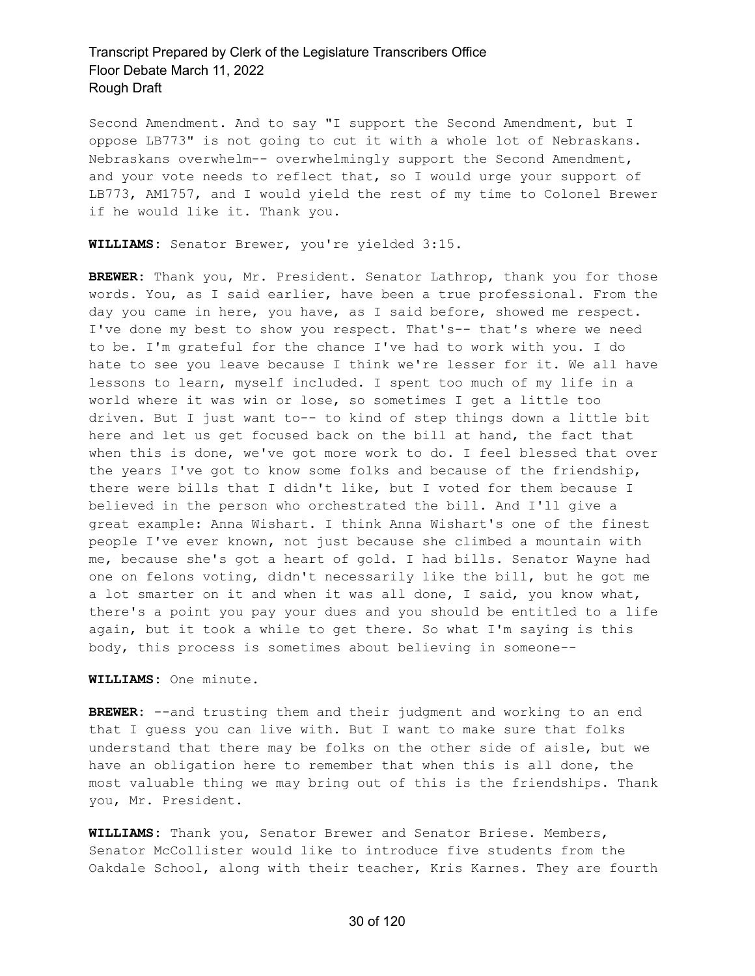Second Amendment. And to say "I support the Second Amendment, but I oppose LB773" is not going to cut it with a whole lot of Nebraskans. Nebraskans overwhelm-- overwhelmingly support the Second Amendment, and your vote needs to reflect that, so I would urge your support of LB773, AM1757, and I would yield the rest of my time to Colonel Brewer if he would like it. Thank you.

**WILLIAMS:** Senator Brewer, you're yielded 3:15.

**BREWER:** Thank you, Mr. President. Senator Lathrop, thank you for those words. You, as I said earlier, have been a true professional. From the day you came in here, you have, as I said before, showed me respect. I've done my best to show you respect. That's-- that's where we need to be. I'm grateful for the chance I've had to work with you. I do hate to see you leave because I think we're lesser for it. We all have lessons to learn, myself included. I spent too much of my life in a world where it was win or lose, so sometimes I get a little too driven. But I just want to-- to kind of step things down a little bit here and let us get focused back on the bill at hand, the fact that when this is done, we've got more work to do. I feel blessed that over the years I've got to know some folks and because of the friendship, there were bills that I didn't like, but I voted for them because I believed in the person who orchestrated the bill. And I'll give a great example: Anna Wishart. I think Anna Wishart's one of the finest people I've ever known, not just because she climbed a mountain with me, because she's got a heart of gold. I had bills. Senator Wayne had one on felons voting, didn't necessarily like the bill, but he got me a lot smarter on it and when it was all done, I said, you know what, there's a point you pay your dues and you should be entitled to a life again, but it took a while to get there. So what I'm saying is this body, this process is sometimes about believing in someone--

#### **WILLIAMS:** One minute.

**BREWER:** --and trusting them and their judgment and working to an end that I guess you can live with. But I want to make sure that folks understand that there may be folks on the other side of aisle, but we have an obligation here to remember that when this is all done, the most valuable thing we may bring out of this is the friendships. Thank you, Mr. President.

**WILLIAMS:** Thank you, Senator Brewer and Senator Briese. Members, Senator McCollister would like to introduce five students from the Oakdale School, along with their teacher, Kris Karnes. They are fourth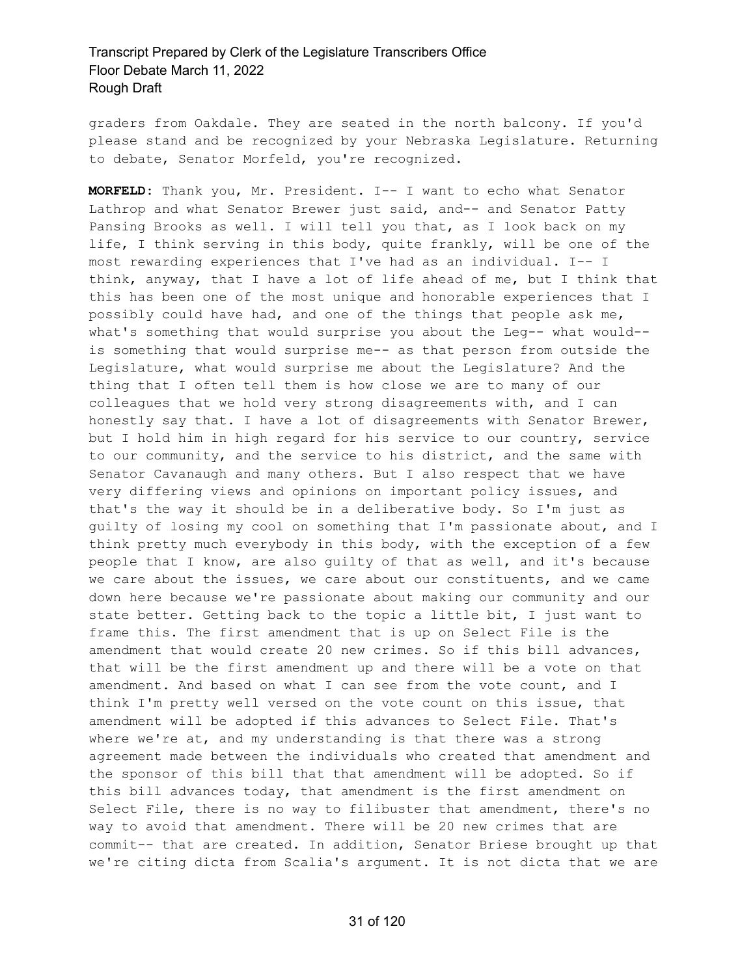graders from Oakdale. They are seated in the north balcony. If you'd please stand and be recognized by your Nebraska Legislature. Returning to debate, Senator Morfeld, you're recognized.

**MORFELD:** Thank you, Mr. President. I-- I want to echo what Senator Lathrop and what Senator Brewer just said, and-- and Senator Patty Pansing Brooks as well. I will tell you that, as I look back on my life, I think serving in this body, quite frankly, will be one of the most rewarding experiences that I've had as an individual. I-- I think, anyway, that I have a lot of life ahead of me, but I think that this has been one of the most unique and honorable experiences that I possibly could have had, and one of the things that people ask me, what's something that would surprise you about the Leg-- what would- is something that would surprise me-- as that person from outside the Legislature, what would surprise me about the Legislature? And the thing that I often tell them is how close we are to many of our colleagues that we hold very strong disagreements with, and I can honestly say that. I have a lot of disagreements with Senator Brewer, but I hold him in high regard for his service to our country, service to our community, and the service to his district, and the same with Senator Cavanaugh and many others. But I also respect that we have very differing views and opinions on important policy issues, and that's the way it should be in a deliberative body. So I'm just as guilty of losing my cool on something that I'm passionate about, and I think pretty much everybody in this body, with the exception of a few people that I know, are also guilty of that as well, and it's because we care about the issues, we care about our constituents, and we came down here because we're passionate about making our community and our state better. Getting back to the topic a little bit, I just want to frame this. The first amendment that is up on Select File is the amendment that would create 20 new crimes. So if this bill advances, that will be the first amendment up and there will be a vote on that amendment. And based on what I can see from the vote count, and I think I'm pretty well versed on the vote count on this issue, that amendment will be adopted if this advances to Select File. That's where we're at, and my understanding is that there was a strong agreement made between the individuals who created that amendment and the sponsor of this bill that that amendment will be adopted. So if this bill advances today, that amendment is the first amendment on Select File, there is no way to filibuster that amendment, there's no way to avoid that amendment. There will be 20 new crimes that are commit-- that are created. In addition, Senator Briese brought up that we're citing dicta from Scalia's argument. It is not dicta that we are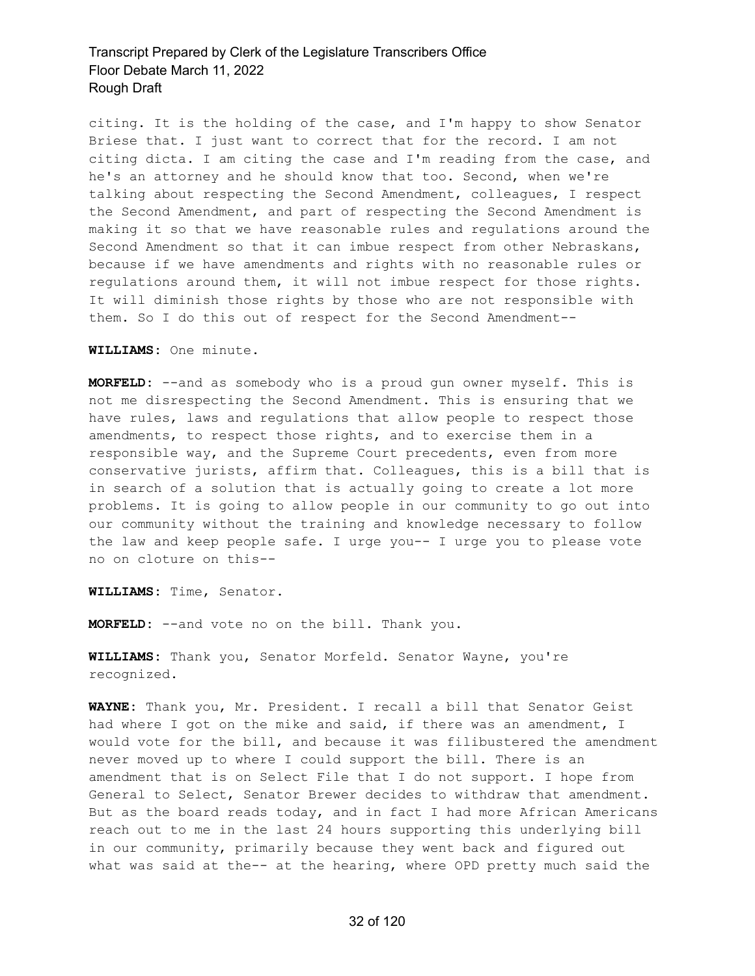citing. It is the holding of the case, and I'm happy to show Senator Briese that. I just want to correct that for the record. I am not citing dicta. I am citing the case and I'm reading from the case, and he's an attorney and he should know that too. Second, when we're talking about respecting the Second Amendment, colleagues, I respect the Second Amendment, and part of respecting the Second Amendment is making it so that we have reasonable rules and regulations around the Second Amendment so that it can imbue respect from other Nebraskans, because if we have amendments and rights with no reasonable rules or regulations around them, it will not imbue respect for those rights. It will diminish those rights by those who are not responsible with them. So I do this out of respect for the Second Amendment--

#### **WILLIAMS:** One minute.

**MORFELD:** --and as somebody who is a proud gun owner myself. This is not me disrespecting the Second Amendment. This is ensuring that we have rules, laws and regulations that allow people to respect those amendments, to respect those rights, and to exercise them in a responsible way, and the Supreme Court precedents, even from more conservative jurists, affirm that. Colleagues, this is a bill that is in search of a solution that is actually going to create a lot more problems. It is going to allow people in our community to go out into our community without the training and knowledge necessary to follow the law and keep people safe. I urge you-- I urge you to please vote no on cloture on this--

**WILLIAMS:** Time, Senator.

**MORFELD:** --and vote no on the bill. Thank you.

**WILLIAMS:** Thank you, Senator Morfeld. Senator Wayne, you're recognized.

**WAYNE:** Thank you, Mr. President. I recall a bill that Senator Geist had where I got on the mike and said, if there was an amendment, I would vote for the bill, and because it was filibustered the amendment never moved up to where I could support the bill. There is an amendment that is on Select File that I do not support. I hope from General to Select, Senator Brewer decides to withdraw that amendment. But as the board reads today, and in fact I had more African Americans reach out to me in the last 24 hours supporting this underlying bill in our community, primarily because they went back and figured out what was said at the-- at the hearing, where OPD pretty much said the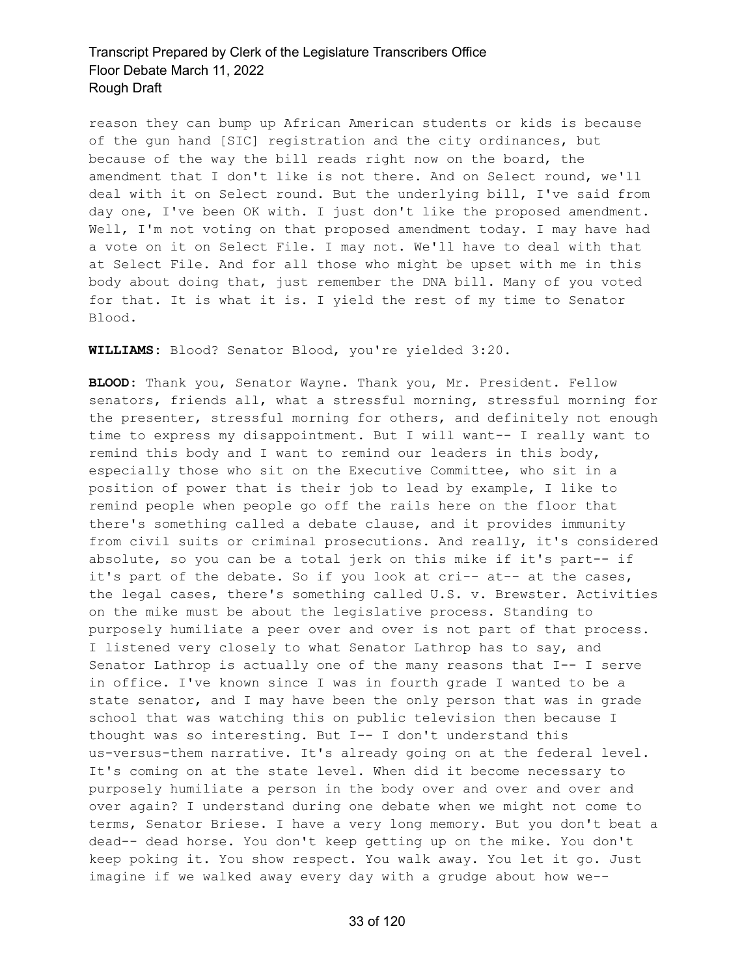reason they can bump up African American students or kids is because of the gun hand [SIC] registration and the city ordinances, but because of the way the bill reads right now on the board, the amendment that I don't like is not there. And on Select round, we'll deal with it on Select round. But the underlying bill, I've said from day one, I've been OK with. I just don't like the proposed amendment. Well, I'm not voting on that proposed amendment today. I may have had a vote on it on Select File. I may not. We'll have to deal with that at Select File. And for all those who might be upset with me in this body about doing that, just remember the DNA bill. Many of you voted for that. It is what it is. I yield the rest of my time to Senator Blood.

**WILLIAMS:** Blood? Senator Blood, you're yielded 3:20.

**BLOOD:** Thank you, Senator Wayne. Thank you, Mr. President. Fellow senators, friends all, what a stressful morning, stressful morning for the presenter, stressful morning for others, and definitely not enough time to express my disappointment. But I will want-- I really want to remind this body and I want to remind our leaders in this body, especially those who sit on the Executive Committee, who sit in a position of power that is their job to lead by example, I like to remind people when people go off the rails here on the floor that there's something called a debate clause, and it provides immunity from civil suits or criminal prosecutions. And really, it's considered absolute, so you can be a total jerk on this mike if it's part-- if it's part of the debate. So if you look at cri-- at-- at the cases, the legal cases, there's something called U.S. v. Brewster. Activities on the mike must be about the legislative process. Standing to purposely humiliate a peer over and over is not part of that process. I listened very closely to what Senator Lathrop has to say, and Senator Lathrop is actually one of the many reasons that I-- I serve in office. I've known since I was in fourth grade I wanted to be a state senator, and I may have been the only person that was in grade school that was watching this on public television then because I thought was so interesting. But I-- I don't understand this us-versus-them narrative. It's already going on at the federal level. It's coming on at the state level. When did it become necessary to purposely humiliate a person in the body over and over and over and over again? I understand during one debate when we might not come to terms, Senator Briese. I have a very long memory. But you don't beat a dead-- dead horse. You don't keep getting up on the mike. You don't keep poking it. You show respect. You walk away. You let it go. Just imagine if we walked away every day with a grudge about how we--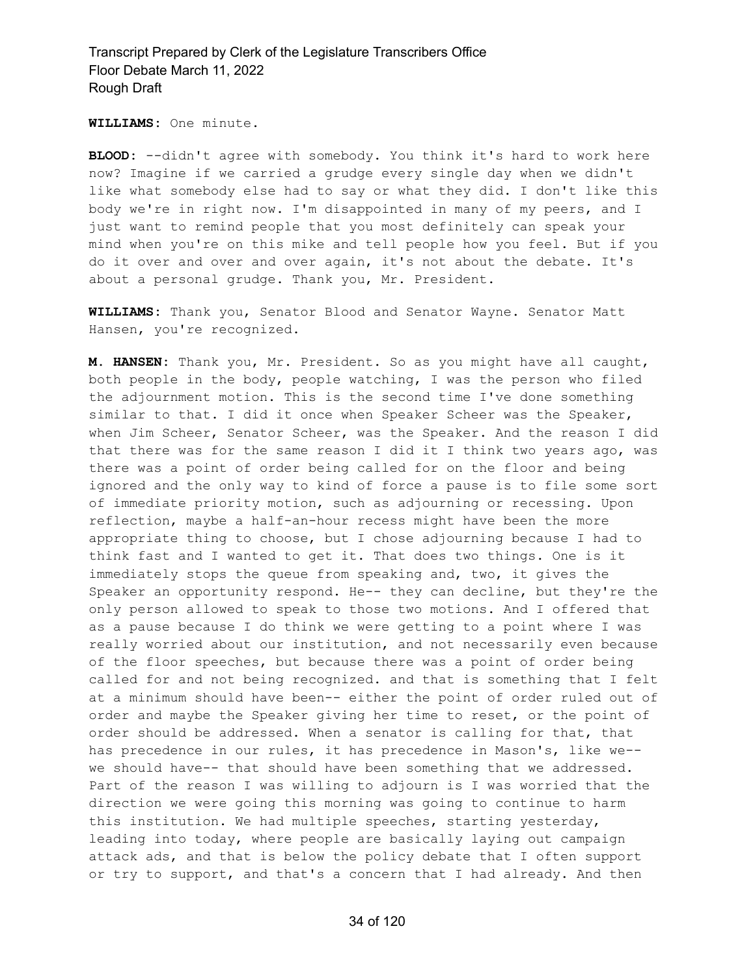**WILLIAMS:** One minute.

**BLOOD:** --didn't agree with somebody. You think it's hard to work here now? Imagine if we carried a grudge every single day when we didn't like what somebody else had to say or what they did. I don't like this body we're in right now. I'm disappointed in many of my peers, and I just want to remind people that you most definitely can speak your mind when you're on this mike and tell people how you feel. But if you do it over and over and over again, it's not about the debate. It's about a personal grudge. Thank you, Mr. President.

**WILLIAMS:** Thank you, Senator Blood and Senator Wayne. Senator Matt Hansen, you're recognized.

**M. HANSEN:** Thank you, Mr. President. So as you might have all caught, both people in the body, people watching, I was the person who filed the adjournment motion. This is the second time I've done something similar to that. I did it once when Speaker Scheer was the Speaker, when Jim Scheer, Senator Scheer, was the Speaker. And the reason I did that there was for the same reason I did it I think two years ago, was there was a point of order being called for on the floor and being ignored and the only way to kind of force a pause is to file some sort of immediate priority motion, such as adjourning or recessing. Upon reflection, maybe a half-an-hour recess might have been the more appropriate thing to choose, but I chose adjourning because I had to think fast and I wanted to get it. That does two things. One is it immediately stops the queue from speaking and, two, it gives the Speaker an opportunity respond. He-- they can decline, but they're the only person allowed to speak to those two motions. And I offered that as a pause because I do think we were getting to a point where I was really worried about our institution, and not necessarily even because of the floor speeches, but because there was a point of order being called for and not being recognized. and that is something that I felt at a minimum should have been-- either the point of order ruled out of order and maybe the Speaker giving her time to reset, or the point of order should be addressed. When a senator is calling for that, that has precedence in our rules, it has precedence in Mason's, like we- we should have-- that should have been something that we addressed. Part of the reason I was willing to adjourn is I was worried that the direction we were going this morning was going to continue to harm this institution. We had multiple speeches, starting yesterday, leading into today, where people are basically laying out campaign attack ads, and that is below the policy debate that I often support or try to support, and that's a concern that I had already. And then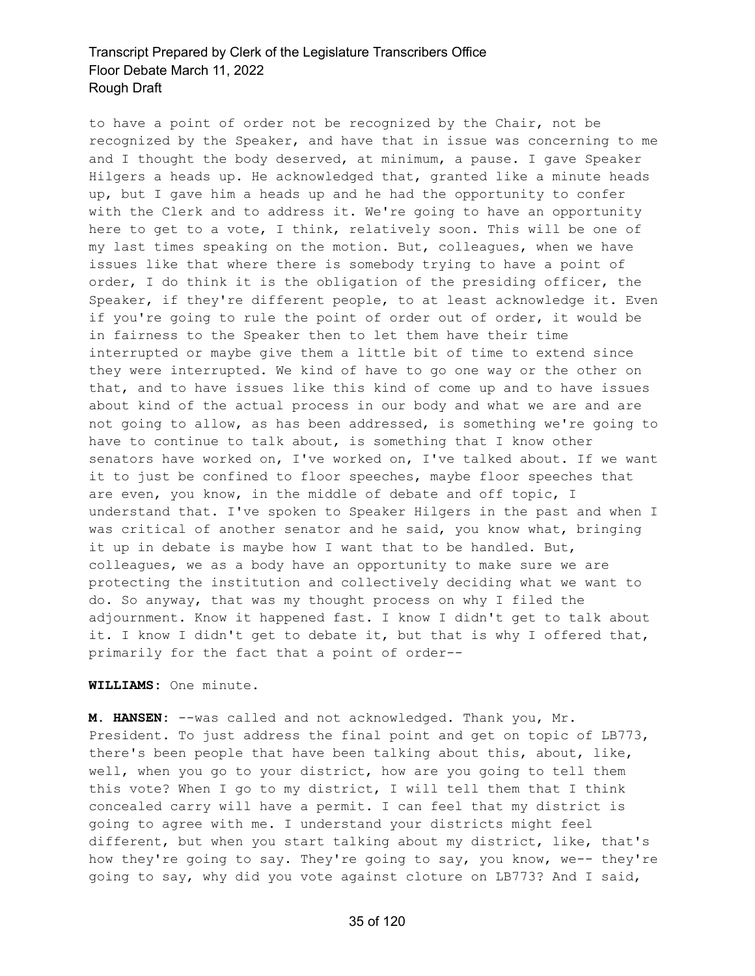to have a point of order not be recognized by the Chair, not be recognized by the Speaker, and have that in issue was concerning to me and I thought the body deserved, at minimum, a pause. I gave Speaker Hilgers a heads up. He acknowledged that, granted like a minute heads up, but I gave him a heads up and he had the opportunity to confer with the Clerk and to address it. We're going to have an opportunity here to get to a vote, I think, relatively soon. This will be one of my last times speaking on the motion. But, colleagues, when we have issues like that where there is somebody trying to have a point of order, I do think it is the obligation of the presiding officer, the Speaker, if they're different people, to at least acknowledge it. Even if you're going to rule the point of order out of order, it would be in fairness to the Speaker then to let them have their time interrupted or maybe give them a little bit of time to extend since they were interrupted. We kind of have to go one way or the other on that, and to have issues like this kind of come up and to have issues about kind of the actual process in our body and what we are and are not going to allow, as has been addressed, is something we're going to have to continue to talk about, is something that I know other senators have worked on, I've worked on, I've talked about. If we want it to just be confined to floor speeches, maybe floor speeches that are even, you know, in the middle of debate and off topic, I understand that. I've spoken to Speaker Hilgers in the past and when I was critical of another senator and he said, you know what, bringing it up in debate is maybe how I want that to be handled. But, colleagues, we as a body have an opportunity to make sure we are protecting the institution and collectively deciding what we want to do. So anyway, that was my thought process on why I filed the adjournment. Know it happened fast. I know I didn't get to talk about it. I know I didn't get to debate it, but that is why I offered that, primarily for the fact that a point of order--

#### **WILLIAMS:** One minute.

**M. HANSEN:** --was called and not acknowledged. Thank you, Mr. President. To just address the final point and get on topic of LB773, there's been people that have been talking about this, about, like, well, when you go to your district, how are you going to tell them this vote? When I go to my district, I will tell them that I think concealed carry will have a permit. I can feel that my district is going to agree with me. I understand your districts might feel different, but when you start talking about my district, like, that's how they're going to say. They're going to say, you know, we-- they're going to say, why did you vote against cloture on LB773? And I said,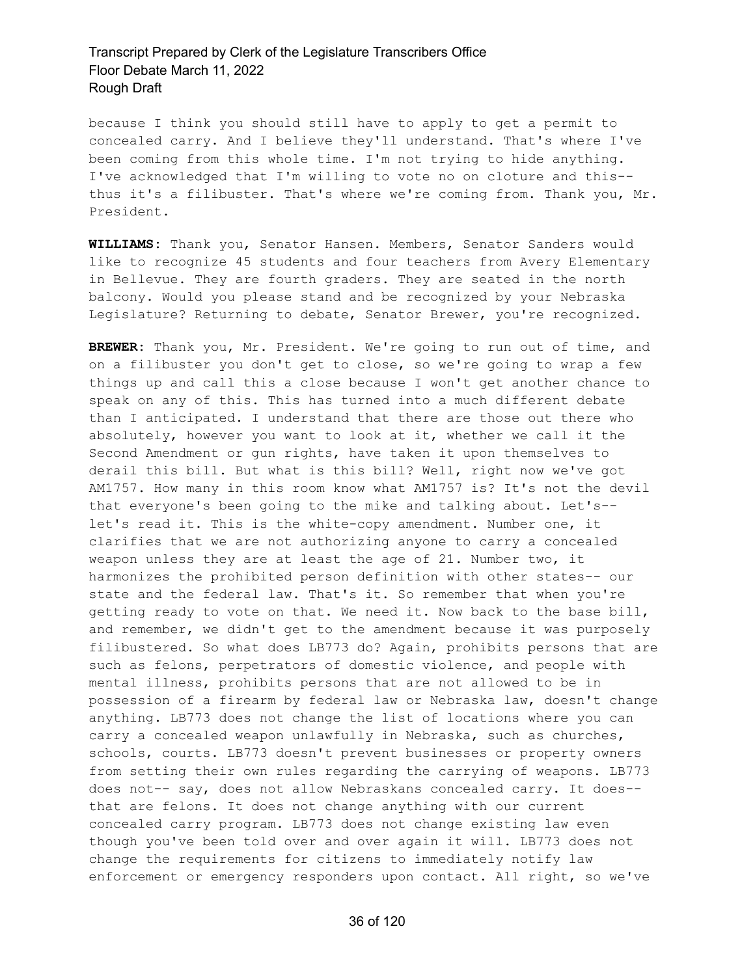because I think you should still have to apply to get a permit to concealed carry. And I believe they'll understand. That's where I've been coming from this whole time. I'm not trying to hide anything. I've acknowledged that I'm willing to vote no on cloture and this- thus it's a filibuster. That's where we're coming from. Thank you, Mr. President.

**WILLIAMS:** Thank you, Senator Hansen. Members, Senator Sanders would like to recognize 45 students and four teachers from Avery Elementary in Bellevue. They are fourth graders. They are seated in the north balcony. Would you please stand and be recognized by your Nebraska Legislature? Returning to debate, Senator Brewer, you're recognized.

**BREWER:** Thank you, Mr. President. We're going to run out of time, and on a filibuster you don't get to close, so we're going to wrap a few things up and call this a close because I won't get another chance to speak on any of this. This has turned into a much different debate than I anticipated. I understand that there are those out there who absolutely, however you want to look at it, whether we call it the Second Amendment or gun rights, have taken it upon themselves to derail this bill. But what is this bill? Well, right now we've got AM1757. How many in this room know what AM1757 is? It's not the devil that everyone's been going to the mike and talking about. Let's- let's read it. This is the white-copy amendment. Number one, it clarifies that we are not authorizing anyone to carry a concealed weapon unless they are at least the age of 21. Number two, it harmonizes the prohibited person definition with other states-- our state and the federal law. That's it. So remember that when you're getting ready to vote on that. We need it. Now back to the base bill, and remember, we didn't get to the amendment because it was purposely filibustered. So what does LB773 do? Again, prohibits persons that are such as felons, perpetrators of domestic violence, and people with mental illness, prohibits persons that are not allowed to be in possession of a firearm by federal law or Nebraska law, doesn't change anything. LB773 does not change the list of locations where you can carry a concealed weapon unlawfully in Nebraska, such as churches, schools, courts. LB773 doesn't prevent businesses or property owners from setting their own rules regarding the carrying of weapons. LB773 does not-- say, does not allow Nebraskans concealed carry. It does- that are felons. It does not change anything with our current concealed carry program. LB773 does not change existing law even though you've been told over and over again it will. LB773 does not change the requirements for citizens to immediately notify law enforcement or emergency responders upon contact. All right, so we've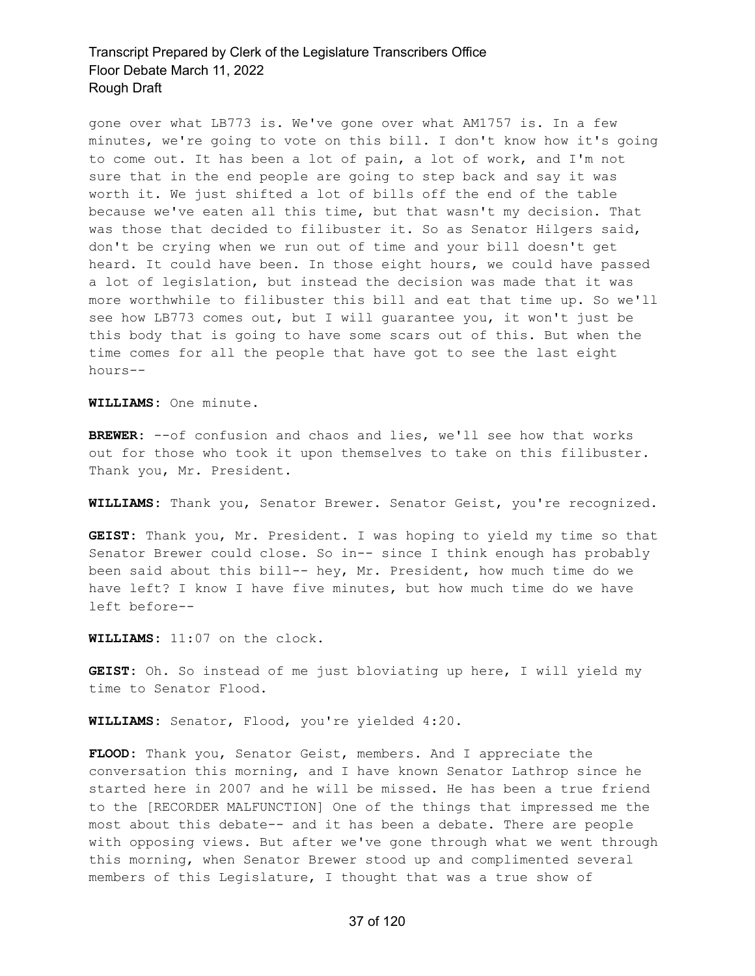gone over what LB773 is. We've gone over what AM1757 is. In a few minutes, we're going to vote on this bill. I don't know how it's going to come out. It has been a lot of pain, a lot of work, and I'm not sure that in the end people are going to step back and say it was worth it. We just shifted a lot of bills off the end of the table because we've eaten all this time, but that wasn't my decision. That was those that decided to filibuster it. So as Senator Hilgers said, don't be crying when we run out of time and your bill doesn't get heard. It could have been. In those eight hours, we could have passed a lot of legislation, but instead the decision was made that it was more worthwhile to filibuster this bill and eat that time up. So we'll see how LB773 comes out, but I will guarantee you, it won't just be this body that is going to have some scars out of this. But when the time comes for all the people that have got to see the last eight hours--

**WILLIAMS:** One minute.

**BREWER:** --of confusion and chaos and lies, we'll see how that works out for those who took it upon themselves to take on this filibuster. Thank you, Mr. President.

**WILLIAMS:** Thank you, Senator Brewer. Senator Geist, you're recognized.

**GEIST:** Thank you, Mr. President. I was hoping to yield my time so that Senator Brewer could close. So in-- since I think enough has probably been said about this bill-- hey, Mr. President, how much time do we have left? I know I have five minutes, but how much time do we have left before--

**WILLIAMS:** 11:07 on the clock.

**GEIST:** Oh. So instead of me just bloviating up here, I will yield my time to Senator Flood.

**WILLIAMS:** Senator, Flood, you're yielded 4:20.

**FLOOD:** Thank you, Senator Geist, members. And I appreciate the conversation this morning, and I have known Senator Lathrop since he started here in 2007 and he will be missed. He has been a true friend to the [RECORDER MALFUNCTION] One of the things that impressed me the most about this debate-- and it has been a debate. There are people with opposing views. But after we've gone through what we went through this morning, when Senator Brewer stood up and complimented several members of this Legislature, I thought that was a true show of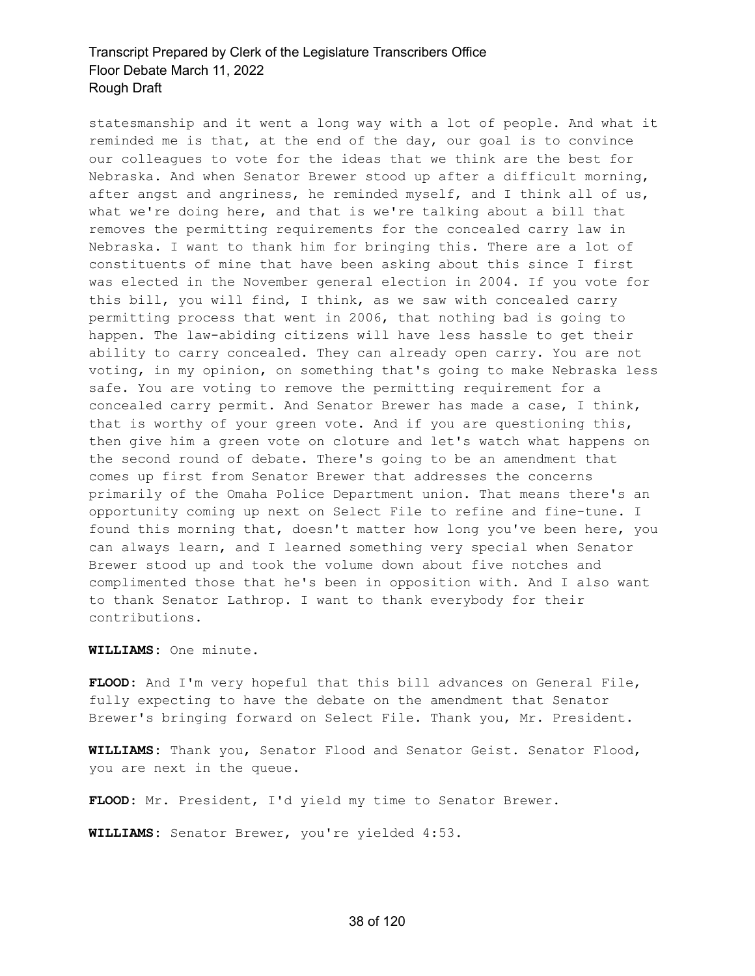statesmanship and it went a long way with a lot of people. And what it reminded me is that, at the end of the day, our goal is to convince our colleagues to vote for the ideas that we think are the best for Nebraska. And when Senator Brewer stood up after a difficult morning, after angst and angriness, he reminded myself, and I think all of us, what we're doing here, and that is we're talking about a bill that removes the permitting requirements for the concealed carry law in Nebraska. I want to thank him for bringing this. There are a lot of constituents of mine that have been asking about this since I first was elected in the November general election in 2004. If you vote for this bill, you will find, I think, as we saw with concealed carry permitting process that went in 2006, that nothing bad is going to happen. The law-abiding citizens will have less hassle to get their ability to carry concealed. They can already open carry. You are not voting, in my opinion, on something that's going to make Nebraska less safe. You are voting to remove the permitting requirement for a concealed carry permit. And Senator Brewer has made a case, I think, that is worthy of your green vote. And if you are questioning this, then give him a green vote on cloture and let's watch what happens on the second round of debate. There's going to be an amendment that comes up first from Senator Brewer that addresses the concerns primarily of the Omaha Police Department union. That means there's an opportunity coming up next on Select File to refine and fine-tune. I found this morning that, doesn't matter how long you've been here, you can always learn, and I learned something very special when Senator Brewer stood up and took the volume down about five notches and complimented those that he's been in opposition with. And I also want to thank Senator Lathrop. I want to thank everybody for their contributions.

**WILLIAMS:** One minute.

**FLOOD:** And I'm very hopeful that this bill advances on General File, fully expecting to have the debate on the amendment that Senator Brewer's bringing forward on Select File. Thank you, Mr. President.

**WILLIAMS:** Thank you, Senator Flood and Senator Geist. Senator Flood, you are next in the queue.

**FLOOD:** Mr. President, I'd yield my time to Senator Brewer.

**WILLIAMS:** Senator Brewer, you're yielded 4:53.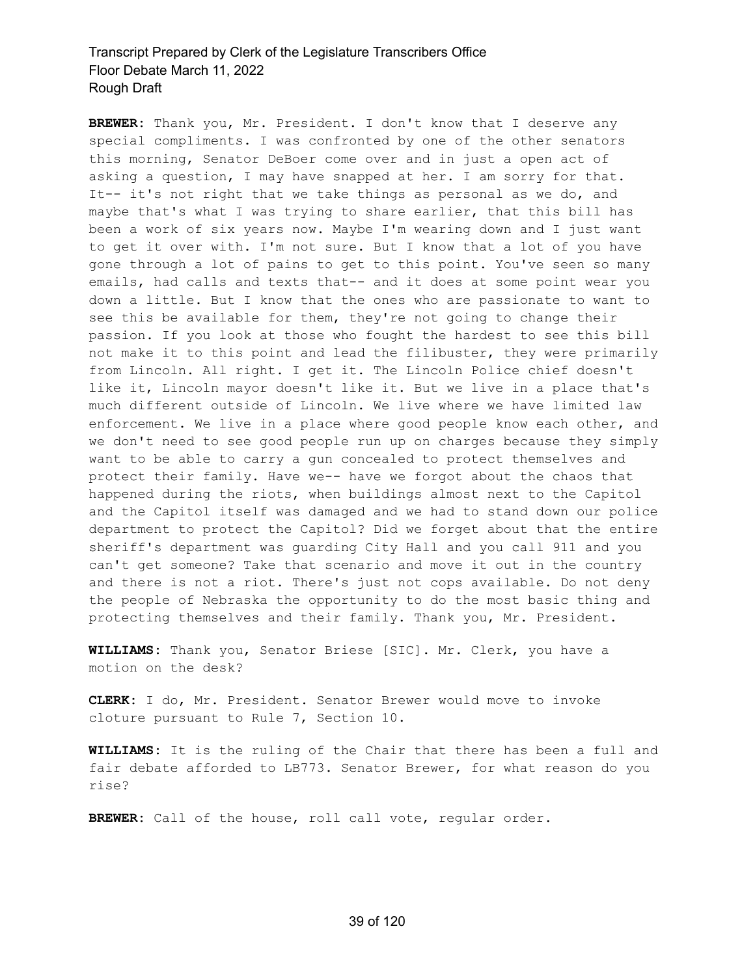**BREWER:** Thank you, Mr. President. I don't know that I deserve any special compliments. I was confronted by one of the other senators this morning, Senator DeBoer come over and in just a open act of asking a question, I may have snapped at her. I am sorry for that. It-- it's not right that we take things as personal as we do, and maybe that's what I was trying to share earlier, that this bill has been a work of six years now. Maybe I'm wearing down and I just want to get it over with. I'm not sure. But I know that a lot of you have gone through a lot of pains to get to this point. You've seen so many emails, had calls and texts that-- and it does at some point wear you down a little. But I know that the ones who are passionate to want to see this be available for them, they're not going to change their passion. If you look at those who fought the hardest to see this bill not make it to this point and lead the filibuster, they were primarily from Lincoln. All right. I get it. The Lincoln Police chief doesn't like it, Lincoln mayor doesn't like it. But we live in a place that's much different outside of Lincoln. We live where we have limited law enforcement. We live in a place where good people know each other, and we don't need to see good people run up on charges because they simply want to be able to carry a gun concealed to protect themselves and protect their family. Have we-- have we forgot about the chaos that happened during the riots, when buildings almost next to the Capitol and the Capitol itself was damaged and we had to stand down our police department to protect the Capitol? Did we forget about that the entire sheriff's department was guarding City Hall and you call 911 and you can't get someone? Take that scenario and move it out in the country and there is not a riot. There's just not cops available. Do not deny the people of Nebraska the opportunity to do the most basic thing and protecting themselves and their family. Thank you, Mr. President.

**WILLIAMS:** Thank you, Senator Briese [SIC]. Mr. Clerk, you have a motion on the desk?

**CLERK:** I do, Mr. President. Senator Brewer would move to invoke cloture pursuant to Rule 7, Section 10.

**WILLIAMS:** It is the ruling of the Chair that there has been a full and fair debate afforded to LB773. Senator Brewer, for what reason do you rise?

**BREWER:** Call of the house, roll call vote, regular order.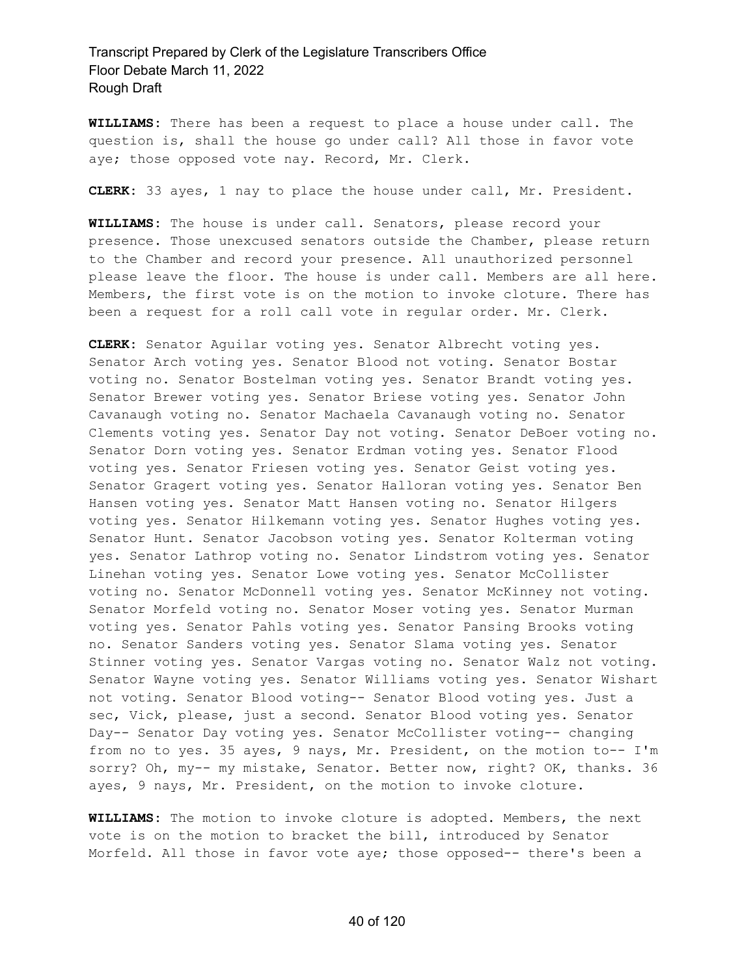**WILLIAMS:** There has been a request to place a house under call. The question is, shall the house go under call? All those in favor vote aye; those opposed vote nay. Record, Mr. Clerk.

**CLERK:** 33 ayes, 1 nay to place the house under call, Mr. President.

**WILLIAMS:** The house is under call. Senators, please record your presence. Those unexcused senators outside the Chamber, please return to the Chamber and record your presence. All unauthorized personnel please leave the floor. The house is under call. Members are all here. Members, the first vote is on the motion to invoke cloture. There has been a request for a roll call vote in regular order. Mr. Clerk.

**CLERK:** Senator Aguilar voting yes. Senator Albrecht voting yes. Senator Arch voting yes. Senator Blood not voting. Senator Bostar voting no. Senator Bostelman voting yes. Senator Brandt voting yes. Senator Brewer voting yes. Senator Briese voting yes. Senator John Cavanaugh voting no. Senator Machaela Cavanaugh voting no. Senator Clements voting yes. Senator Day not voting. Senator DeBoer voting no. Senator Dorn voting yes. Senator Erdman voting yes. Senator Flood voting yes. Senator Friesen voting yes. Senator Geist voting yes. Senator Gragert voting yes. Senator Halloran voting yes. Senator Ben Hansen voting yes. Senator Matt Hansen voting no. Senator Hilgers voting yes. Senator Hilkemann voting yes. Senator Hughes voting yes. Senator Hunt. Senator Jacobson voting yes. Senator Kolterman voting yes. Senator Lathrop voting no. Senator Lindstrom voting yes. Senator Linehan voting yes. Senator Lowe voting yes. Senator McCollister voting no. Senator McDonnell voting yes. Senator McKinney not voting. Senator Morfeld voting no. Senator Moser voting yes. Senator Murman voting yes. Senator Pahls voting yes. Senator Pansing Brooks voting no. Senator Sanders voting yes. Senator Slama voting yes. Senator Stinner voting yes. Senator Vargas voting no. Senator Walz not voting. Senator Wayne voting yes. Senator Williams voting yes. Senator Wishart not voting. Senator Blood voting-- Senator Blood voting yes. Just a sec, Vick, please, just a second. Senator Blood voting yes. Senator Day-- Senator Day voting yes. Senator McCollister voting-- changing from no to yes. 35 ayes, 9 nays, Mr. President, on the motion to-- I'm sorry? Oh, my-- my mistake, Senator. Better now, right? OK, thanks. 36 ayes, 9 nays, Mr. President, on the motion to invoke cloture.

**WILLIAMS:** The motion to invoke cloture is adopted. Members, the next vote is on the motion to bracket the bill, introduced by Senator Morfeld. All those in favor vote aye; those opposed-- there's been a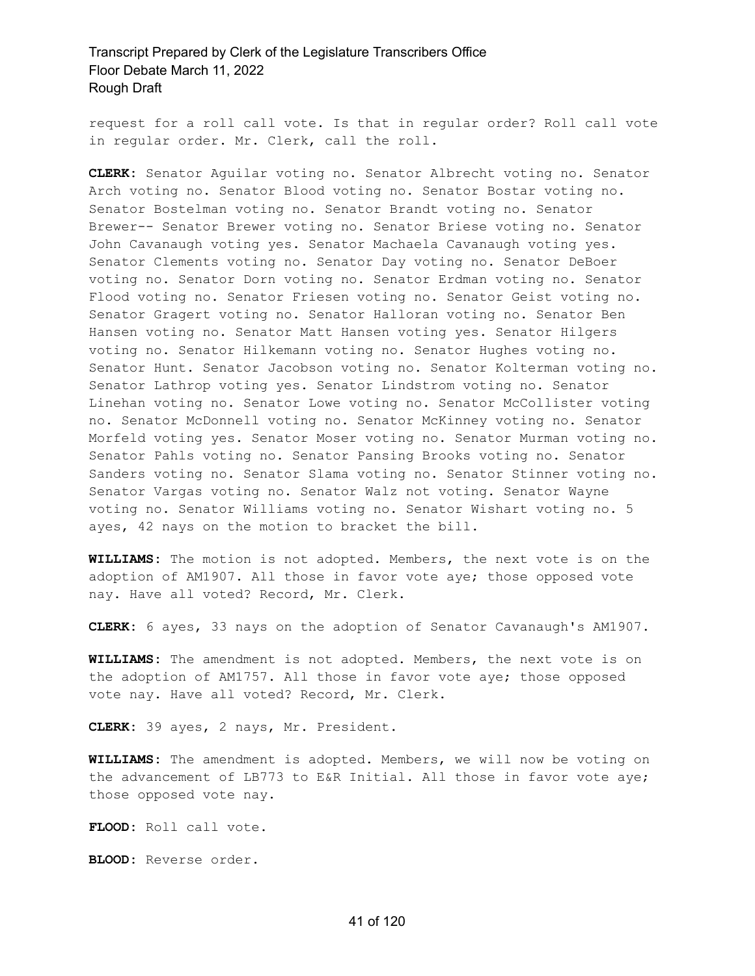request for a roll call vote. Is that in regular order? Roll call vote in regular order. Mr. Clerk, call the roll.

**CLERK:** Senator Aguilar voting no. Senator Albrecht voting no. Senator Arch voting no. Senator Blood voting no. Senator Bostar voting no. Senator Bostelman voting no. Senator Brandt voting no. Senator Brewer-- Senator Brewer voting no. Senator Briese voting no. Senator John Cavanaugh voting yes. Senator Machaela Cavanaugh voting yes. Senator Clements voting no. Senator Day voting no. Senator DeBoer voting no. Senator Dorn voting no. Senator Erdman voting no. Senator Flood voting no. Senator Friesen voting no. Senator Geist voting no. Senator Gragert voting no. Senator Halloran voting no. Senator Ben Hansen voting no. Senator Matt Hansen voting yes. Senator Hilgers voting no. Senator Hilkemann voting no. Senator Hughes voting no. Senator Hunt. Senator Jacobson voting no. Senator Kolterman voting no. Senator Lathrop voting yes. Senator Lindstrom voting no. Senator Linehan voting no. Senator Lowe voting no. Senator McCollister voting no. Senator McDonnell voting no. Senator McKinney voting no. Senator Morfeld voting yes. Senator Moser voting no. Senator Murman voting no. Senator Pahls voting no. Senator Pansing Brooks voting no. Senator Sanders voting no. Senator Slama voting no. Senator Stinner voting no. Senator Vargas voting no. Senator Walz not voting. Senator Wayne voting no. Senator Williams voting no. Senator Wishart voting no. 5 ayes, 42 nays on the motion to bracket the bill.

**WILLIAMS:** The motion is not adopted. Members, the next vote is on the adoption of AM1907. All those in favor vote aye; those opposed vote nay. Have all voted? Record, Mr. Clerk.

**CLERK:** 6 ayes, 33 nays on the adoption of Senator Cavanaugh's AM1907.

**WILLIAMS:** The amendment is not adopted. Members, the next vote is on the adoption of AM1757. All those in favor vote aye; those opposed vote nay. Have all voted? Record, Mr. Clerk.

**CLERK:** 39 ayes, 2 nays, Mr. President.

**WILLIAMS:** The amendment is adopted. Members, we will now be voting on the advancement of LB773 to E&R Initial. All those in favor vote aye; those opposed vote nay.

**FLOOD:** Roll call vote.

**BLOOD:** Reverse order.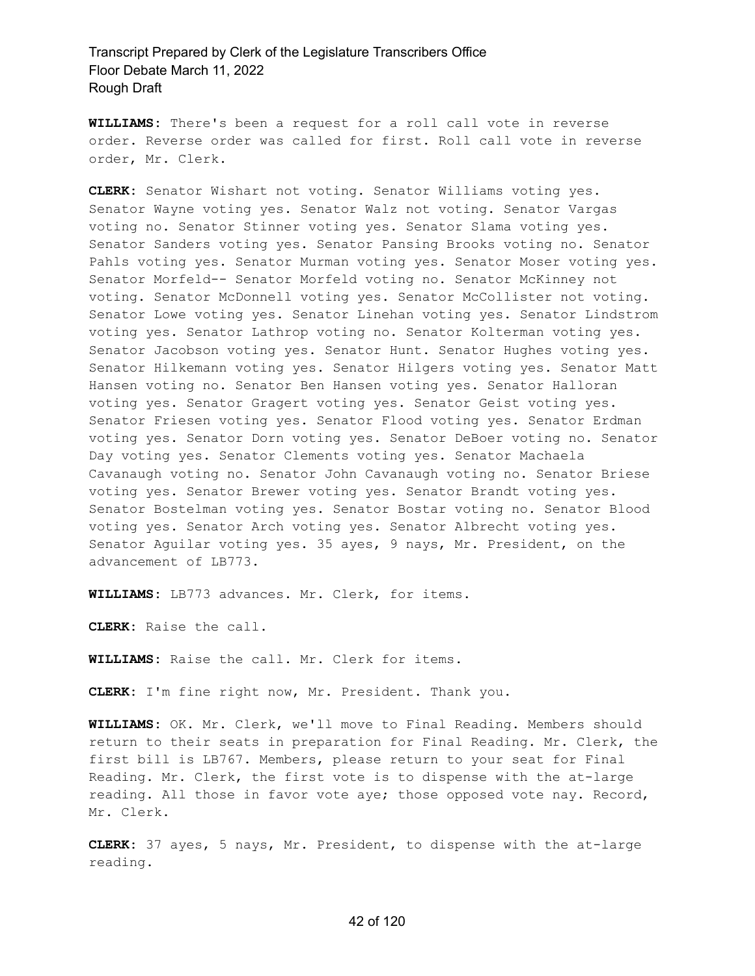**WILLIAMS:** There's been a request for a roll call vote in reverse order. Reverse order was called for first. Roll call vote in reverse order, Mr. Clerk.

**CLERK:** Senator Wishart not voting. Senator Williams voting yes. Senator Wayne voting yes. Senator Walz not voting. Senator Vargas voting no. Senator Stinner voting yes. Senator Slama voting yes. Senator Sanders voting yes. Senator Pansing Brooks voting no. Senator Pahls voting yes. Senator Murman voting yes. Senator Moser voting yes. Senator Morfeld-- Senator Morfeld voting no. Senator McKinney not voting. Senator McDonnell voting yes. Senator McCollister not voting. Senator Lowe voting yes. Senator Linehan voting yes. Senator Lindstrom voting yes. Senator Lathrop voting no. Senator Kolterman voting yes. Senator Jacobson voting yes. Senator Hunt. Senator Hughes voting yes. Senator Hilkemann voting yes. Senator Hilgers voting yes. Senator Matt Hansen voting no. Senator Ben Hansen voting yes. Senator Halloran voting yes. Senator Gragert voting yes. Senator Geist voting yes. Senator Friesen voting yes. Senator Flood voting yes. Senator Erdman voting yes. Senator Dorn voting yes. Senator DeBoer voting no. Senator Day voting yes. Senator Clements voting yes. Senator Machaela Cavanaugh voting no. Senator John Cavanaugh voting no. Senator Briese voting yes. Senator Brewer voting yes. Senator Brandt voting yes. Senator Bostelman voting yes. Senator Bostar voting no. Senator Blood voting yes. Senator Arch voting yes. Senator Albrecht voting yes. Senator Aguilar voting yes. 35 ayes, 9 nays, Mr. President, on the advancement of LB773.

**WILLIAMS:** LB773 advances. Mr. Clerk, for items.

**CLERK:** Raise the call.

**WILLIAMS:** Raise the call. Mr. Clerk for items.

**CLERK:** I'm fine right now, Mr. President. Thank you.

**WILLIAMS:** OK. Mr. Clerk, we'll move to Final Reading. Members should return to their seats in preparation for Final Reading. Mr. Clerk, the first bill is LB767. Members, please return to your seat for Final Reading. Mr. Clerk, the first vote is to dispense with the at-large reading. All those in favor vote aye; those opposed vote nay. Record, Mr. Clerk.

**CLERK:** 37 ayes, 5 nays, Mr. President, to dispense with the at-large reading.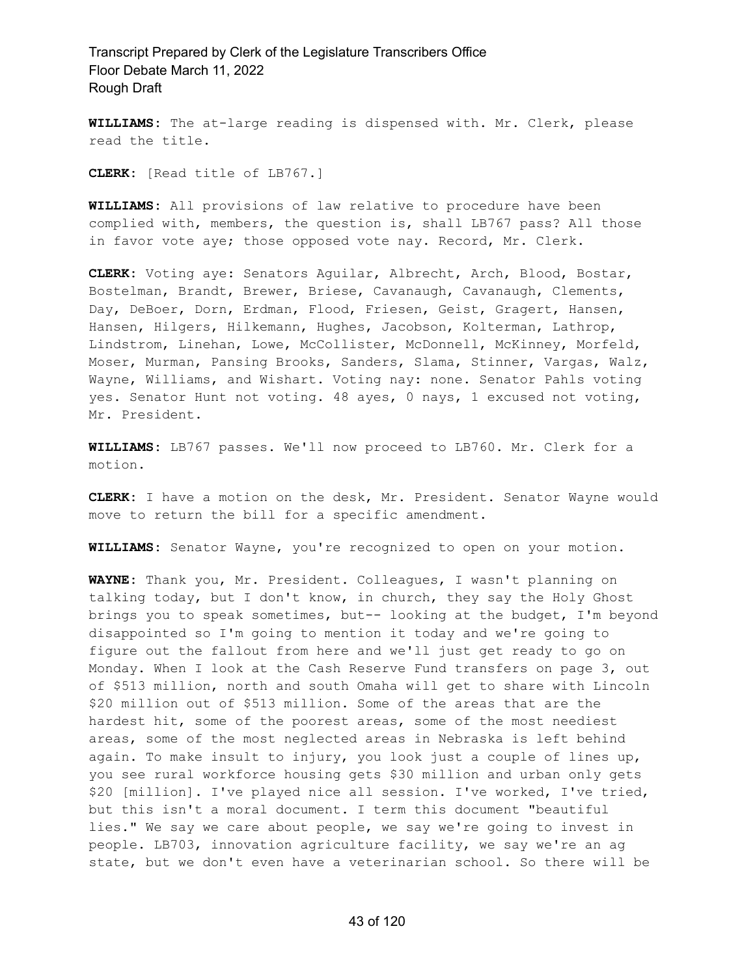**WILLIAMS:** The at-large reading is dispensed with. Mr. Clerk, please read the title.

**CLERK:** [Read title of LB767.]

**WILLIAMS:** All provisions of law relative to procedure have been complied with, members, the question is, shall LB767 pass? All those in favor vote aye; those opposed vote nay. Record, Mr. Clerk.

**CLERK:** Voting aye: Senators Aguilar, Albrecht, Arch, Blood, Bostar, Bostelman, Brandt, Brewer, Briese, Cavanaugh, Cavanaugh, Clements, Day, DeBoer, Dorn, Erdman, Flood, Friesen, Geist, Gragert, Hansen, Hansen, Hilgers, Hilkemann, Hughes, Jacobson, Kolterman, Lathrop, Lindstrom, Linehan, Lowe, McCollister, McDonnell, McKinney, Morfeld, Moser, Murman, Pansing Brooks, Sanders, Slama, Stinner, Vargas, Walz, Wayne, Williams, and Wishart. Voting nay: none. Senator Pahls voting yes. Senator Hunt not voting. 48 ayes, 0 nays, 1 excused not voting, Mr. President.

**WILLIAMS:** LB767 passes. We'll now proceed to LB760. Mr. Clerk for a motion.

**CLERK:** I have a motion on the desk, Mr. President. Senator Wayne would move to return the bill for a specific amendment.

**WILLIAMS:** Senator Wayne, you're recognized to open on your motion.

**WAYNE:** Thank you, Mr. President. Colleagues, I wasn't planning on talking today, but I don't know, in church, they say the Holy Ghost brings you to speak sometimes, but-- looking at the budget, I'm beyond disappointed so I'm going to mention it today and we're going to figure out the fallout from here and we'll just get ready to go on Monday. When I look at the Cash Reserve Fund transfers on page 3, out of \$513 million, north and south Omaha will get to share with Lincoln \$20 million out of \$513 million. Some of the areas that are the hardest hit, some of the poorest areas, some of the most neediest areas, some of the most neglected areas in Nebraska is left behind again. To make insult to injury, you look just a couple of lines up, you see rural workforce housing gets \$30 million and urban only gets \$20 [million]. I've played nice all session. I've worked, I've tried, but this isn't a moral document. I term this document "beautiful lies." We say we care about people, we say we're going to invest in people. LB703, innovation agriculture facility, we say we're an ag state, but we don't even have a veterinarian school. So there will be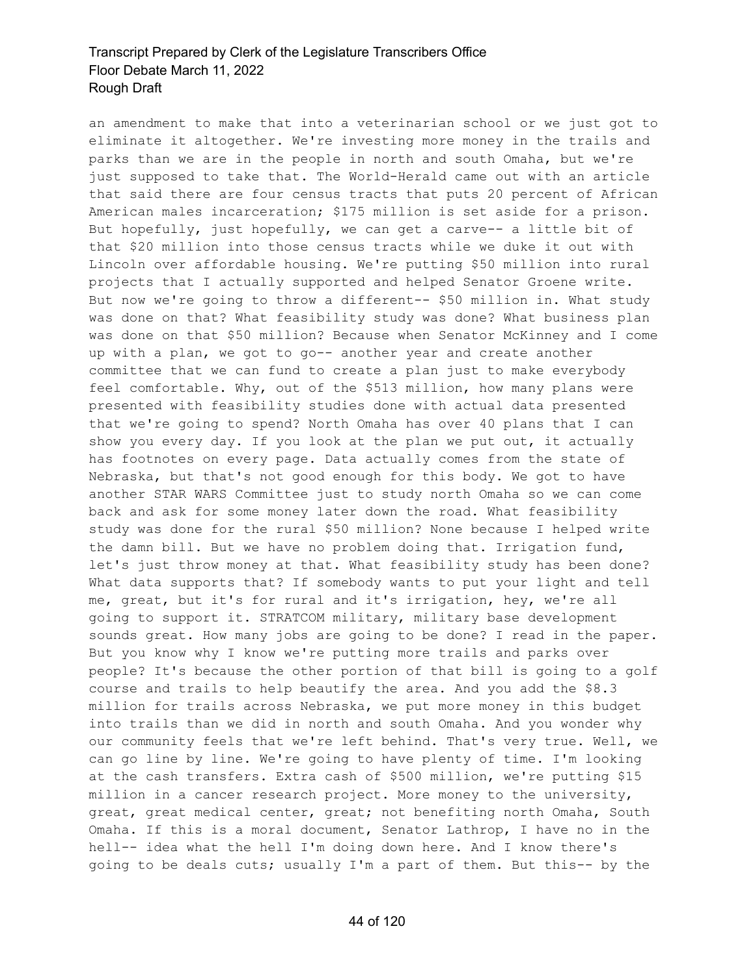an amendment to make that into a veterinarian school or we just got to eliminate it altogether. We're investing more money in the trails and parks than we are in the people in north and south Omaha, but we're just supposed to take that. The World-Herald came out with an article that said there are four census tracts that puts 20 percent of African American males incarceration; \$175 million is set aside for a prison. But hopefully, just hopefully, we can get a carve-- a little bit of that \$20 million into those census tracts while we duke it out with Lincoln over affordable housing. We're putting \$50 million into rural projects that I actually supported and helped Senator Groene write. But now we're going to throw a different-- \$50 million in. What study was done on that? What feasibility study was done? What business plan was done on that \$50 million? Because when Senator McKinney and I come up with a plan, we got to go-- another year and create another committee that we can fund to create a plan just to make everybody feel comfortable. Why, out of the \$513 million, how many plans were presented with feasibility studies done with actual data presented that we're going to spend? North Omaha has over 40 plans that I can show you every day. If you look at the plan we put out, it actually has footnotes on every page. Data actually comes from the state of Nebraska, but that's not good enough for this body. We got to have another STAR WARS Committee just to study north Omaha so we can come back and ask for some money later down the road. What feasibility study was done for the rural \$50 million? None because I helped write the damn bill. But we have no problem doing that. Irrigation fund, let's just throw money at that. What feasibility study has been done? What data supports that? If somebody wants to put your light and tell me, great, but it's for rural and it's irrigation, hey, we're all going to support it. STRATCOM military, military base development sounds great. How many jobs are going to be done? I read in the paper. But you know why I know we're putting more trails and parks over people? It's because the other portion of that bill is going to a golf course and trails to help beautify the area. And you add the \$8.3 million for trails across Nebraska, we put more money in this budget into trails than we did in north and south Omaha. And you wonder why our community feels that we're left behind. That's very true. Well, we can go line by line. We're going to have plenty of time. I'm looking at the cash transfers. Extra cash of \$500 million, we're putting \$15 million in a cancer research project. More money to the university, great, great medical center, great; not benefiting north Omaha, South Omaha. If this is a moral document, Senator Lathrop, I have no in the hell-- idea what the hell I'm doing down here. And I know there's going to be deals cuts; usually I'm a part of them. But this-- by the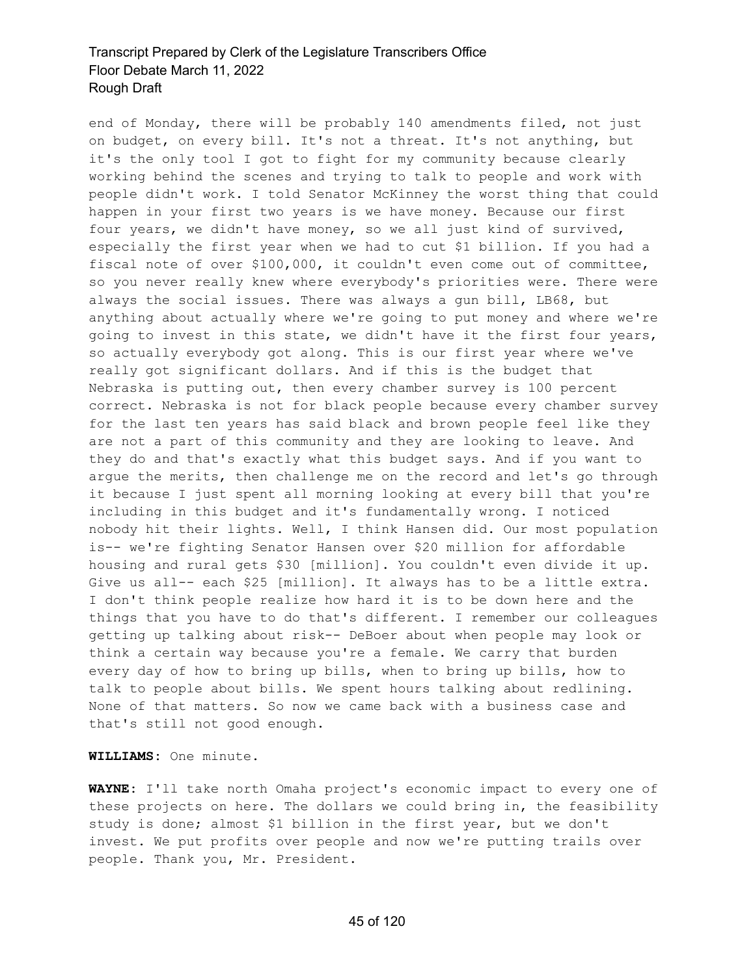end of Monday, there will be probably 140 amendments filed, not just on budget, on every bill. It's not a threat. It's not anything, but it's the only tool I got to fight for my community because clearly working behind the scenes and trying to talk to people and work with people didn't work. I told Senator McKinney the worst thing that could happen in your first two years is we have money. Because our first four years, we didn't have money, so we all just kind of survived, especially the first year when we had to cut \$1 billion. If you had a fiscal note of over \$100,000, it couldn't even come out of committee, so you never really knew where everybody's priorities were. There were always the social issues. There was always a gun bill, LB68, but anything about actually where we're going to put money and where we're going to invest in this state, we didn't have it the first four years, so actually everybody got along. This is our first year where we've really got significant dollars. And if this is the budget that Nebraska is putting out, then every chamber survey is 100 percent correct. Nebraska is not for black people because every chamber survey for the last ten years has said black and brown people feel like they are not a part of this community and they are looking to leave. And they do and that's exactly what this budget says. And if you want to argue the merits, then challenge me on the record and let's go through it because I just spent all morning looking at every bill that you're including in this budget and it's fundamentally wrong. I noticed nobody hit their lights. Well, I think Hansen did. Our most population is-- we're fighting Senator Hansen over \$20 million for affordable housing and rural gets \$30 [million]. You couldn't even divide it up. Give us all-- each \$25 [million]. It always has to be a little extra. I don't think people realize how hard it is to be down here and the things that you have to do that's different. I remember our colleagues getting up talking about risk-- DeBoer about when people may look or think a certain way because you're a female. We carry that burden every day of how to bring up bills, when to bring up bills, how to talk to people about bills. We spent hours talking about redlining. None of that matters. So now we came back with a business case and that's still not good enough.

**WILLIAMS:** One minute.

**WAYNE:** I'll take north Omaha project's economic impact to every one of these projects on here. The dollars we could bring in, the feasibility study is done; almost \$1 billion in the first year, but we don't invest. We put profits over people and now we're putting trails over people. Thank you, Mr. President.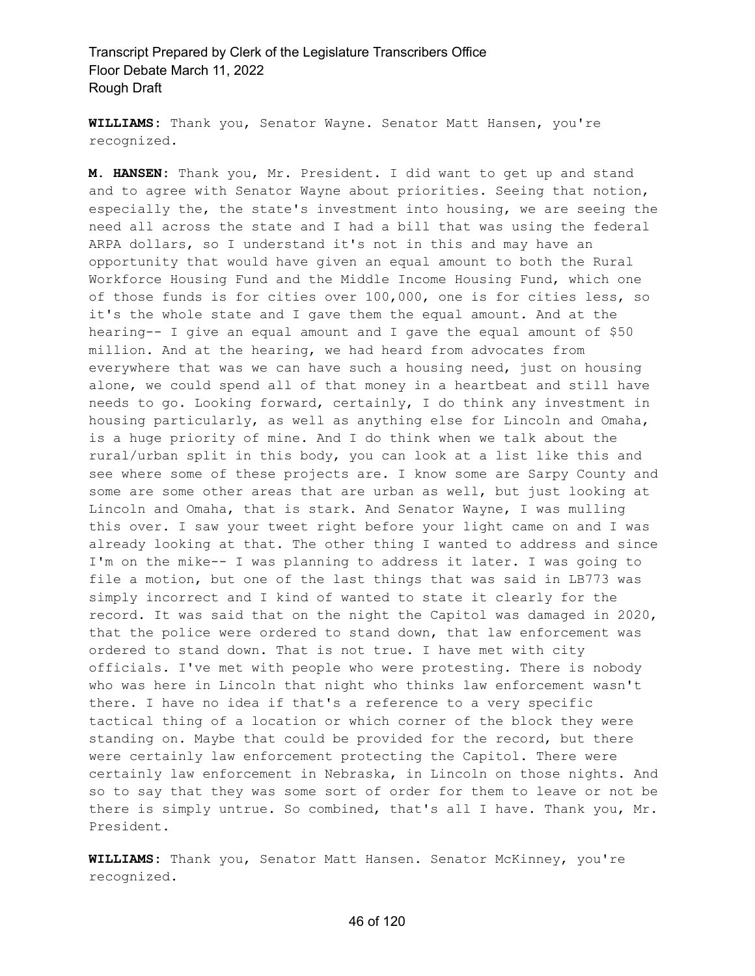**WILLIAMS:** Thank you, Senator Wayne. Senator Matt Hansen, you're recognized.

**M. HANSEN:** Thank you, Mr. President. I did want to get up and stand and to agree with Senator Wayne about priorities. Seeing that notion, especially the, the state's investment into housing, we are seeing the need all across the state and I had a bill that was using the federal ARPA dollars, so I understand it's not in this and may have an opportunity that would have given an equal amount to both the Rural Workforce Housing Fund and the Middle Income Housing Fund, which one of those funds is for cities over 100,000, one is for cities less, so it's the whole state and I gave them the equal amount. And at the hearing-- I give an equal amount and I gave the equal amount of \$50 million. And at the hearing, we had heard from advocates from everywhere that was we can have such a housing need, just on housing alone, we could spend all of that money in a heartbeat and still have needs to go. Looking forward, certainly, I do think any investment in housing particularly, as well as anything else for Lincoln and Omaha, is a huge priority of mine. And I do think when we talk about the rural/urban split in this body, you can look at a list like this and see where some of these projects are. I know some are Sarpy County and some are some other areas that are urban as well, but just looking at Lincoln and Omaha, that is stark. And Senator Wayne, I was mulling this over. I saw your tweet right before your light came on and I was already looking at that. The other thing I wanted to address and since I'm on the mike-- I was planning to address it later. I was going to file a motion, but one of the last things that was said in LB773 was simply incorrect and I kind of wanted to state it clearly for the record. It was said that on the night the Capitol was damaged in 2020, that the police were ordered to stand down, that law enforcement was ordered to stand down. That is not true. I have met with city officials. I've met with people who were protesting. There is nobody who was here in Lincoln that night who thinks law enforcement wasn't there. I have no idea if that's a reference to a very specific tactical thing of a location or which corner of the block they were standing on. Maybe that could be provided for the record, but there were certainly law enforcement protecting the Capitol. There were certainly law enforcement in Nebraska, in Lincoln on those nights. And so to say that they was some sort of order for them to leave or not be there is simply untrue. So combined, that's all I have. Thank you, Mr. President.

**WILLIAMS:** Thank you, Senator Matt Hansen. Senator McKinney, you're recognized.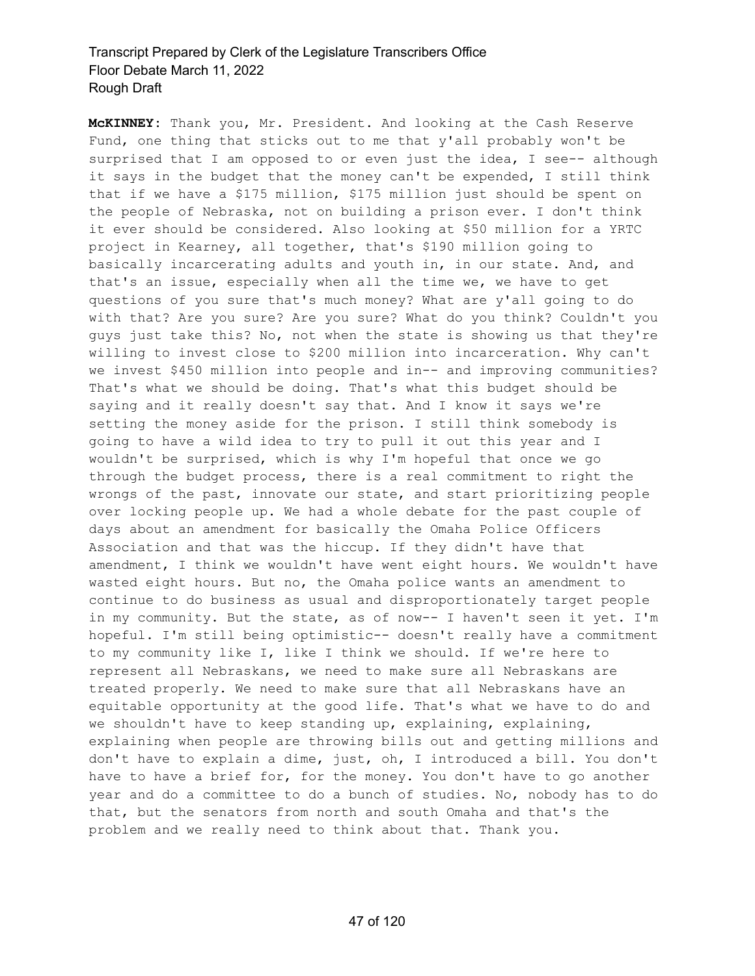**McKINNEY:** Thank you, Mr. President. And looking at the Cash Reserve Fund, one thing that sticks out to me that y'all probably won't be surprised that I am opposed to or even just the idea, I see-- although it says in the budget that the money can't be expended, I still think that if we have a \$175 million, \$175 million just should be spent on the people of Nebraska, not on building a prison ever. I don't think it ever should be considered. Also looking at \$50 million for a YRTC project in Kearney, all together, that's \$190 million going to basically incarcerating adults and youth in, in our state. And, and that's an issue, especially when all the time we, we have to get questions of you sure that's much money? What are y'all going to do with that? Are you sure? Are you sure? What do you think? Couldn't you guys just take this? No, not when the state is showing us that they're willing to invest close to \$200 million into incarceration. Why can't we invest \$450 million into people and in-- and improving communities? That's what we should be doing. That's what this budget should be saying and it really doesn't say that. And I know it says we're setting the money aside for the prison. I still think somebody is going to have a wild idea to try to pull it out this year and I wouldn't be surprised, which is why I'm hopeful that once we go through the budget process, there is a real commitment to right the wrongs of the past, innovate our state, and start prioritizing people over locking people up. We had a whole debate for the past couple of days about an amendment for basically the Omaha Police Officers Association and that was the hiccup. If they didn't have that amendment, I think we wouldn't have went eight hours. We wouldn't have wasted eight hours. But no, the Omaha police wants an amendment to continue to do business as usual and disproportionately target people in my community. But the state, as of now-- I haven't seen it yet. I'm hopeful. I'm still being optimistic-- doesn't really have a commitment to my community like I, like I think we should. If we're here to represent all Nebraskans, we need to make sure all Nebraskans are treated properly. We need to make sure that all Nebraskans have an equitable opportunity at the good life. That's what we have to do and we shouldn't have to keep standing up, explaining, explaining, explaining when people are throwing bills out and getting millions and don't have to explain a dime, just, oh, I introduced a bill. You don't have to have a brief for, for the money. You don't have to go another year and do a committee to do a bunch of studies. No, nobody has to do that, but the senators from north and south Omaha and that's the problem and we really need to think about that. Thank you.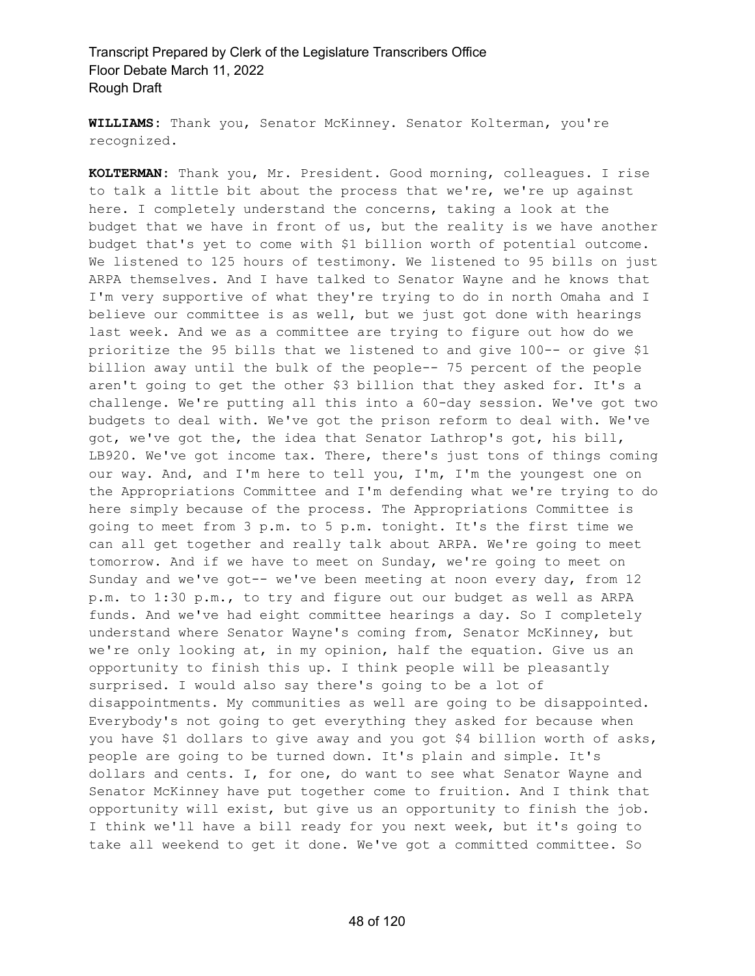**WILLIAMS:** Thank you, Senator McKinney. Senator Kolterman, you're recognized.

**KOLTERMAN:** Thank you, Mr. President. Good morning, colleagues. I rise to talk a little bit about the process that we're, we're up against here. I completely understand the concerns, taking a look at the budget that we have in front of us, but the reality is we have another budget that's yet to come with \$1 billion worth of potential outcome. We listened to 125 hours of testimony. We listened to 95 bills on just ARPA themselves. And I have talked to Senator Wayne and he knows that I'm very supportive of what they're trying to do in north Omaha and I believe our committee is as well, but we just got done with hearings last week. And we as a committee are trying to figure out how do we prioritize the 95 bills that we listened to and give 100-- or give \$1 billion away until the bulk of the people-- 75 percent of the people aren't going to get the other \$3 billion that they asked for. It's a challenge. We're putting all this into a 60-day session. We've got two budgets to deal with. We've got the prison reform to deal with. We've got, we've got the, the idea that Senator Lathrop's got, his bill, LB920. We've got income tax. There, there's just tons of things coming our way. And, and I'm here to tell you, I'm, I'm the youngest one on the Appropriations Committee and I'm defending what we're trying to do here simply because of the process. The Appropriations Committee is going to meet from 3 p.m. to 5 p.m. tonight. It's the first time we can all get together and really talk about ARPA. We're going to meet tomorrow. And if we have to meet on Sunday, we're going to meet on Sunday and we've got-- we've been meeting at noon every day, from 12 p.m. to 1:30 p.m., to try and figure out our budget as well as ARPA funds. And we've had eight committee hearings a day. So I completely understand where Senator Wayne's coming from, Senator McKinney, but we're only looking at, in my opinion, half the equation. Give us an opportunity to finish this up. I think people will be pleasantly surprised. I would also say there's going to be a lot of disappointments. My communities as well are going to be disappointed. Everybody's not going to get everything they asked for because when you have \$1 dollars to give away and you got \$4 billion worth of asks, people are going to be turned down. It's plain and simple. It's dollars and cents. I, for one, do want to see what Senator Wayne and Senator McKinney have put together come to fruition. And I think that opportunity will exist, but give us an opportunity to finish the job. I think we'll have a bill ready for you next week, but it's going to take all weekend to get it done. We've got a committed committee. So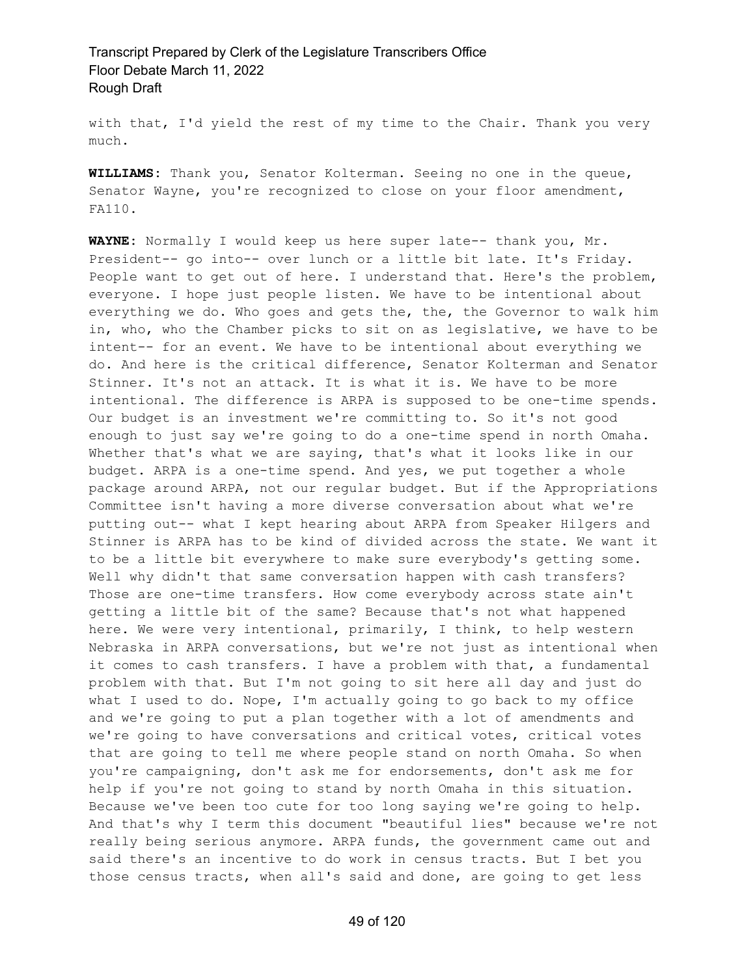with that, I'd yield the rest of my time to the Chair. Thank you very much.

**WILLIAMS:** Thank you, Senator Kolterman. Seeing no one in the queue, Senator Wayne, you're recognized to close on your floor amendment, FA110.

**WAYNE:** Normally I would keep us here super late-- thank you, Mr. President-- go into-- over lunch or a little bit late. It's Friday. People want to get out of here. I understand that. Here's the problem, everyone. I hope just people listen. We have to be intentional about everything we do. Who goes and gets the, the, the Governor to walk him in, who, who the Chamber picks to sit on as legislative, we have to be intent-- for an event. We have to be intentional about everything we do. And here is the critical difference, Senator Kolterman and Senator Stinner. It's not an attack. It is what it is. We have to be more intentional. The difference is ARPA is supposed to be one-time spends. Our budget is an investment we're committing to. So it's not good enough to just say we're going to do a one-time spend in north Omaha. Whether that's what we are saying, that's what it looks like in our budget. ARPA is a one-time spend. And yes, we put together a whole package around ARPA, not our regular budget. But if the Appropriations Committee isn't having a more diverse conversation about what we're putting out-- what I kept hearing about ARPA from Speaker Hilgers and Stinner is ARPA has to be kind of divided across the state. We want it to be a little bit everywhere to make sure everybody's getting some. Well why didn't that same conversation happen with cash transfers? Those are one-time transfers. How come everybody across state ain't getting a little bit of the same? Because that's not what happened here. We were very intentional, primarily, I think, to help western Nebraska in ARPA conversations, but we're not just as intentional when it comes to cash transfers. I have a problem with that, a fundamental problem with that. But I'm not going to sit here all day and just do what I used to do. Nope, I'm actually going to go back to my office and we're going to put a plan together with a lot of amendments and we're going to have conversations and critical votes, critical votes that are going to tell me where people stand on north Omaha. So when you're campaigning, don't ask me for endorsements, don't ask me for help if you're not going to stand by north Omaha in this situation. Because we've been too cute for too long saying we're going to help. And that's why I term this document "beautiful lies" because we're not really being serious anymore. ARPA funds, the government came out and said there's an incentive to do work in census tracts. But I bet you those census tracts, when all's said and done, are going to get less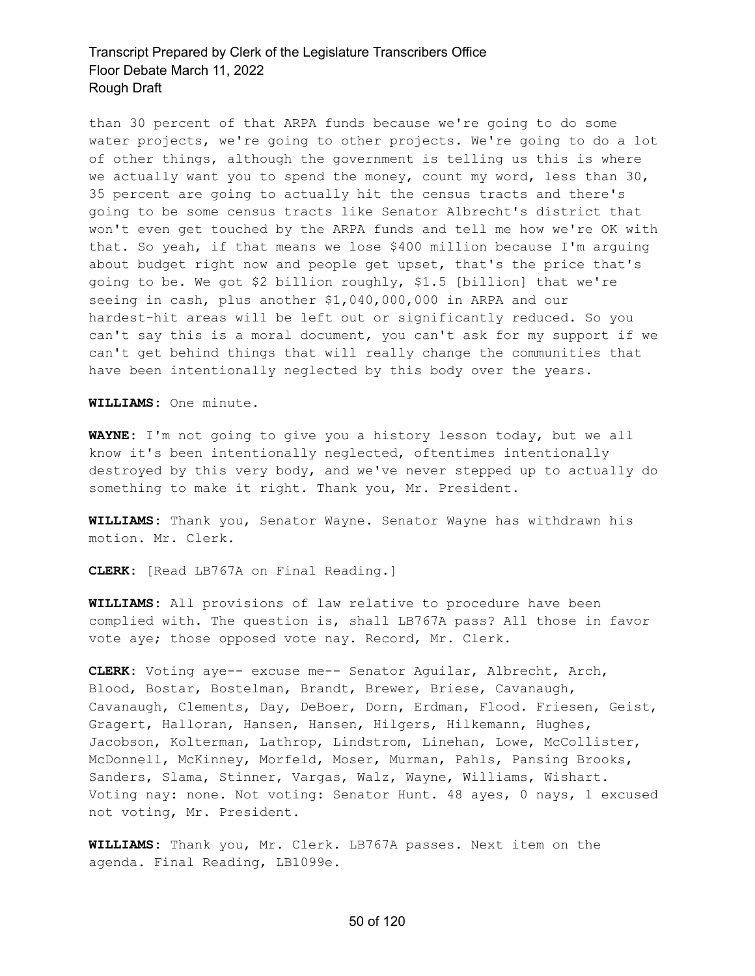than 30 percent of that ARPA funds because we're going to do some water projects, we're going to other projects. We're going to do a lot of other things, although the government is telling us this is where we actually want you to spend the money, count my word, less than 30, 35 percent are going to actually hit the census tracts and there's going to be some census tracts like Senator Albrecht's district that won't even get touched by the ARPA funds and tell me how we're OK with that. So yeah, if that means we lose \$400 million because I'm arguing about budget right now and people get upset, that's the price that's going to be. We got \$2 billion roughly, \$1.5 [billion] that we're seeing in cash, plus another \$1,040,000,000 in ARPA and our hardest-hit areas will be left out or significantly reduced. So you can't say this is a moral document, you can't ask for my support if we can't get behind things that will really change the communities that have been intentionally neglected by this body over the years.

**WILLIAMS:** One minute.

**WAYNE:** I'm not going to give you a history lesson today, but we all know it's been intentionally neglected, oftentimes intentionally destroyed by this very body, and we've never stepped up to actually do something to make it right. Thank you, Mr. President.

**WILLIAMS:** Thank you, Senator Wayne. Senator Wayne has withdrawn his motion. Mr. Clerk.

**CLERK:** [Read LB767A on Final Reading.]

**WILLIAMS:** All provisions of law relative to procedure have been complied with. The question is, shall LB767A pass? All those in favor vote aye; those opposed vote nay. Record, Mr. Clerk.

**CLERK:** Voting aye-- excuse me-- Senator Aguilar, Albrecht, Arch, Blood, Bostar, Bostelman, Brandt, Brewer, Briese, Cavanaugh, Cavanaugh, Clements, Day, DeBoer, Dorn, Erdman, Flood. Friesen, Geist, Gragert, Halloran, Hansen, Hansen, Hilgers, Hilkemann, Hughes, Jacobson, Kolterman, Lathrop, Lindstrom, Linehan, Lowe, McCollister, McDonnell, McKinney, Morfeld, Moser, Murman, Pahls, Pansing Brooks, Sanders, Slama, Stinner, Vargas, Walz, Wayne, Williams, Wishart. Voting nay: none. Not voting: Senator Hunt. 48 ayes, 0 nays, 1 excused not voting, Mr. President.

**WILLIAMS:** Thank you, Mr. Clerk. LB767A passes. Next item on the agenda. Final Reading, LB1099e.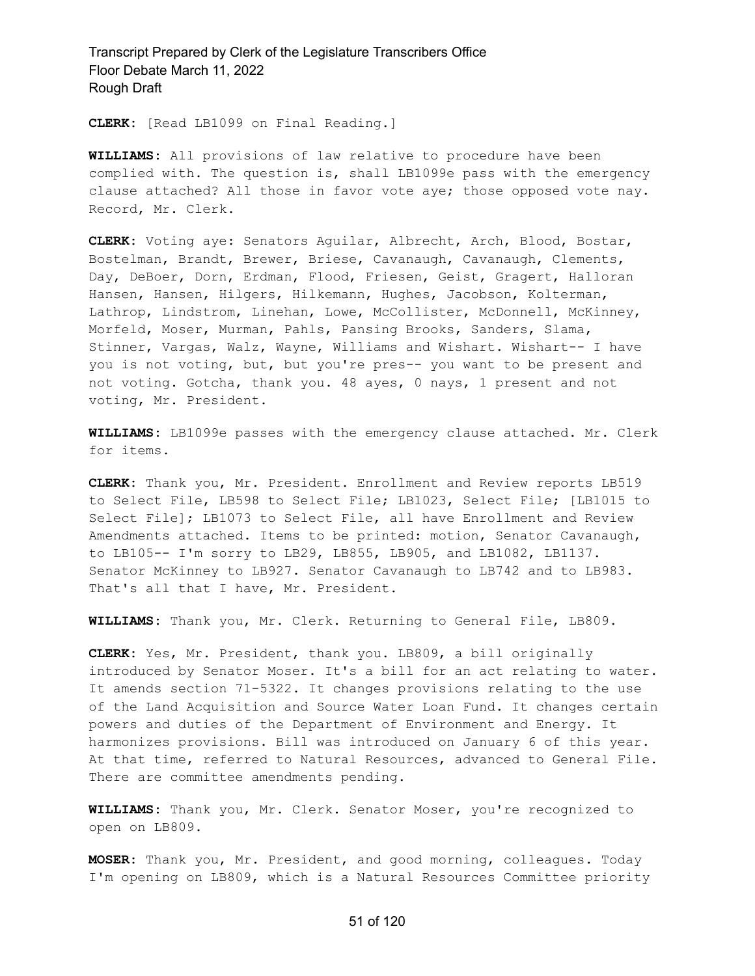**CLERK:** [Read LB1099 on Final Reading.]

**WILLIAMS:** All provisions of law relative to procedure have been complied with. The question is, shall LB1099e pass with the emergency clause attached? All those in favor vote aye; those opposed vote nay. Record, Mr. Clerk.

**CLERK:** Voting aye: Senators Aguilar, Albrecht, Arch, Blood, Bostar, Bostelman, Brandt, Brewer, Briese, Cavanaugh, Cavanaugh, Clements, Day, DeBoer, Dorn, Erdman, Flood, Friesen, Geist, Gragert, Halloran Hansen, Hansen, Hilgers, Hilkemann, Hughes, Jacobson, Kolterman, Lathrop, Lindstrom, Linehan, Lowe, McCollister, McDonnell, McKinney, Morfeld, Moser, Murman, Pahls, Pansing Brooks, Sanders, Slama, Stinner, Vargas, Walz, Wayne, Williams and Wishart. Wishart-- I have you is not voting, but, but you're pres-- you want to be present and not voting. Gotcha, thank you. 48 ayes, 0 nays, 1 present and not voting, Mr. President.

**WILLIAMS:** LB1099e passes with the emergency clause attached. Mr. Clerk for items.

**CLERK:** Thank you, Mr. President. Enrollment and Review reports LB519 to Select File, LB598 to Select File; LB1023, Select File; [LB1015 to Select File]; LB1073 to Select File, all have Enrollment and Review Amendments attached. Items to be printed: motion, Senator Cavanaugh, to LB105-- I'm sorry to LB29, LB855, LB905, and LB1082, LB1137. Senator McKinney to LB927. Senator Cavanaugh to LB742 and to LB983. That's all that I have, Mr. President.

**WILLIAMS:** Thank you, Mr. Clerk. Returning to General File, LB809.

**CLERK:** Yes, Mr. President, thank you. LB809, a bill originally introduced by Senator Moser. It's a bill for an act relating to water. It amends section 71-5322. It changes provisions relating to the use of the Land Acquisition and Source Water Loan Fund. It changes certain powers and duties of the Department of Environment and Energy. It harmonizes provisions. Bill was introduced on January 6 of this year. At that time, referred to Natural Resources, advanced to General File. There are committee amendments pending.

**WILLIAMS:** Thank you, Mr. Clerk. Senator Moser, you're recognized to open on LB809.

**MOSER:** Thank you, Mr. President, and good morning, colleagues. Today I'm opening on LB809, which is a Natural Resources Committee priority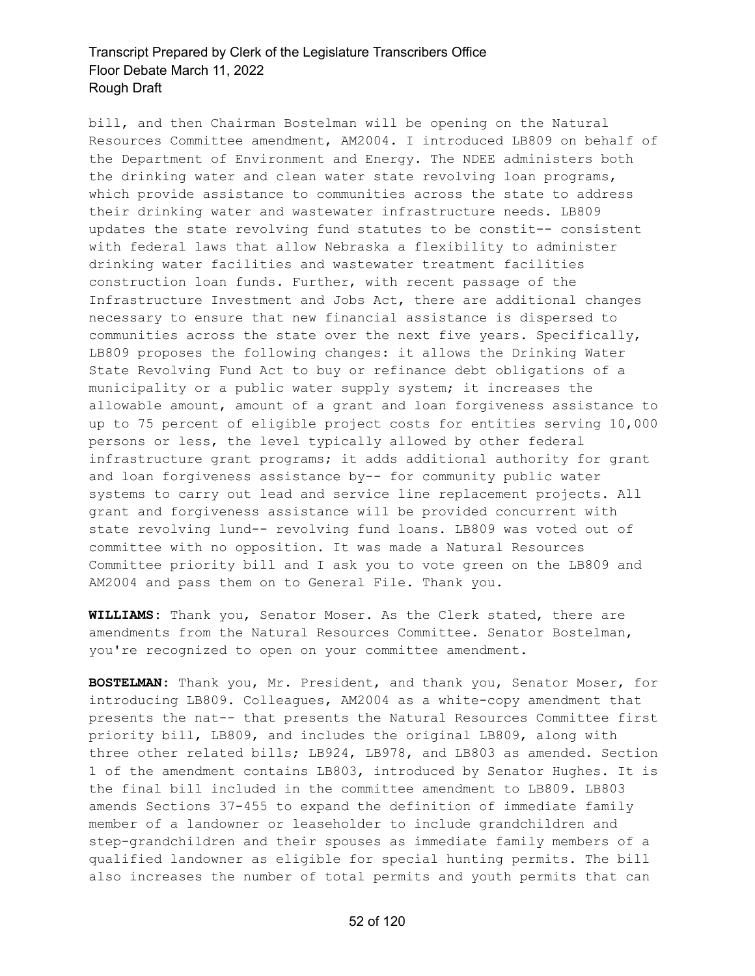bill, and then Chairman Bostelman will be opening on the Natural Resources Committee amendment, AM2004. I introduced LB809 on behalf of the Department of Environment and Energy. The NDEE administers both the drinking water and clean water state revolving loan programs, which provide assistance to communities across the state to address their drinking water and wastewater infrastructure needs. LB809 updates the state revolving fund statutes to be constit-- consistent with federal laws that allow Nebraska a flexibility to administer drinking water facilities and wastewater treatment facilities construction loan funds. Further, with recent passage of the Infrastructure Investment and Jobs Act, there are additional changes necessary to ensure that new financial assistance is dispersed to communities across the state over the next five years. Specifically, LB809 proposes the following changes: it allows the Drinking Water State Revolving Fund Act to buy or refinance debt obligations of a municipality or a public water supply system; it increases the allowable amount, amount of a grant and loan forgiveness assistance to up to 75 percent of eligible project costs for entities serving 10,000 persons or less, the level typically allowed by other federal infrastructure grant programs; it adds additional authority for grant and loan forgiveness assistance by-- for community public water systems to carry out lead and service line replacement projects. All grant and forgiveness assistance will be provided concurrent with state revolving lund-- revolving fund loans. LB809 was voted out of committee with no opposition. It was made a Natural Resources Committee priority bill and I ask you to vote green on the LB809 and AM2004 and pass them on to General File. Thank you.

**WILLIAMS:** Thank you, Senator Moser. As the Clerk stated, there are amendments from the Natural Resources Committee. Senator Bostelman, you're recognized to open on your committee amendment.

**BOSTELMAN:** Thank you, Mr. President, and thank you, Senator Moser, for introducing LB809. Colleagues, AM2004 as a white-copy amendment that presents the nat-- that presents the Natural Resources Committee first priority bill, LB809, and includes the original LB809, along with three other related bills; LB924, LB978, and LB803 as amended. Section 1 of the amendment contains LB803, introduced by Senator Hughes. It is the final bill included in the committee amendment to LB809. LB803 amends Sections 37-455 to expand the definition of immediate family member of a landowner or leaseholder to include grandchildren and step-grandchildren and their spouses as immediate family members of a qualified landowner as eligible for special hunting permits. The bill also increases the number of total permits and youth permits that can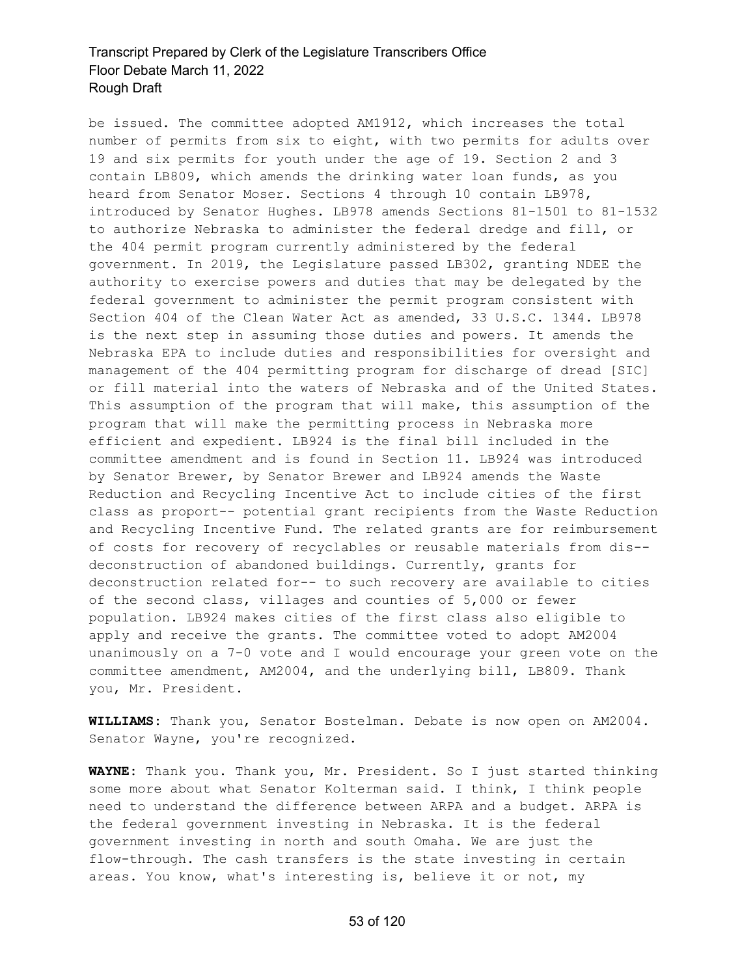be issued. The committee adopted AM1912, which increases the total number of permits from six to eight, with two permits for adults over 19 and six permits for youth under the age of 19. Section 2 and 3 contain LB809, which amends the drinking water loan funds, as you heard from Senator Moser. Sections 4 through 10 contain LB978, introduced by Senator Hughes. LB978 amends Sections 81-1501 to 81-1532 to authorize Nebraska to administer the federal dredge and fill, or the 404 permit program currently administered by the federal government. In 2019, the Legislature passed LB302, granting NDEE the authority to exercise powers and duties that may be delegated by the federal government to administer the permit program consistent with Section 404 of the Clean Water Act as amended, 33 U.S.C. 1344. LB978 is the next step in assuming those duties and powers. It amends the Nebraska EPA to include duties and responsibilities for oversight and management of the 404 permitting program for discharge of dread [SIC] or fill material into the waters of Nebraska and of the United States. This assumption of the program that will make, this assumption of the program that will make the permitting process in Nebraska more efficient and expedient. LB924 is the final bill included in the committee amendment and is found in Section 11. LB924 was introduced by Senator Brewer, by Senator Brewer and LB924 amends the Waste Reduction and Recycling Incentive Act to include cities of the first class as proport-- potential grant recipients from the Waste Reduction and Recycling Incentive Fund. The related grants are for reimbursement of costs for recovery of recyclables or reusable materials from dis- deconstruction of abandoned buildings. Currently, grants for deconstruction related for-- to such recovery are available to cities of the second class, villages and counties of 5,000 or fewer population. LB924 makes cities of the first class also eligible to apply and receive the grants. The committee voted to adopt AM2004 unanimously on a 7-0 vote and I would encourage your green vote on the committee amendment, AM2004, and the underlying bill, LB809. Thank you, Mr. President.

**WILLIAMS:** Thank you, Senator Bostelman. Debate is now open on AM2004. Senator Wayne, you're recognized.

**WAYNE:** Thank you. Thank you, Mr. President. So I just started thinking some more about what Senator Kolterman said. I think, I think people need to understand the difference between ARPA and a budget. ARPA is the federal government investing in Nebraska. It is the federal government investing in north and south Omaha. We are just the flow-through. The cash transfers is the state investing in certain areas. You know, what's interesting is, believe it or not, my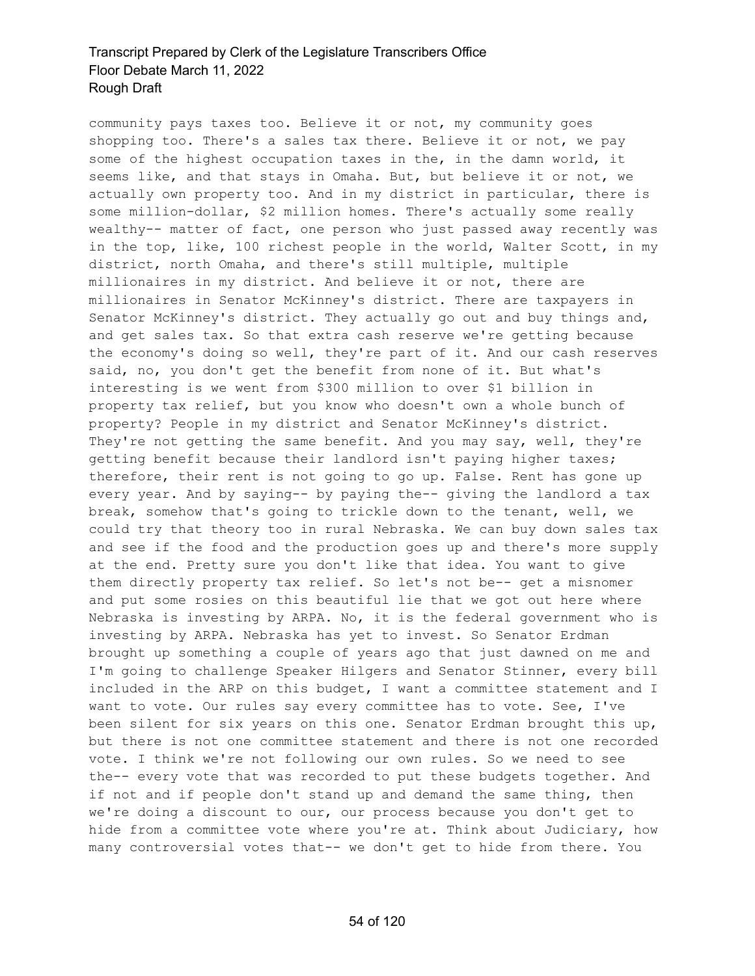community pays taxes too. Believe it or not, my community goes shopping too. There's a sales tax there. Believe it or not, we pay some of the highest occupation taxes in the, in the damn world, it seems like, and that stays in Omaha. But, but believe it or not, we actually own property too. And in my district in particular, there is some million-dollar, \$2 million homes. There's actually some really wealthy-- matter of fact, one person who just passed away recently was in the top, like, 100 richest people in the world, Walter Scott, in my district, north Omaha, and there's still multiple, multiple millionaires in my district. And believe it or not, there are millionaires in Senator McKinney's district. There are taxpayers in Senator McKinney's district. They actually go out and buy things and, and get sales tax. So that extra cash reserve we're getting because the economy's doing so well, they're part of it. And our cash reserves said, no, you don't get the benefit from none of it. But what's interesting is we went from \$300 million to over \$1 billion in property tax relief, but you know who doesn't own a whole bunch of property? People in my district and Senator McKinney's district. They're not getting the same benefit. And you may say, well, they're getting benefit because their landlord isn't paying higher taxes; therefore, their rent is not going to go up. False. Rent has gone up every year. And by saying-- by paying the-- giving the landlord a tax break, somehow that's going to trickle down to the tenant, well, we could try that theory too in rural Nebraska. We can buy down sales tax and see if the food and the production goes up and there's more supply at the end. Pretty sure you don't like that idea. You want to give them directly property tax relief. So let's not be-- get a misnomer and put some rosies on this beautiful lie that we got out here where Nebraska is investing by ARPA. No, it is the federal government who is investing by ARPA. Nebraska has yet to invest. So Senator Erdman brought up something a couple of years ago that just dawned on me and I'm going to challenge Speaker Hilgers and Senator Stinner, every bill included in the ARP on this budget, I want a committee statement and I want to vote. Our rules say every committee has to vote. See, I've been silent for six years on this one. Senator Erdman brought this up, but there is not one committee statement and there is not one recorded vote. I think we're not following our own rules. So we need to see the-- every vote that was recorded to put these budgets together. And if not and if people don't stand up and demand the same thing, then we're doing a discount to our, our process because you don't get to hide from a committee vote where you're at. Think about Judiciary, how many controversial votes that-- we don't get to hide from there. You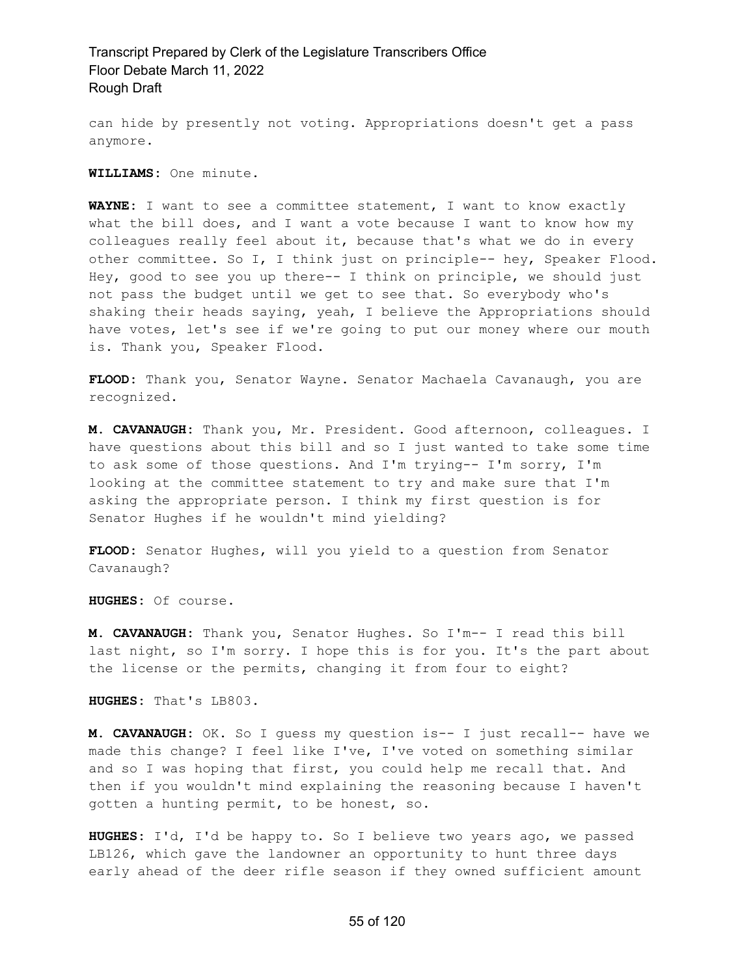can hide by presently not voting. Appropriations doesn't get a pass anymore.

**WILLIAMS:** One minute.

**WAYNE:** I want to see a committee statement, I want to know exactly what the bill does, and I want a vote because I want to know how my colleagues really feel about it, because that's what we do in every other committee. So I, I think just on principle-- hey, Speaker Flood. Hey, good to see you up there-- I think on principle, we should just not pass the budget until we get to see that. So everybody who's shaking their heads saying, yeah, I believe the Appropriations should have votes, let's see if we're going to put our money where our mouth is. Thank you, Speaker Flood.

**FLOOD:** Thank you, Senator Wayne. Senator Machaela Cavanaugh, you are recognized.

**M. CAVANAUGH:** Thank you, Mr. President. Good afternoon, colleagues. I have questions about this bill and so I just wanted to take some time to ask some of those questions. And I'm trying-- I'm sorry, I'm looking at the committee statement to try and make sure that I'm asking the appropriate person. I think my first question is for Senator Hughes if he wouldn't mind yielding?

**FLOOD:** Senator Hughes, will you yield to a question from Senator Cavanaugh?

**HUGHES:** Of course.

**M. CAVANAUGH:** Thank you, Senator Hughes. So I'm-- I read this bill last night, so I'm sorry. I hope this is for you. It's the part about the license or the permits, changing it from four to eight?

**HUGHES:** That's LB803.

**M. CAVANAUGH:** OK. So I guess my question is-- I just recall-- have we made this change? I feel like I've, I've voted on something similar and so I was hoping that first, you could help me recall that. And then if you wouldn't mind explaining the reasoning because I haven't gotten a hunting permit, to be honest, so.

**HUGHES:** I'd, I'd be happy to. So I believe two years ago, we passed LB126, which gave the landowner an opportunity to hunt three days early ahead of the deer rifle season if they owned sufficient amount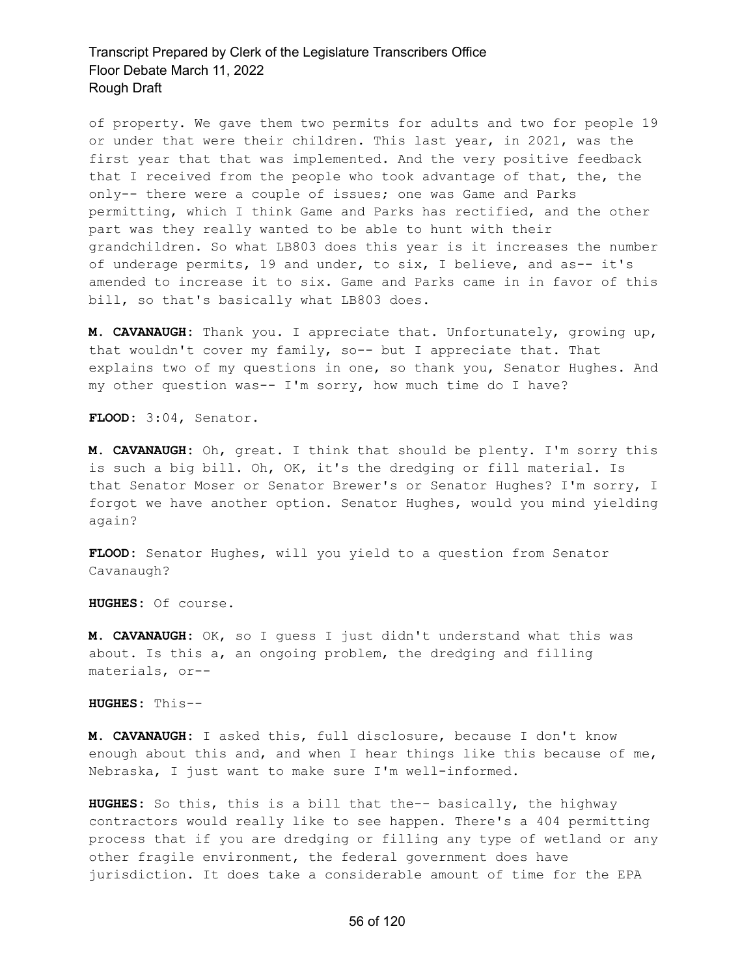of property. We gave them two permits for adults and two for people 19 or under that were their children. This last year, in 2021, was the first year that that was implemented. And the very positive feedback that I received from the people who took advantage of that, the, the only-- there were a couple of issues; one was Game and Parks permitting, which I think Game and Parks has rectified, and the other part was they really wanted to be able to hunt with their grandchildren. So what LB803 does this year is it increases the number of underage permits, 19 and under, to six, I believe, and as-- it's amended to increase it to six. Game and Parks came in in favor of this bill, so that's basically what LB803 does.

**M. CAVANAUGH:** Thank you. I appreciate that. Unfortunately, growing up, that wouldn't cover my family, so-- but I appreciate that. That explains two of my questions in one, so thank you, Senator Hughes. And my other question was-- I'm sorry, how much time do I have?

**FLOOD:** 3:04, Senator.

**M. CAVANAUGH:** Oh, great. I think that should be plenty. I'm sorry this is such a big bill. Oh, OK, it's the dredging or fill material. Is that Senator Moser or Senator Brewer's or Senator Hughes? I'm sorry, I forgot we have another option. Senator Hughes, would you mind yielding again?

**FLOOD:** Senator Hughes, will you yield to a question from Senator Cavanaugh?

**HUGHES:** Of course.

**M. CAVANAUGH:** OK, so I guess I just didn't understand what this was about. Is this a, an ongoing problem, the dredging and filling materials, or--

**HUGHES:** This--

**M. CAVANAUGH:** I asked this, full disclosure, because I don't know enough about this and, and when I hear things like this because of me, Nebraska, I just want to make sure I'm well-informed.

**HUGHES:** So this, this is a bill that the-- basically, the highway contractors would really like to see happen. There's a 404 permitting process that if you are dredging or filling any type of wetland or any other fragile environment, the federal government does have jurisdiction. It does take a considerable amount of time for the EPA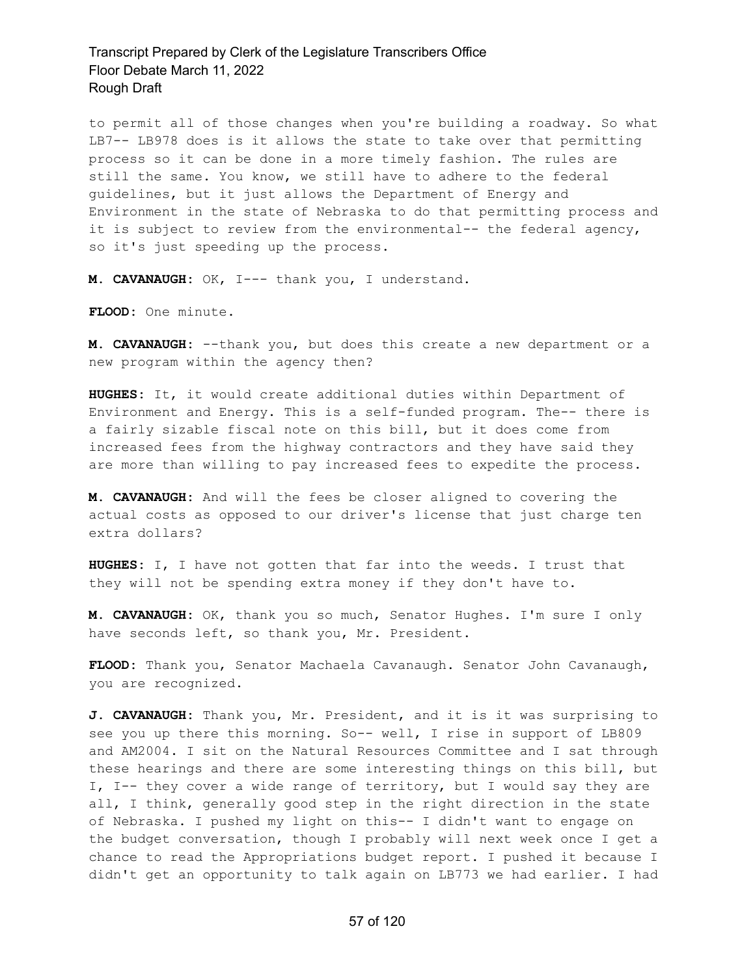to permit all of those changes when you're building a roadway. So what LB7-- LB978 does is it allows the state to take over that permitting process so it can be done in a more timely fashion. The rules are still the same. You know, we still have to adhere to the federal guidelines, but it just allows the Department of Energy and Environment in the state of Nebraska to do that permitting process and it is subject to review from the environmental-- the federal agency, so it's just speeding up the process.

**M. CAVANAUGH:** OK, I--- thank you, I understand.

**FLOOD:** One minute.

**M. CAVANAUGH:** --thank you, but does this create a new department or a new program within the agency then?

**HUGHES:** It, it would create additional duties within Department of Environment and Energy. This is a self-funded program. The-- there is a fairly sizable fiscal note on this bill, but it does come from increased fees from the highway contractors and they have said they are more than willing to pay increased fees to expedite the process.

**M. CAVANAUGH:** And will the fees be closer aligned to covering the actual costs as opposed to our driver's license that just charge ten extra dollars?

**HUGHES:** I, I have not gotten that far into the weeds. I trust that they will not be spending extra money if they don't have to.

**M. CAVANAUGH:** OK, thank you so much, Senator Hughes. I'm sure I only have seconds left, so thank you, Mr. President.

**FLOOD:** Thank you, Senator Machaela Cavanaugh. Senator John Cavanaugh, you are recognized.

**J. CAVANAUGH:** Thank you, Mr. President, and it is it was surprising to see you up there this morning. So-- well, I rise in support of LB809 and AM2004. I sit on the Natural Resources Committee and I sat through these hearings and there are some interesting things on this bill, but I, I-- they cover a wide range of territory, but I would say they are all, I think, generally good step in the right direction in the state of Nebraska. I pushed my light on this-- I didn't want to engage on the budget conversation, though I probably will next week once I get a chance to read the Appropriations budget report. I pushed it because I didn't get an opportunity to talk again on LB773 we had earlier. I had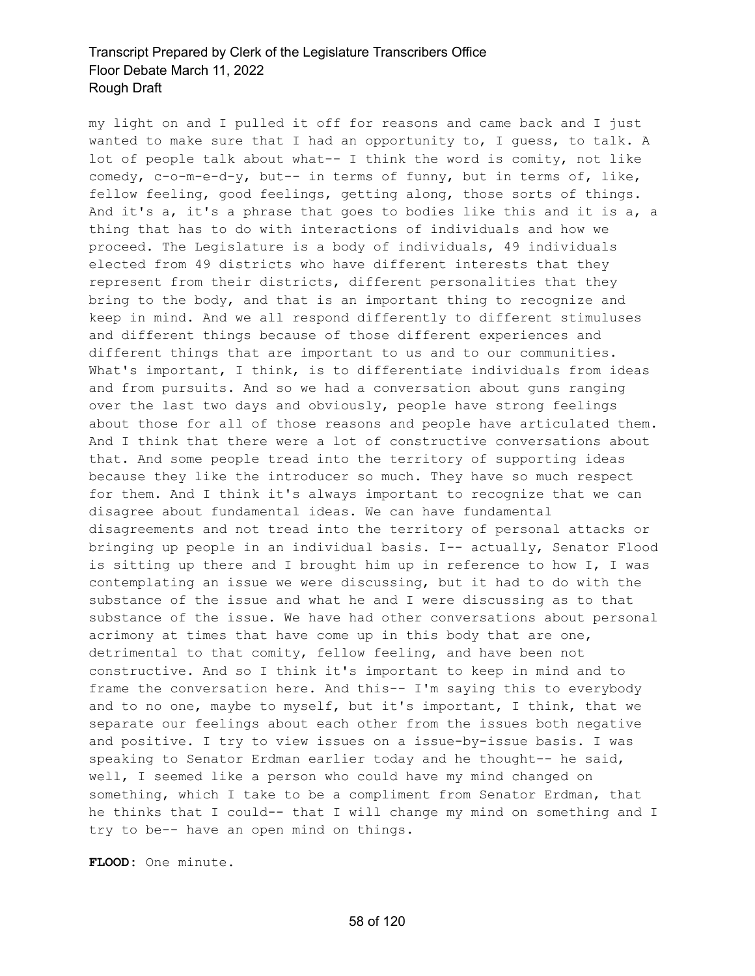my light on and I pulled it off for reasons and came back and I just wanted to make sure that I had an opportunity to, I guess, to talk. A lot of people talk about what-- I think the word is comity, not like comedy, c-o-m-e-d-y, but-- in terms of funny, but in terms of, like, fellow feeling, good feelings, getting along, those sorts of things. And it's a, it's a phrase that goes to bodies like this and it is a, a thing that has to do with interactions of individuals and how we proceed. The Legislature is a body of individuals, 49 individuals elected from 49 districts who have different interests that they represent from their districts, different personalities that they bring to the body, and that is an important thing to recognize and keep in mind. And we all respond differently to different stimuluses and different things because of those different experiences and different things that are important to us and to our communities. What's important, I think, is to differentiate individuals from ideas and from pursuits. And so we had a conversation about guns ranging over the last two days and obviously, people have strong feelings about those for all of those reasons and people have articulated them. And I think that there were a lot of constructive conversations about that. And some people tread into the territory of supporting ideas because they like the introducer so much. They have so much respect for them. And I think it's always important to recognize that we can disagree about fundamental ideas. We can have fundamental disagreements and not tread into the territory of personal attacks or bringing up people in an individual basis. I-- actually, Senator Flood is sitting up there and I brought him up in reference to how I, I was contemplating an issue we were discussing, but it had to do with the substance of the issue and what he and I were discussing as to that substance of the issue. We have had other conversations about personal acrimony at times that have come up in this body that are one, detrimental to that comity, fellow feeling, and have been not constructive. And so I think it's important to keep in mind and to frame the conversation here. And this-- I'm saying this to everybody and to no one, maybe to myself, but it's important, I think, that we separate our feelings about each other from the issues both negative and positive. I try to view issues on a issue-by-issue basis. I was speaking to Senator Erdman earlier today and he thought-- he said, well, I seemed like a person who could have my mind changed on something, which I take to be a compliment from Senator Erdman, that he thinks that I could-- that I will change my mind on something and I try to be-- have an open mind on things.

**FLOOD:** One minute.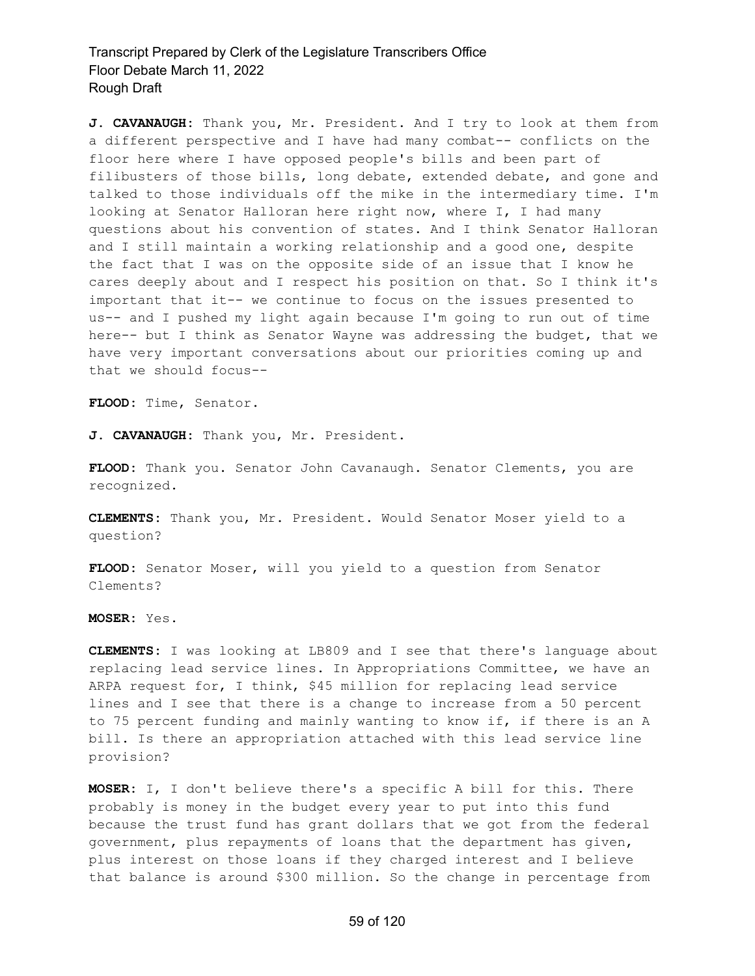**J. CAVANAUGH:** Thank you, Mr. President. And I try to look at them from a different perspective and I have had many combat-- conflicts on the floor here where I have opposed people's bills and been part of filibusters of those bills, long debate, extended debate, and gone and talked to those individuals off the mike in the intermediary time. I'm looking at Senator Halloran here right now, where I, I had many questions about his convention of states. And I think Senator Halloran and I still maintain a working relationship and a good one, despite the fact that I was on the opposite side of an issue that I know he cares deeply about and I respect his position on that. So I think it's important that it-- we continue to focus on the issues presented to us-- and I pushed my light again because I'm going to run out of time here-- but I think as Senator Wayne was addressing the budget, that we have very important conversations about our priorities coming up and that we should focus--

**FLOOD:** Time, Senator.

**J. CAVANAUGH:** Thank you, Mr. President.

**FLOOD:** Thank you. Senator John Cavanaugh. Senator Clements, you are recognized.

**CLEMENTS:** Thank you, Mr. President. Would Senator Moser yield to a question?

**FLOOD:** Senator Moser, will you yield to a question from Senator Clements?

**MOSER:** Yes.

**CLEMENTS:** I was looking at LB809 and I see that there's language about replacing lead service lines. In Appropriations Committee, we have an ARPA request for, I think, \$45 million for replacing lead service lines and I see that there is a change to increase from a 50 percent to 75 percent funding and mainly wanting to know if, if there is an A bill. Is there an appropriation attached with this lead service line provision?

**MOSER:** I, I don't believe there's a specific A bill for this. There probably is money in the budget every year to put into this fund because the trust fund has grant dollars that we got from the federal government, plus repayments of loans that the department has given, plus interest on those loans if they charged interest and I believe that balance is around \$300 million. So the change in percentage from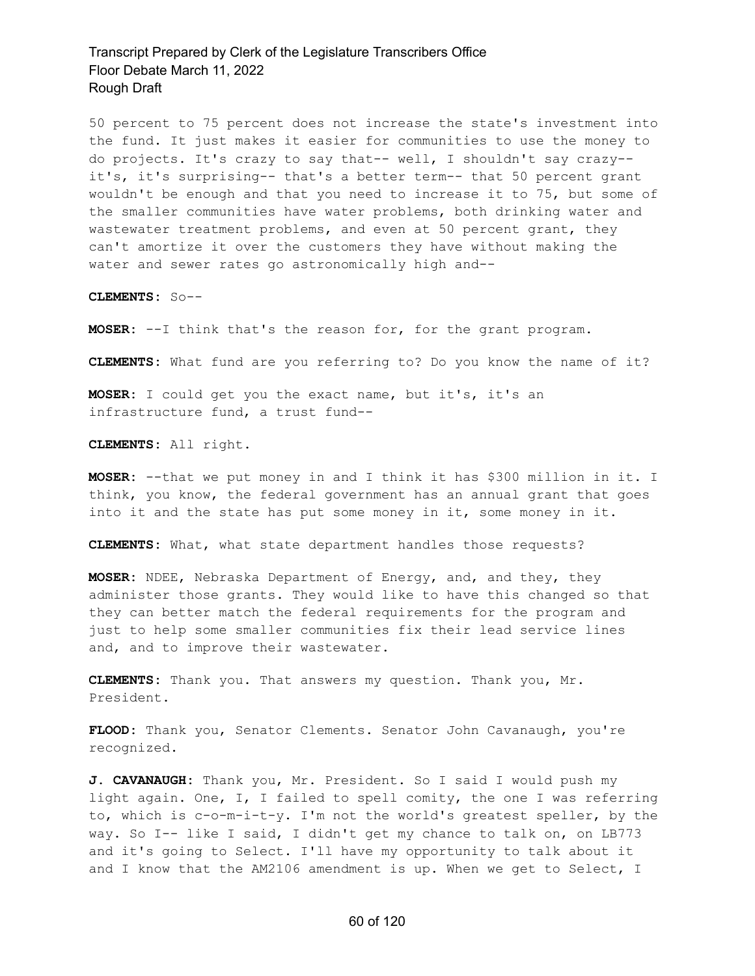50 percent to 75 percent does not increase the state's investment into the fund. It just makes it easier for communities to use the money to do projects. It's crazy to say that-- well, I shouldn't say crazy- it's, it's surprising-- that's a better term-- that 50 percent grant wouldn't be enough and that you need to increase it to 75, but some of the smaller communities have water problems, both drinking water and wastewater treatment problems, and even at 50 percent grant, they can't amortize it over the customers they have without making the water and sewer rates go astronomically high and--

**CLEMENTS:** So--

**MOSER:** --I think that's the reason for, for the grant program.

**CLEMENTS:** What fund are you referring to? Do you know the name of it?

**MOSER:** I could get you the exact name, but it's, it's an infrastructure fund, a trust fund--

**CLEMENTS:** All right.

**MOSER:** --that we put money in and I think it has \$300 million in it. I think, you know, the federal government has an annual grant that goes into it and the state has put some money in it, some money in it.

**CLEMENTS:** What, what state department handles those requests?

**MOSER:** NDEE, Nebraska Department of Energy, and, and they, they administer those grants. They would like to have this changed so that they can better match the federal requirements for the program and just to help some smaller communities fix their lead service lines and, and to improve their wastewater.

**CLEMENTS:** Thank you. That answers my question. Thank you, Mr. President.

**FLOOD:** Thank you, Senator Clements. Senator John Cavanaugh, you're recognized.

**J. CAVANAUGH:** Thank you, Mr. President. So I said I would push my light again. One, I, I failed to spell comity, the one I was referring to, which is c-o-m-i-t-y. I'm not the world's greatest speller, by the way. So I-- like I said, I didn't get my chance to talk on, on LB773 and it's going to Select. I'll have my opportunity to talk about it and I know that the AM2106 amendment is up. When we get to Select, I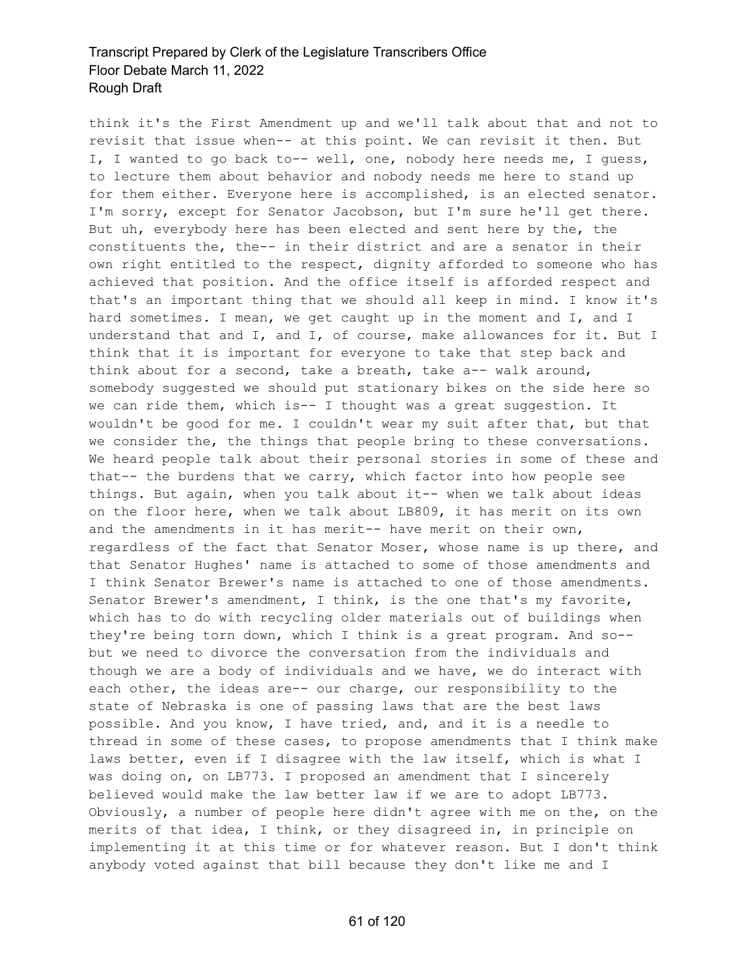think it's the First Amendment up and we'll talk about that and not to revisit that issue when-- at this point. We can revisit it then. But I, I wanted to go back to-- well, one, nobody here needs me, I guess, to lecture them about behavior and nobody needs me here to stand up for them either. Everyone here is accomplished, is an elected senator. I'm sorry, except for Senator Jacobson, but I'm sure he'll get there. But uh, everybody here has been elected and sent here by the, the constituents the, the-- in their district and are a senator in their own right entitled to the respect, dignity afforded to someone who has achieved that position. And the office itself is afforded respect and that's an important thing that we should all keep in mind. I know it's hard sometimes. I mean, we get caught up in the moment and I, and I understand that and I, and I, of course, make allowances for it. But I think that it is important for everyone to take that step back and think about for a second, take a breath, take a-- walk around, somebody suggested we should put stationary bikes on the side here so we can ride them, which is-- I thought was a great suggestion. It wouldn't be good for me. I couldn't wear my suit after that, but that we consider the, the things that people bring to these conversations. We heard people talk about their personal stories in some of these and that-- the burdens that we carry, which factor into how people see things. But again, when you talk about it-- when we talk about ideas on the floor here, when we talk about LB809, it has merit on its own and the amendments in it has merit-- have merit on their own, regardless of the fact that Senator Moser, whose name is up there, and that Senator Hughes' name is attached to some of those amendments and I think Senator Brewer's name is attached to one of those amendments. Senator Brewer's amendment, I think, is the one that's my favorite, which has to do with recycling older materials out of buildings when they're being torn down, which I think is a great program. And so- but we need to divorce the conversation from the individuals and though we are a body of individuals and we have, we do interact with each other, the ideas are-- our charge, our responsibility to the state of Nebraska is one of passing laws that are the best laws possible. And you know, I have tried, and, and it is a needle to thread in some of these cases, to propose amendments that I think make laws better, even if I disagree with the law itself, which is what I was doing on, on LB773. I proposed an amendment that I sincerely believed would make the law better law if we are to adopt LB773. Obviously, a number of people here didn't agree with me on the, on the merits of that idea, I think, or they disagreed in, in principle on implementing it at this time or for whatever reason. But I don't think anybody voted against that bill because they don't like me and I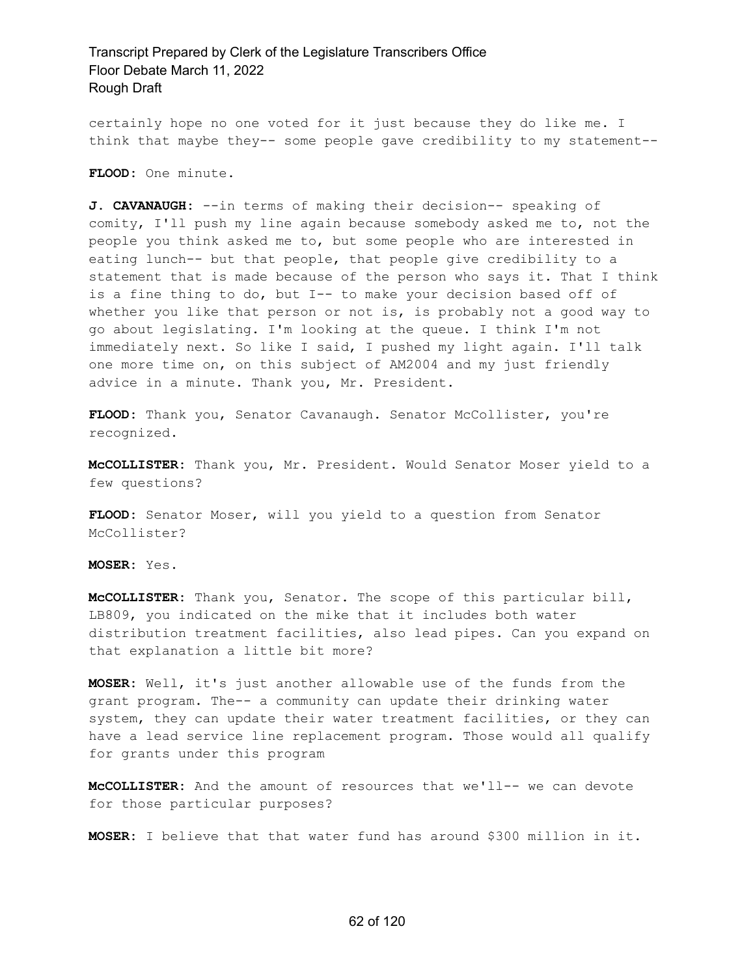certainly hope no one voted for it just because they do like me. I think that maybe they-- some people gave credibility to my statement--

**FLOOD:** One minute.

**J. CAVANAUGH:** --in terms of making their decision-- speaking of comity, I'll push my line again because somebody asked me to, not the people you think asked me to, but some people who are interested in eating lunch-- but that people, that people give credibility to a statement that is made because of the person who says it. That I think is a fine thing to do, but I-- to make your decision based off of whether you like that person or not is, is probably not a good way to go about legislating. I'm looking at the queue. I think I'm not immediately next. So like I said, I pushed my light again. I'll talk one more time on, on this subject of AM2004 and my just friendly advice in a minute. Thank you, Mr. President.

FLOOD: Thank you, Senator Cavanaugh. Senator McCollister, you're recognized.

**McCOLLISTER:** Thank you, Mr. President. Would Senator Moser yield to a few questions?

**FLOOD:** Senator Moser, will you yield to a question from Senator McCollister?

**MOSER:** Yes.

**McCOLLISTER:** Thank you, Senator. The scope of this particular bill, LB809, you indicated on the mike that it includes both water distribution treatment facilities, also lead pipes. Can you expand on that explanation a little bit more?

**MOSER:** Well, it's just another allowable use of the funds from the grant program. The-- a community can update their drinking water system, they can update their water treatment facilities, or they can have a lead service line replacement program. Those would all qualify for grants under this program

**McCOLLISTER:** And the amount of resources that we'll-- we can devote for those particular purposes?

**MOSER:** I believe that that water fund has around \$300 million in it.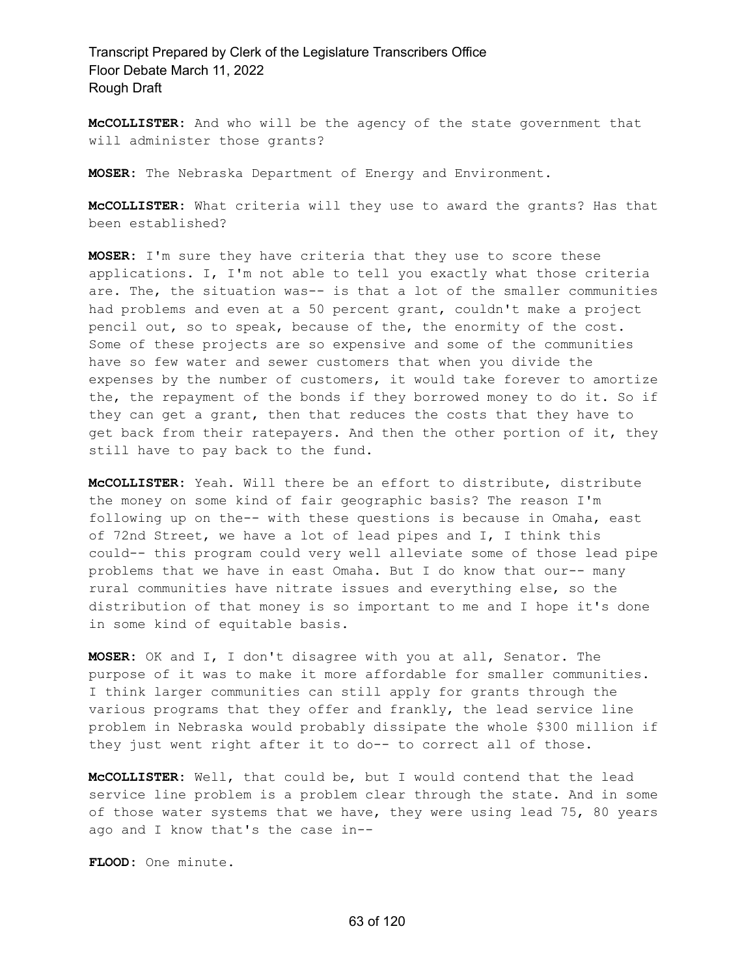**McCOLLISTER:** And who will be the agency of the state government that will administer those grants?

**MOSER:** The Nebraska Department of Energy and Environment.

**McCOLLISTER:** What criteria will they use to award the grants? Has that been established?

**MOSER:** I'm sure they have criteria that they use to score these applications. I, I'm not able to tell you exactly what those criteria are. The, the situation was-- is that a lot of the smaller communities had problems and even at a 50 percent grant, couldn't make a project pencil out, so to speak, because of the, the enormity of the cost. Some of these projects are so expensive and some of the communities have so few water and sewer customers that when you divide the expenses by the number of customers, it would take forever to amortize the, the repayment of the bonds if they borrowed money to do it. So if they can get a grant, then that reduces the costs that they have to get back from their ratepayers. And then the other portion of it, they still have to pay back to the fund.

**McCOLLISTER:** Yeah. Will there be an effort to distribute, distribute the money on some kind of fair geographic basis? The reason I'm following up on the-- with these questions is because in Omaha, east of 72nd Street, we have a lot of lead pipes and I, I think this could-- this program could very well alleviate some of those lead pipe problems that we have in east Omaha. But I do know that our-- many rural communities have nitrate issues and everything else, so the distribution of that money is so important to me and I hope it's done in some kind of equitable basis.

**MOSER:** OK and I, I don't disagree with you at all, Senator. The purpose of it was to make it more affordable for smaller communities. I think larger communities can still apply for grants through the various programs that they offer and frankly, the lead service line problem in Nebraska would probably dissipate the whole \$300 million if they just went right after it to do-- to correct all of those.

**McCOLLISTER:** Well, that could be, but I would contend that the lead service line problem is a problem clear through the state. And in some of those water systems that we have, they were using lead 75, 80 years ago and I know that's the case in--

**FLOOD:** One minute.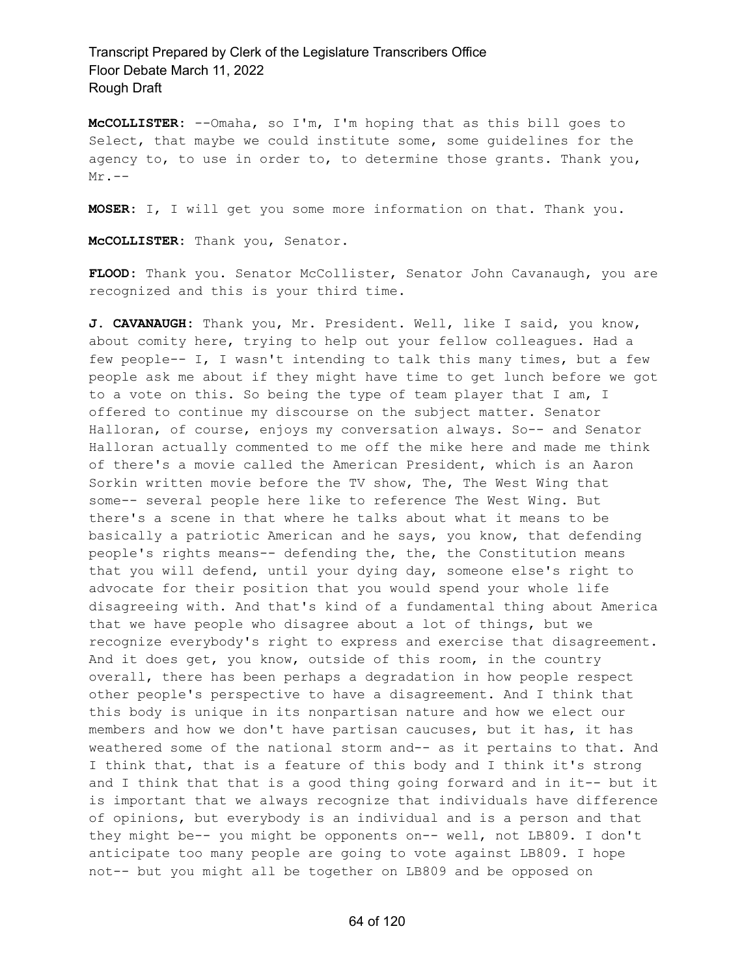**McCOLLISTER:** --Omaha, so I'm, I'm hoping that as this bill goes to Select, that maybe we could institute some, some guidelines for the agency to, to use in order to, to determine those grants. Thank you,  $Mr. --$ 

**MOSER:** I, I will get you some more information on that. Thank you.

**McCOLLISTER:** Thank you, Senator.

**FLOOD:** Thank you. Senator McCollister, Senator John Cavanaugh, you are recognized and this is your third time.

**J. CAVANAUGH:** Thank you, Mr. President. Well, like I said, you know, about comity here, trying to help out your fellow colleagues. Had a few people-- I, I wasn't intending to talk this many times, but a few people ask me about if they might have time to get lunch before we got to a vote on this. So being the type of team player that I am, I offered to continue my discourse on the subject matter. Senator Halloran, of course, enjoys my conversation always. So-- and Senator Halloran actually commented to me off the mike here and made me think of there's a movie called the American President, which is an Aaron Sorkin written movie before the TV show, The, The West Wing that some-- several people here like to reference The West Wing. But there's a scene in that where he talks about what it means to be basically a patriotic American and he says, you know, that defending people's rights means-- defending the, the, the Constitution means that you will defend, until your dying day, someone else's right to advocate for their position that you would spend your whole life disagreeing with. And that's kind of a fundamental thing about America that we have people who disagree about a lot of things, but we recognize everybody's right to express and exercise that disagreement. And it does get, you know, outside of this room, in the country overall, there has been perhaps a degradation in how people respect other people's perspective to have a disagreement. And I think that this body is unique in its nonpartisan nature and how we elect our members and how we don't have partisan caucuses, but it has, it has weathered some of the national storm and-- as it pertains to that. And I think that, that is a feature of this body and I think it's strong and I think that that is a good thing going forward and in it-- but it is important that we always recognize that individuals have difference of opinions, but everybody is an individual and is a person and that they might be-- you might be opponents on-- well, not LB809. I don't anticipate too many people are going to vote against LB809. I hope not-- but you might all be together on LB809 and be opposed on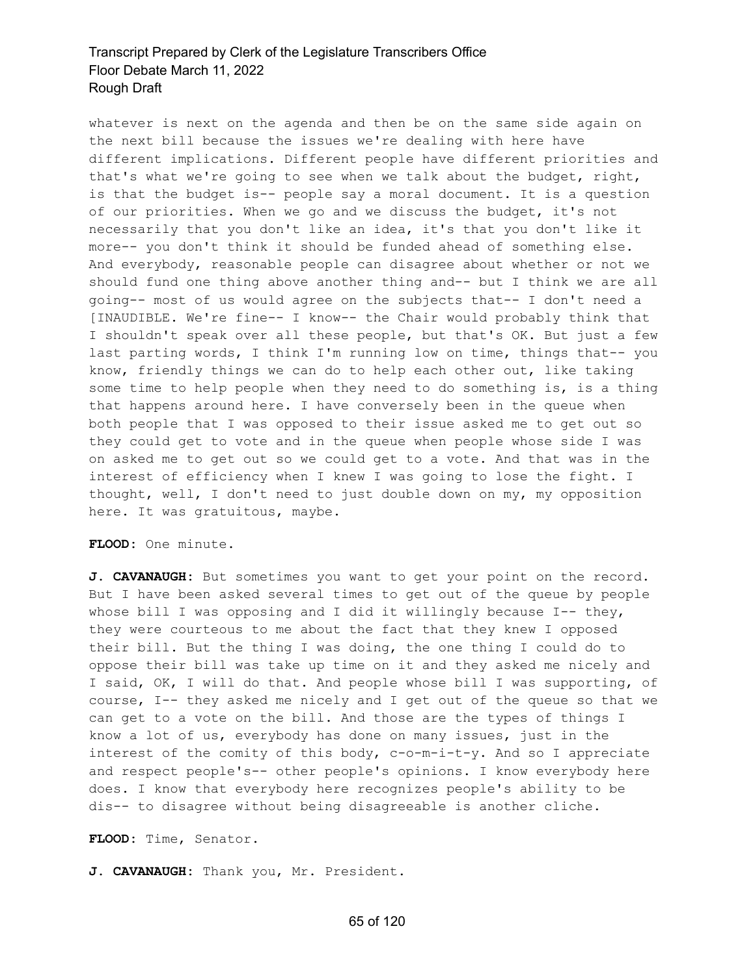whatever is next on the agenda and then be on the same side again on the next bill because the issues we're dealing with here have different implications. Different people have different priorities and that's what we're going to see when we talk about the budget, right, is that the budget is-- people say a moral document. It is a question of our priorities. When we go and we discuss the budget, it's not necessarily that you don't like an idea, it's that you don't like it more-- you don't think it should be funded ahead of something else. And everybody, reasonable people can disagree about whether or not we should fund one thing above another thing and-- but I think we are all going-- most of us would agree on the subjects that-- I don't need a [INAUDIBLE. We're fine-- I know-- the Chair would probably think that I shouldn't speak over all these people, but that's OK. But just a few last parting words, I think I'm running low on time, things that-- you know, friendly things we can do to help each other out, like taking some time to help people when they need to do something is, is a thing that happens around here. I have conversely been in the queue when both people that I was opposed to their issue asked me to get out so they could get to vote and in the queue when people whose side I was on asked me to get out so we could get to a vote. And that was in the interest of efficiency when I knew I was going to lose the fight. I thought, well, I don't need to just double down on my, my opposition here. It was gratuitous, maybe.

**FLOOD:** One minute.

**J. CAVANAUGH:** But sometimes you want to get your point on the record. But I have been asked several times to get out of the queue by people whose bill I was opposing and I did it willingly because I-- they, they were courteous to me about the fact that they knew I opposed their bill. But the thing I was doing, the one thing I could do to oppose their bill was take up time on it and they asked me nicely and I said, OK, I will do that. And people whose bill I was supporting, of course, I-- they asked me nicely and I get out of the queue so that we can get to a vote on the bill. And those are the types of things I know a lot of us, everybody has done on many issues, just in the interest of the comity of this body, c-o-m-i-t-y. And so I appreciate and respect people's-- other people's opinions. I know everybody here does. I know that everybody here recognizes people's ability to be dis-- to disagree without being disagreeable is another cliche.

**FLOOD:** Time, Senator.

**J. CAVANAUGH:** Thank you, Mr. President.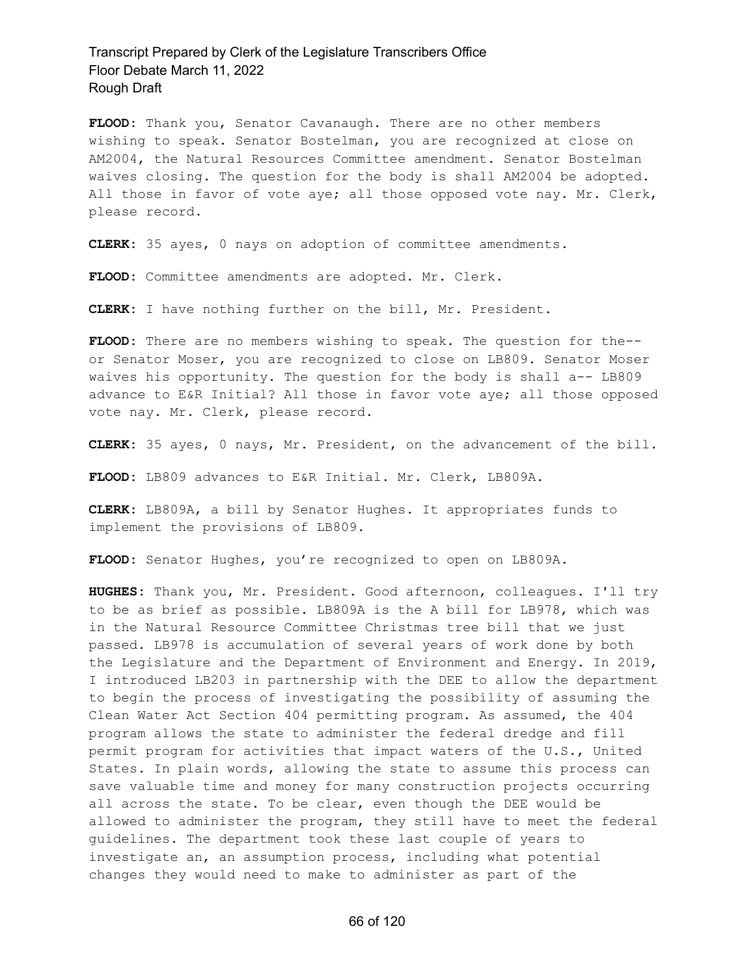**FLOOD:** Thank you, Senator Cavanaugh. There are no other members wishing to speak. Senator Bostelman, you are recognized at close on AM2004, the Natural Resources Committee amendment. Senator Bostelman waives closing. The question for the body is shall AM2004 be adopted. All those in favor of vote aye; all those opposed vote nay. Mr. Clerk, please record.

**CLERK:** 35 ayes, 0 nays on adoption of committee amendments.

**FLOOD:** Committee amendments are adopted. Mr. Clerk.

**CLERK:** I have nothing further on the bill, Mr. President.

**FLOOD:** There are no members wishing to speak. The question for the- or Senator Moser, you are recognized to close on LB809. Senator Moser waives his opportunity. The question for the body is shall a-- LB809 advance to E&R Initial? All those in favor vote aye; all those opposed vote nay. Mr. Clerk, please record.

**CLERK:** 35 ayes, 0 nays, Mr. President, on the advancement of the bill.

**FLOOD:** LB809 advances to E&R Initial. Mr. Clerk, LB809A.

**CLERK:** LB809A, a bill by Senator Hughes. It appropriates funds to implement the provisions of LB809.

**FLOOD:** Senator Hughes, you're recognized to open on LB809A.

**HUGHES:** Thank you, Mr. President. Good afternoon, colleagues. I'll try to be as brief as possible. LB809A is the A bill for LB978, which was in the Natural Resource Committee Christmas tree bill that we just passed. LB978 is accumulation of several years of work done by both the Legislature and the Department of Environment and Energy. In 2019, I introduced LB203 in partnership with the DEE to allow the department to begin the process of investigating the possibility of assuming the Clean Water Act Section 404 permitting program. As assumed, the 404 program allows the state to administer the federal dredge and fill permit program for activities that impact waters of the U.S., United States. In plain words, allowing the state to assume this process can save valuable time and money for many construction projects occurring all across the state. To be clear, even though the DEE would be allowed to administer the program, they still have to meet the federal guidelines. The department took these last couple of years to investigate an, an assumption process, including what potential changes they would need to make to administer as part of the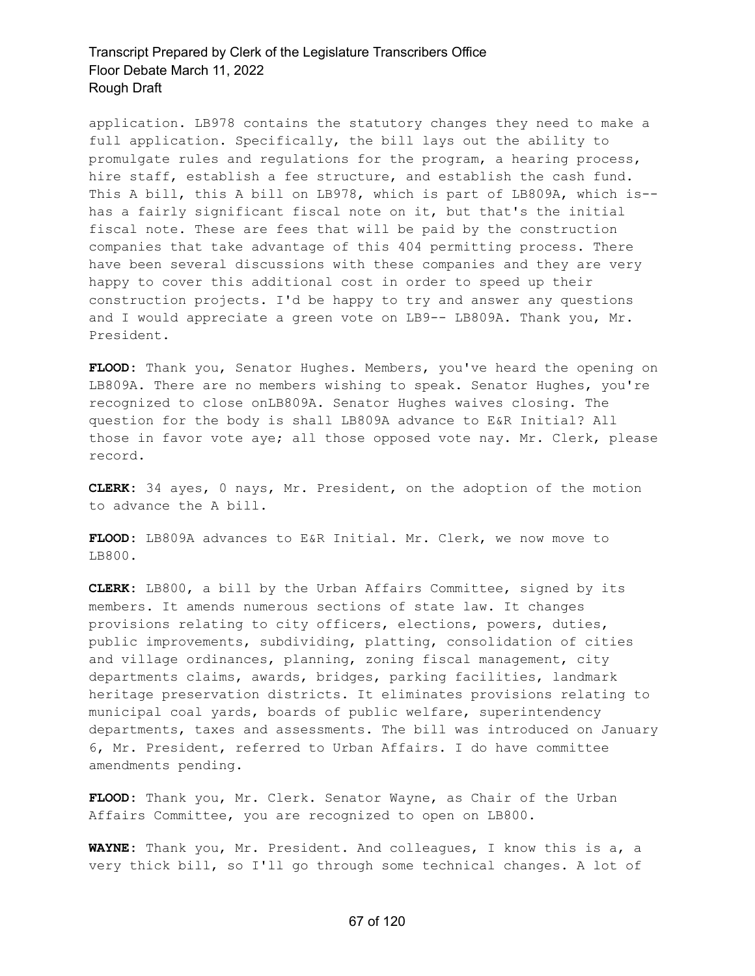application. LB978 contains the statutory changes they need to make a full application. Specifically, the bill lays out the ability to promulgate rules and regulations for the program, a hearing process, hire staff, establish a fee structure, and establish the cash fund. This A bill, this A bill on LB978, which is part of LB809A, which is- has a fairly significant fiscal note on it, but that's the initial fiscal note. These are fees that will be paid by the construction companies that take advantage of this 404 permitting process. There have been several discussions with these companies and they are very happy to cover this additional cost in order to speed up their construction projects. I'd be happy to try and answer any questions and I would appreciate a green vote on LB9-- LB809A. Thank you, Mr. President.

**FLOOD:** Thank you, Senator Hughes. Members, you've heard the opening on LB809A. There are no members wishing to speak. Senator Hughes, you're recognized to close onLB809A. Senator Hughes waives closing. The question for the body is shall LB809A advance to E&R Initial? All those in favor vote aye; all those opposed vote nay. Mr. Clerk, please record.

**CLERK:** 34 ayes, 0 nays, Mr. President, on the adoption of the motion to advance the A bill.

**FLOOD:** LB809A advances to E&R Initial. Mr. Clerk, we now move to LB800.

**CLERK:** LB800, a bill by the Urban Affairs Committee, signed by its members. It amends numerous sections of state law. It changes provisions relating to city officers, elections, powers, duties, public improvements, subdividing, platting, consolidation of cities and village ordinances, planning, zoning fiscal management, city departments claims, awards, bridges, parking facilities, landmark heritage preservation districts. It eliminates provisions relating to municipal coal yards, boards of public welfare, superintendency departments, taxes and assessments. The bill was introduced on January 6, Mr. President, referred to Urban Affairs. I do have committee amendments pending.

**FLOOD:** Thank you, Mr. Clerk. Senator Wayne, as Chair of the Urban Affairs Committee, you are recognized to open on LB800.

**WAYNE:** Thank you, Mr. President. And colleagues, I know this is a, a very thick bill, so I'll go through some technical changes. A lot of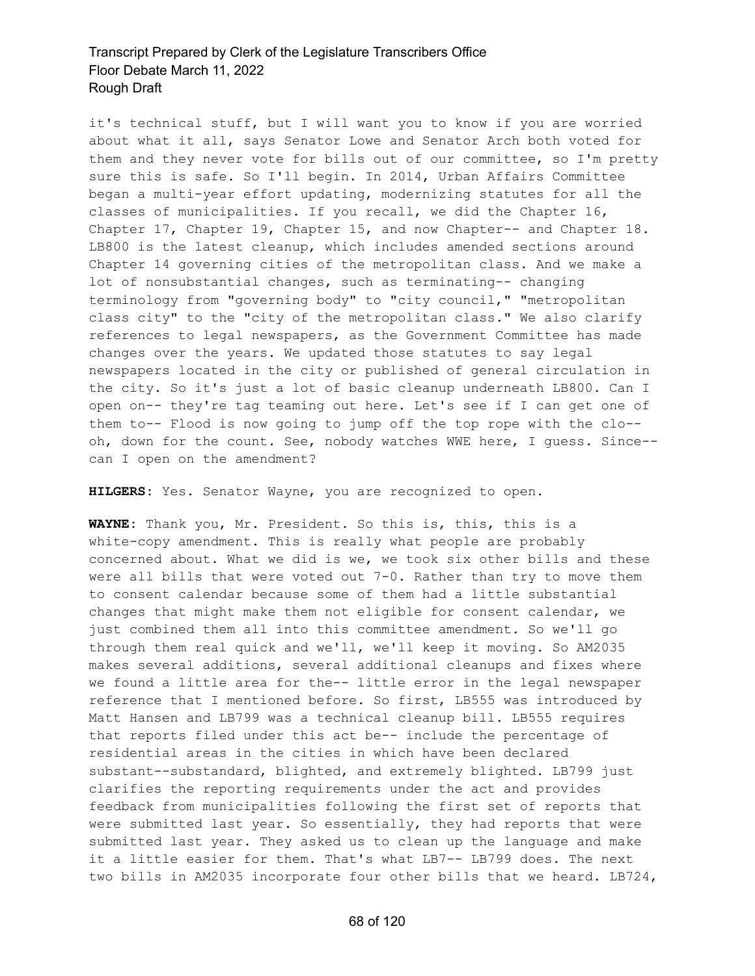it's technical stuff, but I will want you to know if you are worried about what it all, says Senator Lowe and Senator Arch both voted for them and they never vote for bills out of our committee, so I'm pretty sure this is safe. So I'll begin. In 2014, Urban Affairs Committee began a multi-year effort updating, modernizing statutes for all the classes of municipalities. If you recall, we did the Chapter 16, Chapter 17, Chapter 19, Chapter 15, and now Chapter-- and Chapter 18. LB800 is the latest cleanup, which includes amended sections around Chapter 14 governing cities of the metropolitan class. And we make a lot of nonsubstantial changes, such as terminating-- changing terminology from "governing body" to "city council," "metropolitan class city" to the "city of the metropolitan class." We also clarify references to legal newspapers, as the Government Committee has made changes over the years. We updated those statutes to say legal newspapers located in the city or published of general circulation in the city. So it's just a lot of basic cleanup underneath LB800. Can I open on-- they're tag teaming out here. Let's see if I can get one of them to-- Flood is now going to jump off the top rope with the clo- oh, down for the count. See, nobody watches WWE here, I guess. Since- can I open on the amendment?

**HILGERS:** Yes. Senator Wayne, you are recognized to open.

**WAYNE:** Thank you, Mr. President. So this is, this, this is a white-copy amendment. This is really what people are probably concerned about. What we did is we, we took six other bills and these were all bills that were voted out 7-0. Rather than try to move them to consent calendar because some of them had a little substantial changes that might make them not eligible for consent calendar, we just combined them all into this committee amendment. So we'll go through them real quick and we'll, we'll keep it moving. So AM2035 makes several additions, several additional cleanups and fixes where we found a little area for the-- little error in the legal newspaper reference that I mentioned before. So first, LB555 was introduced by Matt Hansen and LB799 was a technical cleanup bill. LB555 requires that reports filed under this act be-- include the percentage of residential areas in the cities in which have been declared substant--substandard, blighted, and extremely blighted. LB799 just clarifies the reporting requirements under the act and provides feedback from municipalities following the first set of reports that were submitted last year. So essentially, they had reports that were submitted last year. They asked us to clean up the language and make it a little easier for them. That's what LB7-- LB799 does. The next two bills in AM2035 incorporate four other bills that we heard. LB724,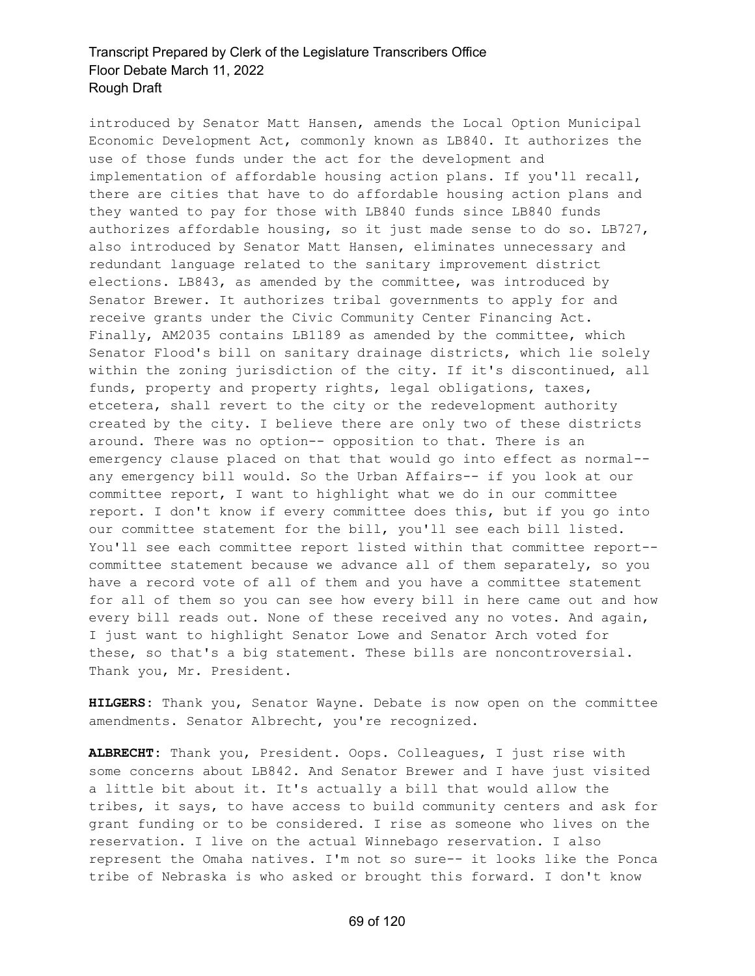introduced by Senator Matt Hansen, amends the Local Option Municipal Economic Development Act, commonly known as LB840. It authorizes the use of those funds under the act for the development and implementation of affordable housing action plans. If you'll recall, there are cities that have to do affordable housing action plans and they wanted to pay for those with LB840 funds since LB840 funds authorizes affordable housing, so it just made sense to do so. LB727, also introduced by Senator Matt Hansen, eliminates unnecessary and redundant language related to the sanitary improvement district elections. LB843, as amended by the committee, was introduced by Senator Brewer. It authorizes tribal governments to apply for and receive grants under the Civic Community Center Financing Act. Finally, AM2035 contains LB1189 as amended by the committee, which Senator Flood's bill on sanitary drainage districts, which lie solely within the zoning jurisdiction of the city. If it's discontinued, all funds, property and property rights, legal obligations, taxes, etcetera, shall revert to the city or the redevelopment authority created by the city. I believe there are only two of these districts around. There was no option-- opposition to that. There is an emergency clause placed on that that would go into effect as normal- any emergency bill would. So the Urban Affairs-- if you look at our committee report, I want to highlight what we do in our committee report. I don't know if every committee does this, but if you go into our committee statement for the bill, you'll see each bill listed. You'll see each committee report listed within that committee report- committee statement because we advance all of them separately, so you have a record vote of all of them and you have a committee statement for all of them so you can see how every bill in here came out and how every bill reads out. None of these received any no votes. And again, I just want to highlight Senator Lowe and Senator Arch voted for these, so that's a big statement. These bills are noncontroversial. Thank you, Mr. President.

**HILGERS:** Thank you, Senator Wayne. Debate is now open on the committee amendments. Senator Albrecht, you're recognized.

**ALBRECHT:** Thank you, President. Oops. Colleagues, I just rise with some concerns about LB842. And Senator Brewer and I have just visited a little bit about it. It's actually a bill that would allow the tribes, it says, to have access to build community centers and ask for grant funding or to be considered. I rise as someone who lives on the reservation. I live on the actual Winnebago reservation. I also represent the Omaha natives. I'm not so sure-- it looks like the Ponca tribe of Nebraska is who asked or brought this forward. I don't know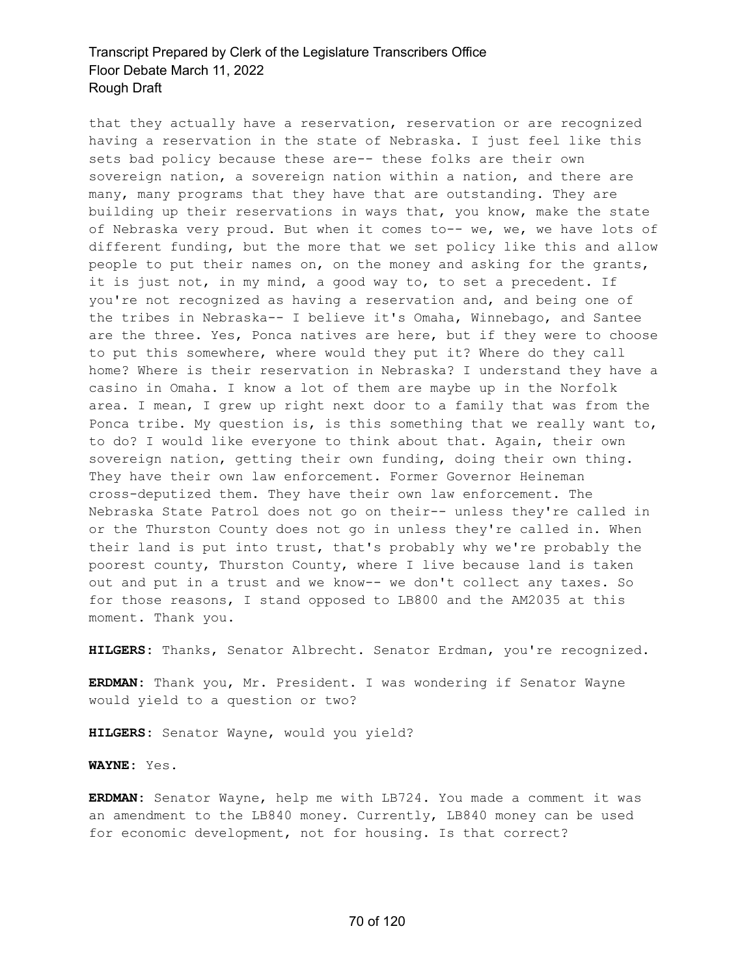that they actually have a reservation, reservation or are recognized having a reservation in the state of Nebraska. I just feel like this sets bad policy because these are-- these folks are their own sovereign nation, a sovereign nation within a nation, and there are many, many programs that they have that are outstanding. They are building up their reservations in ways that, you know, make the state of Nebraska very proud. But when it comes to-- we, we, we have lots of different funding, but the more that we set policy like this and allow people to put their names on, on the money and asking for the grants, it is just not, in my mind, a good way to, to set a precedent. If you're not recognized as having a reservation and, and being one of the tribes in Nebraska-- I believe it's Omaha, Winnebago, and Santee are the three. Yes, Ponca natives are here, but if they were to choose to put this somewhere, where would they put it? Where do they call home? Where is their reservation in Nebraska? I understand they have a casino in Omaha. I know a lot of them are maybe up in the Norfolk area. I mean, I grew up right next door to a family that was from the Ponca tribe. My question is, is this something that we really want to, to do? I would like everyone to think about that. Again, their own sovereign nation, getting their own funding, doing their own thing. They have their own law enforcement. Former Governor Heineman cross-deputized them. They have their own law enforcement. The Nebraska State Patrol does not go on their-- unless they're called in or the Thurston County does not go in unless they're called in. When their land is put into trust, that's probably why we're probably the poorest county, Thurston County, where I live because land is taken out and put in a trust and we know-- we don't collect any taxes. So for those reasons, I stand opposed to LB800 and the AM2035 at this moment. Thank you.

**HILGERS:** Thanks, Senator Albrecht. Senator Erdman, you're recognized.

**ERDMAN:** Thank you, Mr. President. I was wondering if Senator Wayne would yield to a question or two?

**HILGERS:** Senator Wayne, would you yield?

**WAYNE:** Yes.

**ERDMAN:** Senator Wayne, help me with LB724. You made a comment it was an amendment to the LB840 money. Currently, LB840 money can be used for economic development, not for housing. Is that correct?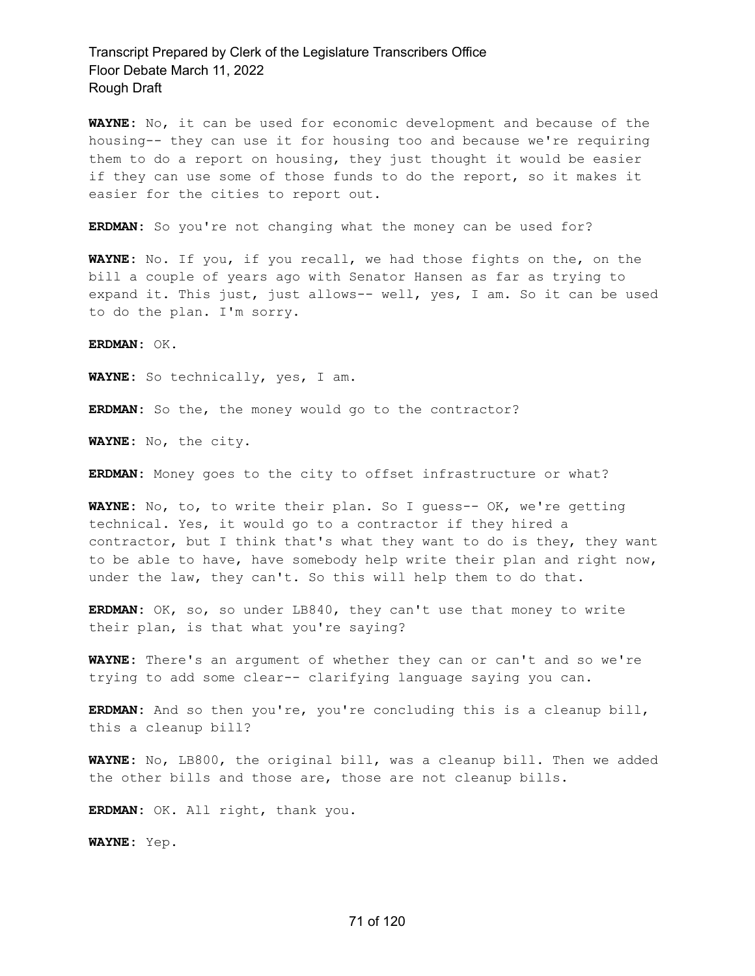**WAYNE:** No, it can be used for economic development and because of the housing-- they can use it for housing too and because we're requiring them to do a report on housing, they just thought it would be easier if they can use some of those funds to do the report, so it makes it easier for the cities to report out.

**ERDMAN:** So you're not changing what the money can be used for?

**WAYNE:** No. If you, if you recall, we had those fights on the, on the bill a couple of years ago with Senator Hansen as far as trying to expand it. This just, just allows-- well, yes, I am. So it can be used to do the plan. I'm sorry.

**ERDMAN:** OK.

**WAYNE:** So technically, yes, I am.

**ERDMAN:** So the, the money would go to the contractor?

**WAYNE:** No, the city.

**ERDMAN:** Money goes to the city to offset infrastructure or what?

**WAYNE:** No, to, to write their plan. So I guess-- OK, we're getting technical. Yes, it would go to a contractor if they hired a contractor, but I think that's what they want to do is they, they want to be able to have, have somebody help write their plan and right now, under the law, they can't. So this will help them to do that.

**ERDMAN:** OK, so, so under LB840, they can't use that money to write their plan, is that what you're saying?

**WAYNE:** There's an argument of whether they can or can't and so we're trying to add some clear-- clarifying language saying you can.

**ERDMAN:** And so then you're, you're concluding this is a cleanup bill, this a cleanup bill?

**WAYNE:** No, LB800, the original bill, was a cleanup bill. Then we added the other bills and those are, those are not cleanup bills.

**ERDMAN:** OK. All right, thank you.

**WAYNE:** Yep.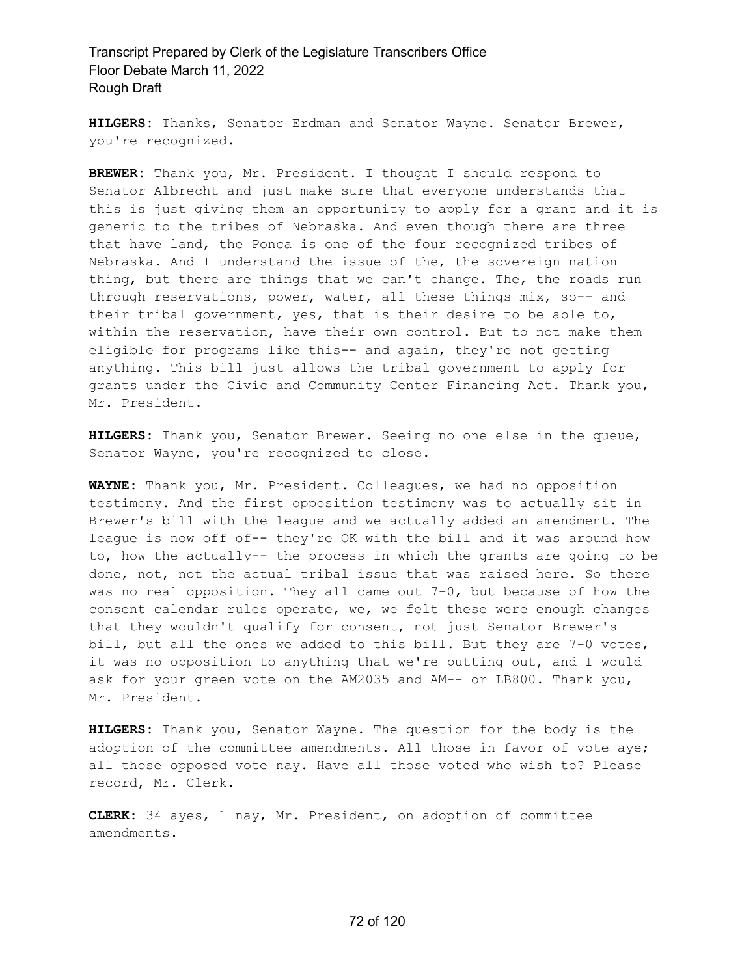**HILGERS:** Thanks, Senator Erdman and Senator Wayne. Senator Brewer, you're recognized.

**BREWER:** Thank you, Mr. President. I thought I should respond to Senator Albrecht and just make sure that everyone understands that this is just giving them an opportunity to apply for a grant and it is generic to the tribes of Nebraska. And even though there are three that have land, the Ponca is one of the four recognized tribes of Nebraska. And I understand the issue of the, the sovereign nation thing, but there are things that we can't change. The, the roads run through reservations, power, water, all these things mix, so-- and their tribal government, yes, that is their desire to be able to, within the reservation, have their own control. But to not make them eligible for programs like this-- and again, they're not getting anything. This bill just allows the tribal government to apply for grants under the Civic and Community Center Financing Act. Thank you, Mr. President.

**HILGERS:** Thank you, Senator Brewer. Seeing no one else in the queue, Senator Wayne, you're recognized to close.

**WAYNE:** Thank you, Mr. President. Colleagues, we had no opposition testimony. And the first opposition testimony was to actually sit in Brewer's bill with the league and we actually added an amendment. The league is now off of-- they're OK with the bill and it was around how to, how the actually-- the process in which the grants are going to be done, not, not the actual tribal issue that was raised here. So there was no real opposition. They all came out 7-0, but because of how the consent calendar rules operate, we, we felt these were enough changes that they wouldn't qualify for consent, not just Senator Brewer's bill, but all the ones we added to this bill. But they are 7-0 votes, it was no opposition to anything that we're putting out, and I would ask for your green vote on the AM2035 and AM-- or LB800. Thank you, Mr. President.

**HILGERS:** Thank you, Senator Wayne. The question for the body is the adoption of the committee amendments. All those in favor of vote aye; all those opposed vote nay. Have all those voted who wish to? Please record, Mr. Clerk.

**CLERK:** 34 ayes, 1 nay, Mr. President, on adoption of committee amendments.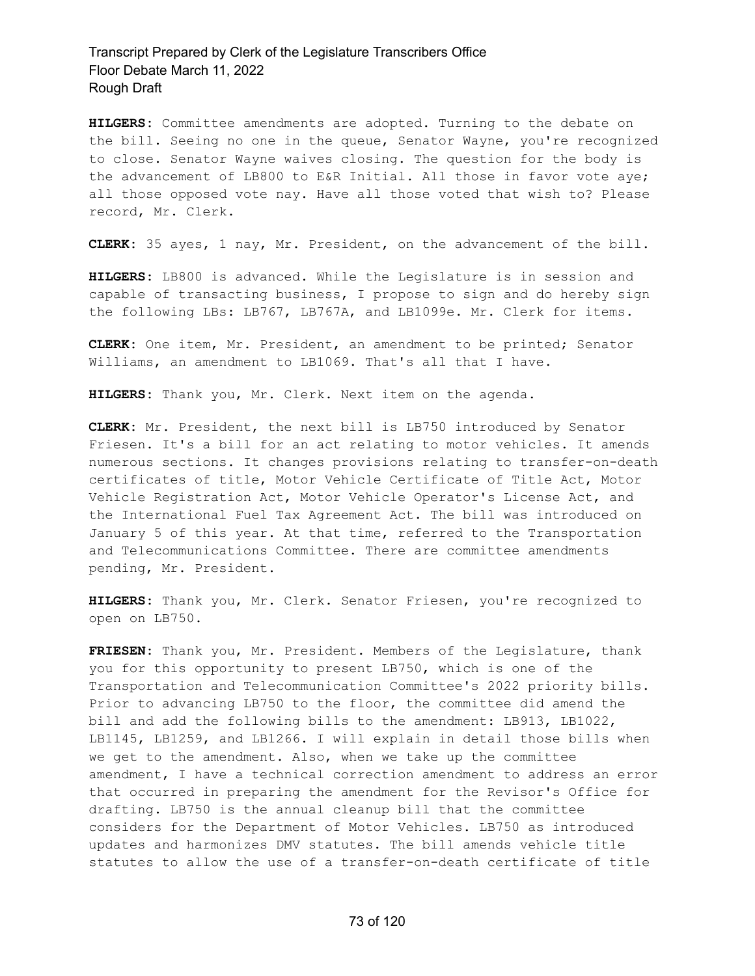**HILGERS:** Committee amendments are adopted. Turning to the debate on the bill. Seeing no one in the queue, Senator Wayne, you're recognized to close. Senator Wayne waives closing. The question for the body is the advancement of LB800 to E&R Initial. All those in favor vote aye; all those opposed vote nay. Have all those voted that wish to? Please record, Mr. Clerk.

**CLERK:** 35 ayes, 1 nay, Mr. President, on the advancement of the bill.

**HILGERS:** LB800 is advanced. While the Legislature is in session and capable of transacting business, I propose to sign and do hereby sign the following LBs: LB767, LB767A, and LB1099e. Mr. Clerk for items.

**CLERK:** One item, Mr. President, an amendment to be printed; Senator Williams, an amendment to LB1069. That's all that I have.

**HILGERS:** Thank you, Mr. Clerk. Next item on the agenda.

**CLERK:** Mr. President, the next bill is LB750 introduced by Senator Friesen. It's a bill for an act relating to motor vehicles. It amends numerous sections. It changes provisions relating to transfer-on-death certificates of title, Motor Vehicle Certificate of Title Act, Motor Vehicle Registration Act, Motor Vehicle Operator's License Act, and the International Fuel Tax Agreement Act. The bill was introduced on January 5 of this year. At that time, referred to the Transportation and Telecommunications Committee. There are committee amendments pending, Mr. President.

**HILGERS:** Thank you, Mr. Clerk. Senator Friesen, you're recognized to open on LB750.

**FRIESEN:** Thank you, Mr. President. Members of the Legislature, thank you for this opportunity to present LB750, which is one of the Transportation and Telecommunication Committee's 2022 priority bills. Prior to advancing LB750 to the floor, the committee did amend the bill and add the following bills to the amendment: LB913, LB1022, LB1145, LB1259, and LB1266. I will explain in detail those bills when we get to the amendment. Also, when we take up the committee amendment, I have a technical correction amendment to address an error that occurred in preparing the amendment for the Revisor's Office for drafting. LB750 is the annual cleanup bill that the committee considers for the Department of Motor Vehicles. LB750 as introduced updates and harmonizes DMV statutes. The bill amends vehicle title statutes to allow the use of a transfer-on-death certificate of title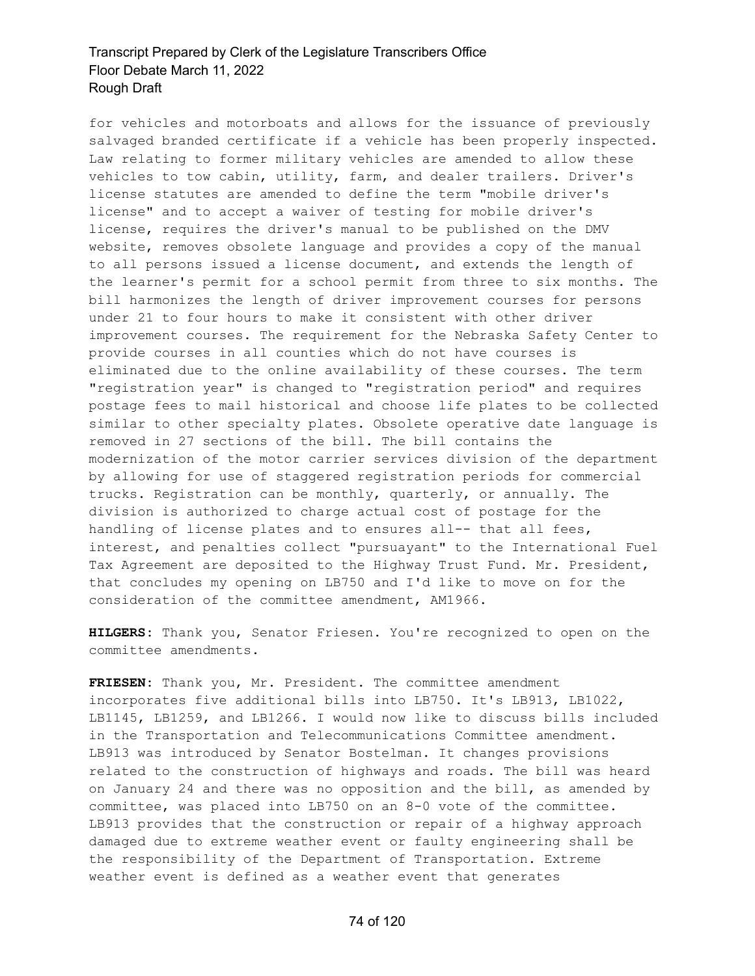for vehicles and motorboats and allows for the issuance of previously salvaged branded certificate if a vehicle has been properly inspected. Law relating to former military vehicles are amended to allow these vehicles to tow cabin, utility, farm, and dealer trailers. Driver's license statutes are amended to define the term "mobile driver's license" and to accept a waiver of testing for mobile driver's license, requires the driver's manual to be published on the DMV website, removes obsolete language and provides a copy of the manual to all persons issued a license document, and extends the length of the learner's permit for a school permit from three to six months. The bill harmonizes the length of driver improvement courses for persons under 21 to four hours to make it consistent with other driver improvement courses. The requirement for the Nebraska Safety Center to provide courses in all counties which do not have courses is eliminated due to the online availability of these courses. The term "registration year" is changed to "registration period" and requires postage fees to mail historical and choose life plates to be collected similar to other specialty plates. Obsolete operative date language is removed in 27 sections of the bill. The bill contains the modernization of the motor carrier services division of the department by allowing for use of staggered registration periods for commercial trucks. Registration can be monthly, quarterly, or annually. The division is authorized to charge actual cost of postage for the handling of license plates and to ensures all-- that all fees, interest, and penalties collect "pursuayant" to the International Fuel Tax Agreement are deposited to the Highway Trust Fund. Mr. President, that concludes my opening on LB750 and I'd like to move on for the consideration of the committee amendment, AM1966.

**HILGERS:** Thank you, Senator Friesen. You're recognized to open on the committee amendments.

**FRIESEN:** Thank you, Mr. President. The committee amendment incorporates five additional bills into LB750. It's LB913, LB1022, LB1145, LB1259, and LB1266. I would now like to discuss bills included in the Transportation and Telecommunications Committee amendment. LB913 was introduced by Senator Bostelman. It changes provisions related to the construction of highways and roads. The bill was heard on January 24 and there was no opposition and the bill, as amended by committee, was placed into LB750 on an 8-0 vote of the committee. LB913 provides that the construction or repair of a highway approach damaged due to extreme weather event or faulty engineering shall be the responsibility of the Department of Transportation. Extreme weather event is defined as a weather event that generates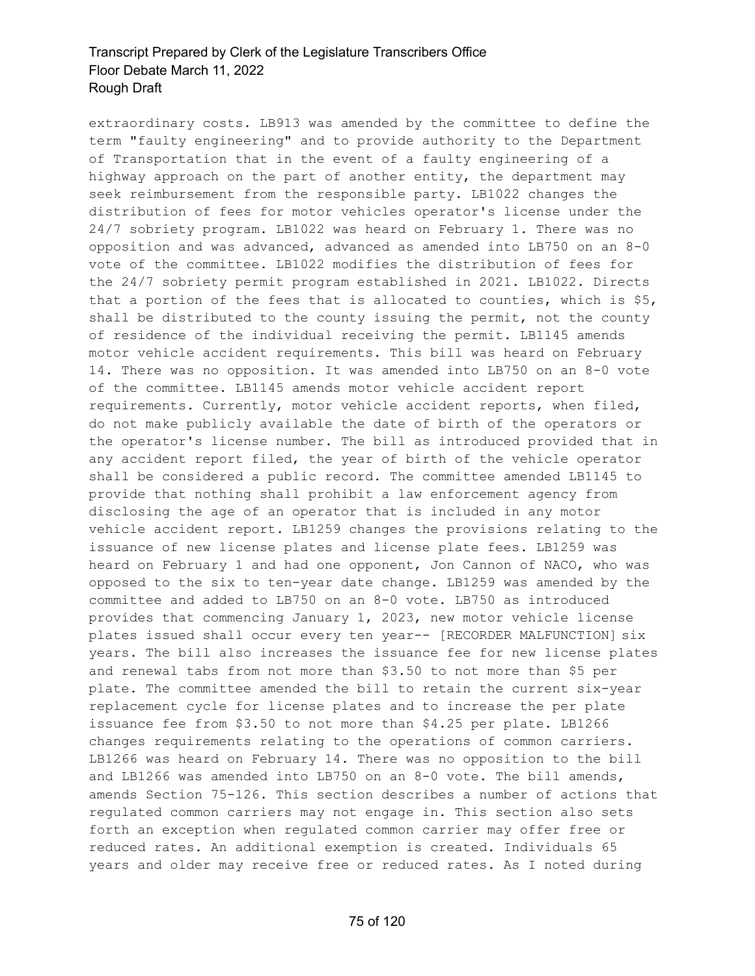extraordinary costs. LB913 was amended by the committee to define the term "faulty engineering" and to provide authority to the Department of Transportation that in the event of a faulty engineering of a highway approach on the part of another entity, the department may seek reimbursement from the responsible party. LB1022 changes the distribution of fees for motor vehicles operator's license under the 24/7 sobriety program. LB1022 was heard on February 1. There was no opposition and was advanced, advanced as amended into LB750 on an 8-0 vote of the committee. LB1022 modifies the distribution of fees for the 24/7 sobriety permit program established in 2021. LB1022. Directs that a portion of the fees that is allocated to counties, which is \$5, shall be distributed to the county issuing the permit, not the county of residence of the individual receiving the permit. LB1145 amends motor vehicle accident requirements. This bill was heard on February 14. There was no opposition. It was amended into LB750 on an 8-0 vote of the committee. LB1145 amends motor vehicle accident report requirements. Currently, motor vehicle accident reports, when filed, do not make publicly available the date of birth of the operators or the operator's license number. The bill as introduced provided that in any accident report filed, the year of birth of the vehicle operator shall be considered a public record. The committee amended LB1145 to provide that nothing shall prohibit a law enforcement agency from disclosing the age of an operator that is included in any motor vehicle accident report. LB1259 changes the provisions relating to the issuance of new license plates and license plate fees. LB1259 was heard on February 1 and had one opponent, Jon Cannon of NACO, who was opposed to the six to ten-year date change. LB1259 was amended by the committee and added to LB750 on an 8-0 vote. LB750 as introduced provides that commencing January 1, 2023, new motor vehicle license plates issued shall occur every ten year-- [RECORDER MALFUNCTION] six years. The bill also increases the issuance fee for new license plates and renewal tabs from not more than \$3.50 to not more than \$5 per plate. The committee amended the bill to retain the current six-year replacement cycle for license plates and to increase the per plate issuance fee from \$3.50 to not more than \$4.25 per plate. LB1266 changes requirements relating to the operations of common carriers. LB1266 was heard on February 14. There was no opposition to the bill and LB1266 was amended into LB750 on an 8-0 vote. The bill amends, amends Section 75-126. This section describes a number of actions that regulated common carriers may not engage in. This section also sets forth an exception when regulated common carrier may offer free or reduced rates. An additional exemption is created. Individuals 65 years and older may receive free or reduced rates. As I noted during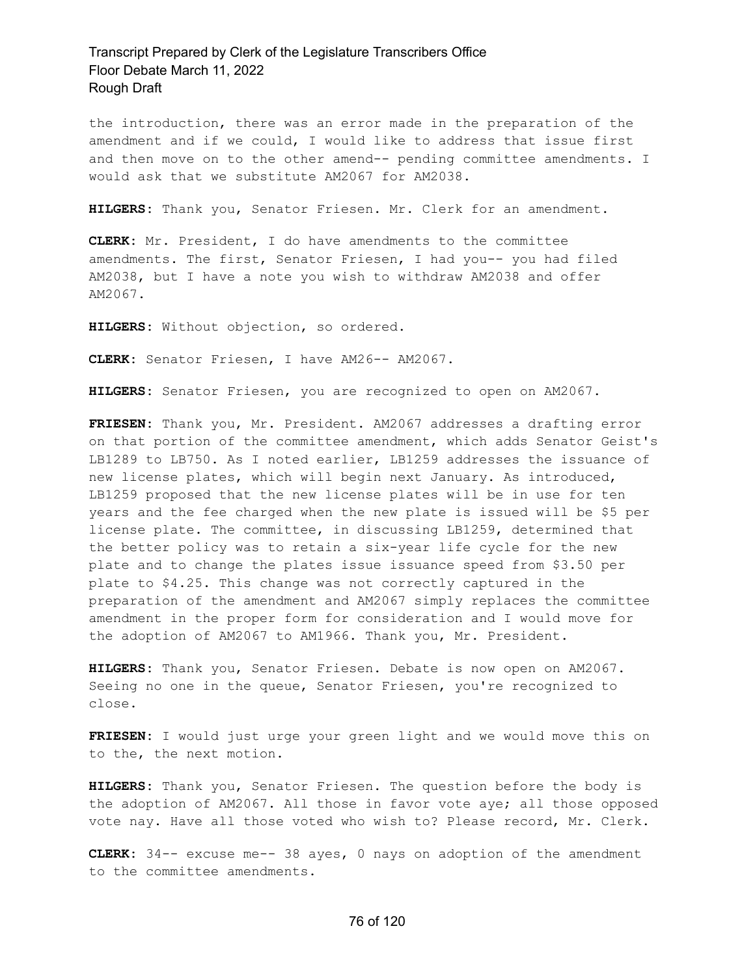the introduction, there was an error made in the preparation of the amendment and if we could, I would like to address that issue first and then move on to the other amend-- pending committee amendments. I would ask that we substitute AM2067 for AM2038.

**HILGERS:** Thank you, Senator Friesen. Mr. Clerk for an amendment.

**CLERK:** Mr. President, I do have amendments to the committee amendments. The first, Senator Friesen, I had you-- you had filed AM2038, but I have a note you wish to withdraw AM2038 and offer AM2067.

**HILGERS:** Without objection, so ordered.

**CLERK:** Senator Friesen, I have AM26-- AM2067.

**HILGERS:** Senator Friesen, you are recognized to open on AM2067.

**FRIESEN:** Thank you, Mr. President. AM2067 addresses a drafting error on that portion of the committee amendment, which adds Senator Geist's LB1289 to LB750. As I noted earlier, LB1259 addresses the issuance of new license plates, which will begin next January. As introduced, LB1259 proposed that the new license plates will be in use for ten years and the fee charged when the new plate is issued will be \$5 per license plate. The committee, in discussing LB1259, determined that the better policy was to retain a six-year life cycle for the new plate and to change the plates issue issuance speed from \$3.50 per plate to \$4.25. This change was not correctly captured in the preparation of the amendment and AM2067 simply replaces the committee amendment in the proper form for consideration and I would move for the adoption of AM2067 to AM1966. Thank you, Mr. President.

**HILGERS:** Thank you, Senator Friesen. Debate is now open on AM2067. Seeing no one in the queue, Senator Friesen, you're recognized to close.

**FRIESEN:** I would just urge your green light and we would move this on to the, the next motion.

**HILGERS:** Thank you, Senator Friesen. The question before the body is the adoption of AM2067. All those in favor vote aye; all those opposed vote nay. Have all those voted who wish to? Please record, Mr. Clerk.

**CLERK:** 34-- excuse me-- 38 ayes, 0 nays on adoption of the amendment to the committee amendments.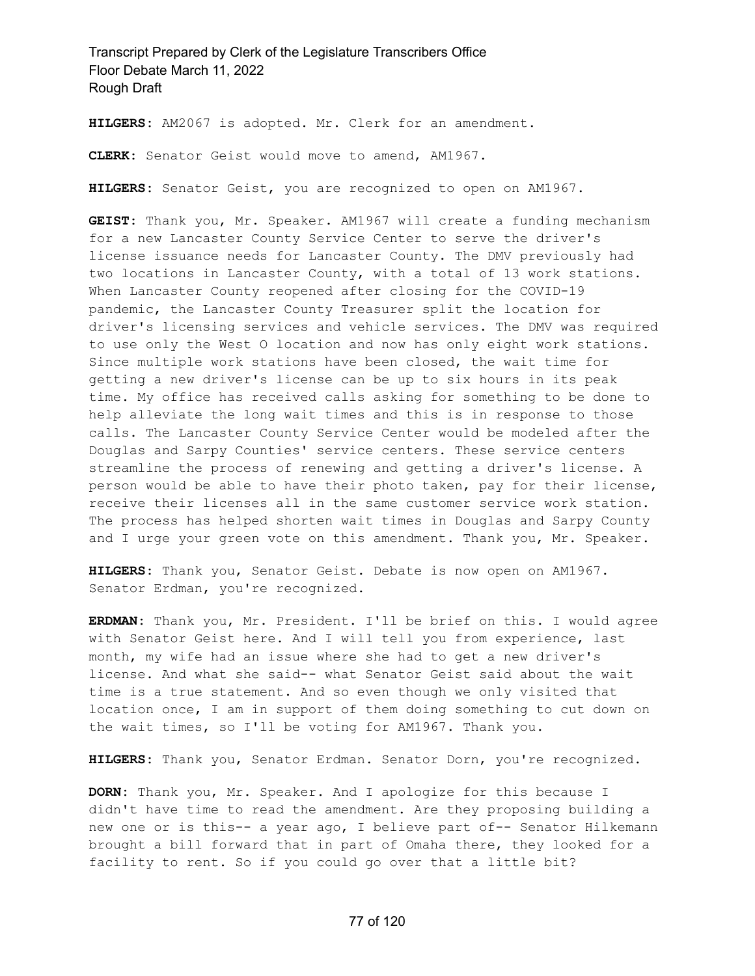**HILGERS:** AM2067 is adopted. Mr. Clerk for an amendment.

**CLERK:** Senator Geist would move to amend, AM1967.

**HILGERS:** Senator Geist, you are recognized to open on AM1967.

**GEIST:** Thank you, Mr. Speaker. AM1967 will create a funding mechanism for a new Lancaster County Service Center to serve the driver's license issuance needs for Lancaster County. The DMV previously had two locations in Lancaster County, with a total of 13 work stations. When Lancaster County reopened after closing for the COVID-19 pandemic, the Lancaster County Treasurer split the location for driver's licensing services and vehicle services. The DMV was required to use only the West O location and now has only eight work stations. Since multiple work stations have been closed, the wait time for getting a new driver's license can be up to six hours in its peak time. My office has received calls asking for something to be done to help alleviate the long wait times and this is in response to those calls. The Lancaster County Service Center would be modeled after the Douglas and Sarpy Counties' service centers. These service centers streamline the process of renewing and getting a driver's license. A person would be able to have their photo taken, pay for their license, receive their licenses all in the same customer service work station. The process has helped shorten wait times in Douglas and Sarpy County and I urge your green vote on this amendment. Thank you, Mr. Speaker.

**HILGERS:** Thank you, Senator Geist. Debate is now open on AM1967. Senator Erdman, you're recognized.

**ERDMAN:** Thank you, Mr. President. I'll be brief on this. I would agree with Senator Geist here. And I will tell you from experience, last month, my wife had an issue where she had to get a new driver's license. And what she said-- what Senator Geist said about the wait time is a true statement. And so even though we only visited that location once, I am in support of them doing something to cut down on the wait times, so I'll be voting for AM1967. Thank you.

**HILGERS:** Thank you, Senator Erdman. Senator Dorn, you're recognized.

**DORN:** Thank you, Mr. Speaker. And I apologize for this because I didn't have time to read the amendment. Are they proposing building a new one or is this-- a year ago, I believe part of-- Senator Hilkemann brought a bill forward that in part of Omaha there, they looked for a facility to rent. So if you could go over that a little bit?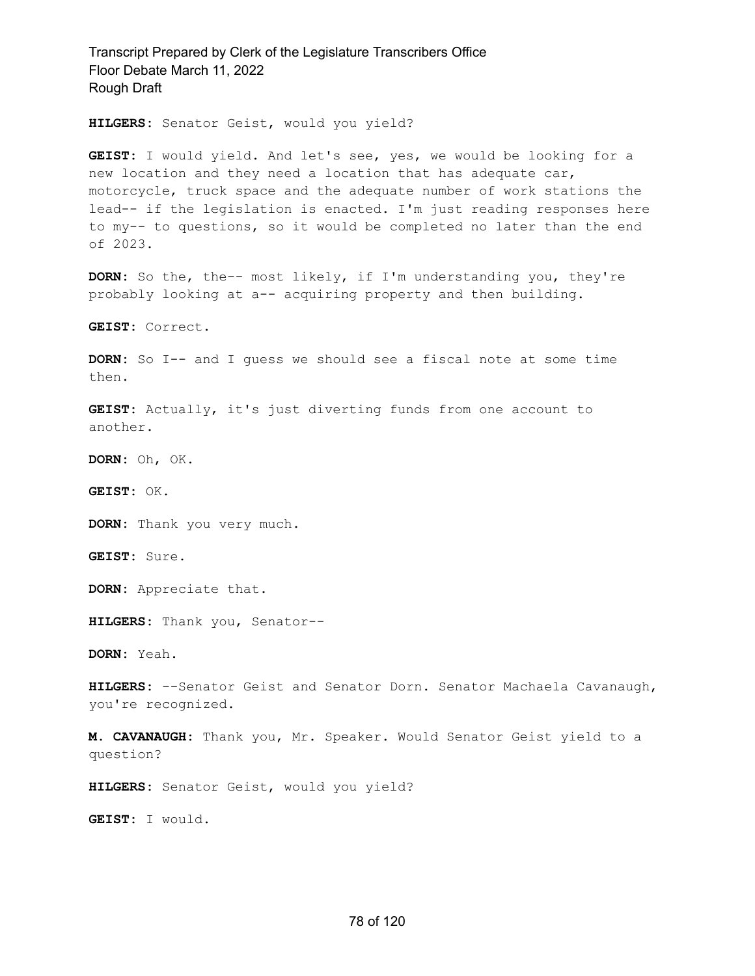**HILGERS:** Senator Geist, would you yield?

**GEIST:** I would yield. And let's see, yes, we would be looking for a new location and they need a location that has adequate car, motorcycle, truck space and the adequate number of work stations the lead-- if the legislation is enacted. I'm just reading responses here to my-- to questions, so it would be completed no later than the end of 2023.

**DORN:** So the, the-- most likely, if I'm understanding you, they're probably looking at a-- acquiring property and then building.

**GEIST:** Correct.

**DORN:** So I-- and I guess we should see a fiscal note at some time then.

**GEIST:** Actually, it's just diverting funds from one account to another.

**DORN:** Oh, OK.

**GEIST:** OK.

**DORN:** Thank you very much.

**GEIST:** Sure.

**DORN:** Appreciate that.

**HILGERS:** Thank you, Senator--

**DORN:** Yeah.

**HILGERS:** --Senator Geist and Senator Dorn. Senator Machaela Cavanaugh, you're recognized.

**M. CAVANAUGH:** Thank you, Mr. Speaker. Would Senator Geist yield to a question?

**HILGERS:** Senator Geist, would you yield?

**GEIST:** I would.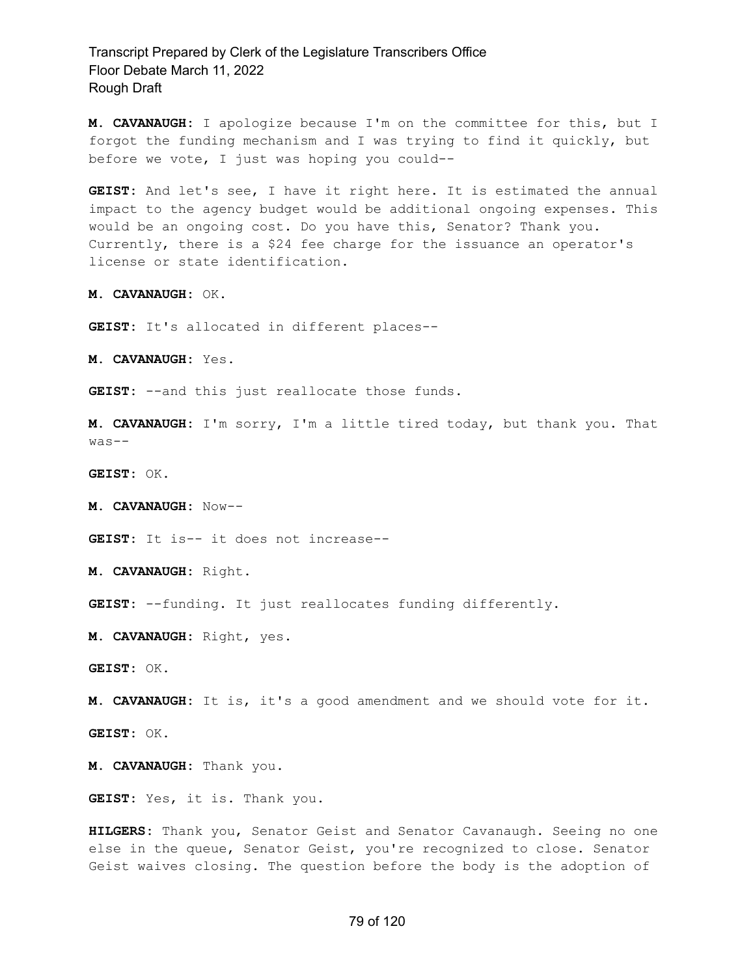**M. CAVANAUGH:** I apologize because I'm on the committee for this, but I forgot the funding mechanism and I was trying to find it quickly, but before we vote, I just was hoping you could--

**GEIST:** And let's see, I have it right here. It is estimated the annual impact to the agency budget would be additional ongoing expenses. This would be an ongoing cost. Do you have this, Senator? Thank you. Currently, there is a \$24 fee charge for the issuance an operator's license or state identification.

**M. CAVANAUGH:** OK.

**GEIST:** It's allocated in different places--

**M. CAVANAUGH:** Yes.

GEIST: --and this just reallocate those funds.

**M. CAVANAUGH:** I'm sorry, I'm a little tired today, but thank you. That was--

**GEIST:** OK.

**M. CAVANAUGH:** Now--

**GEIST:** It is-- it does not increase--

**M. CAVANAUGH:** Right.

**GEIST:** --funding. It just reallocates funding differently.

**M. CAVANAUGH:** Right, yes.

**GEIST:** OK.

**M. CAVANAUGH:** It is, it's a good amendment and we should vote for it. **GEIST:** OK.

**M. CAVANAUGH:** Thank you.

**GEIST:** Yes, it is. Thank you.

**HILGERS:** Thank you, Senator Geist and Senator Cavanaugh. Seeing no one else in the queue, Senator Geist, you're recognized to close. Senator Geist waives closing. The question before the body is the adoption of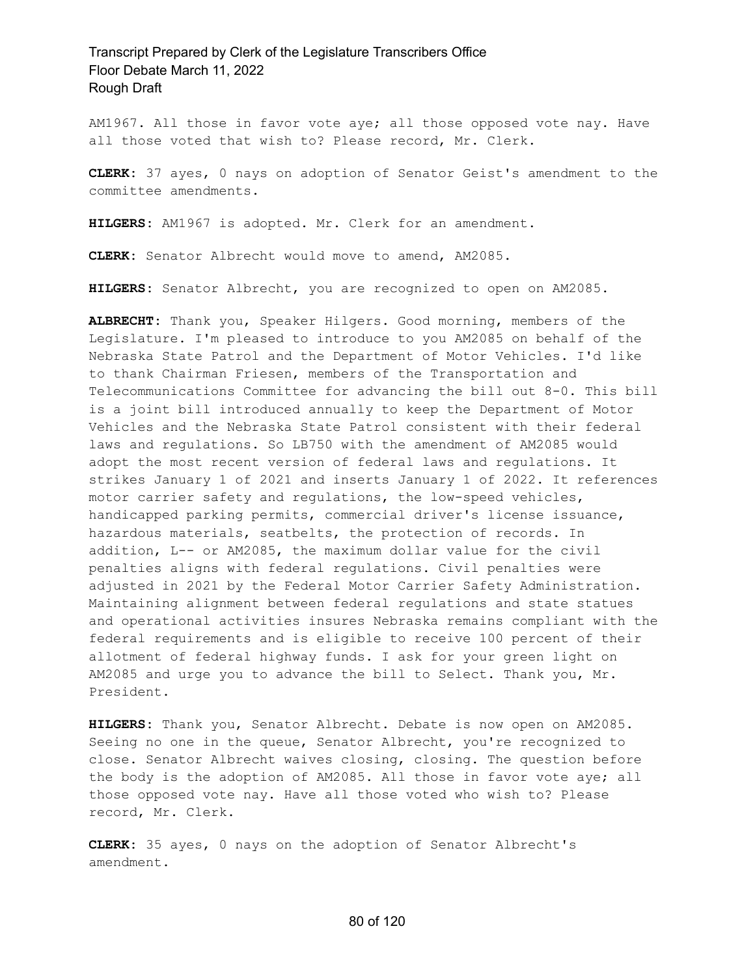AM1967. All those in favor vote aye; all those opposed vote nay. Have all those voted that wish to? Please record, Mr. Clerk.

**CLERK:** 37 ayes, 0 nays on adoption of Senator Geist's amendment to the committee amendments.

**HILGERS:** AM1967 is adopted. Mr. Clerk for an amendment.

**CLERK:** Senator Albrecht would move to amend, AM2085.

**HILGERS:** Senator Albrecht, you are recognized to open on AM2085.

**ALBRECHT:** Thank you, Speaker Hilgers. Good morning, members of the Legislature. I'm pleased to introduce to you AM2085 on behalf of the Nebraska State Patrol and the Department of Motor Vehicles. I'd like to thank Chairman Friesen, members of the Transportation and Telecommunications Committee for advancing the bill out 8-0. This bill is a joint bill introduced annually to keep the Department of Motor Vehicles and the Nebraska State Patrol consistent with their federal laws and regulations. So LB750 with the amendment of AM2085 would adopt the most recent version of federal laws and regulations. It strikes January 1 of 2021 and inserts January 1 of 2022. It references motor carrier safety and regulations, the low-speed vehicles, handicapped parking permits, commercial driver's license issuance, hazardous materials, seatbelts, the protection of records. In addition, L-- or AM2085, the maximum dollar value for the civil penalties aligns with federal regulations. Civil penalties were adjusted in 2021 by the Federal Motor Carrier Safety Administration. Maintaining alignment between federal regulations and state statues and operational activities insures Nebraska remains compliant with the federal requirements and is eligible to receive 100 percent of their allotment of federal highway funds. I ask for your green light on AM2085 and urge you to advance the bill to Select. Thank you, Mr. President.

**HILGERS:** Thank you, Senator Albrecht. Debate is now open on AM2085. Seeing no one in the queue, Senator Albrecht, you're recognized to close. Senator Albrecht waives closing, closing. The question before the body is the adoption of AM2085. All those in favor vote aye; all those opposed vote nay. Have all those voted who wish to? Please record, Mr. Clerk.

**CLERK:** 35 ayes, 0 nays on the adoption of Senator Albrecht's amendment.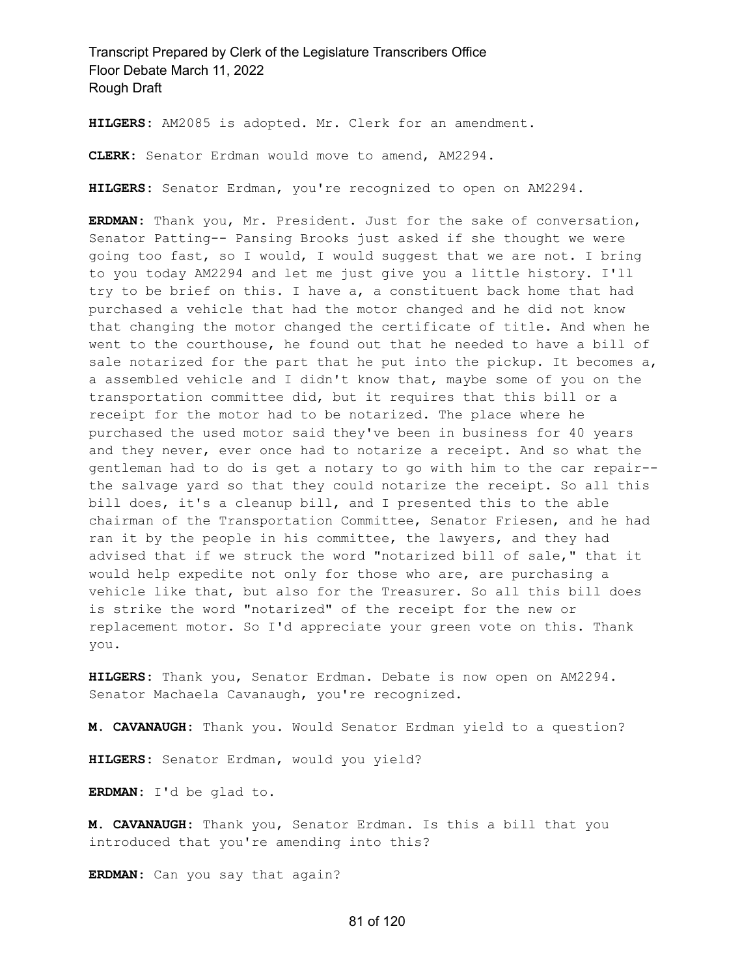**HILGERS:** AM2085 is adopted. Mr. Clerk for an amendment.

**CLERK:** Senator Erdman would move to amend, AM2294.

**HILGERS:** Senator Erdman, you're recognized to open on AM2294.

**ERDMAN:** Thank you, Mr. President. Just for the sake of conversation, Senator Patting-- Pansing Brooks just asked if she thought we were going too fast, so I would, I would suggest that we are not. I bring to you today AM2294 and let me just give you a little history. I'll try to be brief on this. I have a, a constituent back home that had purchased a vehicle that had the motor changed and he did not know that changing the motor changed the certificate of title. And when he went to the courthouse, he found out that he needed to have a bill of sale notarized for the part that he put into the pickup. It becomes a, a assembled vehicle and I didn't know that, maybe some of you on the transportation committee did, but it requires that this bill or a receipt for the motor had to be notarized. The place where he purchased the used motor said they've been in business for 40 years and they never, ever once had to notarize a receipt. And so what the gentleman had to do is get a notary to go with him to the car repair- the salvage yard so that they could notarize the receipt. So all this bill does, it's a cleanup bill, and I presented this to the able chairman of the Transportation Committee, Senator Friesen, and he had ran it by the people in his committee, the lawyers, and they had advised that if we struck the word "notarized bill of sale," that it would help expedite not only for those who are, are purchasing a vehicle like that, but also for the Treasurer. So all this bill does is strike the word "notarized" of the receipt for the new or replacement motor. So I'd appreciate your green vote on this. Thank you.

**HILGERS:** Thank you, Senator Erdman. Debate is now open on AM2294. Senator Machaela Cavanaugh, you're recognized.

**M. CAVANAUGH:** Thank you. Would Senator Erdman yield to a question?

**HILGERS:** Senator Erdman, would you yield?

**ERDMAN:** I'd be glad to.

**M. CAVANAUGH:** Thank you, Senator Erdman. Is this a bill that you introduced that you're amending into this?

**ERDMAN:** Can you say that again?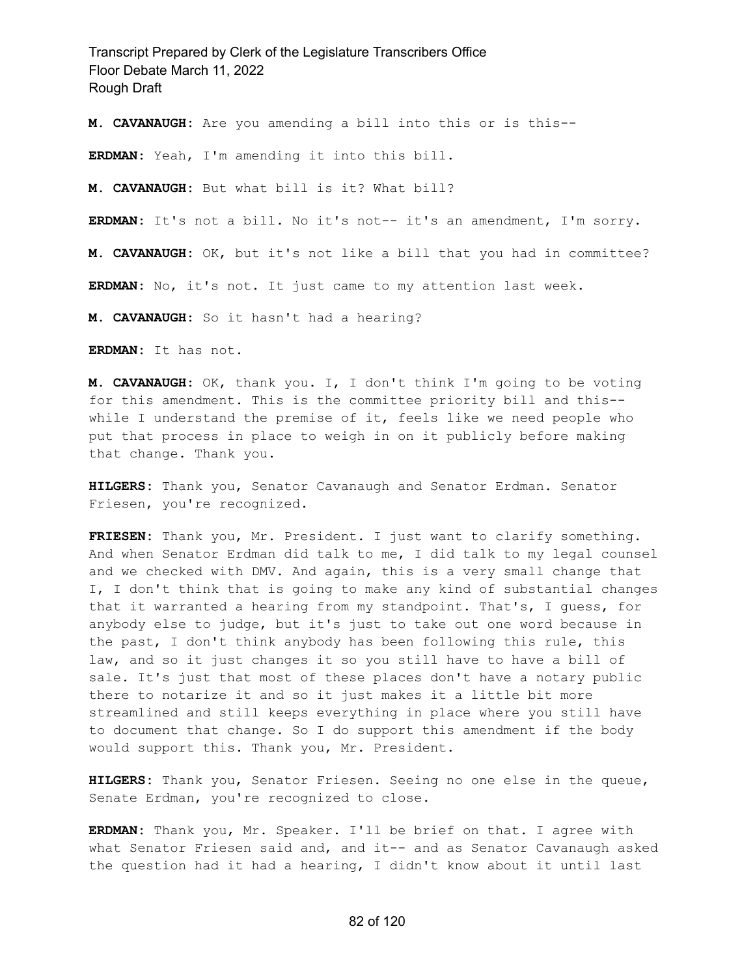**M. CAVANAUGH:** Are you amending a bill into this or is this--

**ERDMAN:** Yeah, I'm amending it into this bill.

**M. CAVANAUGH:** But what bill is it? What bill?

**ERDMAN:** It's not a bill. No it's not-- it's an amendment, I'm sorry.

**M. CAVANAUGH:** OK, but it's not like a bill that you had in committee?

**ERDMAN:** No, it's not. It just came to my attention last week.

**M. CAVANAUGH:** So it hasn't had a hearing?

**ERDMAN:** It has not.

**M. CAVANAUGH:** OK, thank you. I, I don't think I'm going to be voting for this amendment. This is the committee priority bill and this- while I understand the premise of it, feels like we need people who put that process in place to weigh in on it publicly before making that change. Thank you.

**HILGERS:** Thank you, Senator Cavanaugh and Senator Erdman. Senator Friesen, you're recognized.

**FRIESEN:** Thank you, Mr. President. I just want to clarify something. And when Senator Erdman did talk to me, I did talk to my legal counsel and we checked with DMV. And again, this is a very small change that I, I don't think that is going to make any kind of substantial changes that it warranted a hearing from my standpoint. That's, I guess, for anybody else to judge, but it's just to take out one word because in the past, I don't think anybody has been following this rule, this law, and so it just changes it so you still have to have a bill of sale. It's just that most of these places don't have a notary public there to notarize it and so it just makes it a little bit more streamlined and still keeps everything in place where you still have to document that change. So I do support this amendment if the body would support this. Thank you, Mr. President.

**HILGERS:** Thank you, Senator Friesen. Seeing no one else in the queue, Senate Erdman, you're recognized to close.

**ERDMAN:** Thank you, Mr. Speaker. I'll be brief on that. I agree with what Senator Friesen said and, and it-- and as Senator Cavanaugh asked the question had it had a hearing, I didn't know about it until last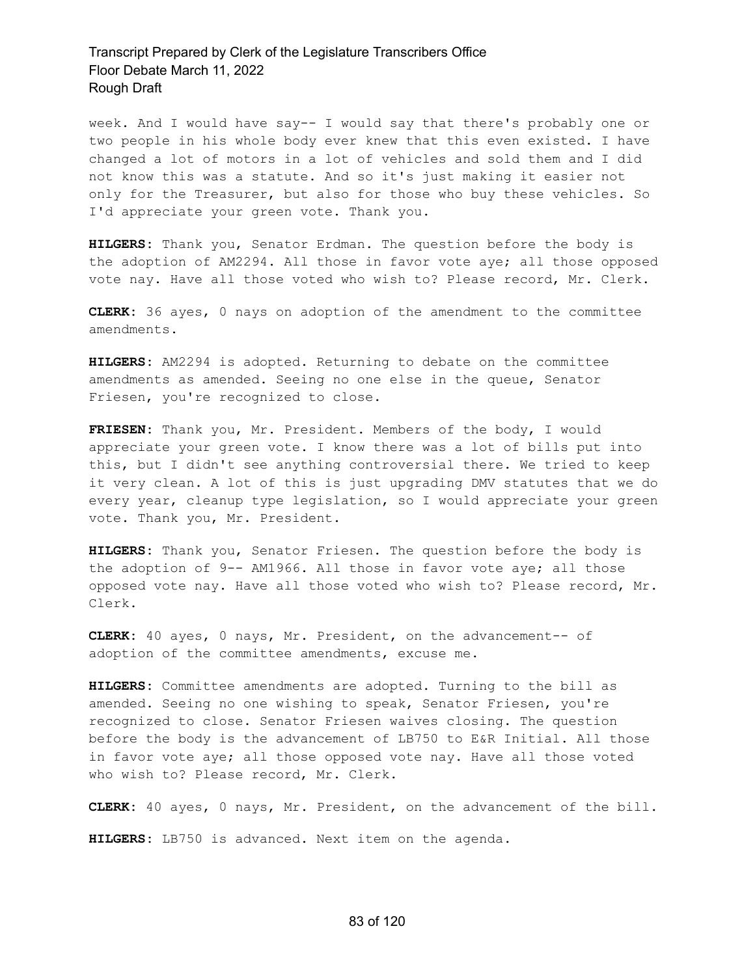week. And I would have say-- I would say that there's probably one or two people in his whole body ever knew that this even existed. I have changed a lot of motors in a lot of vehicles and sold them and I did not know this was a statute. And so it's just making it easier not only for the Treasurer, but also for those who buy these vehicles. So I'd appreciate your green vote. Thank you.

**HILGERS:** Thank you, Senator Erdman. The question before the body is the adoption of AM2294. All those in favor vote aye; all those opposed vote nay. Have all those voted who wish to? Please record, Mr. Clerk.

**CLERK:** 36 ayes, 0 nays on adoption of the amendment to the committee amendments.

**HILGERS:** AM2294 is adopted. Returning to debate on the committee amendments as amended. Seeing no one else in the queue, Senator Friesen, you're recognized to close.

**FRIESEN:** Thank you, Mr. President. Members of the body, I would appreciate your green vote. I know there was a lot of bills put into this, but I didn't see anything controversial there. We tried to keep it very clean. A lot of this is just upgrading DMV statutes that we do every year, cleanup type legislation, so I would appreciate your green vote. Thank you, Mr. President.

**HILGERS:** Thank you, Senator Friesen. The question before the body is the adoption of 9-- AM1966. All those in favor vote aye; all those opposed vote nay. Have all those voted who wish to? Please record, Mr. Clerk.

**CLERK:** 40 ayes, 0 nays, Mr. President, on the advancement-- of adoption of the committee amendments, excuse me.

**HILGERS:** Committee amendments are adopted. Turning to the bill as amended. Seeing no one wishing to speak, Senator Friesen, you're recognized to close. Senator Friesen waives closing. The question before the body is the advancement of LB750 to E&R Initial. All those in favor vote aye; all those opposed vote nay. Have all those voted who wish to? Please record, Mr. Clerk.

**CLERK:** 40 ayes, 0 nays, Mr. President, on the advancement of the bill. **HILGERS:** LB750 is advanced. Next item on the agenda.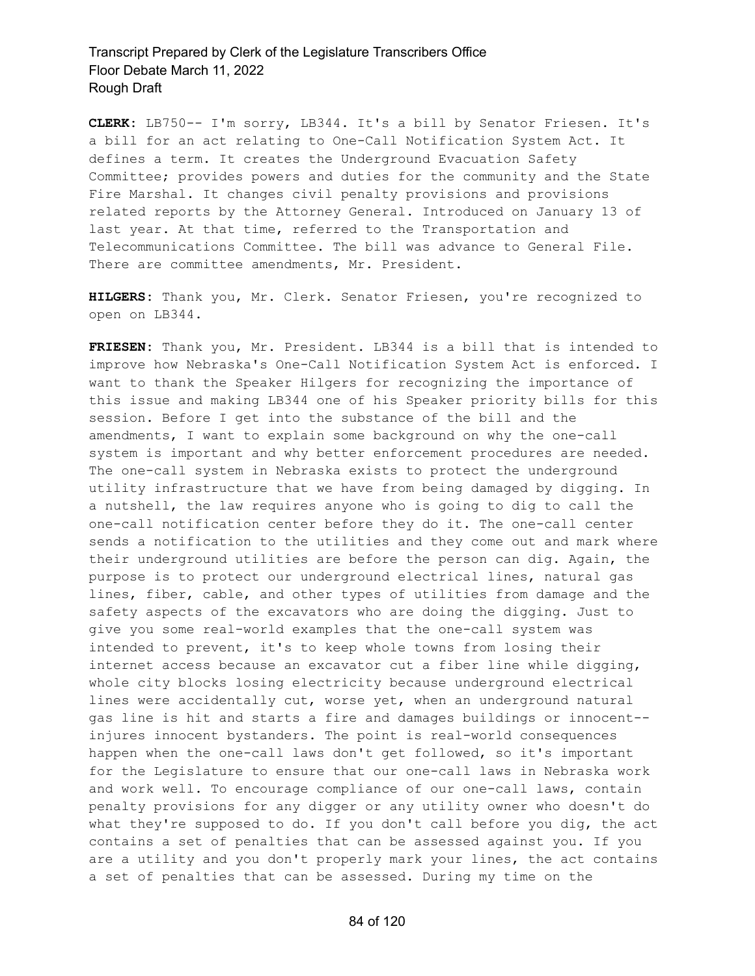**CLERK:** LB750-- I'm sorry, LB344. It's a bill by Senator Friesen. It's a bill for an act relating to One-Call Notification System Act. It defines a term. It creates the Underground Evacuation Safety Committee; provides powers and duties for the community and the State Fire Marshal. It changes civil penalty provisions and provisions related reports by the Attorney General. Introduced on January 13 of last year. At that time, referred to the Transportation and Telecommunications Committee. The bill was advance to General File. There are committee amendments, Mr. President.

**HILGERS:** Thank you, Mr. Clerk. Senator Friesen, you're recognized to open on LB344.

**FRIESEN:** Thank you, Mr. President. LB344 is a bill that is intended to improve how Nebraska's One-Call Notification System Act is enforced. I want to thank the Speaker Hilgers for recognizing the importance of this issue and making LB344 one of his Speaker priority bills for this session. Before I get into the substance of the bill and the amendments, I want to explain some background on why the one-call system is important and why better enforcement procedures are needed. The one-call system in Nebraska exists to protect the underground utility infrastructure that we have from being damaged by digging. In a nutshell, the law requires anyone who is going to dig to call the one-call notification center before they do it. The one-call center sends a notification to the utilities and they come out and mark where their underground utilities are before the person can dig. Again, the purpose is to protect our underground electrical lines, natural gas lines, fiber, cable, and other types of utilities from damage and the safety aspects of the excavators who are doing the digging. Just to give you some real-world examples that the one-call system was intended to prevent, it's to keep whole towns from losing their internet access because an excavator cut a fiber line while digging, whole city blocks losing electricity because underground electrical lines were accidentally cut, worse yet, when an underground natural gas line is hit and starts a fire and damages buildings or innocent- injures innocent bystanders. The point is real-world consequences happen when the one-call laws don't get followed, so it's important for the Legislature to ensure that our one-call laws in Nebraska work and work well. To encourage compliance of our one-call laws, contain penalty provisions for any digger or any utility owner who doesn't do what they're supposed to do. If you don't call before you dig, the act contains a set of penalties that can be assessed against you. If you are a utility and you don't properly mark your lines, the act contains a set of penalties that can be assessed. During my time on the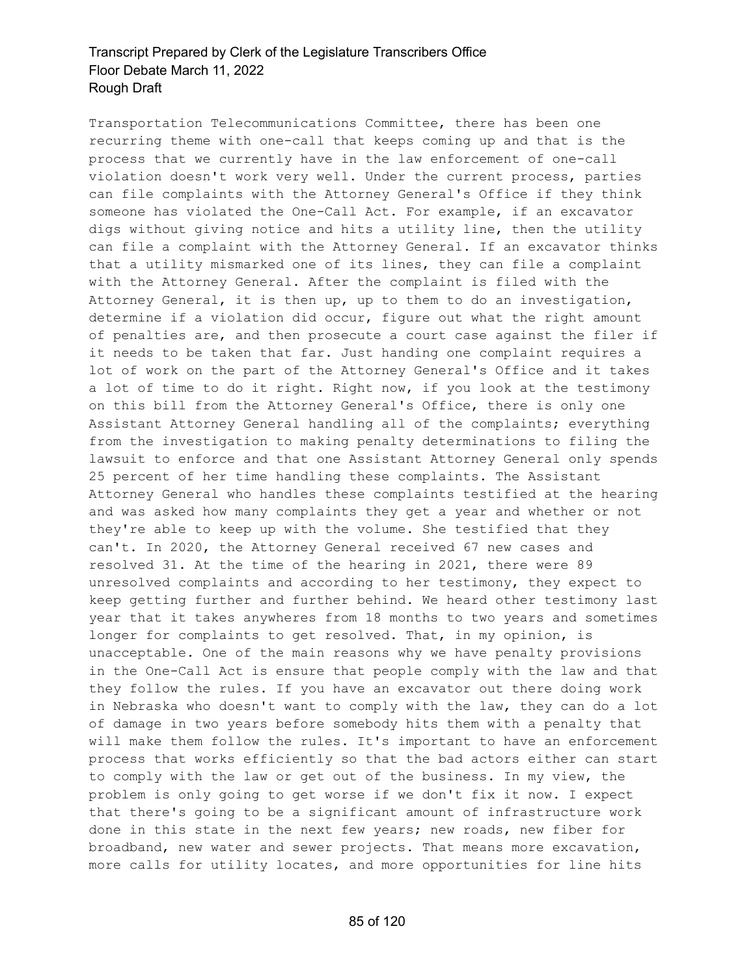Transportation Telecommunications Committee, there has been one recurring theme with one-call that keeps coming up and that is the process that we currently have in the law enforcement of one-call violation doesn't work very well. Under the current process, parties can file complaints with the Attorney General's Office if they think someone has violated the One-Call Act. For example, if an excavator digs without giving notice and hits a utility line, then the utility can file a complaint with the Attorney General. If an excavator thinks that a utility mismarked one of its lines, they can file a complaint with the Attorney General. After the complaint is filed with the Attorney General, it is then up, up to them to do an investigation, determine if a violation did occur, figure out what the right amount of penalties are, and then prosecute a court case against the filer if it needs to be taken that far. Just handing one complaint requires a lot of work on the part of the Attorney General's Office and it takes a lot of time to do it right. Right now, if you look at the testimony on this bill from the Attorney General's Office, there is only one Assistant Attorney General handling all of the complaints; everything from the investigation to making penalty determinations to filing the lawsuit to enforce and that one Assistant Attorney General only spends 25 percent of her time handling these complaints. The Assistant Attorney General who handles these complaints testified at the hearing and was asked how many complaints they get a year and whether or not they're able to keep up with the volume. She testified that they can't. In 2020, the Attorney General received 67 new cases and resolved 31. At the time of the hearing in 2021, there were 89 unresolved complaints and according to her testimony, they expect to keep getting further and further behind. We heard other testimony last year that it takes anywheres from 18 months to two years and sometimes longer for complaints to get resolved. That, in my opinion, is unacceptable. One of the main reasons why we have penalty provisions in the One-Call Act is ensure that people comply with the law and that they follow the rules. If you have an excavator out there doing work in Nebraska who doesn't want to comply with the law, they can do a lot of damage in two years before somebody hits them with a penalty that will make them follow the rules. It's important to have an enforcement process that works efficiently so that the bad actors either can start to comply with the law or get out of the business. In my view, the problem is only going to get worse if we don't fix it now. I expect that there's going to be a significant amount of infrastructure work done in this state in the next few years; new roads, new fiber for broadband, new water and sewer projects. That means more excavation, more calls for utility locates, and more opportunities for line hits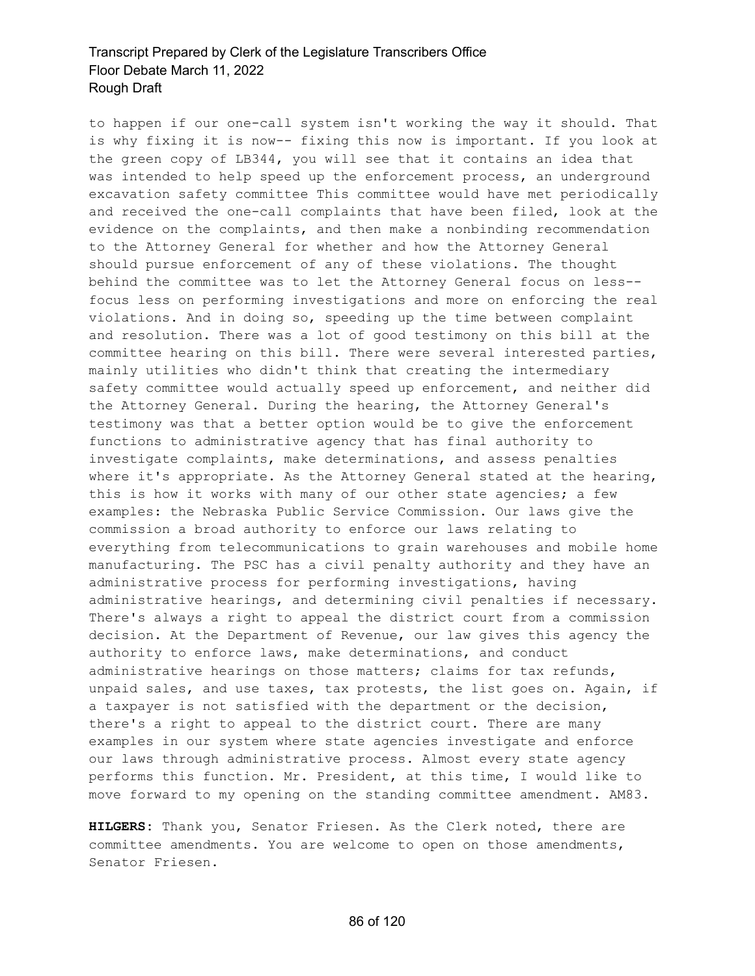to happen if our one-call system isn't working the way it should. That is why fixing it is now-- fixing this now is important. If you look at the green copy of LB344, you will see that it contains an idea that was intended to help speed up the enforcement process, an underground excavation safety committee This committee would have met periodically and received the one-call complaints that have been filed, look at the evidence on the complaints, and then make a nonbinding recommendation to the Attorney General for whether and how the Attorney General should pursue enforcement of any of these violations. The thought behind the committee was to let the Attorney General focus on less- focus less on performing investigations and more on enforcing the real violations. And in doing so, speeding up the time between complaint and resolution. There was a lot of good testimony on this bill at the committee hearing on this bill. There were several interested parties, mainly utilities who didn't think that creating the intermediary safety committee would actually speed up enforcement, and neither did the Attorney General. During the hearing, the Attorney General's testimony was that a better option would be to give the enforcement functions to administrative agency that has final authority to investigate complaints, make determinations, and assess penalties where it's appropriate. As the Attorney General stated at the hearing, this is how it works with many of our other state agencies; a few examples: the Nebraska Public Service Commission. Our laws give the commission a broad authority to enforce our laws relating to everything from telecommunications to grain warehouses and mobile home manufacturing. The PSC has a civil penalty authority and they have an administrative process for performing investigations, having administrative hearings, and determining civil penalties if necessary. There's always a right to appeal the district court from a commission decision. At the Department of Revenue, our law gives this agency the authority to enforce laws, make determinations, and conduct administrative hearings on those matters; claims for tax refunds, unpaid sales, and use taxes, tax protests, the list goes on. Again, if a taxpayer is not satisfied with the department or the decision, there's a right to appeal to the district court. There are many examples in our system where state agencies investigate and enforce our laws through administrative process. Almost every state agency performs this function. Mr. President, at this time, I would like to move forward to my opening on the standing committee amendment. AM83.

**HILGERS:** Thank you, Senator Friesen. As the Clerk noted, there are committee amendments. You are welcome to open on those amendments, Senator Friesen.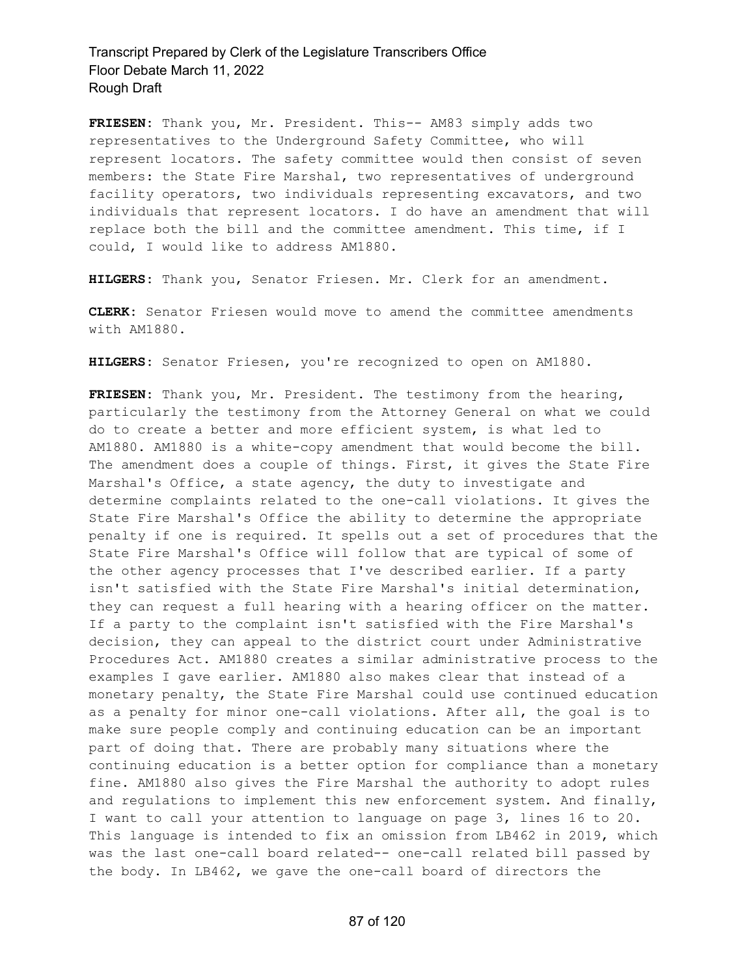**FRIESEN:** Thank you, Mr. President. This-- AM83 simply adds two representatives to the Underground Safety Committee, who will represent locators. The safety committee would then consist of seven members: the State Fire Marshal, two representatives of underground facility operators, two individuals representing excavators, and two individuals that represent locators. I do have an amendment that will replace both the bill and the committee amendment. This time, if I could, I would like to address AM1880.

**HILGERS:** Thank you, Senator Friesen. Mr. Clerk for an amendment.

**CLERK:** Senator Friesen would move to amend the committee amendments with AM1880.

**HILGERS:** Senator Friesen, you're recognized to open on AM1880.

**FRIESEN:** Thank you, Mr. President. The testimony from the hearing, particularly the testimony from the Attorney General on what we could do to create a better and more efficient system, is what led to AM1880. AM1880 is a white-copy amendment that would become the bill. The amendment does a couple of things. First, it gives the State Fire Marshal's Office, a state agency, the duty to investigate and determine complaints related to the one-call violations. It gives the State Fire Marshal's Office the ability to determine the appropriate penalty if one is required. It spells out a set of procedures that the State Fire Marshal's Office will follow that are typical of some of the other agency processes that I've described earlier. If a party isn't satisfied with the State Fire Marshal's initial determination, they can request a full hearing with a hearing officer on the matter. If a party to the complaint isn't satisfied with the Fire Marshal's decision, they can appeal to the district court under Administrative Procedures Act. AM1880 creates a similar administrative process to the examples I gave earlier. AM1880 also makes clear that instead of a monetary penalty, the State Fire Marshal could use continued education as a penalty for minor one-call violations. After all, the goal is to make sure people comply and continuing education can be an important part of doing that. There are probably many situations where the continuing education is a better option for compliance than a monetary fine. AM1880 also gives the Fire Marshal the authority to adopt rules and regulations to implement this new enforcement system. And finally, I want to call your attention to language on page 3, lines 16 to 20. This language is intended to fix an omission from LB462 in 2019, which was the last one-call board related-- one-call related bill passed by the body. In LB462, we gave the one-call board of directors the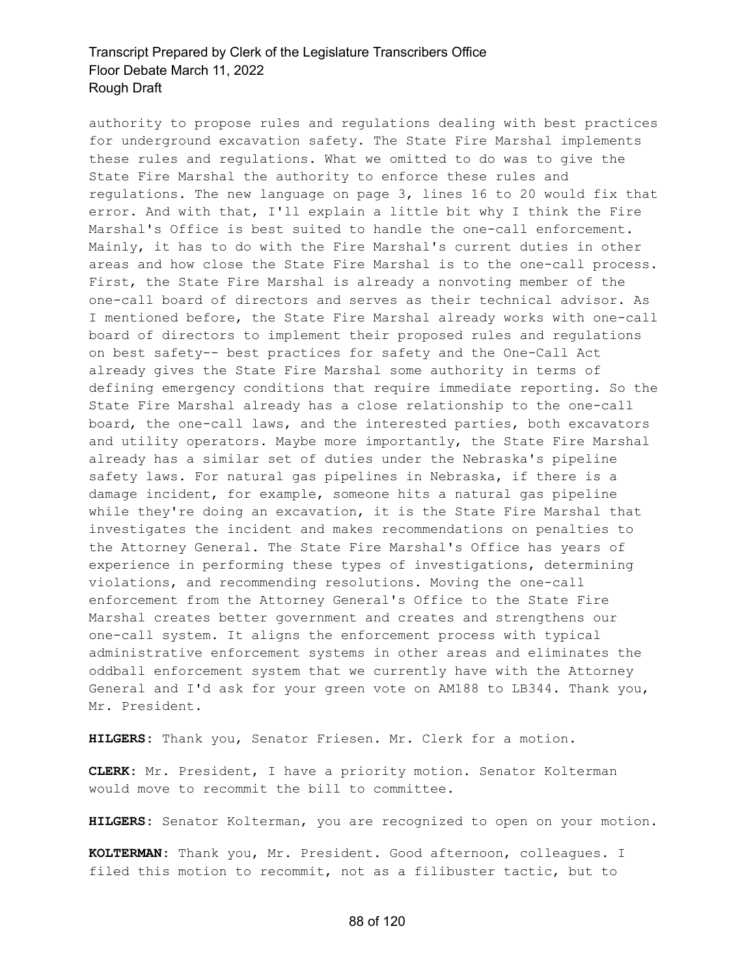authority to propose rules and regulations dealing with best practices for underground excavation safety. The State Fire Marshal implements these rules and regulations. What we omitted to do was to give the State Fire Marshal the authority to enforce these rules and regulations. The new language on page 3, lines 16 to 20 would fix that error. And with that, I'll explain a little bit why I think the Fire Marshal's Office is best suited to handle the one-call enforcement. Mainly, it has to do with the Fire Marshal's current duties in other areas and how close the State Fire Marshal is to the one-call process. First, the State Fire Marshal is already a nonvoting member of the one-call board of directors and serves as their technical advisor. As I mentioned before, the State Fire Marshal already works with one-call board of directors to implement their proposed rules and regulations on best safety-- best practices for safety and the One-Call Act already gives the State Fire Marshal some authority in terms of defining emergency conditions that require immediate reporting. So the State Fire Marshal already has a close relationship to the one-call board, the one-call laws, and the interested parties, both excavators and utility operators. Maybe more importantly, the State Fire Marshal already has a similar set of duties under the Nebraska's pipeline safety laws. For natural gas pipelines in Nebraska, if there is a damage incident, for example, someone hits a natural gas pipeline while they're doing an excavation, it is the State Fire Marshal that investigates the incident and makes recommendations on penalties to the Attorney General. The State Fire Marshal's Office has years of experience in performing these types of investigations, determining violations, and recommending resolutions. Moving the one-call enforcement from the Attorney General's Office to the State Fire Marshal creates better government and creates and strengthens our one-call system. It aligns the enforcement process with typical administrative enforcement systems in other areas and eliminates the oddball enforcement system that we currently have with the Attorney General and I'd ask for your green vote on AM188 to LB344. Thank you, Mr. President.

**HILGERS:** Thank you, Senator Friesen. Mr. Clerk for a motion.

**CLERK:** Mr. President, I have a priority motion. Senator Kolterman would move to recommit the bill to committee.

**HILGERS:** Senator Kolterman, you are recognized to open on your motion.

**KOLTERMAN:** Thank you, Mr. President. Good afternoon, colleagues. I filed this motion to recommit, not as a filibuster tactic, but to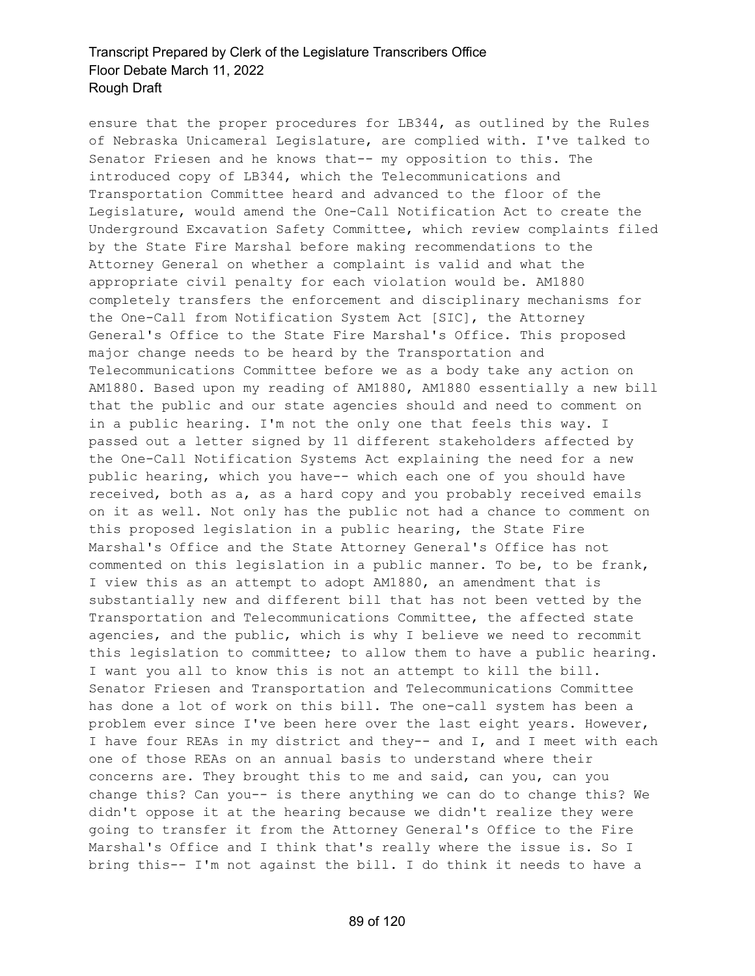ensure that the proper procedures for LB344, as outlined by the Rules of Nebraska Unicameral Legislature, are complied with. I've talked to Senator Friesen and he knows that-- my opposition to this. The introduced copy of LB344, which the Telecommunications and Transportation Committee heard and advanced to the floor of the Legislature, would amend the One-Call Notification Act to create the Underground Excavation Safety Committee, which review complaints filed by the State Fire Marshal before making recommendations to the Attorney General on whether a complaint is valid and what the appropriate civil penalty for each violation would be. AM1880 completely transfers the enforcement and disciplinary mechanisms for the One-Call from Notification System Act [SIC], the Attorney General's Office to the State Fire Marshal's Office. This proposed major change needs to be heard by the Transportation and Telecommunications Committee before we as a body take any action on AM1880. Based upon my reading of AM1880, AM1880 essentially a new bill that the public and our state agencies should and need to comment on in a public hearing. I'm not the only one that feels this way. I passed out a letter signed by 11 different stakeholders affected by the One-Call Notification Systems Act explaining the need for a new public hearing, which you have-- which each one of you should have received, both as a, as a hard copy and you probably received emails on it as well. Not only has the public not had a chance to comment on this proposed legislation in a public hearing, the State Fire Marshal's Office and the State Attorney General's Office has not commented on this legislation in a public manner. To be, to be frank, I view this as an attempt to adopt AM1880, an amendment that is substantially new and different bill that has not been vetted by the Transportation and Telecommunications Committee, the affected state agencies, and the public, which is why I believe we need to recommit this legislation to committee; to allow them to have a public hearing. I want you all to know this is not an attempt to kill the bill. Senator Friesen and Transportation and Telecommunications Committee has done a lot of work on this bill. The one-call system has been a problem ever since I've been here over the last eight years. However, I have four REAs in my district and they-- and I, and I meet with each one of those REAs on an annual basis to understand where their concerns are. They brought this to me and said, can you, can you change this? Can you-- is there anything we can do to change this? We didn't oppose it at the hearing because we didn't realize they were going to transfer it from the Attorney General's Office to the Fire Marshal's Office and I think that's really where the issue is. So I bring this-- I'm not against the bill. I do think it needs to have a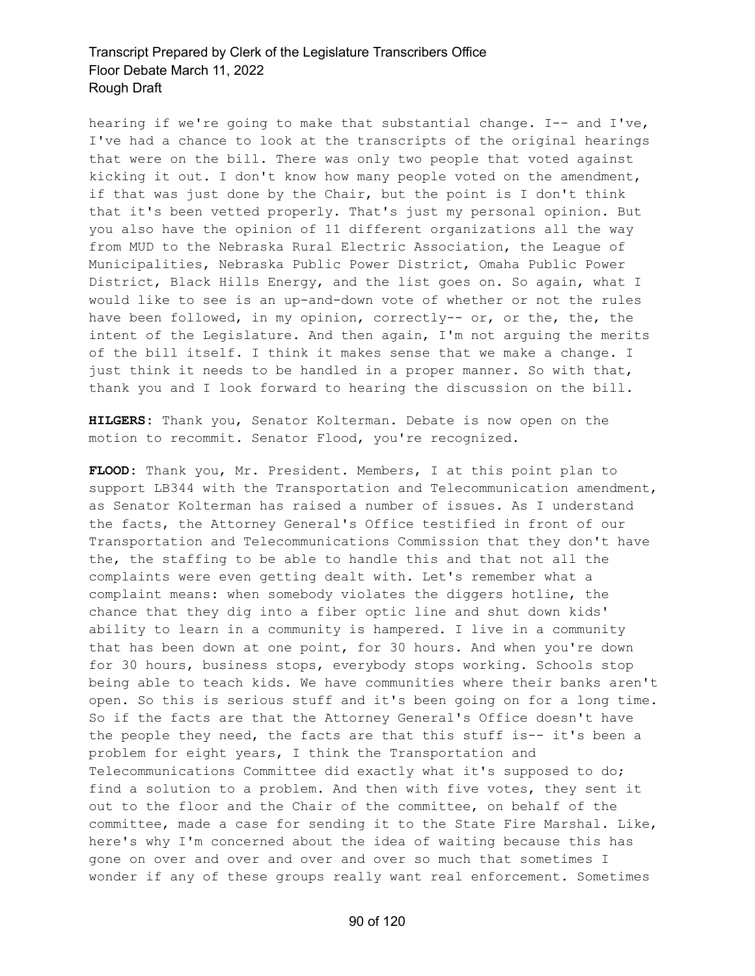hearing if we're going to make that substantial change. I-- and I've, I've had a chance to look at the transcripts of the original hearings that were on the bill. There was only two people that voted against kicking it out. I don't know how many people voted on the amendment, if that was just done by the Chair, but the point is I don't think that it's been vetted properly. That's just my personal opinion. But you also have the opinion of 11 different organizations all the way from MUD to the Nebraska Rural Electric Association, the League of Municipalities, Nebraska Public Power District, Omaha Public Power District, Black Hills Energy, and the list goes on. So again, what I would like to see is an up-and-down vote of whether or not the rules have been followed, in my opinion, correctly-- or, or the, the, the intent of the Legislature. And then again, I'm not arguing the merits of the bill itself. I think it makes sense that we make a change. I just think it needs to be handled in a proper manner. So with that, thank you and I look forward to hearing the discussion on the bill.

**HILGERS:** Thank you, Senator Kolterman. Debate is now open on the motion to recommit. Senator Flood, you're recognized.

**FLOOD:** Thank you, Mr. President. Members, I at this point plan to support LB344 with the Transportation and Telecommunication amendment, as Senator Kolterman has raised a number of issues. As I understand the facts, the Attorney General's Office testified in front of our Transportation and Telecommunications Commission that they don't have the, the staffing to be able to handle this and that not all the complaints were even getting dealt with. Let's remember what a complaint means: when somebody violates the diggers hotline, the chance that they dig into a fiber optic line and shut down kids' ability to learn in a community is hampered. I live in a community that has been down at one point, for 30 hours. And when you're down for 30 hours, business stops, everybody stops working. Schools stop being able to teach kids. We have communities where their banks aren't open. So this is serious stuff and it's been going on for a long time. So if the facts are that the Attorney General's Office doesn't have the people they need, the facts are that this stuff is-- it's been a problem for eight years, I think the Transportation and Telecommunications Committee did exactly what it's supposed to do; find a solution to a problem. And then with five votes, they sent it out to the floor and the Chair of the committee, on behalf of the committee, made a case for sending it to the State Fire Marshal. Like, here's why I'm concerned about the idea of waiting because this has gone on over and over and over and over so much that sometimes I wonder if any of these groups really want real enforcement. Sometimes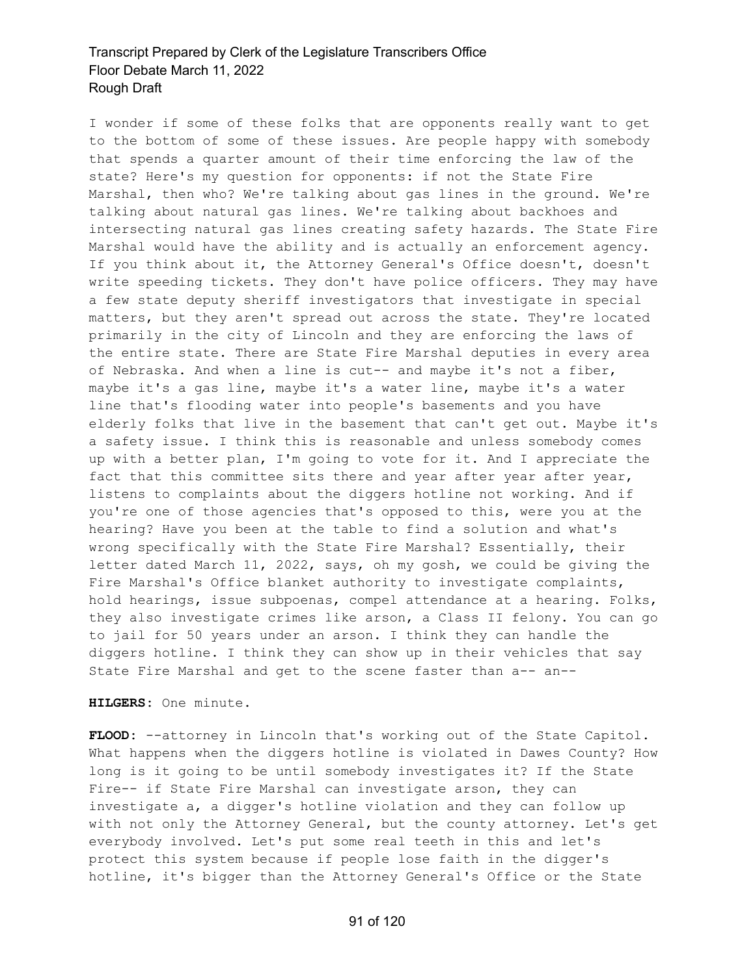I wonder if some of these folks that are opponents really want to get to the bottom of some of these issues. Are people happy with somebody that spends a quarter amount of their time enforcing the law of the state? Here's my question for opponents: if not the State Fire Marshal, then who? We're talking about gas lines in the ground. We're talking about natural gas lines. We're talking about backhoes and intersecting natural gas lines creating safety hazards. The State Fire Marshal would have the ability and is actually an enforcement agency. If you think about it, the Attorney General's Office doesn't, doesn't write speeding tickets. They don't have police officers. They may have a few state deputy sheriff investigators that investigate in special matters, but they aren't spread out across the state. They're located primarily in the city of Lincoln and they are enforcing the laws of the entire state. There are State Fire Marshal deputies in every area of Nebraska. And when a line is cut-- and maybe it's not a fiber, maybe it's a gas line, maybe it's a water line, maybe it's a water line that's flooding water into people's basements and you have elderly folks that live in the basement that can't get out. Maybe it's a safety issue. I think this is reasonable and unless somebody comes up with a better plan, I'm going to vote for it. And I appreciate the fact that this committee sits there and year after year after year, listens to complaints about the diggers hotline not working. And if you're one of those agencies that's opposed to this, were you at the hearing? Have you been at the table to find a solution and what's wrong specifically with the State Fire Marshal? Essentially, their letter dated March 11, 2022, says, oh my gosh, we could be giving the Fire Marshal's Office blanket authority to investigate complaints, hold hearings, issue subpoenas, compel attendance at a hearing. Folks, they also investigate crimes like arson, a Class II felony. You can go to jail for 50 years under an arson. I think they can handle the diggers hotline. I think they can show up in their vehicles that say State Fire Marshal and get to the scene faster than a-- an--

**HILGERS:** One minute.

**FLOOD:** --attorney in Lincoln that's working out of the State Capitol. What happens when the diggers hotline is violated in Dawes County? How long is it going to be until somebody investigates it? If the State Fire-- if State Fire Marshal can investigate arson, they can investigate a, a digger's hotline violation and they can follow up with not only the Attorney General, but the county attorney. Let's get everybody involved. Let's put some real teeth in this and let's protect this system because if people lose faith in the digger's hotline, it's bigger than the Attorney General's Office or the State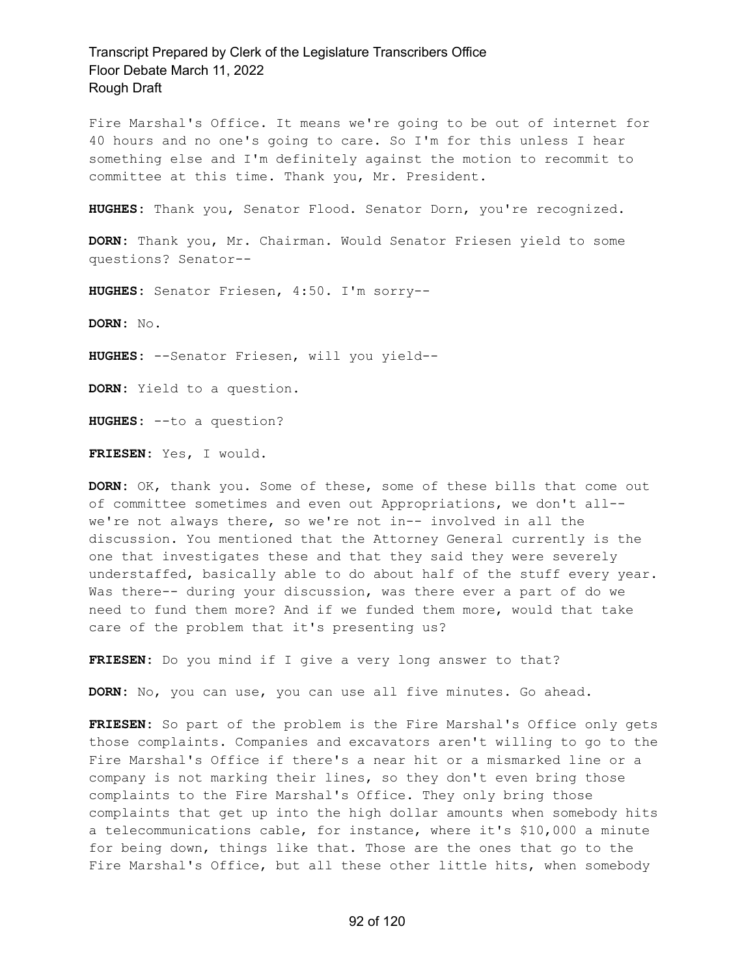Fire Marshal's Office. It means we're going to be out of internet for 40 hours and no one's going to care. So I'm for this unless I hear something else and I'm definitely against the motion to recommit to committee at this time. Thank you, Mr. President.

**HUGHES:** Thank you, Senator Flood. Senator Dorn, you're recognized.

**DORN:** Thank you, Mr. Chairman. Would Senator Friesen yield to some questions? Senator--

**HUGHES:** Senator Friesen, 4:50. I'm sorry--

**DORN:** No.

**HUGHES:** --Senator Friesen, will you yield--

**DORN:** Yield to a question.

**HUGHES:** --to a question?

**FRIESEN:** Yes, I would.

**DORN:** OK, thank you. Some of these, some of these bills that come out of committee sometimes and even out Appropriations, we don't all- we're not always there, so we're not in-- involved in all the discussion. You mentioned that the Attorney General currently is the one that investigates these and that they said they were severely understaffed, basically able to do about half of the stuff every year. Was there-- during your discussion, was there ever a part of do we need to fund them more? And if we funded them more, would that take care of the problem that it's presenting us?

**FRIESEN:** Do you mind if I give a very long answer to that?

**DORN:** No, you can use, you can use all five minutes. Go ahead.

**FRIESEN:** So part of the problem is the Fire Marshal's Office only gets those complaints. Companies and excavators aren't willing to go to the Fire Marshal's Office if there's a near hit or a mismarked line or a company is not marking their lines, so they don't even bring those complaints to the Fire Marshal's Office. They only bring those complaints that get up into the high dollar amounts when somebody hits a telecommunications cable, for instance, where it's \$10,000 a minute for being down, things like that. Those are the ones that go to the Fire Marshal's Office, but all these other little hits, when somebody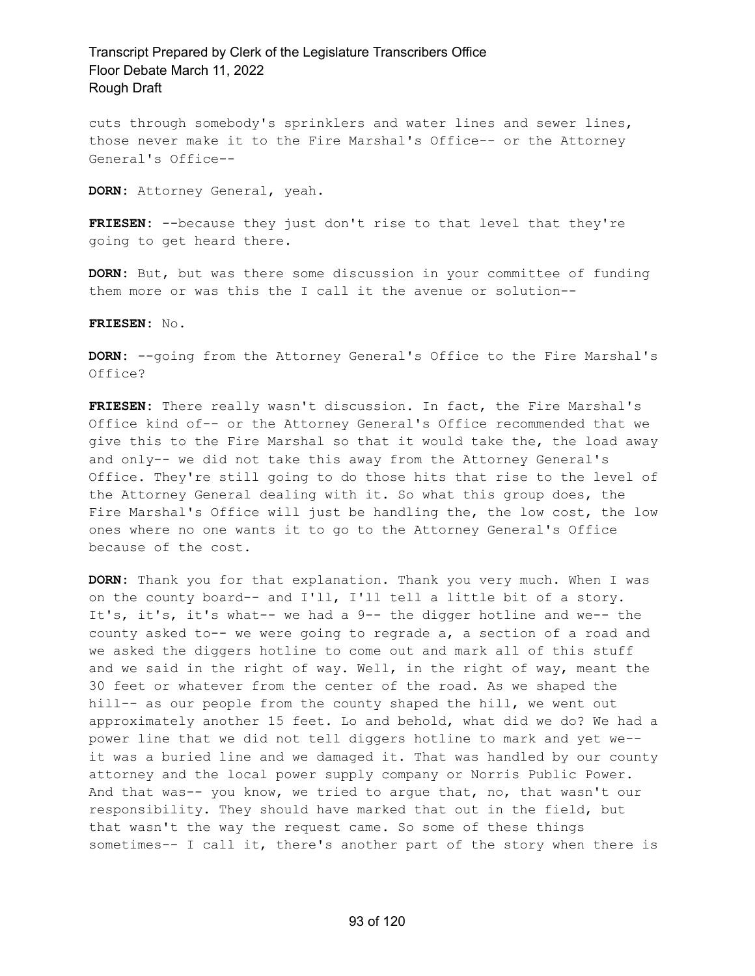cuts through somebody's sprinklers and water lines and sewer lines, those never make it to the Fire Marshal's Office-- or the Attorney General's Office--

**DORN:** Attorney General, yeah.

**FRIESEN:** --because they just don't rise to that level that they're going to get heard there.

**DORN:** But, but was there some discussion in your committee of funding them more or was this the I call it the avenue or solution--

**FRIESEN:** No.

**DORN:** --going from the Attorney General's Office to the Fire Marshal's Office?

**FRIESEN:** There really wasn't discussion. In fact, the Fire Marshal's Office kind of-- or the Attorney General's Office recommended that we give this to the Fire Marshal so that it would take the, the load away and only-- we did not take this away from the Attorney General's Office. They're still going to do those hits that rise to the level of the Attorney General dealing with it. So what this group does, the Fire Marshal's Office will just be handling the, the low cost, the low ones where no one wants it to go to the Attorney General's Office because of the cost.

**DORN:** Thank you for that explanation. Thank you very much. When I was on the county board-- and I'll, I'll tell a little bit of a story. It's, it's, it's what-- we had a 9-- the digger hotline and we-- the county asked to-- we were going to regrade a, a section of a road and we asked the diggers hotline to come out and mark all of this stuff and we said in the right of way. Well, in the right of way, meant the 30 feet or whatever from the center of the road. As we shaped the hill-- as our people from the county shaped the hill, we went out approximately another 15 feet. Lo and behold, what did we do? We had a power line that we did not tell diggers hotline to mark and yet we- it was a buried line and we damaged it. That was handled by our county attorney and the local power supply company or Norris Public Power. And that was-- you know, we tried to argue that, no, that wasn't our responsibility. They should have marked that out in the field, but that wasn't the way the request came. So some of these things sometimes-- I call it, there's another part of the story when there is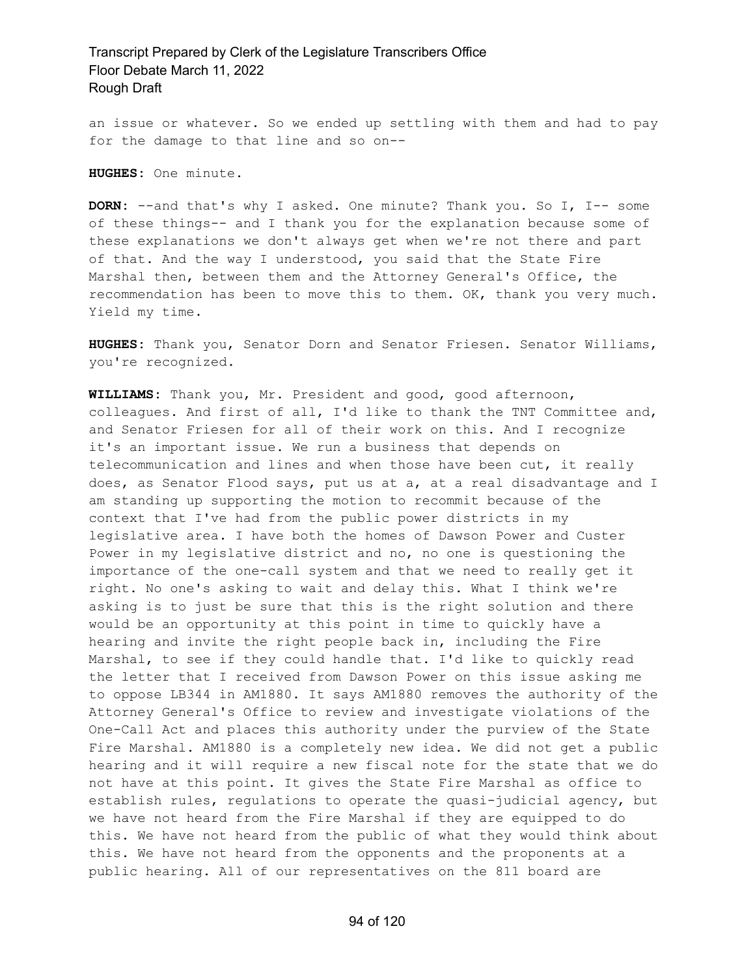an issue or whatever. So we ended up settling with them and had to pay for the damage to that line and so on--

**HUGHES:** One minute.

**DORN:** --and that's why I asked. One minute? Thank you. So I, I-- some of these things-- and I thank you for the explanation because some of these explanations we don't always get when we're not there and part of that. And the way I understood, you said that the State Fire Marshal then, between them and the Attorney General's Office, the recommendation has been to move this to them. OK, thank you very much. Yield my time.

**HUGHES:** Thank you, Senator Dorn and Senator Friesen. Senator Williams, you're recognized.

**WILLIAMS:** Thank you, Mr. President and good, good afternoon, colleagues. And first of all, I'd like to thank the TNT Committee and, and Senator Friesen for all of their work on this. And I recognize it's an important issue. We run a business that depends on telecommunication and lines and when those have been cut, it really does, as Senator Flood says, put us at a, at a real disadvantage and I am standing up supporting the motion to recommit because of the context that I've had from the public power districts in my legislative area. I have both the homes of Dawson Power and Custer Power in my legislative district and no, no one is questioning the importance of the one-call system and that we need to really get it right. No one's asking to wait and delay this. What I think we're asking is to just be sure that this is the right solution and there would be an opportunity at this point in time to quickly have a hearing and invite the right people back in, including the Fire Marshal, to see if they could handle that. I'd like to quickly read the letter that I received from Dawson Power on this issue asking me to oppose LB344 in AM1880. It says AM1880 removes the authority of the Attorney General's Office to review and investigate violations of the One-Call Act and places this authority under the purview of the State Fire Marshal. AM1880 is a completely new idea. We did not get a public hearing and it will require a new fiscal note for the state that we do not have at this point. It gives the State Fire Marshal as office to establish rules, regulations to operate the quasi-judicial agency, but we have not heard from the Fire Marshal if they are equipped to do this. We have not heard from the public of what they would think about this. We have not heard from the opponents and the proponents at a public hearing. All of our representatives on the 811 board are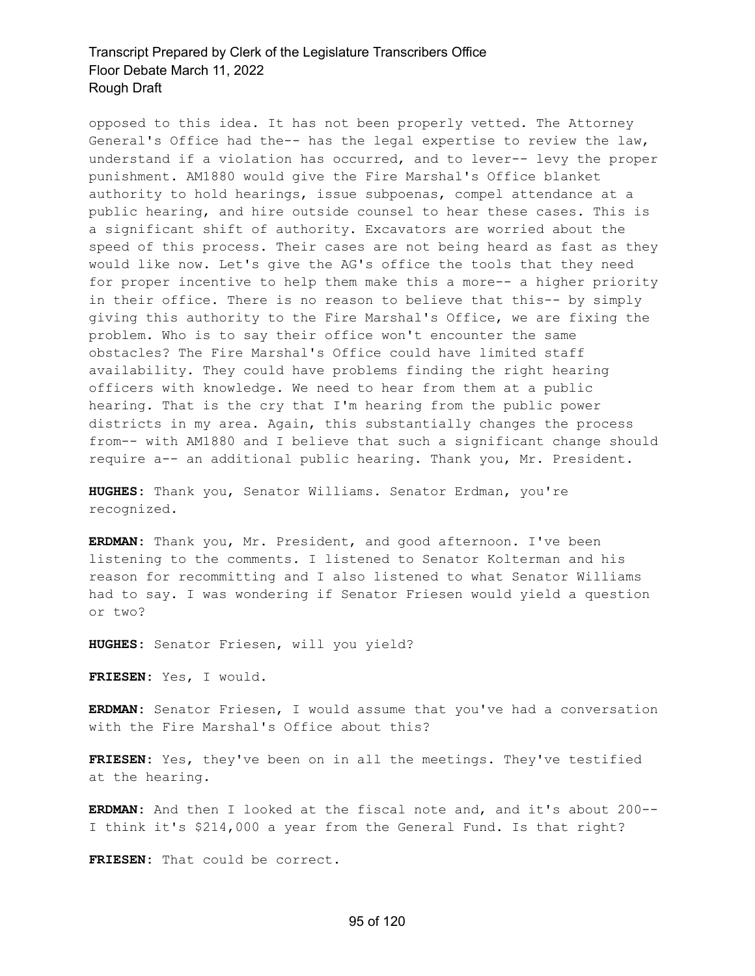opposed to this idea. It has not been properly vetted. The Attorney General's Office had the-- has the legal expertise to review the law, understand if a violation has occurred, and to lever-- levy the proper punishment. AM1880 would give the Fire Marshal's Office blanket authority to hold hearings, issue subpoenas, compel attendance at a public hearing, and hire outside counsel to hear these cases. This is a significant shift of authority. Excavators are worried about the speed of this process. Their cases are not being heard as fast as they would like now. Let's give the AG's office the tools that they need for proper incentive to help them make this a more-- a higher priority in their office. There is no reason to believe that this-- by simply giving this authority to the Fire Marshal's Office, we are fixing the problem. Who is to say their office won't encounter the same obstacles? The Fire Marshal's Office could have limited staff availability. They could have problems finding the right hearing officers with knowledge. We need to hear from them at a public hearing. That is the cry that I'm hearing from the public power districts in my area. Again, this substantially changes the process from-- with AM1880 and I believe that such a significant change should require a-- an additional public hearing. Thank you, Mr. President.

**HUGHES:** Thank you, Senator Williams. Senator Erdman, you're recognized.

**ERDMAN:** Thank you, Mr. President, and good afternoon. I've been listening to the comments. I listened to Senator Kolterman and his reason for recommitting and I also listened to what Senator Williams had to say. I was wondering if Senator Friesen would yield a question or two?

**HUGHES:** Senator Friesen, will you yield?

**FRIESEN:** Yes, I would.

**ERDMAN:** Senator Friesen, I would assume that you've had a conversation with the Fire Marshal's Office about this?

**FRIESEN:** Yes, they've been on in all the meetings. They've testified at the hearing.

**ERDMAN:** And then I looked at the fiscal note and, and it's about 200-- I think it's \$214,000 a year from the General Fund. Is that right?

**FRIESEN:** That could be correct.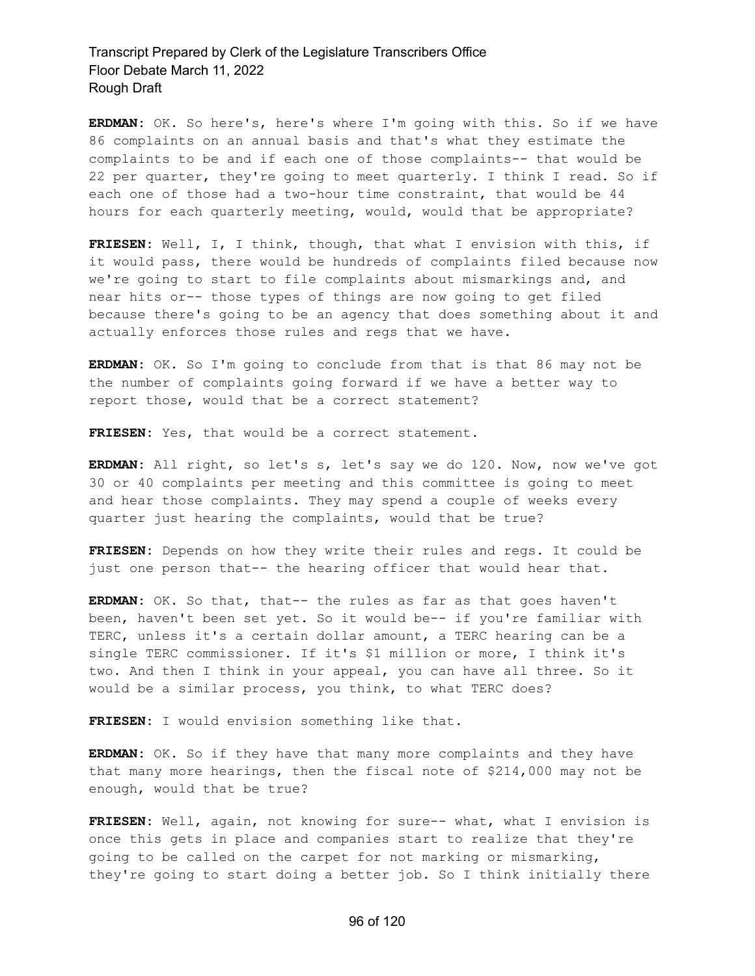**ERDMAN:** OK. So here's, here's where I'm going with this. So if we have 86 complaints on an annual basis and that's what they estimate the complaints to be and if each one of those complaints-- that would be 22 per quarter, they're going to meet quarterly. I think I read. So if each one of those had a two-hour time constraint, that would be 44 hours for each quarterly meeting, would, would that be appropriate?

**FRIESEN:** Well, I, I think, though, that what I envision with this, if it would pass, there would be hundreds of complaints filed because now we're going to start to file complaints about mismarkings and, and near hits or-- those types of things are now going to get filed because there's going to be an agency that does something about it and actually enforces those rules and regs that we have.

**ERDMAN:** OK. So I'm going to conclude from that is that 86 may not be the number of complaints going forward if we have a better way to report those, would that be a correct statement?

**FRIESEN:** Yes, that would be a correct statement.

**ERDMAN:** All right, so let's s, let's say we do 120. Now, now we've got 30 or 40 complaints per meeting and this committee is going to meet and hear those complaints. They may spend a couple of weeks every quarter just hearing the complaints, would that be true?

**FRIESEN:** Depends on how they write their rules and regs. It could be just one person that-- the hearing officer that would hear that.

**ERDMAN:** OK. So that, that-- the rules as far as that goes haven't been, haven't been set yet. So it would be-- if you're familiar with TERC, unless it's a certain dollar amount, a TERC hearing can be a single TERC commissioner. If it's \$1 million or more, I think it's two. And then I think in your appeal, you can have all three. So it would be a similar process, you think, to what TERC does?

**FRIESEN:** I would envision something like that.

**ERDMAN:** OK. So if they have that many more complaints and they have that many more hearings, then the fiscal note of \$214,000 may not be enough, would that be true?

**FRIESEN:** Well, again, not knowing for sure-- what, what I envision is once this gets in place and companies start to realize that they're going to be called on the carpet for not marking or mismarking, they're going to start doing a better job. So I think initially there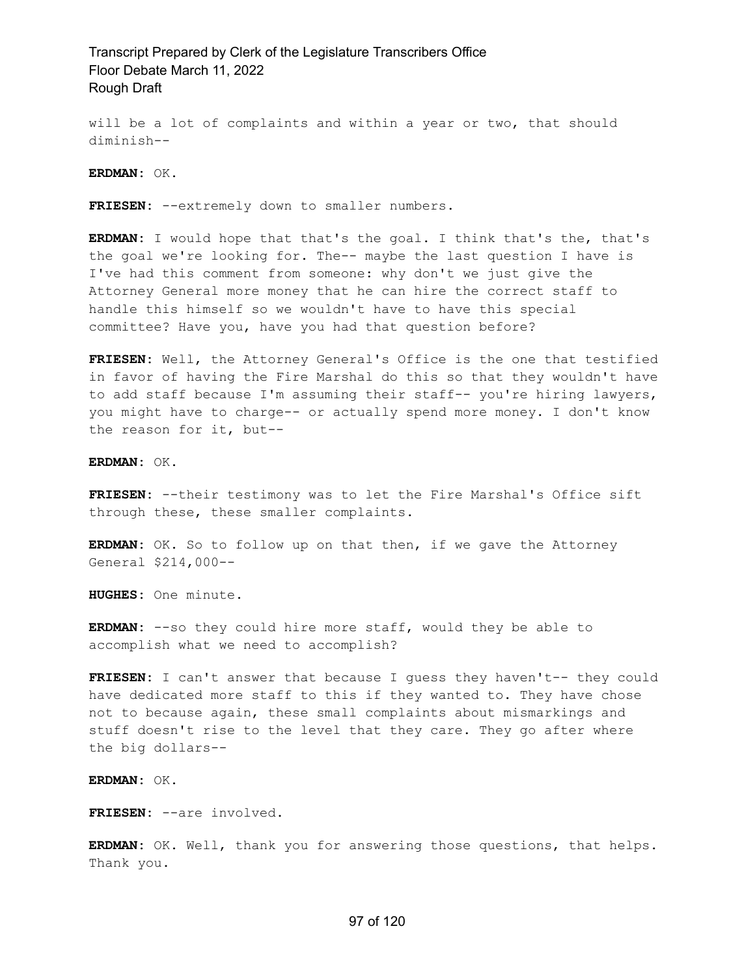will be a lot of complaints and within a year or two, that should diminish--

**ERDMAN:** OK.

**FRIESEN:** --extremely down to smaller numbers.

**ERDMAN:** I would hope that that's the goal. I think that's the, that's the goal we're looking for. The-- maybe the last question I have is I've had this comment from someone: why don't we just give the Attorney General more money that he can hire the correct staff to handle this himself so we wouldn't have to have this special committee? Have you, have you had that question before?

**FRIESEN:** Well, the Attorney General's Office is the one that testified in favor of having the Fire Marshal do this so that they wouldn't have to add staff because I'm assuming their staff-- you're hiring lawyers, you might have to charge-- or actually spend more money. I don't know the reason for it, but--

**ERDMAN:** OK.

**FRIESEN:** --their testimony was to let the Fire Marshal's Office sift through these, these smaller complaints.

**ERDMAN:** OK. So to follow up on that then, if we gave the Attorney General \$214,000--

**HUGHES:** One minute.

**ERDMAN:** --so they could hire more staff, would they be able to accomplish what we need to accomplish?

**FRIESEN:** I can't answer that because I guess they haven't-- they could have dedicated more staff to this if they wanted to. They have chose not to because again, these small complaints about mismarkings and stuff doesn't rise to the level that they care. They go after where the big dollars--

**ERDMAN:** OK.

**FRIESEN:** --are involved.

**ERDMAN:** OK. Well, thank you for answering those questions, that helps. Thank you.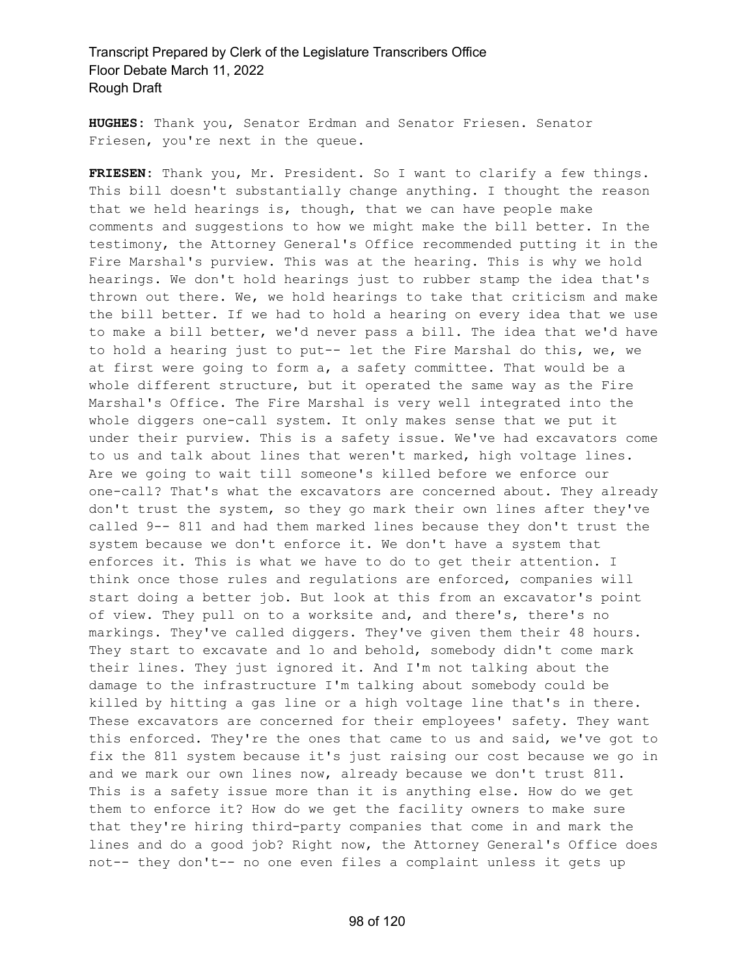**HUGHES:** Thank you, Senator Erdman and Senator Friesen. Senator Friesen, you're next in the queue.

**FRIESEN:** Thank you, Mr. President. So I want to clarify a few things. This bill doesn't substantially change anything. I thought the reason that we held hearings is, though, that we can have people make comments and suggestions to how we might make the bill better. In the testimony, the Attorney General's Office recommended putting it in the Fire Marshal's purview. This was at the hearing. This is why we hold hearings. We don't hold hearings just to rubber stamp the idea that's thrown out there. We, we hold hearings to take that criticism and make the bill better. If we had to hold a hearing on every idea that we use to make a bill better, we'd never pass a bill. The idea that we'd have to hold a hearing just to put-- let the Fire Marshal do this, we, we at first were going to form a, a safety committee. That would be a whole different structure, but it operated the same way as the Fire Marshal's Office. The Fire Marshal is very well integrated into the whole diggers one-call system. It only makes sense that we put it under their purview. This is a safety issue. We've had excavators come to us and talk about lines that weren't marked, high voltage lines. Are we going to wait till someone's killed before we enforce our one-call? That's what the excavators are concerned about. They already don't trust the system, so they go mark their own lines after they've called 9-- 811 and had them marked lines because they don't trust the system because we don't enforce it. We don't have a system that enforces it. This is what we have to do to get their attention. I think once those rules and regulations are enforced, companies will start doing a better job. But look at this from an excavator's point of view. They pull on to a worksite and, and there's, there's no markings. They've called diggers. They've given them their 48 hours. They start to excavate and lo and behold, somebody didn't come mark their lines. They just ignored it. And I'm not talking about the damage to the infrastructure I'm talking about somebody could be killed by hitting a gas line or a high voltage line that's in there. These excavators are concerned for their employees' safety. They want this enforced. They're the ones that came to us and said, we've got to fix the 811 system because it's just raising our cost because we go in and we mark our own lines now, already because we don't trust 811. This is a safety issue more than it is anything else. How do we get them to enforce it? How do we get the facility owners to make sure that they're hiring third-party companies that come in and mark the lines and do a good job? Right now, the Attorney General's Office does not-- they don't-- no one even files a complaint unless it gets up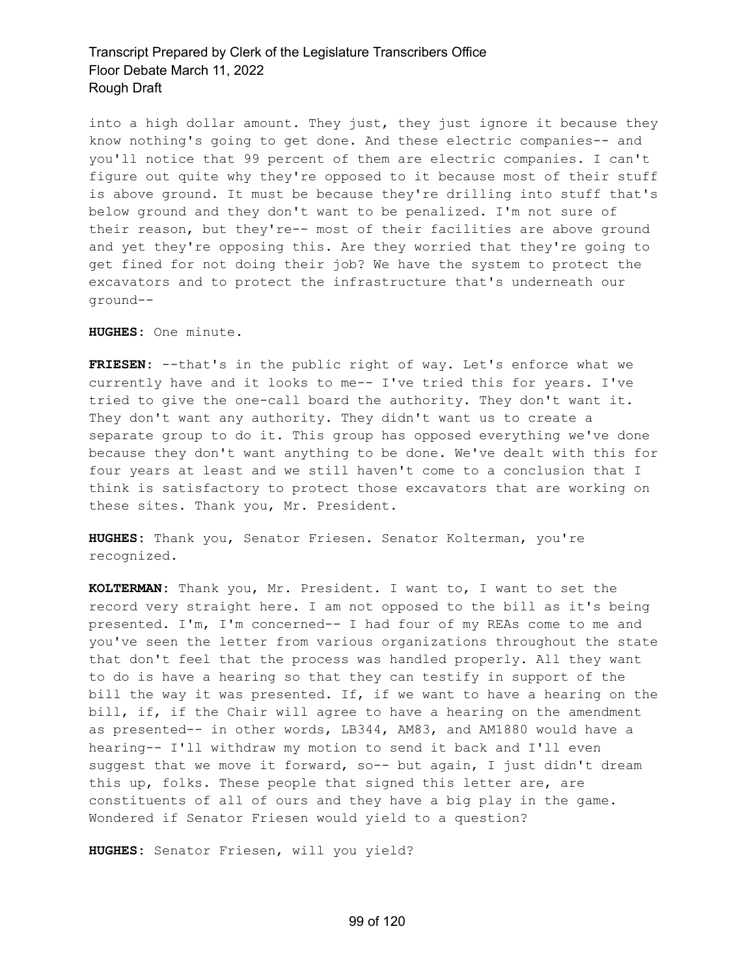into a high dollar amount. They just, they just ignore it because they know nothing's going to get done. And these electric companies-- and you'll notice that 99 percent of them are electric companies. I can't figure out quite why they're opposed to it because most of their stuff is above ground. It must be because they're drilling into stuff that's below ground and they don't want to be penalized. I'm not sure of their reason, but they're-- most of their facilities are above ground and yet they're opposing this. Are they worried that they're going to get fined for not doing their job? We have the system to protect the excavators and to protect the infrastructure that's underneath our ground--

**HUGHES:** One minute.

**FRIESEN:** --that's in the public right of way. Let's enforce what we currently have and it looks to me-- I've tried this for years. I've tried to give the one-call board the authority. They don't want it. They don't want any authority. They didn't want us to create a separate group to do it. This group has opposed everything we've done because they don't want anything to be done. We've dealt with this for four years at least and we still haven't come to a conclusion that I think is satisfactory to protect those excavators that are working on these sites. Thank you, Mr. President.

**HUGHES:** Thank you, Senator Friesen. Senator Kolterman, you're recognized.

**KOLTERMAN:** Thank you, Mr. President. I want to, I want to set the record very straight here. I am not opposed to the bill as it's being presented. I'm, I'm concerned-- I had four of my REAs come to me and you've seen the letter from various organizations throughout the state that don't feel that the process was handled properly. All they want to do is have a hearing so that they can testify in support of the bill the way it was presented. If, if we want to have a hearing on the bill, if, if the Chair will agree to have a hearing on the amendment as presented-- in other words, LB344, AM83, and AM1880 would have a hearing-- I'll withdraw my motion to send it back and I'll even suggest that we move it forward, so-- but again, I just didn't dream this up, folks. These people that signed this letter are, are constituents of all of ours and they have a big play in the game. Wondered if Senator Friesen would yield to a question?

**HUGHES:** Senator Friesen, will you yield?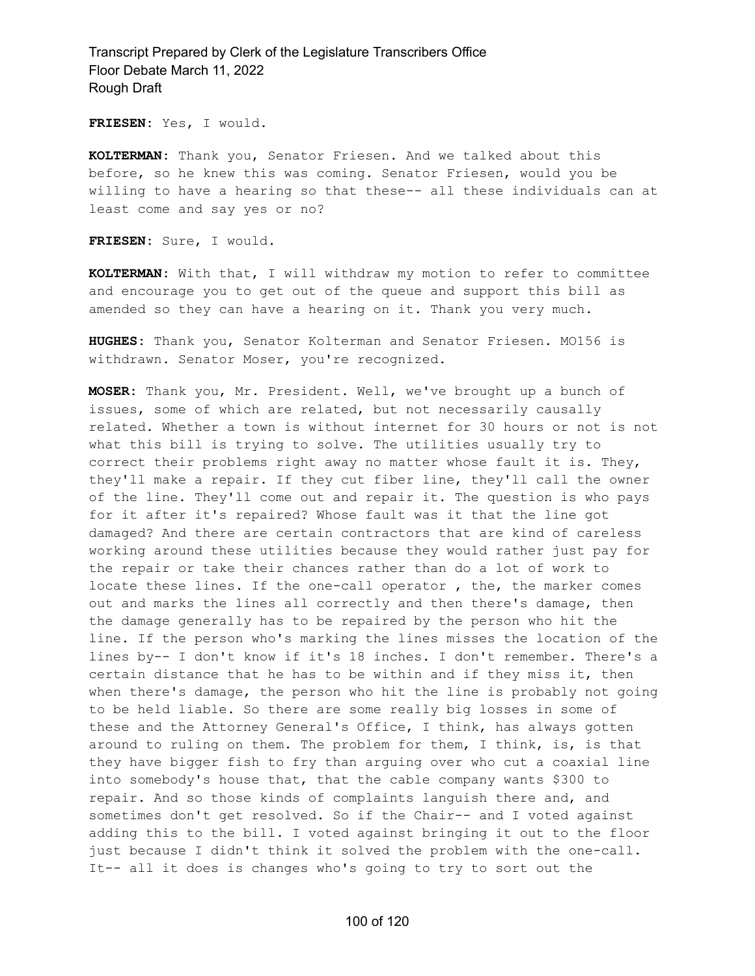**FRIESEN:** Yes, I would.

**KOLTERMAN:** Thank you, Senator Friesen. And we talked about this before, so he knew this was coming. Senator Friesen, would you be willing to have a hearing so that these-- all these individuals can at least come and say yes or no?

**FRIESEN:** Sure, I would.

**KOLTERMAN:** With that, I will withdraw my motion to refer to committee and encourage you to get out of the queue and support this bill as amended so they can have a hearing on it. Thank you very much.

**HUGHES:** Thank you, Senator Kolterman and Senator Friesen. MO156 is withdrawn. Senator Moser, you're recognized.

**MOSER:** Thank you, Mr. President. Well, we've brought up a bunch of issues, some of which are related, but not necessarily causally related. Whether a town is without internet for 30 hours or not is not what this bill is trying to solve. The utilities usually try to correct their problems right away no matter whose fault it is. They, they'll make a repair. If they cut fiber line, they'll call the owner of the line. They'll come out and repair it. The question is who pays for it after it's repaired? Whose fault was it that the line got damaged? And there are certain contractors that are kind of careless working around these utilities because they would rather just pay for the repair or take their chances rather than do a lot of work to locate these lines. If the one-call operator , the, the marker comes out and marks the lines all correctly and then there's damage, then the damage generally has to be repaired by the person who hit the line. If the person who's marking the lines misses the location of the lines by-- I don't know if it's 18 inches. I don't remember. There's a certain distance that he has to be within and if they miss it, then when there's damage, the person who hit the line is probably not going to be held liable. So there are some really big losses in some of these and the Attorney General's Office, I think, has always gotten around to ruling on them. The problem for them, I think, is, is that they have bigger fish to fry than arguing over who cut a coaxial line into somebody's house that, that the cable company wants \$300 to repair. And so those kinds of complaints languish there and, and sometimes don't get resolved. So if the Chair-- and I voted against adding this to the bill. I voted against bringing it out to the floor just because I didn't think it solved the problem with the one-call. It-- all it does is changes who's going to try to sort out the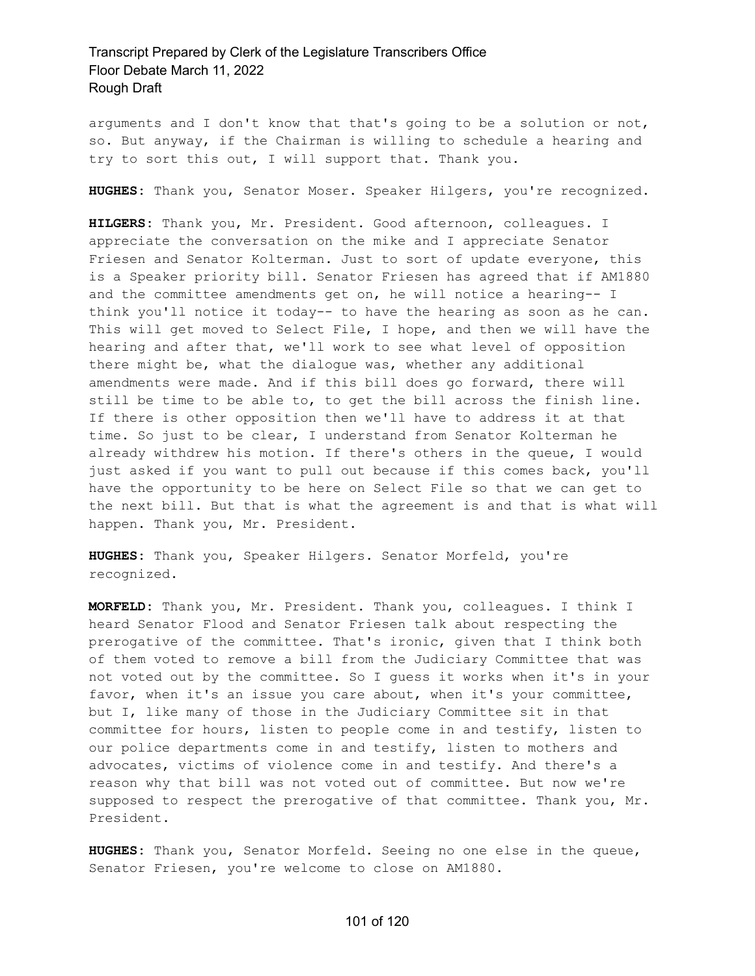arguments and I don't know that that's going to be a solution or not, so. But anyway, if the Chairman is willing to schedule a hearing and try to sort this out, I will support that. Thank you.

**HUGHES:** Thank you, Senator Moser. Speaker Hilgers, you're recognized.

**HILGERS:** Thank you, Mr. President. Good afternoon, colleagues. I appreciate the conversation on the mike and I appreciate Senator Friesen and Senator Kolterman. Just to sort of update everyone, this is a Speaker priority bill. Senator Friesen has agreed that if AM1880 and the committee amendments get on, he will notice a hearing-- I think you'll notice it today-- to have the hearing as soon as he can. This will get moved to Select File, I hope, and then we will have the hearing and after that, we'll work to see what level of opposition there might be, what the dialogue was, whether any additional amendments were made. And if this bill does go forward, there will still be time to be able to, to get the bill across the finish line. If there is other opposition then we'll have to address it at that time. So just to be clear, I understand from Senator Kolterman he already withdrew his motion. If there's others in the queue, I would just asked if you want to pull out because if this comes back, you'll have the opportunity to be here on Select File so that we can get to the next bill. But that is what the agreement is and that is what will happen. Thank you, Mr. President.

**HUGHES:** Thank you, Speaker Hilgers. Senator Morfeld, you're recognized.

**MORFELD:** Thank you, Mr. President. Thank you, colleagues. I think I heard Senator Flood and Senator Friesen talk about respecting the prerogative of the committee. That's ironic, given that I think both of them voted to remove a bill from the Judiciary Committee that was not voted out by the committee. So I guess it works when it's in your favor, when it's an issue you care about, when it's your committee, but I, like many of those in the Judiciary Committee sit in that committee for hours, listen to people come in and testify, listen to our police departments come in and testify, listen to mothers and advocates, victims of violence come in and testify. And there's a reason why that bill was not voted out of committee. But now we're supposed to respect the prerogative of that committee. Thank you, Mr. President.

**HUGHES:** Thank you, Senator Morfeld. Seeing no one else in the queue, Senator Friesen, you're welcome to close on AM1880.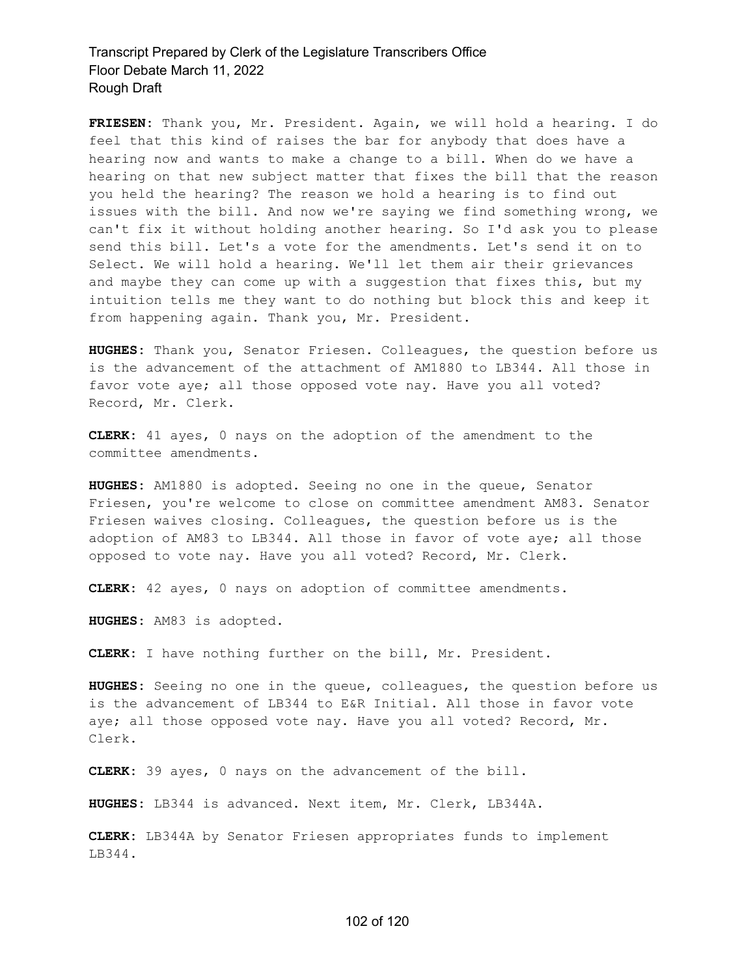**FRIESEN:** Thank you, Mr. President. Again, we will hold a hearing. I do feel that this kind of raises the bar for anybody that does have a hearing now and wants to make a change to a bill. When do we have a hearing on that new subject matter that fixes the bill that the reason you held the hearing? The reason we hold a hearing is to find out issues with the bill. And now we're saying we find something wrong, we can't fix it without holding another hearing. So I'd ask you to please send this bill. Let's a vote for the amendments. Let's send it on to Select. We will hold a hearing. We'll let them air their grievances and maybe they can come up with a suggestion that fixes this, but my intuition tells me they want to do nothing but block this and keep it from happening again. Thank you, Mr. President.

**HUGHES:** Thank you, Senator Friesen. Colleagues, the question before us is the advancement of the attachment of AM1880 to LB344. All those in favor vote aye; all those opposed vote nay. Have you all voted? Record, Mr. Clerk.

**CLERK:** 41 ayes, 0 nays on the adoption of the amendment to the committee amendments.

**HUGHES:** AM1880 is adopted. Seeing no one in the queue, Senator Friesen, you're welcome to close on committee amendment AM83. Senator Friesen waives closing. Colleagues, the question before us is the adoption of AM83 to LB344. All those in favor of vote aye; all those opposed to vote nay. Have you all voted? Record, Mr. Clerk.

**CLERK:** 42 ayes, 0 nays on adoption of committee amendments.

**HUGHES:** AM83 is adopted.

**CLERK:** I have nothing further on the bill, Mr. President.

**HUGHES:** Seeing no one in the queue, colleagues, the question before us is the advancement of LB344 to E&R Initial. All those in favor vote aye; all those opposed vote nay. Have you all voted? Record, Mr. Clerk.

**CLERK:** 39 ayes, 0 nays on the advancement of the bill.

**HUGHES:** LB344 is advanced. Next item, Mr. Clerk, LB344A.

**CLERK:** LB344A by Senator Friesen appropriates funds to implement LB344.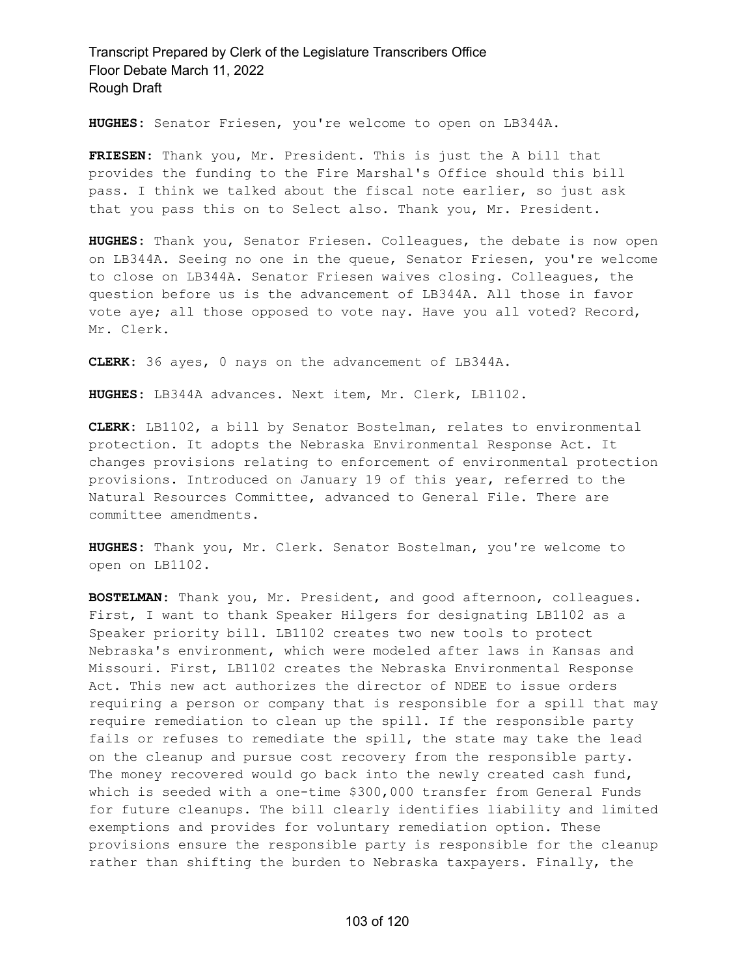**HUGHES:** Senator Friesen, you're welcome to open on LB344A.

**FRIESEN:** Thank you, Mr. President. This is just the A bill that provides the funding to the Fire Marshal's Office should this bill pass. I think we talked about the fiscal note earlier, so just ask that you pass this on to Select also. Thank you, Mr. President.

**HUGHES:** Thank you, Senator Friesen. Colleagues, the debate is now open on LB344A. Seeing no one in the queue, Senator Friesen, you're welcome to close on LB344A. Senator Friesen waives closing. Colleagues, the question before us is the advancement of LB344A. All those in favor vote aye; all those opposed to vote nay. Have you all voted? Record, Mr. Clerk.

**CLERK:** 36 ayes, 0 nays on the advancement of LB344A.

**HUGHES:** LB344A advances. Next item, Mr. Clerk, LB1102.

**CLERK:** LB1102, a bill by Senator Bostelman, relates to environmental protection. It adopts the Nebraska Environmental Response Act. It changes provisions relating to enforcement of environmental protection provisions. Introduced on January 19 of this year, referred to the Natural Resources Committee, advanced to General File. There are committee amendments.

**HUGHES:** Thank you, Mr. Clerk. Senator Bostelman, you're welcome to open on LB1102.

**BOSTELMAN:** Thank you, Mr. President, and good afternoon, colleagues. First, I want to thank Speaker Hilgers for designating LB1102 as a Speaker priority bill. LB1102 creates two new tools to protect Nebraska's environment, which were modeled after laws in Kansas and Missouri. First, LB1102 creates the Nebraska Environmental Response Act. This new act authorizes the director of NDEE to issue orders requiring a person or company that is responsible for a spill that may require remediation to clean up the spill. If the responsible party fails or refuses to remediate the spill, the state may take the lead on the cleanup and pursue cost recovery from the responsible party. The money recovered would go back into the newly created cash fund, which is seeded with a one-time \$300,000 transfer from General Funds for future cleanups. The bill clearly identifies liability and limited exemptions and provides for voluntary remediation option. These provisions ensure the responsible party is responsible for the cleanup rather than shifting the burden to Nebraska taxpayers. Finally, the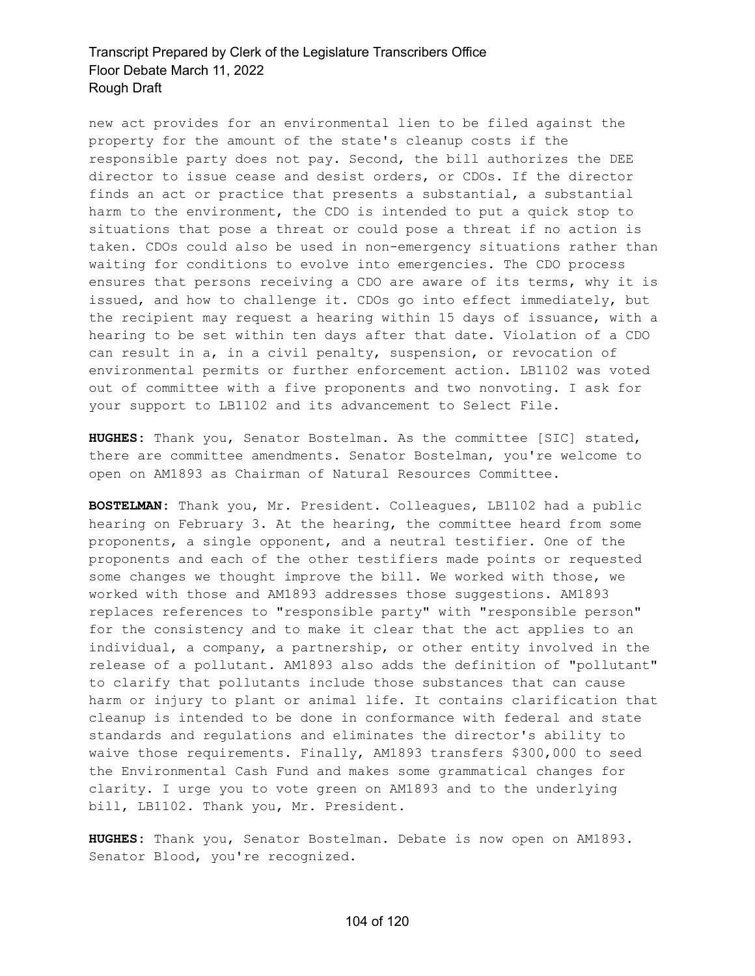new act provides for an environmental lien to be filed against the property for the amount of the state's cleanup costs if the responsible party does not pay. Second, the bill authorizes the DEE director to issue cease and desist orders, or CDOs. If the director finds an act or practice that presents a substantial, a substantial harm to the environment, the CDO is intended to put a quick stop to situations that pose a threat or could pose a threat if no action is taken. CDOs could also be used in non-emergency situations rather than waiting for conditions to evolve into emergencies. The CDO process ensures that persons receiving a CDO are aware of its terms, why it is issued, and how to challenge it. CDOs go into effect immediately, but the recipient may request a hearing within 15 days of issuance, with a hearing to be set within ten days after that date. Violation of a CDO can result in a, in a civil penalty, suspension, or revocation of environmental permits or further enforcement action. LB1102 was voted out of committee with a five proponents and two nonvoting. I ask for your support to LB1102 and its advancement to Select File.

**HUGHES:** Thank you, Senator Bostelman. As the committee [SIC] stated, there are committee amendments. Senator Bostelman, you're welcome to open on AM1893 as Chairman of Natural Resources Committee.

**BOSTELMAN:** Thank you, Mr. President. Colleagues, LB1102 had a public hearing on February 3. At the hearing, the committee heard from some proponents, a single opponent, and a neutral testifier. One of the proponents and each of the other testifiers made points or requested some changes we thought improve the bill. We worked with those, we worked with those and AM1893 addresses those suggestions. AM1893 replaces references to "responsible party" with "responsible person" for the consistency and to make it clear that the act applies to an individual, a company, a partnership, or other entity involved in the release of a pollutant. AM1893 also adds the definition of "pollutant" to clarify that pollutants include those substances that can cause harm or injury to plant or animal life. It contains clarification that cleanup is intended to be done in conformance with federal and state standards and regulations and eliminates the director's ability to waive those requirements. Finally, AM1893 transfers \$300,000 to seed the Environmental Cash Fund and makes some grammatical changes for clarity. I urge you to vote green on AM1893 and to the underlying bill, LB1102. Thank you, Mr. President.

**HUGHES:** Thank you, Senator Bostelman. Debate is now open on AM1893. Senator Blood, you're recognized.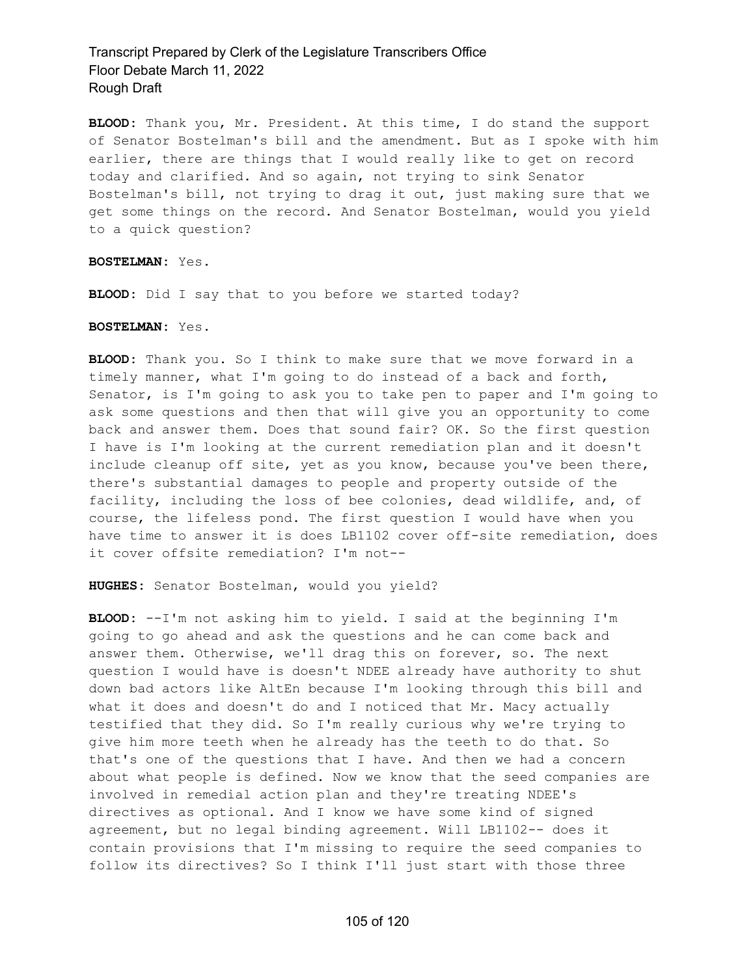**BLOOD:** Thank you, Mr. President. At this time, I do stand the support of Senator Bostelman's bill and the amendment. But as I spoke with him earlier, there are things that I would really like to get on record today and clarified. And so again, not trying to sink Senator Bostelman's bill, not trying to drag it out, just making sure that we get some things on the record. And Senator Bostelman, would you yield to a quick question?

**BOSTELMAN:** Yes.

**BLOOD:** Did I say that to you before we started today?

#### **BOSTELMAN:** Yes.

**BLOOD:** Thank you. So I think to make sure that we move forward in a timely manner, what I'm going to do instead of a back and forth, Senator, is I'm going to ask you to take pen to paper and I'm going to ask some questions and then that will give you an opportunity to come back and answer them. Does that sound fair? OK. So the first question I have is I'm looking at the current remediation plan and it doesn't include cleanup off site, yet as you know, because you've been there, there's substantial damages to people and property outside of the facility, including the loss of bee colonies, dead wildlife, and, of course, the lifeless pond. The first question I would have when you have time to answer it is does LB1102 cover off-site remediation, does it cover offsite remediation? I'm not--

**HUGHES:** Senator Bostelman, would you yield?

**BLOOD:** --I'm not asking him to yield. I said at the beginning I'm going to go ahead and ask the questions and he can come back and answer them. Otherwise, we'll drag this on forever, so. The next question I would have is doesn't NDEE already have authority to shut down bad actors like AltEn because I'm looking through this bill and what it does and doesn't do and I noticed that Mr. Macy actually testified that they did. So I'm really curious why we're trying to give him more teeth when he already has the teeth to do that. So that's one of the questions that I have. And then we had a concern about what people is defined. Now we know that the seed companies are involved in remedial action plan and they're treating NDEE's directives as optional. And I know we have some kind of signed agreement, but no legal binding agreement. Will LB1102-- does it contain provisions that I'm missing to require the seed companies to follow its directives? So I think I'll just start with those three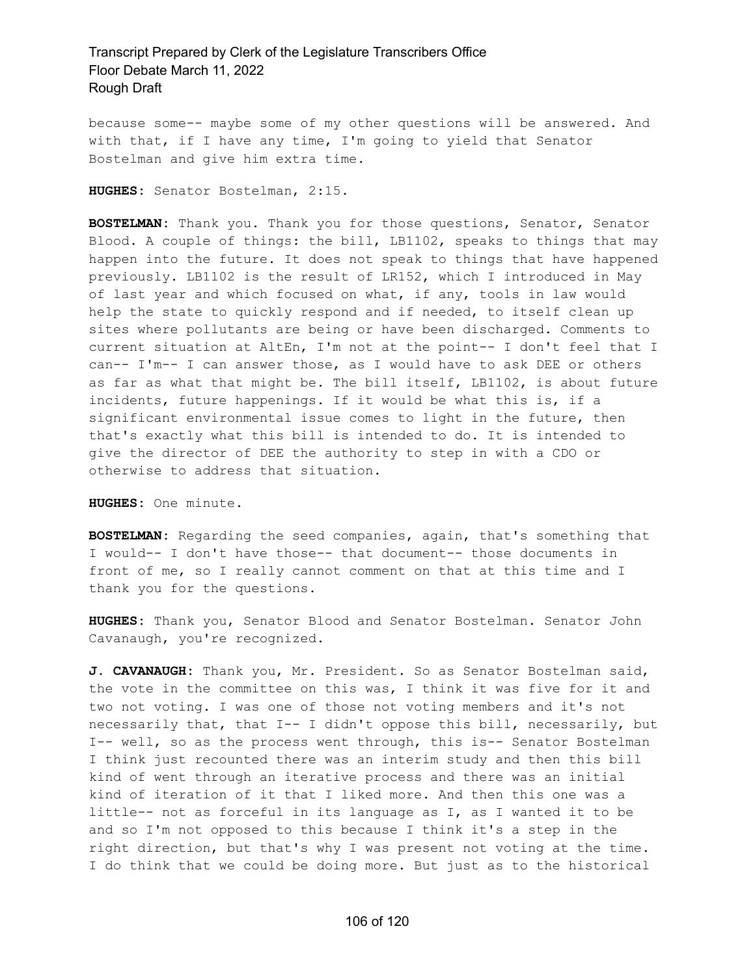because some-- maybe some of my other questions will be answered. And with that, if I have any time, I'm going to yield that Senator Bostelman and give him extra time.

**HUGHES:** Senator Bostelman, 2:15.

**BOSTELMAN:** Thank you. Thank you for those questions, Senator, Senator Blood. A couple of things: the bill, LB1102, speaks to things that may happen into the future. It does not speak to things that have happened previously. LB1102 is the result of LR152, which I introduced in May of last year and which focused on what, if any, tools in law would help the state to quickly respond and if needed, to itself clean up sites where pollutants are being or have been discharged. Comments to current situation at AltEn, I'm not at the point-- I don't feel that I can-- I'm-- I can answer those, as I would have to ask DEE or others as far as what that might be. The bill itself, LB1102, is about future incidents, future happenings. If it would be what this is, if a significant environmental issue comes to light in the future, then that's exactly what this bill is intended to do. It is intended to give the director of DEE the authority to step in with a CDO or otherwise to address that situation.

**HUGHES:** One minute.

**BOSTELMAN:** Regarding the seed companies, again, that's something that I would-- I don't have those-- that document-- those documents in front of me, so I really cannot comment on that at this time and I thank you for the questions.

**HUGHES:** Thank you, Senator Blood and Senator Bostelman. Senator John Cavanaugh, you're recognized.

**J. CAVANAUGH:** Thank you, Mr. President. So as Senator Bostelman said, the vote in the committee on this was, I think it was five for it and two not voting. I was one of those not voting members and it's not necessarily that, that I-- I didn't oppose this bill, necessarily, but I-- well, so as the process went through, this is-- Senator Bostelman I think just recounted there was an interim study and then this bill kind of went through an iterative process and there was an initial kind of iteration of it that I liked more. And then this one was a little-- not as forceful in its language as I, as I wanted it to be and so I'm not opposed to this because I think it's a step in the right direction, but that's why I was present not voting at the time. I do think that we could be doing more. But just as to the historical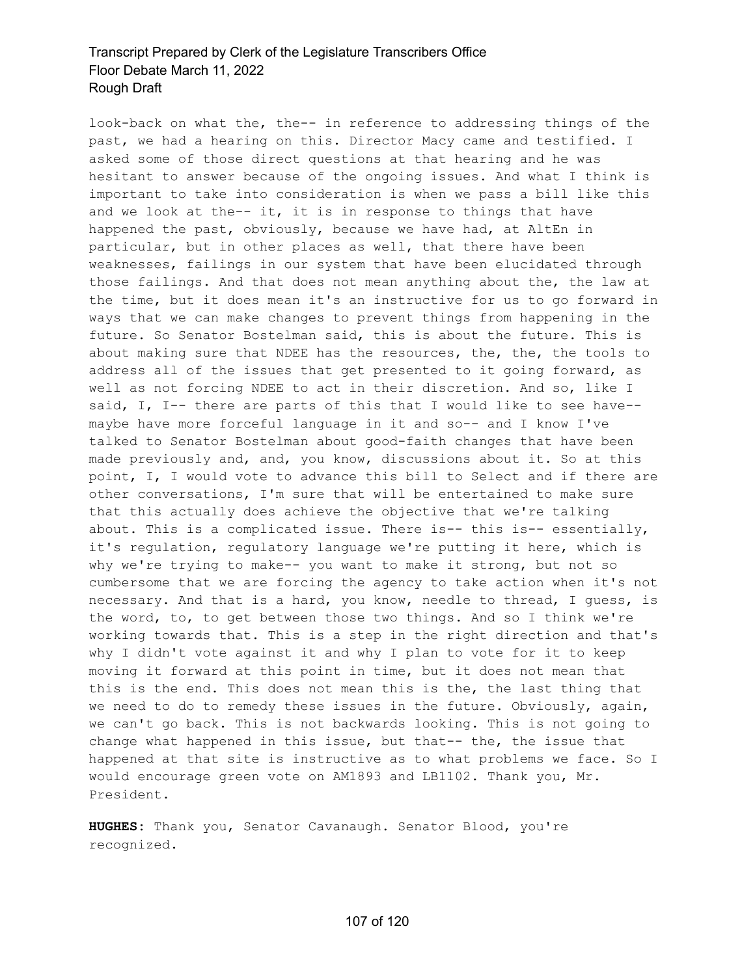look-back on what the, the-- in reference to addressing things of the past, we had a hearing on this. Director Macy came and testified. I asked some of those direct questions at that hearing and he was hesitant to answer because of the ongoing issues. And what I think is important to take into consideration is when we pass a bill like this and we look at the-- it, it is in response to things that have happened the past, obviously, because we have had, at AltEn in particular, but in other places as well, that there have been weaknesses, failings in our system that have been elucidated through those failings. And that does not mean anything about the, the law at the time, but it does mean it's an instructive for us to go forward in ways that we can make changes to prevent things from happening in the future. So Senator Bostelman said, this is about the future. This is about making sure that NDEE has the resources, the, the, the tools to address all of the issues that get presented to it going forward, as well as not forcing NDEE to act in their discretion. And so, like I said, I, I-- there are parts of this that I would like to see have- maybe have more forceful language in it and so-- and I know I've talked to Senator Bostelman about good-faith changes that have been made previously and, and, you know, discussions about it. So at this point, I, I would vote to advance this bill to Select and if there are other conversations, I'm sure that will be entertained to make sure that this actually does achieve the objective that we're talking about. This is a complicated issue. There is-- this is-- essentially, it's regulation, regulatory language we're putting it here, which is why we're trying to make-- you want to make it strong, but not so cumbersome that we are forcing the agency to take action when it's not necessary. And that is a hard, you know, needle to thread, I guess, is the word, to, to get between those two things. And so I think we're working towards that. This is a step in the right direction and that's why I didn't vote against it and why I plan to vote for it to keep moving it forward at this point in time, but it does not mean that this is the end. This does not mean this is the, the last thing that we need to do to remedy these issues in the future. Obviously, again, we can't go back. This is not backwards looking. This is not going to change what happened in this issue, but that-- the, the issue that happened at that site is instructive as to what problems we face. So I would encourage green vote on AM1893 and LB1102. Thank you, Mr. President.

**HUGHES:** Thank you, Senator Cavanaugh. Senator Blood, you're recognized.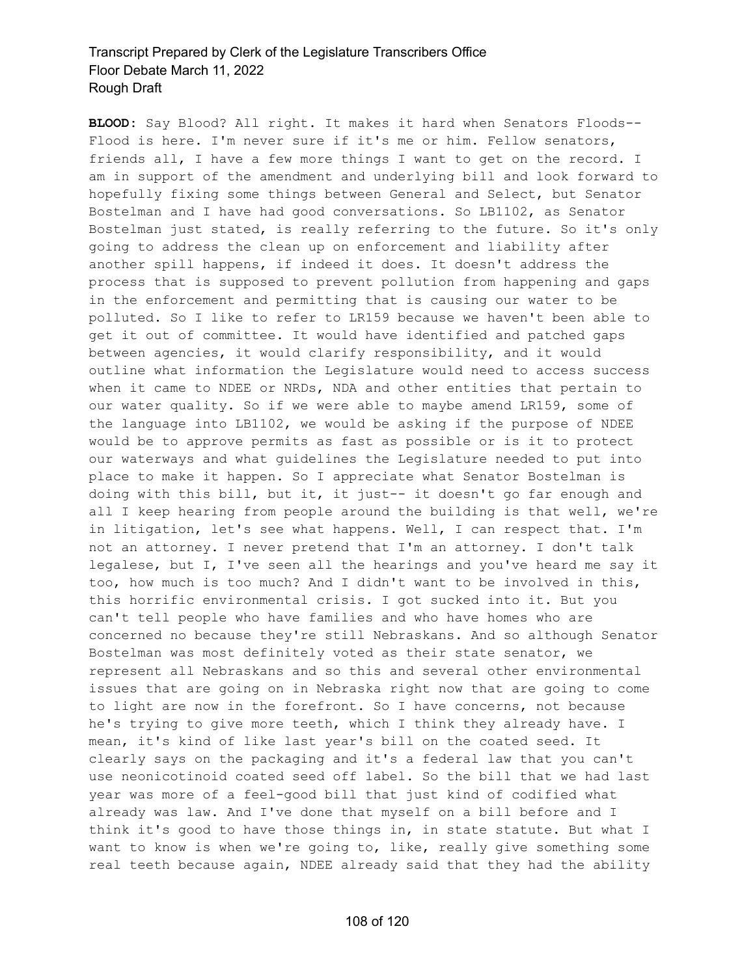**BLOOD:** Say Blood? All right. It makes it hard when Senators Floods-- Flood is here. I'm never sure if it's me or him. Fellow senators, friends all, I have a few more things I want to get on the record. I am in support of the amendment and underlying bill and look forward to hopefully fixing some things between General and Select, but Senator Bostelman and I have had good conversations. So LB1102, as Senator Bostelman just stated, is really referring to the future. So it's only going to address the clean up on enforcement and liability after another spill happens, if indeed it does. It doesn't address the process that is supposed to prevent pollution from happening and gaps in the enforcement and permitting that is causing our water to be polluted. So I like to refer to LR159 because we haven't been able to get it out of committee. It would have identified and patched gaps between agencies, it would clarify responsibility, and it would outline what information the Legislature would need to access success when it came to NDEE or NRDs, NDA and other entities that pertain to our water quality. So if we were able to maybe amend LR159, some of the language into LB1102, we would be asking if the purpose of NDEE would be to approve permits as fast as possible or is it to protect our waterways and what guidelines the Legislature needed to put into place to make it happen. So I appreciate what Senator Bostelman is doing with this bill, but it, it just-- it doesn't go far enough and all I keep hearing from people around the building is that well, we're in litigation, let's see what happens. Well, I can respect that. I'm not an attorney. I never pretend that I'm an attorney. I don't talk legalese, but I, I've seen all the hearings and you've heard me say it too, how much is too much? And I didn't want to be involved in this, this horrific environmental crisis. I got sucked into it. But you can't tell people who have families and who have homes who are concerned no because they're still Nebraskans. And so although Senator Bostelman was most definitely voted as their state senator, we represent all Nebraskans and so this and several other environmental issues that are going on in Nebraska right now that are going to come to light are now in the forefront. So I have concerns, not because he's trying to give more teeth, which I think they already have. I mean, it's kind of like last year's bill on the coated seed. It clearly says on the packaging and it's a federal law that you can't use neonicotinoid coated seed off label. So the bill that we had last year was more of a feel-good bill that just kind of codified what already was law. And I've done that myself on a bill before and I think it's good to have those things in, in state statute. But what I want to know is when we're going to, like, really give something some real teeth because again, NDEE already said that they had the ability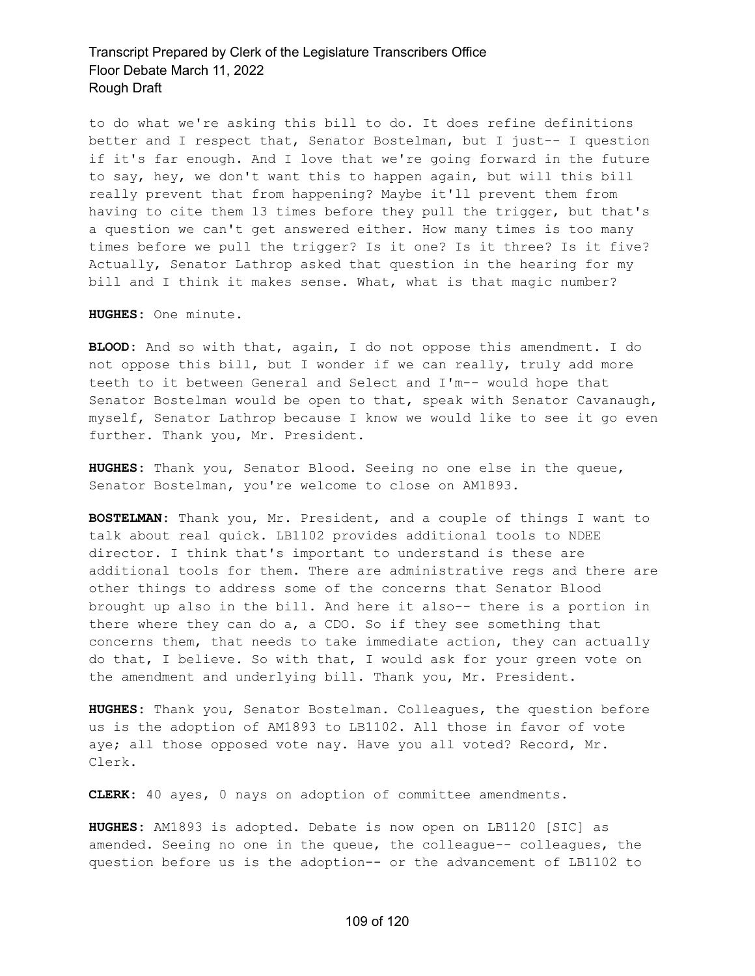to do what we're asking this bill to do. It does refine definitions better and I respect that, Senator Bostelman, but I just-- I question if it's far enough. And I love that we're going forward in the future to say, hey, we don't want this to happen again, but will this bill really prevent that from happening? Maybe it'll prevent them from having to cite them 13 times before they pull the trigger, but that's a question we can't get answered either. How many times is too many times before we pull the trigger? Is it one? Is it three? Is it five? Actually, Senator Lathrop asked that question in the hearing for my bill and I think it makes sense. What, what is that magic number?

**HUGHES:** One minute.

**BLOOD:** And so with that, again, I do not oppose this amendment. I do not oppose this bill, but I wonder if we can really, truly add more teeth to it between General and Select and I'm-- would hope that Senator Bostelman would be open to that, speak with Senator Cavanaugh, myself, Senator Lathrop because I know we would like to see it go even further. Thank you, Mr. President.

**HUGHES:** Thank you, Senator Blood. Seeing no one else in the queue, Senator Bostelman, you're welcome to close on AM1893.

**BOSTELMAN:** Thank you, Mr. President, and a couple of things I want to talk about real quick. LB1102 provides additional tools to NDEE director. I think that's important to understand is these are additional tools for them. There are administrative regs and there are other things to address some of the concerns that Senator Blood brought up also in the bill. And here it also-- there is a portion in there where they can do a, a CDO. So if they see something that concerns them, that needs to take immediate action, they can actually do that, I believe. So with that, I would ask for your green vote on the amendment and underlying bill. Thank you, Mr. President.

**HUGHES:** Thank you, Senator Bostelman. Colleagues, the question before us is the adoption of AM1893 to LB1102. All those in favor of vote aye; all those opposed vote nay. Have you all voted? Record, Mr. Clerk.

**CLERK:** 40 ayes, 0 nays on adoption of committee amendments.

**HUGHES:** AM1893 is adopted. Debate is now open on LB1120 [SIC] as amended. Seeing no one in the queue, the colleague-- colleagues, the question before us is the adoption-- or the advancement of LB1102 to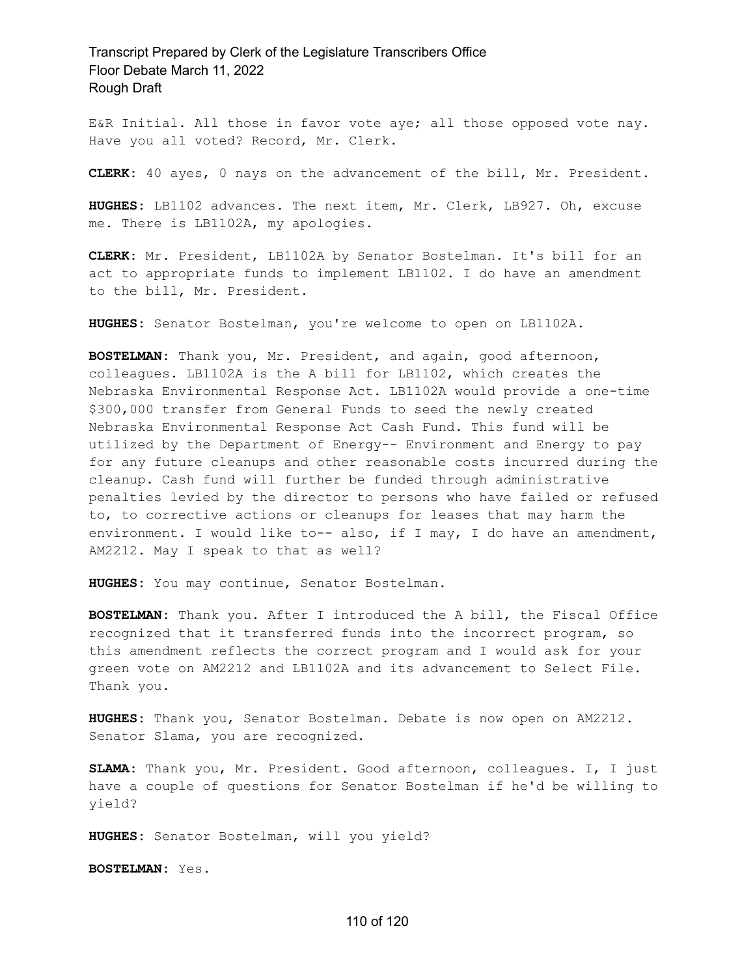E&R Initial. All those in favor vote aye; all those opposed vote nay. Have you all voted? Record, Mr. Clerk.

**CLERK:** 40 ayes, 0 nays on the advancement of the bill, Mr. President.

**HUGHES:** LB1102 advances. The next item, Mr. Clerk, LB927. Oh, excuse me. There is LB1102A, my apologies.

**CLERK:** Mr. President, LB1102A by Senator Bostelman. It's bill for an act to appropriate funds to implement LB1102. I do have an amendment to the bill, Mr. President.

**HUGHES:** Senator Bostelman, you're welcome to open on LB1102A.

**BOSTELMAN:** Thank you, Mr. President, and again, good afternoon, colleagues. LB1102A is the A bill for LB1102, which creates the Nebraska Environmental Response Act. LB1102A would provide a one-time \$300,000 transfer from General Funds to seed the newly created Nebraska Environmental Response Act Cash Fund. This fund will be utilized by the Department of Energy-- Environment and Energy to pay for any future cleanups and other reasonable costs incurred during the cleanup. Cash fund will further be funded through administrative penalties levied by the director to persons who have failed or refused to, to corrective actions or cleanups for leases that may harm the environment. I would like to-- also, if I may, I do have an amendment, AM2212. May I speak to that as well?

**HUGHES:** You may continue, Senator Bostelman.

**BOSTELMAN:** Thank you. After I introduced the A bill, the Fiscal Office recognized that it transferred funds into the incorrect program, so this amendment reflects the correct program and I would ask for your green vote on AM2212 and LB1102A and its advancement to Select File. Thank you.

**HUGHES:** Thank you, Senator Bostelman. Debate is now open on AM2212. Senator Slama, you are recognized.

**SLAMA:** Thank you, Mr. President. Good afternoon, colleagues. I, I just have a couple of questions for Senator Bostelman if he'd be willing to yield?

**HUGHES:** Senator Bostelman, will you yield?

**BOSTELMAN:** Yes.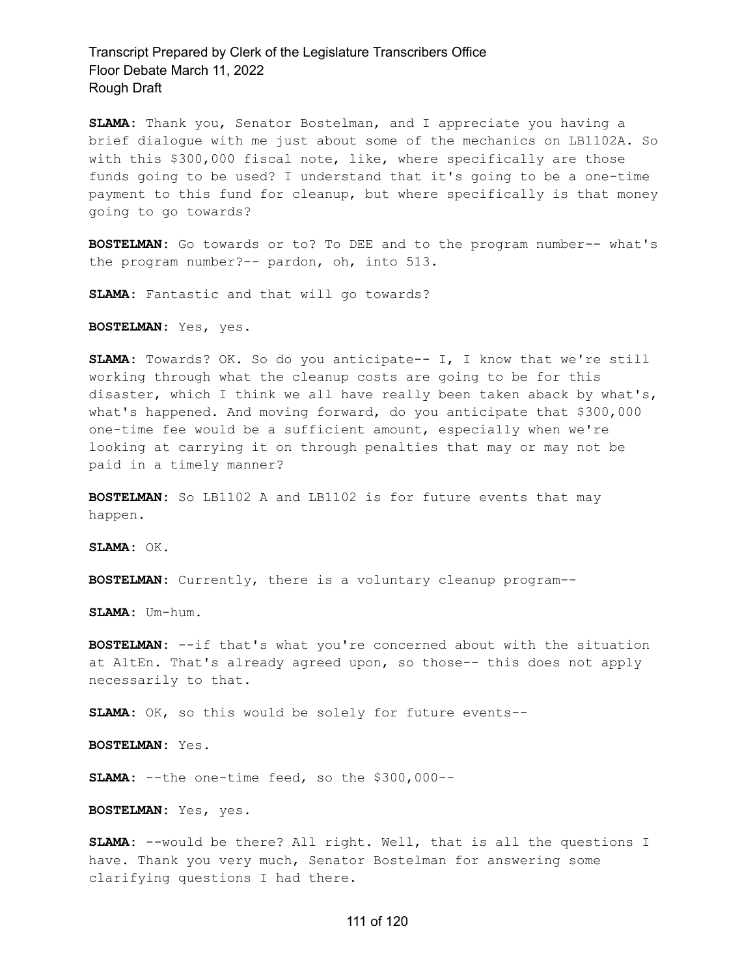**SLAMA:** Thank you, Senator Bostelman, and I appreciate you having a brief dialogue with me just about some of the mechanics on LB1102A. So with this \$300,000 fiscal note, like, where specifically are those funds going to be used? I understand that it's going to be a one-time payment to this fund for cleanup, but where specifically is that money going to go towards?

**BOSTELMAN:** Go towards or to? To DEE and to the program number-- what's the program number?-- pardon, oh, into 513.

**SLAMA:** Fantastic and that will go towards?

**BOSTELMAN:** Yes, yes.

**SLAMA:** Towards? OK. So do you anticipate-- I, I know that we're still working through what the cleanup costs are going to be for this disaster, which I think we all have really been taken aback by what's, what's happened. And moving forward, do you anticipate that \$300,000 one-time fee would be a sufficient amount, especially when we're looking at carrying it on through penalties that may or may not be paid in a timely manner?

**BOSTELMAN:** So LB1102 A and LB1102 is for future events that may happen.

**SLAMA:** OK.

**BOSTELMAN:** Currently, there is a voluntary cleanup program--

**SLAMA:** Um-hum.

**BOSTELMAN:** --if that's what you're concerned about with the situation at AltEn. That's already agreed upon, so those-- this does not apply necessarily to that.

**SLAMA:** OK, so this would be solely for future events--

**BOSTELMAN:** Yes.

**SLAMA:** --the one-time feed, so the \$300,000--

**BOSTELMAN:** Yes, yes.

**SLAMA:** --would be there? All right. Well, that is all the questions I have. Thank you very much, Senator Bostelman for answering some clarifying questions I had there.

#### 111 of 120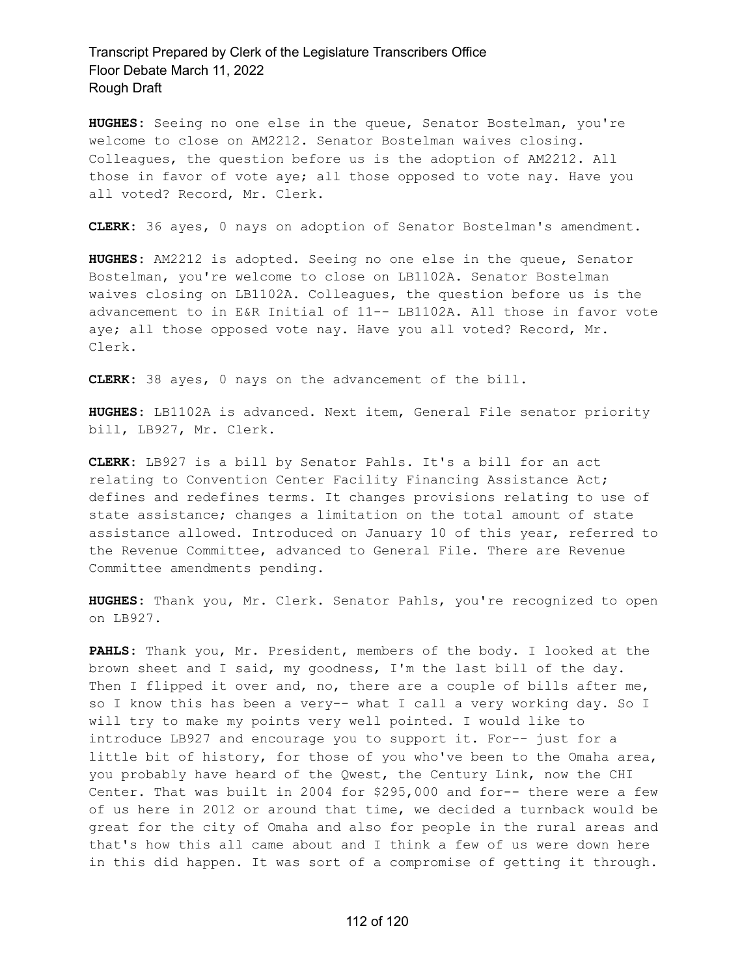**HUGHES:** Seeing no one else in the queue, Senator Bostelman, you're welcome to close on AM2212. Senator Bostelman waives closing. Colleagues, the question before us is the adoption of AM2212. All those in favor of vote aye; all those opposed to vote nay. Have you all voted? Record, Mr. Clerk.

**CLERK:** 36 ayes, 0 nays on adoption of Senator Bostelman's amendment.

**HUGHES:** AM2212 is adopted. Seeing no one else in the queue, Senator Bostelman, you're welcome to close on LB1102A. Senator Bostelman waives closing on LB1102A. Colleagues, the question before us is the advancement to in E&R Initial of 11-- LB1102A. All those in favor vote aye; all those opposed vote nay. Have you all voted? Record, Mr. Clerk.

**CLERK:** 38 ayes, 0 nays on the advancement of the bill.

**HUGHES:** LB1102A is advanced. Next item, General File senator priority bill, LB927, Mr. Clerk.

**CLERK:** LB927 is a bill by Senator Pahls. It's a bill for an act relating to Convention Center Facility Financing Assistance Act; defines and redefines terms. It changes provisions relating to use of state assistance; changes a limitation on the total amount of state assistance allowed. Introduced on January 10 of this year, referred to the Revenue Committee, advanced to General File. There are Revenue Committee amendments pending.

**HUGHES:** Thank you, Mr. Clerk. Senator Pahls, you're recognized to open on LB927.

**PAHLS:** Thank you, Mr. President, members of the body. I looked at the brown sheet and I said, my goodness, I'm the last bill of the day. Then I flipped it over and, no, there are a couple of bills after me, so I know this has been a very-- what I call a very working day. So I will try to make my points very well pointed. I would like to introduce LB927 and encourage you to support it. For-- just for a little bit of history, for those of you who've been to the Omaha area, you probably have heard of the Qwest, the Century Link, now the CHI Center. That was built in 2004 for \$295,000 and for-- there were a few of us here in 2012 or around that time, we decided a turnback would be great for the city of Omaha and also for people in the rural areas and that's how this all came about and I think a few of us were down here in this did happen. It was sort of a compromise of getting it through.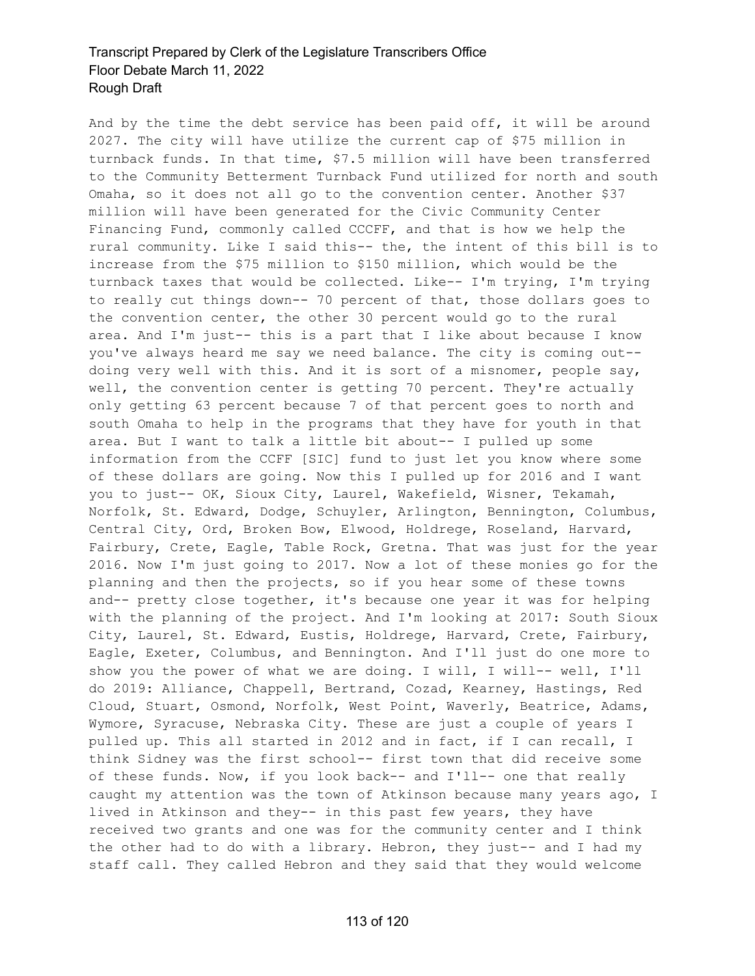And by the time the debt service has been paid off, it will be around 2027. The city will have utilize the current cap of \$75 million in turnback funds. In that time, \$7.5 million will have been transferred to the Community Betterment Turnback Fund utilized for north and south Omaha, so it does not all go to the convention center. Another \$37 million will have been generated for the Civic Community Center Financing Fund, commonly called CCCFF, and that is how we help the rural community. Like I said this-- the, the intent of this bill is to increase from the \$75 million to \$150 million, which would be the turnback taxes that would be collected. Like-- I'm trying, I'm trying to really cut things down-- 70 percent of that, those dollars goes to the convention center, the other 30 percent would go to the rural area. And I'm just-- this is a part that I like about because I know you've always heard me say we need balance. The city is coming out- doing very well with this. And it is sort of a misnomer, people say, well, the convention center is getting 70 percent. They're actually only getting 63 percent because 7 of that percent goes to north and south Omaha to help in the programs that they have for youth in that area. But I want to talk a little bit about-- I pulled up some information from the CCFF [SIC] fund to just let you know where some of these dollars are going. Now this I pulled up for 2016 and I want you to just-- OK, Sioux City, Laurel, Wakefield, Wisner, Tekamah, Norfolk, St. Edward, Dodge, Schuyler, Arlington, Bennington, Columbus, Central City, Ord, Broken Bow, Elwood, Holdrege, Roseland, Harvard, Fairbury, Crete, Eagle, Table Rock, Gretna. That was just for the year 2016. Now I'm just going to 2017. Now a lot of these monies go for the planning and then the projects, so if you hear some of these towns and-- pretty close together, it's because one year it was for helping with the planning of the project. And I'm looking at 2017: South Sioux City, Laurel, St. Edward, Eustis, Holdrege, Harvard, Crete, Fairbury, Eagle, Exeter, Columbus, and Bennington. And I'll just do one more to show you the power of what we are doing. I will, I will-- well, I'll do 2019: Alliance, Chappell, Bertrand, Cozad, Kearney, Hastings, Red Cloud, Stuart, Osmond, Norfolk, West Point, Waverly, Beatrice, Adams, Wymore, Syracuse, Nebraska City. These are just a couple of years I pulled up. This all started in 2012 and in fact, if I can recall, I think Sidney was the first school-- first town that did receive some of these funds. Now, if you look back-- and I'll-- one that really caught my attention was the town of Atkinson because many years ago, I lived in Atkinson and they-- in this past few years, they have received two grants and one was for the community center and I think the other had to do with a library. Hebron, they just-- and I had my staff call. They called Hebron and they said that they would welcome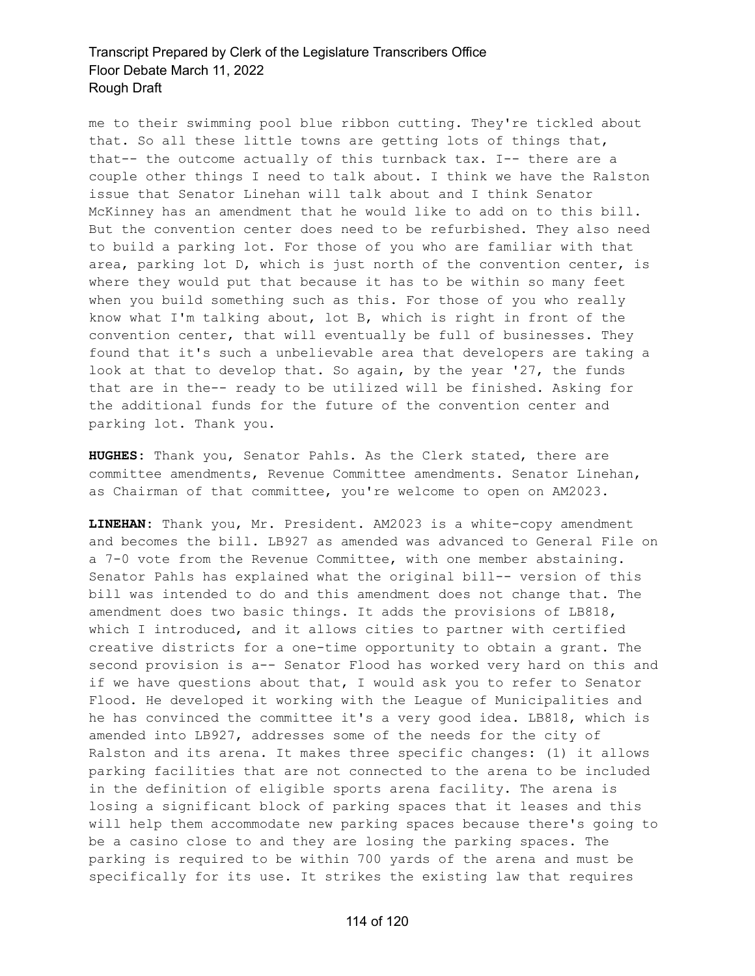me to their swimming pool blue ribbon cutting. They're tickled about that. So all these little towns are getting lots of things that, that-- the outcome actually of this turnback tax. I-- there are a couple other things I need to talk about. I think we have the Ralston issue that Senator Linehan will talk about and I think Senator McKinney has an amendment that he would like to add on to this bill. But the convention center does need to be refurbished. They also need to build a parking lot. For those of you who are familiar with that area, parking lot D, which is just north of the convention center, is where they would put that because it has to be within so many feet when you build something such as this. For those of you who really know what I'm talking about, lot B, which is right in front of the convention center, that will eventually be full of businesses. They found that it's such a unbelievable area that developers are taking a look at that to develop that. So again, by the year '27, the funds that are in the-- ready to be utilized will be finished. Asking for the additional funds for the future of the convention center and parking lot. Thank you.

**HUGHES:** Thank you, Senator Pahls. As the Clerk stated, there are committee amendments, Revenue Committee amendments. Senator Linehan, as Chairman of that committee, you're welcome to open on AM2023.

**LINEHAN:** Thank you, Mr. President. AM2023 is a white-copy amendment and becomes the bill. LB927 as amended was advanced to General File on a 7-0 vote from the Revenue Committee, with one member abstaining. Senator Pahls has explained what the original bill-- version of this bill was intended to do and this amendment does not change that. The amendment does two basic things. It adds the provisions of LB818, which I introduced, and it allows cities to partner with certified creative districts for a one-time opportunity to obtain a grant. The second provision is a-- Senator Flood has worked very hard on this and if we have questions about that, I would ask you to refer to Senator Flood. He developed it working with the League of Municipalities and he has convinced the committee it's a very good idea. LB818, which is amended into LB927, addresses some of the needs for the city of Ralston and its arena. It makes three specific changes: (1) it allows parking facilities that are not connected to the arena to be included in the definition of eligible sports arena facility. The arena is losing a significant block of parking spaces that it leases and this will help them accommodate new parking spaces because there's going to be a casino close to and they are losing the parking spaces. The parking is required to be within 700 yards of the arena and must be specifically for its use. It strikes the existing law that requires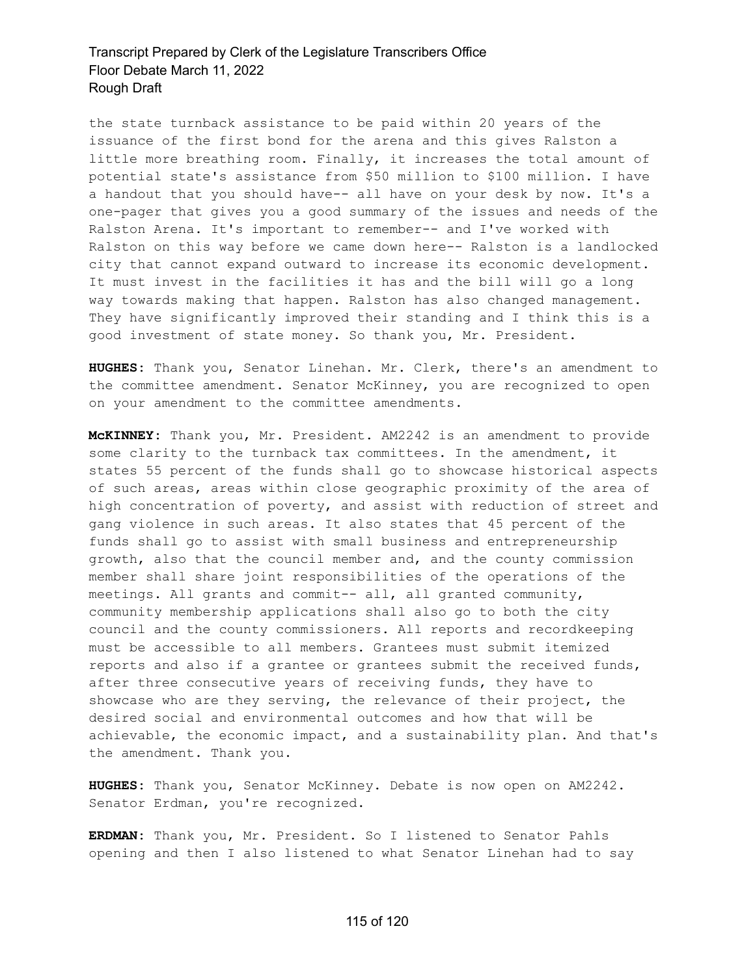the state turnback assistance to be paid within 20 years of the issuance of the first bond for the arena and this gives Ralston a little more breathing room. Finally, it increases the total amount of potential state's assistance from \$50 million to \$100 million. I have a handout that you should have-- all have on your desk by now. It's a one-pager that gives you a good summary of the issues and needs of the Ralston Arena. It's important to remember-- and I've worked with Ralston on this way before we came down here-- Ralston is a landlocked city that cannot expand outward to increase its economic development. It must invest in the facilities it has and the bill will go a long way towards making that happen. Ralston has also changed management. They have significantly improved their standing and I think this is a good investment of state money. So thank you, Mr. President.

**HUGHES:** Thank you, Senator Linehan. Mr. Clerk, there's an amendment to the committee amendment. Senator McKinney, you are recognized to open on your amendment to the committee amendments.

**McKINNEY:** Thank you, Mr. President. AM2242 is an amendment to provide some clarity to the turnback tax committees. In the amendment, it states 55 percent of the funds shall go to showcase historical aspects of such areas, areas within close geographic proximity of the area of high concentration of poverty, and assist with reduction of street and gang violence in such areas. It also states that 45 percent of the funds shall go to assist with small business and entrepreneurship growth, also that the council member and, and the county commission member shall share joint responsibilities of the operations of the meetings. All grants and commit-- all, all granted community, community membership applications shall also go to both the city council and the county commissioners. All reports and recordkeeping must be accessible to all members. Grantees must submit itemized reports and also if a grantee or grantees submit the received funds, after three consecutive years of receiving funds, they have to showcase who are they serving, the relevance of their project, the desired social and environmental outcomes and how that will be achievable, the economic impact, and a sustainability plan. And that's the amendment. Thank you.

**HUGHES:** Thank you, Senator McKinney. Debate is now open on AM2242. Senator Erdman, you're recognized.

**ERDMAN:** Thank you, Mr. President. So I listened to Senator Pahls opening and then I also listened to what Senator Linehan had to say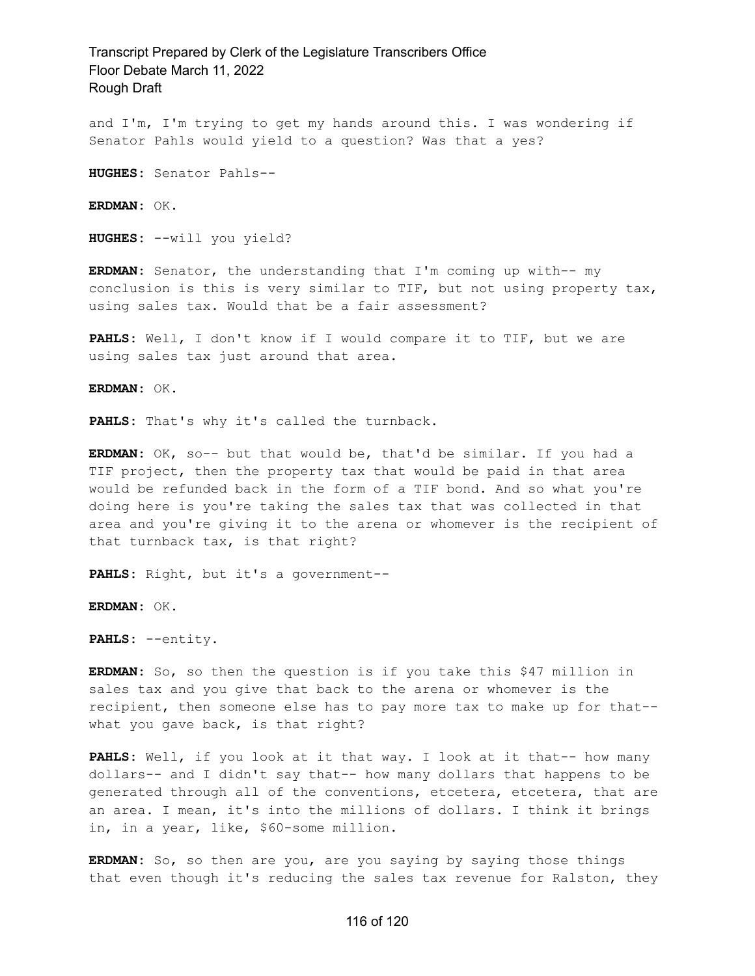and I'm, I'm trying to get my hands around this. I was wondering if Senator Pahls would yield to a question? Was that a yes?

**HUGHES:** Senator Pahls--

**ERDMAN:** OK.

**HUGHES:** --will you yield?

**ERDMAN:** Senator, the understanding that I'm coming up with-- my conclusion is this is very similar to TIF, but not using property tax, using sales tax. Would that be a fair assessment?

**PAHLS:** Well, I don't know if I would compare it to TIF, but we are using sales tax just around that area.

**ERDMAN:** OK.

**PAHLS:** That's why it's called the turnback.

**ERDMAN:** OK, so-- but that would be, that'd be similar. If you had a TIF project, then the property tax that would be paid in that area would be refunded back in the form of a TIF bond. And so what you're doing here is you're taking the sales tax that was collected in that area and you're giving it to the arena or whomever is the recipient of that turnback tax, is that right?

**PAHLS:** Right, but it's a government--

**ERDMAN:** OK.

PAHLS: --entity.

**ERDMAN:** So, so then the question is if you take this \$47 million in sales tax and you give that back to the arena or whomever is the recipient, then someone else has to pay more tax to make up for that- what you gave back, is that right?

**PAHLS:** Well, if you look at it that way. I look at it that-- how many dollars-- and I didn't say that-- how many dollars that happens to be generated through all of the conventions, etcetera, etcetera, that are an area. I mean, it's into the millions of dollars. I think it brings in, in a year, like, \$60-some million.

**ERDMAN:** So, so then are you, are you saying by saying those things that even though it's reducing the sales tax revenue for Ralston, they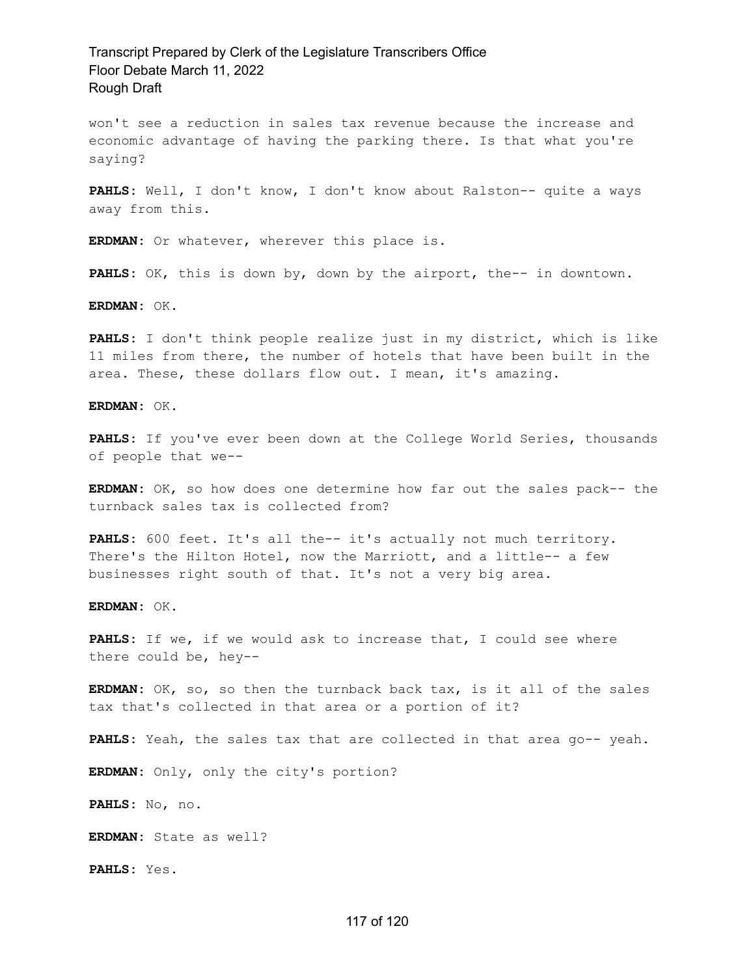won't see a reduction in sales tax revenue because the increase and economic advantage of having the parking there. Is that what you're saying?

**PAHLS:** Well, I don't know, I don't know about Ralston-- quite a ways away from this.

**ERDMAN:** Or whatever, wherever this place is.

**PAHLS:** OK, this is down by, down by the airport, the-- in downtown.

**ERDMAN:** OK.

**PAHLS:** I don't think people realize just in my district, which is like 11 miles from there, the number of hotels that have been built in the area. These, these dollars flow out. I mean, it's amazing.

**ERDMAN:** OK.

**PAHLS:** If you've ever been down at the College World Series, thousands of people that we--

**ERDMAN:** OK, so how does one determine how far out the sales pack-- the turnback sales tax is collected from?

PAHLS: 600 feet. It's all the-- it's actually not much territory. There's the Hilton Hotel, now the Marriott, and a little-- a few businesses right south of that. It's not a very big area.

**ERDMAN:** OK.

**PAHLS:** If we, if we would ask to increase that, I could see where there could be, hey--

**ERDMAN:** OK, so, so then the turnback back tax, is it all of the sales tax that's collected in that area or a portion of it?

**PAHLS:** Yeah, the sales tax that are collected in that area go-- yeah.

**ERDMAN:** Only, only the city's portion?

**PAHLS:** No, no.

**ERDMAN:** State as well?

**PAHLS:** Yes.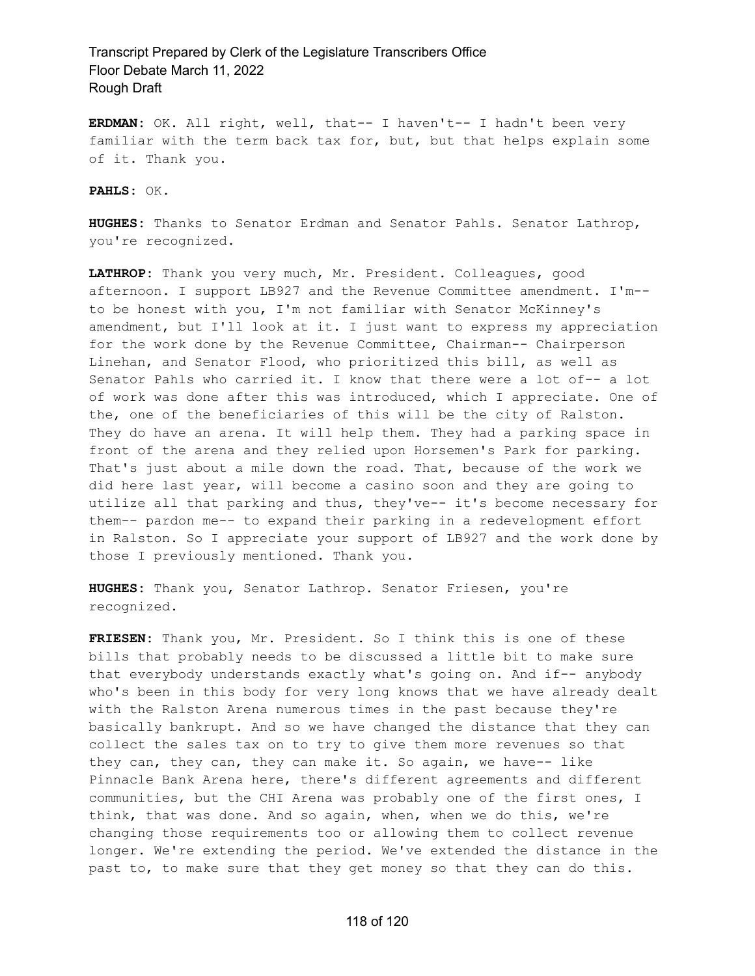**ERDMAN:** OK. All right, well, that-- I haven't-- I hadn't been very familiar with the term back tax for, but, but that helps explain some of it. Thank you.

**PAHLS:** OK.

**HUGHES:** Thanks to Senator Erdman and Senator Pahls. Senator Lathrop, you're recognized.

**LATHROP:** Thank you very much, Mr. President. Colleagues, good afternoon. I support LB927 and the Revenue Committee amendment. I'm- to be honest with you, I'm not familiar with Senator McKinney's amendment, but I'll look at it. I just want to express my appreciation for the work done by the Revenue Committee, Chairman-- Chairperson Linehan, and Senator Flood, who prioritized this bill, as well as Senator Pahls who carried it. I know that there were a lot of-- a lot of work was done after this was introduced, which I appreciate. One of the, one of the beneficiaries of this will be the city of Ralston. They do have an arena. It will help them. They had a parking space in front of the arena and they relied upon Horsemen's Park for parking. That's just about a mile down the road. That, because of the work we did here last year, will become a casino soon and they are going to utilize all that parking and thus, they've-- it's become necessary for them-- pardon me-- to expand their parking in a redevelopment effort in Ralston. So I appreciate your support of LB927 and the work done by those I previously mentioned. Thank you.

**HUGHES:** Thank you, Senator Lathrop. Senator Friesen, you're recognized.

**FRIESEN:** Thank you, Mr. President. So I think this is one of these bills that probably needs to be discussed a little bit to make sure that everybody understands exactly what's going on. And if-- anybody who's been in this body for very long knows that we have already dealt with the Ralston Arena numerous times in the past because they're basically bankrupt. And so we have changed the distance that they can collect the sales tax on to try to give them more revenues so that they can, they can, they can make it. So again, we have-- like Pinnacle Bank Arena here, there's different agreements and different communities, but the CHI Arena was probably one of the first ones, I think, that was done. And so again, when, when we do this, we're changing those requirements too or allowing them to collect revenue longer. We're extending the period. We've extended the distance in the past to, to make sure that they get money so that they can do this.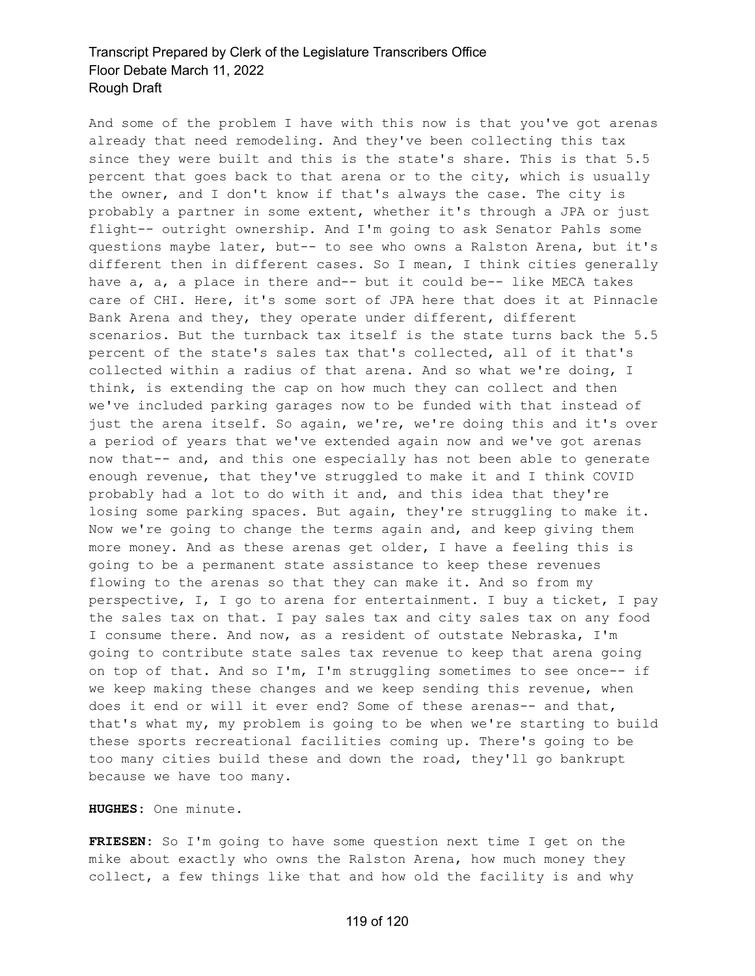And some of the problem I have with this now is that you've got arenas already that need remodeling. And they've been collecting this tax since they were built and this is the state's share. This is that 5.5 percent that goes back to that arena or to the city, which is usually the owner, and I don't know if that's always the case. The city is probably a partner in some extent, whether it's through a JPA or just flight-- outright ownership. And I'm going to ask Senator Pahls some questions maybe later, but-- to see who owns a Ralston Arena, but it's different then in different cases. So I mean, I think cities generally have a, a, a place in there and-- but it could be-- like MECA takes care of CHI. Here, it's some sort of JPA here that does it at Pinnacle Bank Arena and they, they operate under different, different scenarios. But the turnback tax itself is the state turns back the 5.5 percent of the state's sales tax that's collected, all of it that's collected within a radius of that arena. And so what we're doing, I think, is extending the cap on how much they can collect and then we've included parking garages now to be funded with that instead of just the arena itself. So again, we're, we're doing this and it's over a period of years that we've extended again now and we've got arenas now that-- and, and this one especially has not been able to generate enough revenue, that they've struggled to make it and I think COVID probably had a lot to do with it and, and this idea that they're losing some parking spaces. But again, they're struggling to make it. Now we're going to change the terms again and, and keep giving them more money. And as these arenas get older, I have a feeling this is going to be a permanent state assistance to keep these revenues flowing to the arenas so that they can make it. And so from my perspective, I, I go to arena for entertainment. I buy a ticket, I pay the sales tax on that. I pay sales tax and city sales tax on any food I consume there. And now, as a resident of outstate Nebraska, I'm going to contribute state sales tax revenue to keep that arena going on top of that. And so I'm, I'm struggling sometimes to see once-- if we keep making these changes and we keep sending this revenue, when does it end or will it ever end? Some of these arenas-- and that, that's what my, my problem is going to be when we're starting to build these sports recreational facilities coming up. There's going to be too many cities build these and down the road, they'll go bankrupt because we have too many.

**HUGHES:** One minute.

**FRIESEN:** So I'm going to have some question next time I get on the mike about exactly who owns the Ralston Arena, how much money they collect, a few things like that and how old the facility is and why